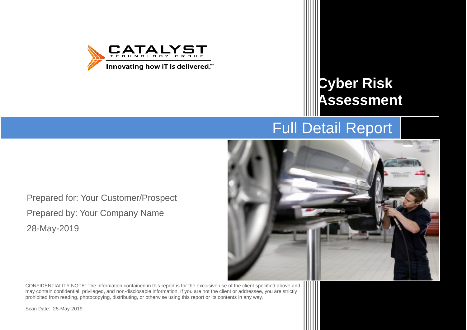

# **Cyber Risk Assessment**

# Full Detail Report

Prepared for: Your Customer/Prospect Prepared by: Your Company Name 28-May-2019



CONFIDENTIALITY NOTE: The information contained in this report is for the exclusive use of the client specified above and may contain confidential, privileged, and non-disclosable information. If you are not the client or addressee, you are strictly prohibited from reading, photocopying, distributing, or otherwise using this report or its contents in any way.

Scan Date: 25-May-2019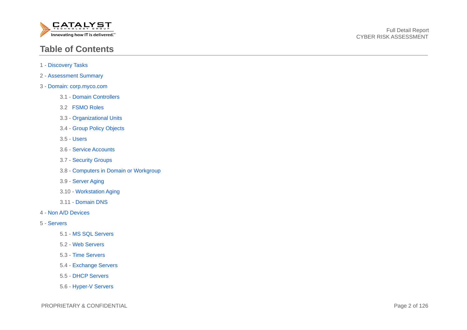

# **Table of Contents**

- 1 Discovery Tasks
- 2 Assessment Summary
- 3 Domain: corp.myco.com
	- 3.1 Domain Controllers
	- 3.2 FSMO Roles
	- 3.3 Organizational Units
	- 3.4 Group Policy Objects
	- 3.5 Users
	- 3.6 Service Accounts
	- 3.7 Security Groups
	- 3.8 Computers in Domain or Workgroup
	- 3.9 Server Aging
	- 3.10 Workstation Aging
	- 3.11 Domain DNS
- 4 Non A/D Devices
- 5 Servers
	- 5.1 MS SQL Servers
	- 5.2 Web Servers
	- 5.3 Time Servers
	- 5.4 Exchange Servers
	- 5.5 DHCP Servers
	- 5.6 Hyper-V Servers

PROPRIETARY & CONFIDENTIAL **PROPRIETARY & CONFIDENTIAL**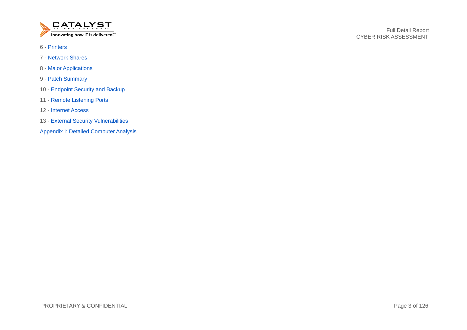

- 6 Printers
- 7 Network Shares
- 8 Major Applications
- 9 Patch Summary
- 10 Endpoint Security and Backup
- 11 Remote Listening Ports
- 12 Internet Access
- 13 External Security Vulnerabilities
- Appendix I: Detailed Computer Analysis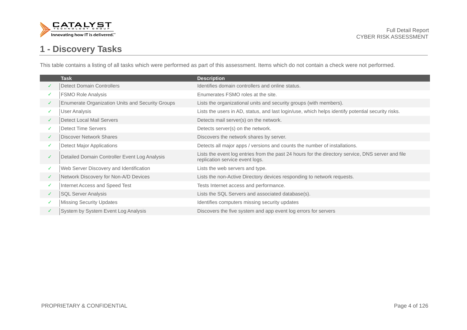

# **1 - Discovery Tasks**

This table contains a listing of all tasks which were performed as part of this assessment. Items which do not contain a check were not performed.

|              | <b>Task</b>                                      | <b>Description</b>                                                                                                                   |
|--------------|--------------------------------------------------|--------------------------------------------------------------------------------------------------------------------------------------|
|              | <b>Detect Domain Controllers</b>                 | Identifies domain controllers and online status.                                                                                     |
| ✓            | <b>FSMO Role Analysis</b>                        | Enumerates FSMO roles at the site.                                                                                                   |
| ✓            | Enumerate Organization Units and Security Groups | Lists the organizational units and security groups (with members).                                                                   |
| √            | <b>User Analysis</b>                             | Lists the users in AD, status, and last login/use, which helps identify potential security risks.                                    |
| ✓            | Detect Local Mail Servers                        | Detects mail server(s) on the network.                                                                                               |
| √            | <b>Detect Time Servers</b>                       | Detects server(s) on the network.                                                                                                    |
| ✓            | <b>Discover Network Shares</b>                   | Discovers the network shares by server.                                                                                              |
| ✓            | <b>Detect Major Applications</b>                 | Detects all major apps / versions and counts the number of installations.                                                            |
| ✓            | Detailed Domain Controller Event Log Analysis    | Lists the event log entries from the past 24 hours for the directory service, DNS server and file<br>replication service event logs. |
| √            | Web Server Discovery and Identification          | Lists the web servers and type.                                                                                                      |
| $\checkmark$ | Network Discovery for Non-A/D Devices            | Lists the non-Active Directory devices responding to network requests.                                                               |
| √            | Internet Access and Speed Test                   | Tests Internet access and performance.                                                                                               |
| $\checkmark$ | <b>SQL Server Analysis</b>                       | Lists the SQL Servers and associated database(s).                                                                                    |
| ✓            | <b>Missing Security Updates</b>                  | Identifies computers missing security updates                                                                                        |
| ✓            | System by System Event Log Analysis              | Discovers the five system and app event log errors for servers                                                                       |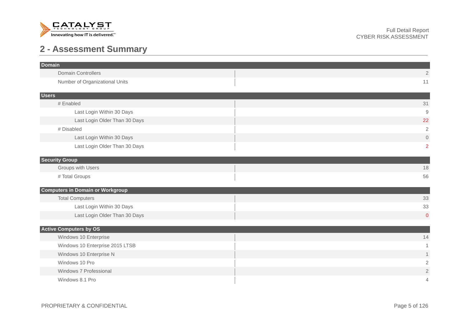

# **2 - Assessment Summary**

| <b>Domain</b> |                                         |                |
|---------------|-----------------------------------------|----------------|
|               | <b>Domain Controllers</b>               | $\overline{c}$ |
|               | Number of Organizational Units          | $11\,$         |
| <b>Users</b>  |                                         |                |
|               | # Enabled                               | $31\,$         |
|               | Last Login Within 30 Days               | $\mathsf{9}$   |
|               | Last Login Older Than 30 Days           | 22             |
|               | # Disabled                              | $\sqrt{2}$     |
|               | Last Login Within 30 Days               | $\mathbf{0}$   |
|               | Last Login Older Than 30 Days           | $\overline{2}$ |
|               |                                         |                |
|               | <b>Security Group</b>                   |                |
|               | Groups with Users                       | 18             |
|               | # Total Groups                          | 56             |
|               | <b>Computers in Domain or Workgroup</b> |                |
|               | <b>Total Computers</b>                  | 33             |
|               | Last Login Within 30 Days               | 33             |
|               | Last Login Older Than 30 Days           | $\overline{0}$ |
|               |                                         |                |
|               | <b>Active Computers by OS</b>           |                |
|               | Windows 10 Enterprise                   | 14             |
|               | Windows 10 Enterprise 2015 LTSB         | $\mathbf{1}$   |
|               | Windows 10 Enterprise N                 | $\mathbf{1}$   |
|               | Windows 10 Pro                          | $\overline{2}$ |
|               | Windows 7 Professional                  | $\overline{2}$ |
|               | Windows 8.1 Pro                         | 4              |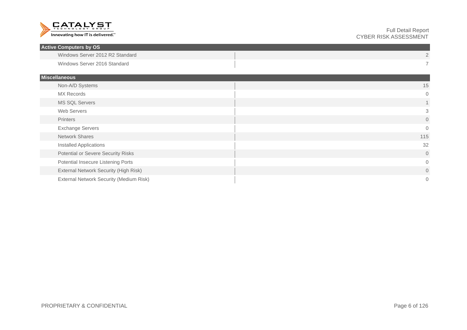

| <b>Active Computers by OS</b>   |  |  |
|---------------------------------|--|--|
| Windows Server 2012 R2 Standard |  |  |
| Windows Server 2016 Standard    |  |  |

| <b>Miscellaneous</b>                    |                |
|-----------------------------------------|----------------|
| Non-A/D Systems                         | 15             |
| <b>MX Records</b>                       | $\mathbf 0$    |
| MS SQL Servers                          | ᅩ              |
| Web Servers                             | 3              |
| Printers                                | $\overline{0}$ |
| <b>Exchange Servers</b>                 | 0              |
| <b>Network Shares</b>                   | 115            |
| <b>Installed Applications</b>           | 32             |
| Potential or Severe Security Risks      | 0              |
| Potential Insecure Listening Ports      | 0              |
| External Network Security (High Risk)   | $\mathbf{0}$   |
| External Network Security (Medium Risk) | 0              |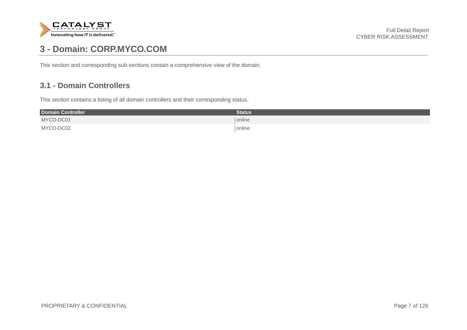

# **3 - Domain: CORP.MYCO.COM**

This section and corresponding sub-sections contain a comprehensive view of the domain.

### **3.1 - Domain Controllers**

This section contains a listing of all domain controllers and their corresponding status.

| <b>Domain Controller</b> | <b>Status</b>           |
|--------------------------|-------------------------|
| MYCO-DC01                | online                  |
| MYCO-DC02                | online<br>$\sim$ $\sim$ |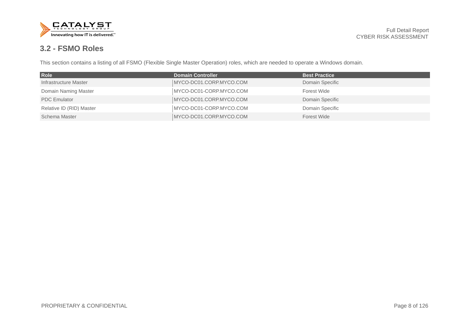

# **3.2 - FSMO Roles**

This section contains a listing of all FSMO (Flexible Single Master Operation) roles, which are needed to operate a Windows domain.

| Role                     | <b>Domain Controller</b> | <b>Best Practice</b> |
|--------------------------|--------------------------|----------------------|
| Infrastructure Master    | MYCO-DC01.CORP.MYCO.COM  | Domain Specific      |
| Domain Naming Master     | MYCO-DC01-CORP.MYCO.COM  | Forest Wide          |
| <b>PDC</b> Emulator      | MYCO-DC01.CORP.MYCO.COM  | Domain Specific      |
| Relative ID (RID) Master | MYCO-DC01-CORP.MYCO.COM  | Domain Specific      |
| Schema Master            | MYCO-DC01.CORP.MYCO.COM  | Forest Wide          |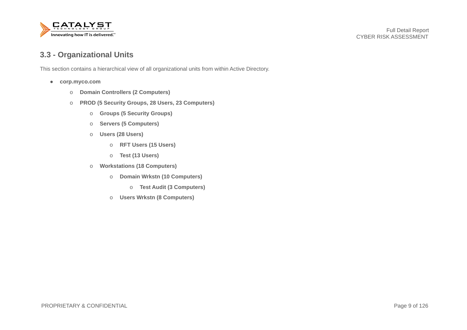

### **3.3 - Organizational Units**

This section contains a hierarchical view of all organizational units from within Active Directory.

- **corp.myco.com**
	- o **Domain Controllers (2 Computers)**
	- o **PROD (5 Security Groups, 28 Users, 23 Computers)**
		- o **Groups (5 Security Groups)**
		- o **Servers (5 Computers)**
		- o **Users (28 Users)**
			- o **RFT Users (15 Users)**
			- o **Test (13 Users)**
		- o **Workstations (18 Computers)**
			- o **Domain Wrkstn (10 Computers)**
				- o **Test Audit (3 Computers)**
			- o **Users Wrkstn (8 Computers)**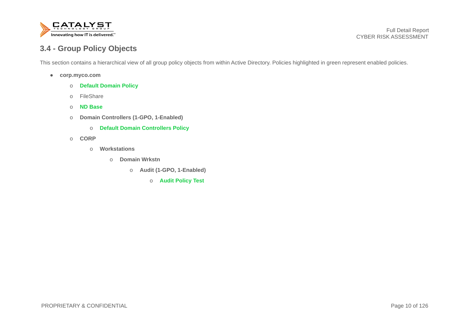

# **3.4 - Group Policy Objects**

This section contains a hierarchical view of all group policy objects from within Active Directory. Policies highlighted in green represent enabled policies.

- **corp.myco.com**
	- o **Default Domain Policy**
	- o FileShare
	- o **ND Base**
	- o **Domain Controllers (1-GPO, 1-Enabled)**
		- o **Default Domain Controllers Policy**
	- o **CORP**
		- o **Workstations**
			- o **Domain Wrkstn**
				- o **Audit (1-GPO, 1-Enabled)**
					- o **Audit Policy Test**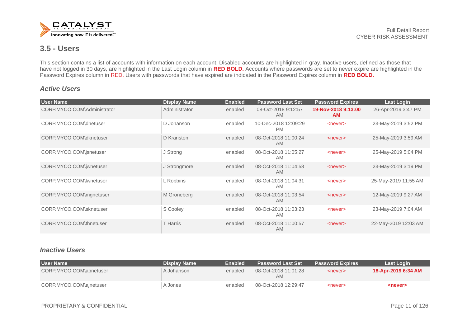

### **3.5 - Users**

This section contains a list of accounts with information on each account. Disabled accounts are highlighted in gray. Inactive users, defined as those that have not logged in 30 days, are highlighted in the Last Login column in **RED BOLD.** Accounts where passwords are set to never expire are highlighted in the Password Expires column in RED. Users with passwords that have expired are indicated in the Password Expires column in **RED BOLD.** 

#### *Active Users*

| <b>User Name</b>            | <b>Display Name</b> | <b>Enabled</b> | <b>Password Last Set</b>          | <b>Password Expires</b>          | <b>Last Login</b>    |
|-----------------------------|---------------------|----------------|-----------------------------------|----------------------------------|----------------------|
| CORP.MYCO.COM\Administrator | Administrator       | enabled        | 08-Oct-2018 9:12:57<br>AM.        | 19-Nov-2018 9:13:00<br><b>AM</b> | 26-Apr-2019 3:47 PM  |
| CORP.MYCO.COM\dnetuser      | D Johanson          | enabled        | 10-Dec-2018 12:09:29<br><b>PM</b> | $never$                          | 23-May-2019 3:52 PM  |
| CORP.MYCO.COM\dknetuser     | D Kranston          | enabled        | 08-Oct-2018 11:00:24<br>AM.       | $never$                          | 25-May-2019 3:59 AM  |
| CORP.MYCO.COM\jsnetuser     | J Strong            | enabled        | 08-Oct-2018 11:05:27<br><b>AM</b> | $never$                          | 25-May-2019 5:04 PM  |
| CORP.MYCO.COM\jwnetuser     | J Strongmore        | enabled        | 08-Oct-2018 11:04:58<br>AM.       | $never$                          | 23-May-2019 3:19 PM  |
| CORP.MYCO.COM\lwnetuser     | L Robbins           | enabled        | 08-Oct-2018 11:04:31<br><b>AM</b> | $never$                          | 25-May-2019 11:55 AM |
| CORP.MYCO.COM\mgnetuser     | M Groneberg         | enabled        | 08-Oct-2018 11:03:54<br>AM.       | $never$                          | 12-May-2019 9:27 AM  |
| CORP.MYCO.COM\sknetuser     | S Cooley            | enabled        | 08-Oct-2018 11:03:23<br>AM        | $never$                          | 23-May-2019 7:04 AM  |
| CORP.MYCO.COM\thnetuser     | <b>T</b> Harris     | enabled        | 08-Oct-2018 11:00:57<br><b>AM</b> | $never$                          | 22-May-2019 12:03 AM |

#### *Inactive Users*

| <b>User Name</b>        | <b>Display Name</b> | <b>Enabled</b> | <b>Password Last Set</b>   | <b>Password Expires</b> | <b>Last Login</b>       |
|-------------------------|---------------------|----------------|----------------------------|-------------------------|-------------------------|
| CORP.MYCO.COM\abnetuser | A Johanson          | enabled        | 08-Oct-2018 11:01:28<br>AM | $never$                 | $18 -$ Apr-2019 6:34 AM |
| CORP.MYCO.COM\ainetuser | A Jones             | enabled        | 08-Oct-2018 12:29:47       | <never></never>         | <never></never>         |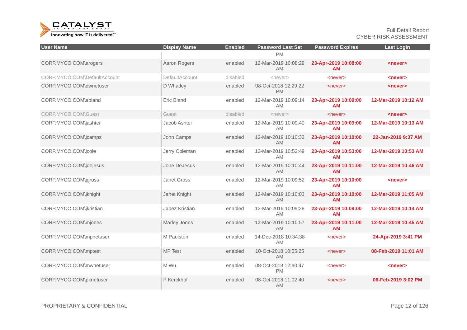

| <b>User Name</b>             | <b>Display Name</b> | <b>Enabled</b> | <b>Password Last Set</b>          | <b>Password Expires</b>           | <b>Last Login</b>    |
|------------------------------|---------------------|----------------|-----------------------------------|-----------------------------------|----------------------|
|                              |                     |                | <b>PM</b>                         |                                   |                      |
| CORP.MYCO.COM\arogers        | Aaron Rogers        | enabled        | 12-Mar-2019 10:08:29<br><b>AM</b> | 23-Apr-2019 10:08:00<br>AM        | <never></never>      |
| CORP.MYCO.COM\DefaultAccount | DefaultAccount      | disabled       | $<$ never $>$                     | $never$                           | <never></never>      |
| CORP.MYCO.COM\dwnetuser      | D Whatley           | enabled        | 08-Oct-2018 12:29:22<br><b>PM</b> | $never$                           | <never></never>      |
| CORP.MYCO.COM\ebland         | Eric Bland          | enabled        | 12-Mar-2019 10:09:14<br>AM        | 23-Apr-2019 10:09:00<br><b>AM</b> | 12-Mar-2019 10:12 AM |
| CORP.MYCO.COM\Guest          | Guest               | disabled       | $<$ never $>$                     | <never></never>                   | <never></never>      |
| CORP.MYCO.COM\jashter        | Jacob Ashter        | enabled        | 12-Mar-2019 10:09:40<br><b>AM</b> | 23-Apr-2019 10:09:00<br><b>AM</b> | 12-Mar-2019 10:13 AM |
| CORP.MYCO.COM\jcamps         | John Camps          | enabled        | 12-Mar-2019 10:10:32<br><b>AM</b> | 23-Apr-2019 10:10:00<br><b>AM</b> | 22-Jan-2019 9:37 AM  |
| CORP.MYCO.COM\jcole          | Jerry Coleman       | enabled        | 12-Mar-2019 10:52:49<br>AM        | 23-Apr-2019 10:53:00<br><b>AM</b> | 12-Mar-2019 10:53 AM |
| CORP.MYCO.COM\jdejesus       | Jone DeJesus        | enabled        | 12-Mar-2019 10:10:44<br><b>AM</b> | 23-Apr-2019 10:11:00<br><b>AM</b> | 12-Mar-2019 10:46 AM |
| CORP.MYCO.COM\jgross         | <b>Janet Gross</b>  | enabled        | 12-Mar-2019 10:09:52<br><b>AM</b> | 23-Apr-2019 10:10:00<br>АM        | <never></never>      |
| CORP.MYCO.COM\jknight        | Janet Knight        | enabled        | 12-Mar-2019 10:10:03<br>AM        | 23-Apr-2019 10:10:00<br><b>AM</b> | 12-Mar-2019 11:05 AM |
| CORP.MYCO.COM\jkristian      | Jabez Kristian      | enabled        | 12-Mar-2019 10:09:28<br>AM        | 23-Apr-2019 10:09:00<br><b>AM</b> | 12-Mar-2019 10:14 AM |
| CORP.MYCO.COM\mjones         | Marley Jones        | enabled        | 12-Mar-2019 10:10:57<br><b>AM</b> | 23-Apr-2019 10:11:00<br><b>AM</b> | 12-Mar-2019 10:45 AM |
| CORP.MYCO.COM\mpnetuser      | M Paulston          | enabled        | 14-Dec-2018 10:34:38<br>AM        | $never$                           | 24-Apr-2019 3:41 PM  |
| CORP.MYCO.COM\mptest         | <b>MP Test</b>      | enabled        | 10-Oct-2018 10:55:25<br><b>AM</b> | <never></never>                   | 08-Feb-2019 11:01 AM |
| CORP.MYCO.COM\mwnetuser      | M Wu                | enabled        | 08-Oct-2018 12:30:47<br><b>PM</b> | <never></never>                   | <never></never>      |
| CORP.MYCO.COM\pknetuser      | P Kerckhof          | enabled        | 08-Oct-2018 11:02:40<br>AM        | $never$                           | 06-Feb-2019 3:02 PM  |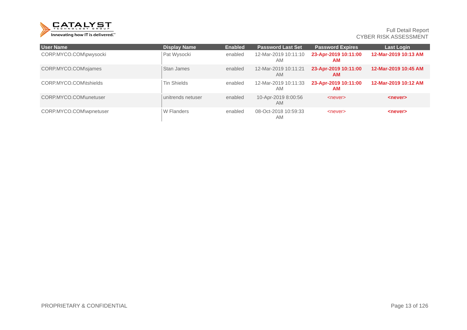

| <b>User Name</b>        | <b>Display Name</b> | <b>Enabled</b> | <b>Password Last Set</b>    | <b>Password Expires</b>           | <b>Last Login</b>    |
|-------------------------|---------------------|----------------|-----------------------------|-----------------------------------|----------------------|
| CORP.MYCO.COM\pwysocki  | Pat Wysocki         | enabled        | 12-Mar-2019 10:11:10<br>AM. | 23-Apr-2019 10:11:00<br><b>AM</b> | 12-Mar-2019 10:13 AM |
| CORP.MYCO.COM\sjames    | Stan James          | enabled        | 12-Mar-2019 10:11:21<br>AM. | 23-Apr-2019 10:11:00<br><b>AM</b> | 12-Mar-2019 10:45 AM |
| CORP.MYCO.COM\tshields  | Tin Shields         | enabled        | 12-Mar-2019 10:11:33<br>AM. | 23-Apr-2019 10:11:00<br><b>AM</b> | 12-Mar-2019 10:12 AM |
| CORP.MYCO.COM\unetuser  | unitrends netuser   | enabled        | 10-Apr-2019 8:00:56<br>AM.  | $never$                           | <never></never>      |
| CORP.MYCO.COM\wpnetuser | W Flanders          | enabled        | 08-Oct-2018 10:59:33<br>AM. | $never$                           | $energy$             |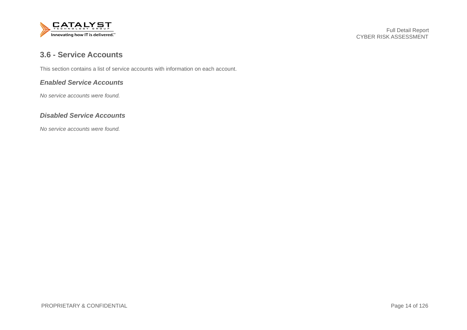

### **3.6 - Service Accounts**

This section contains a list of service accounts with information on each account.

#### *Enabled Service Accounts*

*No service accounts were found.*

### *Disabled Service Accounts*

*No service accounts were found.*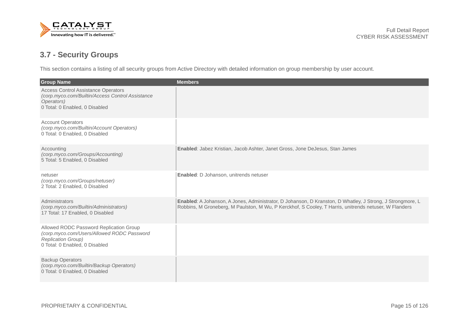

## **3.7 - Security Groups**

This section contains a listing of all security groups from Active Directory with detailed information on group membership by user account.

| <b>Group Name</b>                                                                                                                                    | <b>Members</b>                                                                                                                                                                                                     |
|------------------------------------------------------------------------------------------------------------------------------------------------------|--------------------------------------------------------------------------------------------------------------------------------------------------------------------------------------------------------------------|
| <b>Access Control Assistance Operators</b><br>(corp.myco.com/Builtin/Access Control Assistance<br>Operators)<br>0 Total: 0 Enabled, 0 Disabled       |                                                                                                                                                                                                                    |
| <b>Account Operators</b><br>(corp.myco.com/Builtin/Account Operators)<br>0 Total: 0 Enabled, 0 Disabled                                              |                                                                                                                                                                                                                    |
| Accounting<br>(corp.myco.com/Groups/Accounting)<br>5 Total: 5 Enabled, 0 Disabled                                                                    | Enabled: Jabez Kristian, Jacob Ashter, Janet Gross, Jone DeJesus, Stan James                                                                                                                                       |
| netuser<br>(corp.myco.com/Groups/netuser)<br>2 Total: 2 Enabled, 0 Disabled                                                                          | <b>Enabled:</b> D Johanson, unitrends netuser                                                                                                                                                                      |
| Administrators<br>(corp.myco.com/Builtin/Administrators)<br>17 Total: 17 Enabled, 0 Disabled                                                         | Enabled: A Johanson, A Jones, Administrator, D Johanson, D Kranston, D Whatley, J Strong, J Strongmore, L<br>Robbins, M Groneberg, M Paulston, M Wu, P Kerckhof, S Cooley, T Harris, unitrends netuser, W Flanders |
| Allowed RODC Password Replication Group<br>(corp.myco.com/Users/Allowed RODC Password<br><b>Replication Group)</b><br>0 Total: 0 Enabled, 0 Disabled |                                                                                                                                                                                                                    |
| <b>Backup Operators</b><br>(corp.myco.com/Builtin/Backup Operators)<br>0 Total: 0 Enabled, 0 Disabled                                                |                                                                                                                                                                                                                    |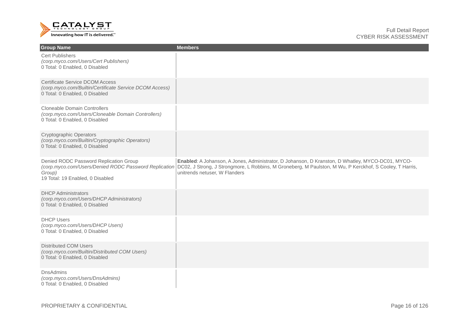

| <b>Group Name</b>                                                                                                                             | <b>Members</b>                                                                                                                                                                                                                               |
|-----------------------------------------------------------------------------------------------------------------------------------------------|----------------------------------------------------------------------------------------------------------------------------------------------------------------------------------------------------------------------------------------------|
| <b>Cert Publishers</b><br>(corp.myco.com/Users/Cert Publishers)<br>0 Total: 0 Enabled, 0 Disabled                                             |                                                                                                                                                                                                                                              |
| Certificate Service DCOM Access<br>(corp.myco.com/Builtin/Certificate Service DCOM Access)<br>0 Total: 0 Enabled, 0 Disabled                  |                                                                                                                                                                                                                                              |
| <b>Cloneable Domain Controllers</b><br>(corp.myco.com/Users/Cloneable Domain Controllers)<br>0 Total: 0 Enabled, 0 Disabled                   |                                                                                                                                                                                                                                              |
| <b>Cryptographic Operators</b><br>(corp.myco.com/Builtin/Cryptographic Operators)<br>0 Total: 0 Enabled, 0 Disabled                           |                                                                                                                                                                                                                                              |
| Denied RODC Password Replication Group<br>(corp.myco.com/Users/Denied RODC Password Replication<br>Group)<br>19 Total: 19 Enabled, 0 Disabled | Enabled: A Johanson, A Jones, Administrator, D Johanson, D Kranston, D Whatley, MYCO-DC01, MYCO-<br>DC02, J Strong, J Strongmore, L Robbins, M Groneberg, M Paulston, M Wu, P Kerckhof, S Cooley, T Harris,<br>unitrends netuser, W Flanders |
| <b>DHCP Administrators</b><br>(corp.myco.com/Users/DHCP Administrators)<br>0 Total: 0 Enabled, 0 Disabled                                     |                                                                                                                                                                                                                                              |
| <b>DHCP Users</b><br>(corp.myco.com/Users/DHCP Users)<br>0 Total: 0 Enabled, 0 Disabled                                                       |                                                                                                                                                                                                                                              |
| Distributed COM Users<br>(corp.myco.com/Builtin/Distributed COM Users)<br>0 Total: 0 Enabled, 0 Disabled                                      |                                                                                                                                                                                                                                              |
| <b>DnsAdmins</b><br>(corp.myco.com/Users/DnsAdmins)<br>0 Total: 0 Enabled, 0 Disabled                                                         |                                                                                                                                                                                                                                              |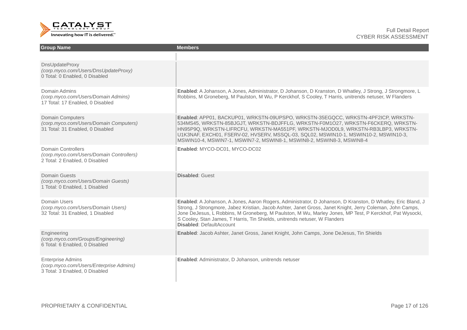

| <b>Group Name</b>                                                                                       | <b>Members</b>                                                                                                                                                                                                                                                                                                                                                                                                                                       |
|---------------------------------------------------------------------------------------------------------|------------------------------------------------------------------------------------------------------------------------------------------------------------------------------------------------------------------------------------------------------------------------------------------------------------------------------------------------------------------------------------------------------------------------------------------------------|
|                                                                                                         |                                                                                                                                                                                                                                                                                                                                                                                                                                                      |
| DnsUpdateProxy<br>(corp.myco.com/Users/DnsUpdateProxy)<br>0 Total: 0 Enabled, 0 Disabled                |                                                                                                                                                                                                                                                                                                                                                                                                                                                      |
| Domain Admins<br>(corp.myco.com/Users/Domain Admins)<br>17 Total: 17 Enabled, 0 Disabled                | Enabled: A Johanson, A Jones, Administrator, D Johanson, D Kranston, D Whatley, J Strong, J Strongmore, L<br>Robbins, M Groneberg, M Paulston, M Wu, P Kerckhof, S Cooley, T Harris, unitrends netuser, W Flanders                                                                                                                                                                                                                                   |
| <b>Domain Computers</b><br>(corp.myco.com/Users/Domain Computers)<br>31 Total: 31 Enabled, 0 Disabled   | Enabled: APP01, BACKUP01, WRKSTN-09UPSPO, WRKSTN-35EGQCC, WRKSTN-4PF2ICP, WRKSTN-<br>534MS45, WRKSTN-85BJGJT, WRKSTN-BDJFFLG, WRKSTN-F0M1O27, WRKSTN-F6CKERQ, WRKSTN-<br>HN95P9Q, WRKSTN-LIFRCFU, WRKSTN-MA551PF, WRKSTN-MJOD0L9, WRKSTN-RB3LBP3, WRKSTN-<br>U1K3NAF, EXCH01, FSERV-02, HVSERV, MSSQL-03, SQL02, MSWIN10-1, MSWIN10-2, MSWIN10-3,<br>MSWIN10-4, MSWIN7-1, MSWIN7-2, MSWIN8-1, MSWIN8-2, MSWIN8-3, MSWIN8-4                           |
| <b>Domain Controllers</b><br>(corp.myco.com/Users/Domain Controllers)<br>2 Total: 2 Enabled, 0 Disabled | Enabled: MYCO-DC01, MYCO-DC02                                                                                                                                                                                                                                                                                                                                                                                                                        |
| <b>Domain Guests</b><br>(corp.myco.com/Users/Domain Guests)<br>1 Total: 0 Enabled, 1 Disabled           | <b>Disabled: Guest</b>                                                                                                                                                                                                                                                                                                                                                                                                                               |
| Domain Users<br>(corp.myco.com/Users/Domain Users)<br>32 Total: 31 Enabled, 1 Disabled                  | Enabled: A Johanson, A Jones, Aaron Rogers, Administrator, D Johanson, D Kranston, D Whatley, Eric Bland, J<br>Strong, J Strongmore, Jabez Kristian, Jacob Ashter, Janet Gross, Janet Knight, Jerry Coleman, John Camps,<br>Jone DeJesus, L Robbins, M Groneberg, M Paulston, M Wu, Marley Jones, MP Test, P Kerckhof, Pat Wysocki,<br>S Cooley, Stan James, T Harris, Tin Shields, unitrends netuser, W Flanders<br><b>Disabled: DefaultAccount</b> |
| Engineering<br>(corp.myco.com/Groups/Engineering)<br>6 Total: 6 Enabled, 0 Disabled                     | <b>Enabled:</b> Jacob Ashter, Janet Gross, Janet Knight, John Camps, Jone DeJesus, Tin Shields                                                                                                                                                                                                                                                                                                                                                       |
| <b>Enterprise Admins</b><br>(corp.myco.com/Users/Enterprise Admins)<br>3 Total: 3 Enabled, 0 Disabled   | Enabled: Administrator, D Johanson, unitrends netuser                                                                                                                                                                                                                                                                                                                                                                                                |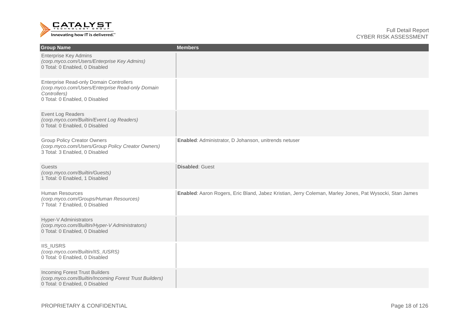

| <b>Group Name</b>                                                                                                                             | <b>Members</b>                                                                                          |
|-----------------------------------------------------------------------------------------------------------------------------------------------|---------------------------------------------------------------------------------------------------------|
| <b>Enterprise Key Admins</b><br>(corp.myco.com/Users/Enterprise Key Admins)<br>0 Total: 0 Enabled, 0 Disabled                                 |                                                                                                         |
| Enterprise Read-only Domain Controllers<br>(corp.myco.com/Users/Enterprise Read-only Domain<br>Controllers)<br>0 Total: 0 Enabled, 0 Disabled |                                                                                                         |
| Event Log Readers<br>(corp.myco.com/Builtin/Event Log Readers)<br>0 Total: 0 Enabled, 0 Disabled                                              |                                                                                                         |
| <b>Group Policy Creator Owners</b><br>(corp.myco.com/Users/Group Policy Creator Owners)<br>3 Total: 3 Enabled, 0 Disabled                     | Enabled: Administrator, D Johanson, unitrends netuser                                                   |
| Guests<br>(corp.myco.com/Builtin/Guests)<br>1 Total: 0 Enabled, 1 Disabled                                                                    | <b>Disabled: Guest</b>                                                                                  |
| <b>Human Resources</b><br>(corp.myco.com/Groups/Human Resources)<br>7 Total: 7 Enabled, 0 Disabled                                            | Enabled: Aaron Rogers, Eric Bland, Jabez Kristian, Jerry Coleman, Marley Jones, Pat Wysocki, Stan James |
| Hyper-V Administrators<br>(corp.myco.com/Builtin/Hyper-V Administrators)<br>0 Total: 0 Enabled, 0 Disabled                                    |                                                                                                         |
| IIS_IUSRS<br>(corp.myco.com/Builtin/IIS_IUSRS)<br>0 Total: 0 Enabled, 0 Disabled                                                              |                                                                                                         |
| Incoming Forest Trust Builders<br>(corp.myco.com/Builtin/Incoming Forest Trust Builders)<br>0 Total: 0 Enabled, 0 Disabled                    |                                                                                                         |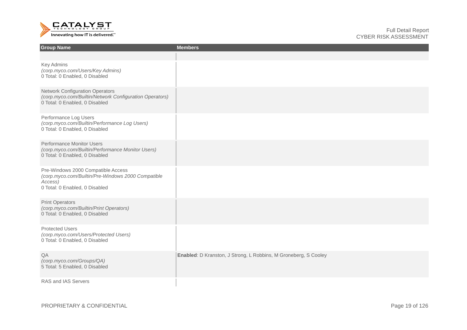

| <b>Group Name</b>                                                                                                                     | <b>Members</b>                                                  |
|---------------------------------------------------------------------------------------------------------------------------------------|-----------------------------------------------------------------|
|                                                                                                                                       |                                                                 |
| <b>Key Admins</b><br>(corp.myco.com/Users/Key Admins)<br>0 Total: 0 Enabled, 0 Disabled                                               |                                                                 |
| <b>Network Configuration Operators</b><br>(corp.myco.com/Builtin/Network Configuration Operators)<br>0 Total: 0 Enabled, 0 Disabled   |                                                                 |
| Performance Log Users<br>(corp.myco.com/Builtin/Performance Log Users)<br>0 Total: 0 Enabled, 0 Disabled                              |                                                                 |
| Performance Monitor Users<br>(corp.myco.com/Builtin/Performance Monitor Users)<br>0 Total: 0 Enabled, 0 Disabled                      |                                                                 |
| Pre-Windows 2000 Compatible Access<br>(corp.myco.com/Builtin/Pre-Windows 2000 Compatible<br>Access)<br>0 Total: 0 Enabled, 0 Disabled |                                                                 |
| <b>Print Operators</b><br>(corp.myco.com/Builtin/Print Operators)<br>0 Total: 0 Enabled, 0 Disabled                                   |                                                                 |
| <b>Protected Users</b><br>(corp.myco.com/Users/Protected Users)<br>0 Total: 0 Enabled, 0 Disabled                                     |                                                                 |
| QA<br>(corp.myco.com/Groups/QA)<br>5 Total: 5 Enabled, 0 Disabled                                                                     | Enabled: D Kranston, J Strong, L Robbins, M Groneberg, S Cooley |
| RAS and IAS Servers                                                                                                                   |                                                                 |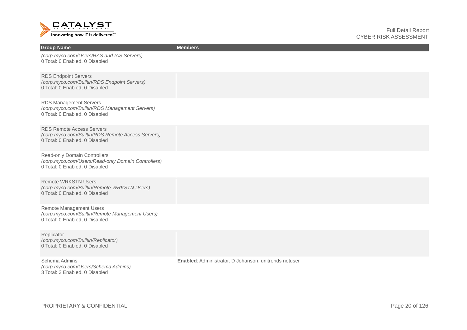

| <b>Group Name</b>                                                                                                       | <b>Members</b>                                               |
|-------------------------------------------------------------------------------------------------------------------------|--------------------------------------------------------------|
| (corp.myco.com/Users/RAS and IAS Servers)<br>0 Total: 0 Enabled, 0 Disabled                                             |                                                              |
| <b>RDS Endpoint Servers</b><br>(corp.myco.com/Builtin/RDS Endpoint Servers)<br>0 Total: 0 Enabled, 0 Disabled           |                                                              |
| <b>RDS Management Servers</b><br>(corp.myco.com/Builtin/RDS Management Servers)<br>0 Total: 0 Enabled, 0 Disabled       |                                                              |
| <b>RDS Remote Access Servers</b><br>(corp.myco.com/Builtin/RDS Remote Access Servers)<br>0 Total: 0 Enabled, 0 Disabled |                                                              |
| Read-only Domain Controllers<br>(corp.myco.com/Users/Read-only Domain Controllers)<br>0 Total: 0 Enabled, 0 Disabled    |                                                              |
| <b>Remote WRKSTN Users</b><br>(corp.myco.com/Builtin/Remote WRKSTN Users)<br>0 Total: 0 Enabled, 0 Disabled             |                                                              |
| Remote Management Users<br>(corp.myco.com/Builtin/Remote Management Users)<br>0 Total: 0 Enabled, 0 Disabled            |                                                              |
| Replicator<br>(corp.myco.com/Builtin/Replicator)<br>0 Total: 0 Enabled, 0 Disabled                                      |                                                              |
| Schema Admins<br>(corp.myco.com/Users/Schema Admins)<br>3 Total: 3 Enabled, 0 Disabled                                  | <b>Enabled:</b> Administrator, D Johanson, unitrends netuser |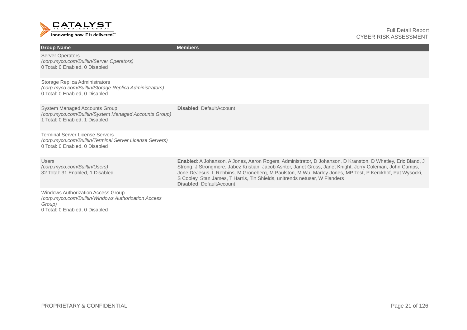

| <b>Group Name</b>                                                                                                                     | <b>Members</b>                                                                                                                                                                                                                                                                                                                                                                                                                                       |
|---------------------------------------------------------------------------------------------------------------------------------------|------------------------------------------------------------------------------------------------------------------------------------------------------------------------------------------------------------------------------------------------------------------------------------------------------------------------------------------------------------------------------------------------------------------------------------------------------|
| <b>Server Operators</b><br>(corp.myco.com/Builtin/Server Operators)<br>0 Total: 0 Enabled, 0 Disabled                                 |                                                                                                                                                                                                                                                                                                                                                                                                                                                      |
| Storage Replica Administrators<br>(corp.myco.com/Builtin/Storage Replica Administrators)<br>0 Total: 0 Enabled, 0 Disabled            |                                                                                                                                                                                                                                                                                                                                                                                                                                                      |
| <b>System Managed Accounts Group</b><br>(corp.myco.com/Builtin/System Managed Accounts Group)<br>1 Total: 0 Enabled, 1 Disabled       | <b>Disabled: DefaultAccount</b>                                                                                                                                                                                                                                                                                                                                                                                                                      |
| <b>Terminal Server License Servers</b><br>(corp.myco.com/Builtin/Terminal Server License Servers)<br>0 Total: 0 Enabled, 0 Disabled   |                                                                                                                                                                                                                                                                                                                                                                                                                                                      |
| <b>Users</b><br>(corp.myco.com/Builtin/Users)<br>32 Total: 31 Enabled, 1 Disabled                                                     | Enabled: A Johanson, A Jones, Aaron Rogers, Administrator, D Johanson, D Kranston, D Whatley, Eric Bland, J<br>Strong, J Strongmore, Jabez Kristian, Jacob Ashter, Janet Gross, Janet Knight, Jerry Coleman, John Camps,<br>Jone DeJesus, L Robbins, M Groneberg, M Paulston, M Wu, Marley Jones, MP Test, P Kerckhof, Pat Wysocki,<br>S Cooley, Stan James, T Harris, Tin Shields, unitrends netuser, W Flanders<br><b>Disabled: DefaultAccount</b> |
| Windows Authorization Access Group<br>(corp.myco.com/Builtin/Windows Authorization Access<br>Group)<br>0 Total: 0 Enabled, 0 Disabled |                                                                                                                                                                                                                                                                                                                                                                                                                                                      |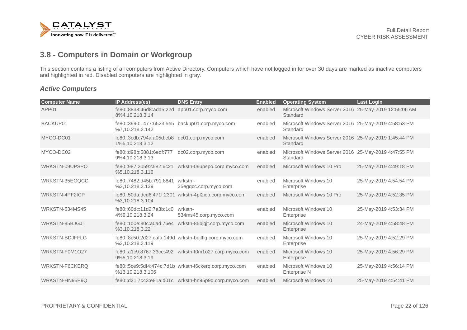

### **3.8 - Computers in Domain or Workgroup**

This section contains a listing of all computers from Active Directory. Computers which have not logged in for over 30 days are marked as inactive computers and highlighted in red. Disabled computers are highlighted in gray.

#### *Active Computers*

| <b>Computer Name</b>  | IP Address(es)                               | <b>DNS Entry</b>                                       | <b>Enabled</b> | <b>Operating System</b>                                           | <b>Last Login</b>      |
|-----------------------|----------------------------------------------|--------------------------------------------------------|----------------|-------------------------------------------------------------------|------------------------|
| APP01                 | fe80::8838:46d8:ada5:22d<br>8%4,10.218.3.14  | app01.corp.myco.com                                    | enabled        | Microsoft Windows Server 2016 25-May-2019 12:55:06 AM<br>Standard |                        |
| BACKUP01              | fe80::3990:1477:6523:5e5<br>%7,10.218.3.142  | backup01.corp.myco.com                                 | enabled        | Microsoft Windows Server 2016 25-May-2019 4:58:53 PM<br>Standard  |                        |
| MYCO-DC01             | fe80::3cdb:794a:a05d:eb8<br>1%5,10.218.3.12  | dc01.corp.myco.com                                     | enabled        | Microsoft Windows Server 2016 25-May-2019 1:45:44 PM<br>Standard  |                        |
| MYCO-DC02             | fe80::d98b:5881:6edf:777<br>9%4,10.218.3.13  | dc02.corp.myco.com                                     | enabled        | Microsoft Windows Server 2016 25-May-2019 4:47:55 PM<br>Standard  |                        |
| WRKSTN-09UPSPO        | fe80::987:2059:c582:6c21<br>%5,10.218.3.116  | wrkstn-09upspo.corp.myco.com                           | enabled        | Microsoft Windows 10 Pro                                          | 25-May-2019 4:49:18 PM |
| WRKSTN-35EGQCC        | fe80::7482:d45b:791:8841<br>%3,10.218.3.139  | wrkstn -<br>35eggcc.corp.myco.com                      | enabled        | Microsoft Windows 10<br>Enterprise                                | 25-May-2019 4:54:54 PM |
| WRKSTN-4PF2ICP        | fe80::50da:dcd6:471f:2301<br>%3,10.218.3.104 | wrkstn-4pf2icp.corp.myco.com                           | enabled        | Microsoft Windows 10 Pro                                          | 25-May-2019 4:52:35 PM |
| WRKSTN-534MS45        | fe80::60dc:11d2:7a3b:1c0<br>4%9,10.218.3.24  | wrkstn-<br>534ms45.corp.myco.com                       | enabled        | Microsoft Windows 10<br>Enterprise                                | 25-May-2019 4:53:34 PM |
| WRKSTN-85BJGJT        | fe80::1d0e:80c:a0ad:76e4<br>%3,10.218.3.22   | wrkstn-85bjgjt.corp.myco.com                           | enabled        | Microsoft Windows 10<br>Enterprise                                | 24-May-2019 4:58:48 PM |
| <b>WRKSTN-BDJFFLG</b> | %2,10.218.3.119                              | fe80::8c50:2d27:cafa:149d wrkstn-bdjfflg.corp.myco.com | enabled        | Microsoft Windows 10<br>Enterprise                                | 25-May-2019 4:52:29 PM |
| WRKSTN-F0M1O27        | fe80::a1c9:8767:33ce:492<br>9%5,10.218.3.19  | wrkstn-f0m1o27.corp.myco.com                           | enabled        | Microsoft Windows 10<br>Enterprise                                | 25-May-2019 4:56:29 PM |
| WRKSTN-F6CKERQ        | %13,10.218.3.106                             | fe80::5ce9:5df4:474c:7d1b wrkstn-f6ckerq.corp.myco.com | enabled        | Microsoft Windows 10<br>Enterprise N                              | 25-May-2019 4:56:14 PM |
| WRKSTN-HN95P9O        |                                              | fe80::d21:7c43:e81a:d01c wrkstn-hn95p9g.corp.myco.com  | enabled        | Microsoft Windows 10                                              | 25-May-2019 4:54:41 PM |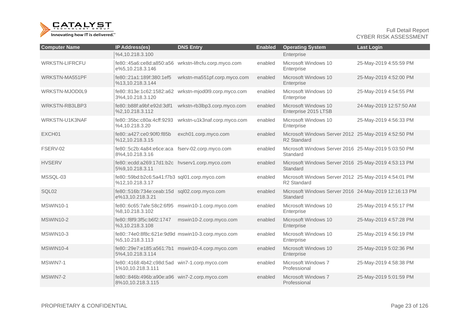

| <b>Computer Name</b>  | IP Address(es)                                                     | <b>DNS Entry</b>                                      | <b>Enabled</b> | <b>Operating System</b>                                                         | <b>Last Login</b>       |
|-----------------------|--------------------------------------------------------------------|-------------------------------------------------------|----------------|---------------------------------------------------------------------------------|-------------------------|
|                       | %4,10.218.3.100                                                    |                                                       |                | Enterprise                                                                      |                         |
| <b>WRKSTN-LIFRCFU</b> | e%5,10.218.3.146                                                   | fe80::45a6:ce8d:a850:a56 wrkstn-lifrcfu.corp.myco.com | enabled        | Microsoft Windows 10<br>Enterprise                                              | 25-May-2019 4:55:59 PM  |
| WRKSTN-MA551PF        | fe80::21a1:189f:380:1ef5<br>%13,10.218.3.144                       | wrkstn-ma551pf.corp.myco.com                          | enabled        | Microsoft Windows 10<br>Enterprise                                              | 25-May-2019 4:52:00 PM  |
| WRKSTN-MJOD0L9        | fe80::813e:1c62:1582:a62<br>3%4,10.218.3.120                       | wrkstn-mjod0l9.corp.myco.com                          | enabled        | Microsoft Windows 10<br>Enterprise                                              | 25-May-2019 4:54:55 PM  |
| WRKSTN-RB3LBP3        | fe80::b88f:a9bf:e92d:3df1<br>%2,10.218.3.112                       | wrkstn-rb3lbp3.corp.myco.com                          | enabled        | Microsoft Windows 10<br>Enterprise 2015 LTSB                                    | 24-May-2019 12:57:50 AM |
| WRKSTN-U1K3NAF        | fe80::35bc:c80a:4cff:9293<br>%4,10.218.3.20                        | wrkstn-u1k3naf.corp.myco.com                          | enabled        | Microsoft Windows 10<br>Enterprise                                              | 25-May-2019 4:56:33 PM  |
| EXCH01                | fe80::a427:ce0:90f0:f85b<br>%12,10.218.3.15                        | exch01.corp.myco.com                                  | enabled        | Microsoft Windows Server 2012 25-May-2019 4:52:50 PM<br>R2 Standard             |                         |
| FSERV-02              | fe80::5c2b:4a84:e6ce:aca<br>8%4,10.218.3.16                        | fserv-02.corp.myco.com                                | enabled        | Microsoft Windows Server 2016 25-May-2019 5:03:50 PM<br>Standard                |                         |
| <b>HVSERV</b>         | fe80::ecdd:a269:17d1:b2c hvserv1.corp.myco.com<br>5%9,10.218.3.11  |                                                       | enabled        | Microsoft Windows Server 2016 25-May-2019 4:53:13 PM<br>Standard                |                         |
| MSSQL-03              | fe80::59bd:b2c6:5a41:f7b3 sql01.corp.myco.com<br>%12,10.218.3.17   |                                                       | enabled        | Microsoft Windows Server 2012 25-May-2019 4:54:01 PM<br>R <sub>2</sub> Standard |                         |
| SQL02                 | fe80::516b:734e:ceab:15d sql02.corp.myco.com<br>e%13,10.218.3.21   |                                                       | enabled        | Microsoft Windows Server 2016 24-May-2019 12:16:13 PM<br>Standard               |                         |
| MSWIN10-1             | %8,10.218.3.102                                                    | fe80::6c65:7afe:58c2:6f95 mswin10-1.corp.myco.com     | enabled        | Microsoft Windows 10<br>Enterprise                                              | 25-May-2019 4:55:17 PM  |
| <b>MSWIN10-2</b>      | fe80::f8f9:3f5c:b6f2:1747<br>%3,10.218.3.108                       | mswin10-2.corp.myco.com                               | enabled        | Microsoft Windows 10<br>Enterprise                                              | 25-May-2019 4:57:28 PM  |
| <b>MSWIN10-3</b>      | %5,10.218.3.113                                                    | fe80::74e0:8f8c:621e:9d9d mswin10-3.corp.myco.com     | enabled        | Microsoft Windows 10<br>Enterprise                                              | 25-May-2019 4:56:19 PM  |
| <b>MSWIN10-4</b>      | 5%4,10.218.3.114                                                   |                                                       | enabled        | Microsoft Windows 10<br>Enterprise                                              | 25-May-2019 5:02:36 PM  |
| MSWIN7-1              | fe80::4168:4b42:c98d:5ad win7-1.corp.myco.com<br>1%10,10.218.3.111 |                                                       | enabled        | Microsoft Windows 7<br>Professional                                             | 25-May-2019 4:58:38 PM  |
| MSWIN7-2              | fe80::846b:496b:a90e:a96 win7-2.corp.myco.com<br>8%10,10.218.3.115 |                                                       | enabled        | Microsoft Windows 7<br>Professional                                             | 25-May-2019 5:01:59 PM  |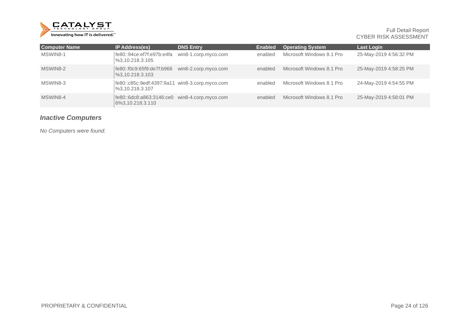

| <b>Computer Name</b> | <b>IP Address(es)</b>                                             | <b>DNS Entry</b>     | <b>Enabled</b> | <b>Operating System</b>   | <b>Last Login</b>      |
|----------------------|-------------------------------------------------------------------|----------------------|----------------|---------------------------|------------------------|
| MSWIN8-1             | fe80::94ce:ef7f:e97b:e4fa<br>%3,10.218.3.105                      | win8-1.corp.myco.com | enabled        | Microsoft Windows 8.1 Pro | 25-May-2019 4:56:32 PM |
| MSWIN8-2             | fe80::f0c9:65f9:de7f:b966<br>$\frac{1}{6}$ %3,10.218.3.103        | win8-2.corp.myco.com | enabled        | Microsoft Windows 8.1 Pro | 25-May-2019 4:58:25 PM |
| MSWIN8-3             | fe80::c85c:9edf:4397:9a11 win8-3.corp.myco.com<br>%3,10.218.3.107 |                      | enabled        | Microsoft Windows 8.1 Pro | 24-May-2019 4:54:55 PM |
| MSWIN8-4             | fe80::6dc8:a863:3146:ce0 win8-4.corp.myco.com<br>6%3,10.218.3.110 |                      | enabled        | Microsoft Windows 8.1 Pro | 25-May-2019 4:58:01 PM |

### *Inactive Computers*

*No Computers were found.*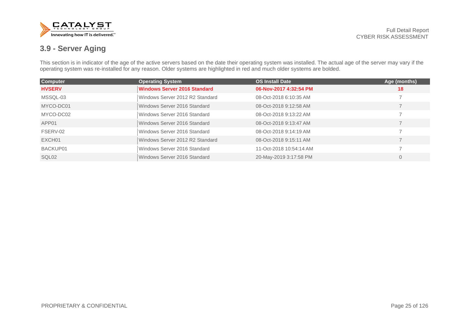

# **3.9 - Server Aging**

This section is in indicator of the age of the active servers based on the date their operating system was installed. The actual age of the server may vary if the operating system was re-installed for any reason. Older systems are highlighted in red and much older systems are bolded.

| <b>Computer</b> | <b>Operating System</b>             | <b>OS Install Date</b>  | Age (months) |
|-----------------|-------------------------------------|-------------------------|--------------|
| <b>HVSERV</b>   | <b>Windows Server 2016 Standard</b> | 06-Nov-2017 4:32:54 PM  | 18           |
| MSSQL-03        | Windows Server 2012 R2 Standard     | 08-Oct-2018 6:10:35 AM  |              |
| MYCO-DC01       | Windows Server 2016 Standard        | 08-Oct-2018 9:12:58 AM  |              |
| MYCO-DC02       | Windows Server 2016 Standard        | 08-Oct-2018 9:13:22 AM  |              |
| APP01           | Windows Server 2016 Standard        | 08-Oct-2018 9:13:47 AM  |              |
| FSERV-02        | Windows Server 2016 Standard        | 08-Oct-2018 9:14:19 AM  |              |
| EXCH01          | Windows Server 2012 R2 Standard     | 08-Oct-2018 9:15:11 AM  |              |
| BACKUP01        | Windows Server 2016 Standard        | 11-Oct-2018 10:54:14 AM |              |
| SQL02           | Windows Server 2016 Standard        | 20-May-2019 3:17:58 PM  |              |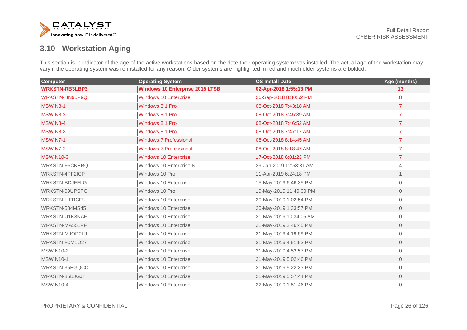

# **3.10 - Workstation Aging**

This section is in indicator of the age of the active workstations based on the date their operating system was installed. The actual age of the workstation may vary if the operating system was re-installed for any reason. Older systems are highlighted in red and much older systems are bolded.

| <b>Computer</b>       | <b>Operating System</b>                | <b>OS Install Date</b>  | Age (months)   |
|-----------------------|----------------------------------------|-------------------------|----------------|
| <b>WRKSTN-RB3LBP3</b> | <b>Windows 10 Enterprise 2015 LTSB</b> | 02-Apr-2018 1:55:13 PM  | 13             |
| WRKSTN-HN95P9Q        | <b>Windows 10 Enterprise</b>           | 26-Sep-2018 8:30:52 PM  | 8              |
| MSWIN8-1              | Windows 8.1 Pro                        | 08-Oct-2018 7:43:18 AM  | $\overline{7}$ |
| MSWIN8-2              | Windows 8.1 Pro                        | 08-Oct-2018 7:45:39 AM  | $\overline{7}$ |
| MSWIN8-4              | Windows 8.1 Pro                        | 08-Oct-2018 7:46:52 AM  | $\overline{7}$ |
| MSWIN8-3              | Windows 8.1 Pro                        | 08-Oct-2018 7:47:17 AM  | $\overline{7}$ |
| MSWIN7-1              | <b>Windows 7 Professional</b>          | 08-Oct-2018 8:14:45 AM  | $\overline{7}$ |
| MSWIN7-2              | <b>Windows 7 Professional</b>          | 08-Oct-2018 8:18:47 AM  | $\overline{7}$ |
| <b>MSWIN10-3</b>      | <b>Windows 10 Enterprise</b>           | 17-Oct-2018 6:01:23 PM  | $\overline{7}$ |
| WRKSTN-F6CKERO        | Windows 10 Enterprise N                | 29-Jan-2019 12:53:31 AM | $\overline{4}$ |
| <b>WRKSTN-4PF2ICP</b> | Windows 10 Pro                         | 11-Apr-2019 6:24:18 PM  | $\mathbf{1}$   |
| <b>WRKSTN-BDJFFLG</b> | Windows 10 Enterprise                  | 15-May-2019 6:46:35 PM  | $\Omega$       |
| WRKSTN-09UPSPO        | Windows 10 Pro                         | 19-May-2019 11:49:00 PM | $\overline{0}$ |
| <b>WRKSTN-LIFRCFU</b> | Windows 10 Enterprise                  | 20-May-2019 1:02:54 PM  | $\Omega$       |
| WRKSTN-534MS45        | Windows 10 Enterprise                  | 20-May-2019 1:33:57 PM  | $\overline{0}$ |
| WRKSTN-U1K3NAF        | Windows 10 Enterprise                  | 21-May-2019 10:34:05 AM | $\Omega$       |
| WRKSTN-MA551PF        | Windows 10 Enterprise                  | 21-May-2019 2:46:45 PM  | $\overline{0}$ |
| WRKSTN-MJOD0L9        | Windows 10 Enterprise                  | 21-May-2019 4:19:59 PM  | $\Omega$       |
| WRKSTN-F0M1O27        | Windows 10 Enterprise                  | 21-May-2019 4:51:52 PM  | $\overline{0}$ |
| <b>MSWIN10-2</b>      | Windows 10 Enterprise                  | 21-May-2019 4:53:57 PM  | $\Omega$       |
| <b>MSWIN10-1</b>      | Windows 10 Enterprise                  | 21-May-2019 5:02:46 PM  | $\overline{0}$ |
| WRKSTN-35EGOCC        | Windows 10 Enterprise                  | 21-May-2019 5:22:33 PM  | $\Omega$       |
| WRKSTN-85BJGJT        | Windows 10 Enterprise                  | 21-May-2019 5:57:44 PM  | $\overline{0}$ |
| <b>MSWIN10-4</b>      | Windows 10 Enterprise                  | 22-May-2019 1:51:46 PM  | $\Omega$       |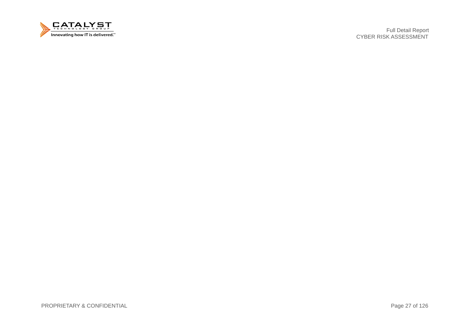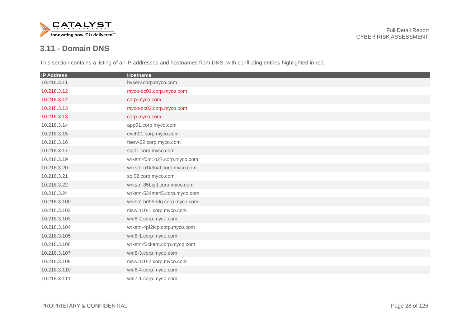

## **3.11 - Domain DNS**

This section contains a listing of all IP addresses and hostnames from DNS, with conflicting entries highlighted in red.

| <b>IP Address</b> | <b>Hostname</b>              |
|-------------------|------------------------------|
| 10.218.3.11       | hvserv.corp.myco.com         |
| 10.218.3.12       | myco-dc01.corp.myco.com      |
| 10.218.3.12       | corp.myco.com                |
| 10.218.3.13       | myco-dc02.corp.myco.com      |
| 10.218.3.13       | corp.myco.com                |
| 10.218.3.14       | app01.corp.myco.com          |
| 10.218.3.15       | exch01.corp.myco.com         |
| 10.218.3.16       | fserv-02.corp.myco.com       |
| 10.218.3.17       | sql01.corp.myco.com          |
| 10.218.3.19       | wrkstn-f0m1o27.corp.myco.com |
| 10.218.3.20       | wrkstn-u1k3naf.corp.myco.com |
| 10.218.3.21       | sql02.corp.myco.com          |
| 10.218.3.22       | wrkstn-85bjgjt.corp.myco.com |
| 10.218.3.24       | wrkstn-534ms45.corp.myco.com |
| 10.218.3.100      | wrkstn-hn95p9q.corp.myco.com |
| 10.218.3.102      | mswin10-1.corp.myco.com      |
| 10.218.3.103      | win8-2.corp.myco.com         |
| 10.218.3.104      | wrkstn-4pf2icp.corp.myco.com |
| 10.218.3.105      | win8-1.corp.myco.com         |
| 10.218.3.106      | wrkstn-f6ckerq.corp.myco.com |
| 10.218.3.107      | win8-3.corp.myco.com         |
| 10.218.3.108      | mswin10-2.corp.myco.com      |
| 10.218.3.110      | win8-4.corp.myco.com         |
| 10.218.3.111      | win7-1.corp.myco.com         |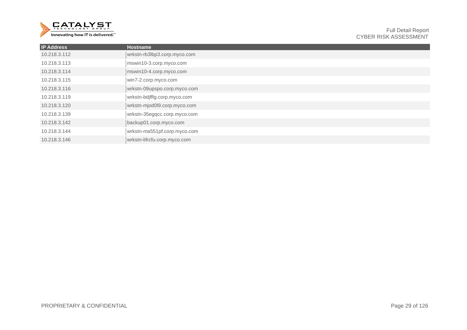

| <b>IP Address</b> | <b>Hostname</b>              |
|-------------------|------------------------------|
| 10.218.3.112      | wrkstn-rb3lbp3.corp.myco.com |
| 10.218.3.113      | mswin10-3.corp.myco.com      |
| 10.218.3.114      | mswin10-4.corp.myco.com      |
| 10.218.3.115      | win7-2.corp.myco.com         |
| 10.218.3.116      | wrkstn-09upspo.corp.myco.com |
| 10.218.3.119      | wrkstn-bdjfflg.corp.myco.com |
| 10.218.3.120      | wrkstn-mjod0l9.corp.myco.com |
| 10.218.3.139      | wrkstn-35egqcc.corp.myco.com |
| 10.218.3.142      | backup01.corp.myco.com       |
| 10.218.3.144      | wrkstn-ma551pf.corp.myco.com |
| 10.218.3.146      | wrkstn-lifrcfu.corp.myco.com |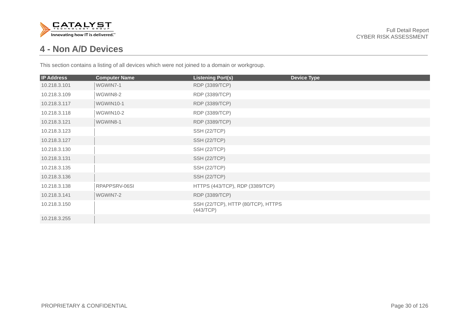

# **4 - Non A/D Devices**

This section contains a listing of all devices which were not joined to a domain or workgroup.

| <b>IP Address</b> | <b>Computer Name</b> | <b>Listening Port(s)</b>                        | <b>Device Type</b> |
|-------------------|----------------------|-------------------------------------------------|--------------------|
| 10.218.3.101      | WGWIN7-1             | RDP (3389/TCP)                                  |                    |
| 10.218.3.109      | WGWIN8-2             | RDP (3389/TCP)                                  |                    |
| 10.218.3.117      | WGWIN10-1            | RDP (3389/TCP)                                  |                    |
| 10.218.3.118      | <b>WGWIN10-2</b>     | RDP (3389/TCP)                                  |                    |
| 10.218.3.121      | WGWIN8-1             | RDP (3389/TCP)                                  |                    |
| 10.218.3.123      |                      | SSH (22/TCP)                                    |                    |
| 10.218.3.127      |                      | SSH (22/TCP)                                    |                    |
| 10.218.3.130      |                      | SSH (22/TCP)                                    |                    |
| 10.218.3.131      |                      | SSH (22/TCP)                                    |                    |
| 10.218.3.135      |                      | SSH (22/TCP)                                    |                    |
| 10.218.3.136      |                      | SSH (22/TCP)                                    |                    |
| 10.218.3.138      | RPAPPSRV-06SI        | HTTPS (443/TCP), RDP (3389/TCP)                 |                    |
| 10.218.3.141      | WGWIN7-2             | RDP (3389/TCP)                                  |                    |
| 10.218.3.150      |                      | SSH (22/TCP), HTTP (80/TCP), HTTPS<br>(443/TCP) |                    |
| 10.218.3.255      |                      |                                                 |                    |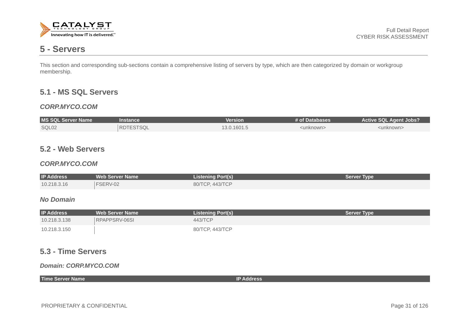

# **5 - Servers**

This section and corresponding sub-sections contain a comprehensive listing of servers by type, which are then categorized by domain or workgroup membership.

## **5.1 - MS SQL Servers**

### *CORP.MYCO.COM*

| <b>MS SQL Server Name</b> | <b>Instance</b>  | Version     | $\downarrow$ # of Databases $\overline{\phantom{a}}$ | <b>Active SOL Agent Jobs?</b> |
|---------------------------|------------------|-------------|------------------------------------------------------|-------------------------------|
| SQL02                     | <b>RDTESTSOL</b> | 13.0.1601.5 | $\leq$ unknown $\geq$                                | <unknown></unknown>           |

### **5.2 - Web Servers**

#### *CORP.MYCO.COM*

| <b>IP Address</b> | <b>Web Server Name</b> ' | <b>Listening Port(s)</b> | <b>Server Type</b> |
|-------------------|--------------------------|--------------------------|--------------------|
| 10.218.3.16       | FSERV-02                 | 80/TCP, 443/TCP          |                    |

#### *No Domain*

| <b>IP Address</b> | <b>Web Server Name</b> | <b>Listening Port(s)</b> | Server Type |
|-------------------|------------------------|--------------------------|-------------|
| 10.218.3.138      | RPAPPSRV-06SL          | 443/TCP                  |             |
| 10.218.3.150      |                        | 80/TCP, 443/TCP          |             |

### **5.3 - Time Servers**

#### *Domain: CORP.MYCO.COM*

| Time Server Name |  | <b>IP Address</b> |
|------------------|--|-------------------|
|------------------|--|-------------------|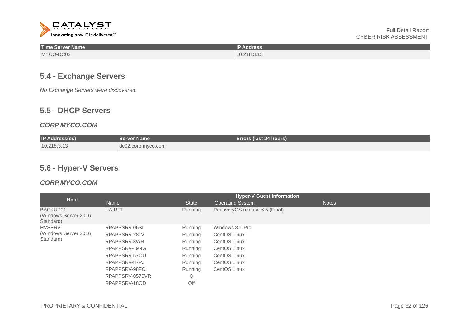

| Time Server Name | <b>IP Address</b> |
|------------------|-------------------|
| MYCO-DC02        | 10.218.3.13       |

## **5.4 - Exchange Servers**

*No Exchange Servers were discovered.*

### **5.5 - DHCP Servers**

#### *CORP.MYCO.COM*

| <b>IP Address(es)</b> | <b>Server Name</b> | Errors (last 24 hours) |
|-----------------------|--------------------|------------------------|
| 10.218.3.13           | dc02.corp.myco.com |                        |

## **5.6 - Hyper-V Servers**

#### *CORP.MYCO.COM*

|                                                       |                 |              | <b>Hyper-V Guest Information</b> |              |
|-------------------------------------------------------|-----------------|--------------|----------------------------------|--------------|
| <b>Host</b>                                           | <b>Name</b>     | <b>State</b> | <b>Operating System</b>          | <b>Notes</b> |
| <b>BACKUP01</b><br>(Windows Server 2016)<br>Standard) | UA-RFT          | Running      | RecoveryOS release 6.5 (Final)   |              |
| <b>HVSERV</b>                                         | RPAPPSRV-06SI   | Running      | Windows 8.1 Pro                  |              |
| (Windows Server 2016)                                 | RPAPPSRV-28LV   | Running      | CentOS Linux                     |              |
| Standard)                                             | RPAPPSRV-3WR    | Running      | <b>CentOS Linux</b>              |              |
|                                                       | RPAPPSRV-49NG   | Running      | <b>CentOS Linux</b>              |              |
|                                                       | RPAPPSRV-57OU   | Running      | <b>CentOS Linux</b>              |              |
|                                                       | RPAPPSRV-87PJ   | Running      | <b>CentOS Linux</b>              |              |
|                                                       | RPAPPSRV-98FC   | Running      | <b>CentOS Linux</b>              |              |
|                                                       | RPAPPSRV-0570VR | Ο            |                                  |              |
|                                                       | RPAPPSRV-18OD   | Off          |                                  |              |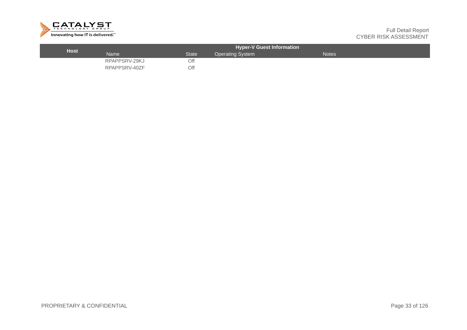

|  | Host <sup>'</sup> | <b>Hyper-V Guest Information</b> |              |                         |              |
|--|-------------------|----------------------------------|--------------|-------------------------|--------------|
|  |                   | <b>Name</b>                      | <b>State</b> | <b>Operating System</b> | <b>Notes</b> |
|  |                   | RPAPPSRV-29KJ                    |              |                         |              |
|  |                   | RPAPPSRV-40ZF                    | Off          |                         |              |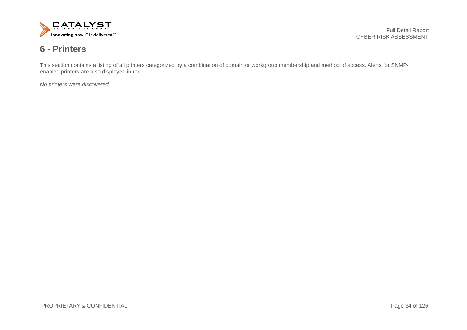

# **6 - Printers**

This section contains a listing of all printers categorized by a combination of domain or workgroup membership and method of access. Alerts for SNMPenabled printers are also displayed in red.

*No printers were discovered.*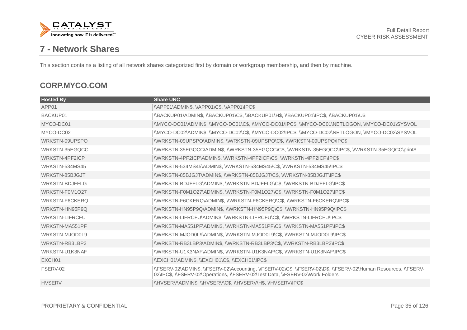

# **7 - Network Shares**

This section contains a listing of all network shares categorized first by domain or workgroup membership, and then by machine.

# **CORP.MYCO.COM**

| <b>Hosted By</b>      | <b>Share UNC</b>                                                                                                                                                                                  |
|-----------------------|---------------------------------------------------------------------------------------------------------------------------------------------------------------------------------------------------|
| APP01                 | IAPP01\ADMIN\$, IAPP01\C\$, IAPP01\IPC\$                                                                                                                                                          |
| BACKUP01              | \\BACKUP01\ADMIN\$, \\BACKUP01\C\$, \\BACKUP01\H\$, \\BACKUP01\IPC\$, \\BACKUP01\U\$                                                                                                              |
| MYCO-DC01             | IIMYCO-DC01\ADMIN\$, I\MYCO-DC01\C\$, I\MYCO-DC01\IPC\$, I\MYCO-DC01\NETLOGON, I\MYCO-DC01\SYSVOL                                                                                                 |
| MYCO-DC02             | \\MYCO-DC02\ADMIN\$, \\MYCO-DC02\C\$, \\MYCO-DC02\IPC\$, \\MYCO-DC02\NETLOGON, \\MYCO-DC02\SYSVOL                                                                                                 |
| WRKSTN-09UPSPO        | \\WRKSTN-09UPSPO\ADMIN\$, \\WRKSTN-09UPSPO\C\$, \\WRKSTN-09UPSPO\IPC\$                                                                                                                            |
| WRKSTN-35EGQCC        | \\WRKSTN-35EGQCC\ADMIN\$,\\WRKSTN-35EGQCC\C\$,\\WRKSTN-35EGQCC\IPC\$,\\WRKSTN-35EGQCC\print\$                                                                                                     |
| WRKSTN-4PF2ICP        | \\WRKSTN-4PF2ICP\ADMIN\$,\\WRKSTN-4PF2ICP\C\$,\\WRKSTN-4PF2ICP\IPC\$                                                                                                                              |
| WRKSTN-534MS45        | \\WRKSTN-534MS45\ADMIN\$, \\WRKSTN-534MS45\C\$, \\WRKSTN-534MS45\IPC\$                                                                                                                            |
| WRKSTN-85BJGJT        | \\WRKSTN-85BJGJT\ADMIN\$,\\WRKSTN-85BJGJT\C\$,\\WRKSTN-85BJGJT\IPC\$                                                                                                                              |
| <b>WRKSTN-BDJFFLG</b> | \\WRKSTN-BDJFFLG\ADMIN\$, \\WRKSTN-BDJFFLG\C\$, \\WRKSTN-BDJFFLG\IPC\$                                                                                                                            |
| WRKSTN-F0M1O27        | \\WRKSTN-F0M1O27\ADMIN\$, \\WRKSTN-F0M1O27\C\$, \\WRKSTN-F0M1O27\IPC\$                                                                                                                            |
| WRKSTN-F6CKERO        | \\WRKSTN-F6CKERQ\ADMIN\$,\\WRKSTN-F6CKERQ\C\$,\\WRKSTN-F6CKERQ\IPC\$                                                                                                                              |
| WRKSTN-HN95P9Q        | \\WRKSTN-HN95P9Q\ADMIN\$, \\WRKSTN-HN95P9Q\C\$, \\WRKSTN-HN95P9Q\IPC\$                                                                                                                            |
| <b>WRKSTN-LIFRCFU</b> | \\WRKSTN-LIFRCFU\ADMIN\$, \\WRKSTN-LIFRCFU\C\$, \\WRKSTN-LIFRCFU\IPC\$                                                                                                                            |
| WRKSTN-MA551PF        | \\WRKSTN-MA551PF\ADMIN\$, \\WRKSTN-MA551PF\C\$, \\WRKSTN-MA551PF\IPC\$                                                                                                                            |
| WRKSTN-MJOD0L9        | \\WRKSTN-MJOD0L9\ADMIN\$, \\WRKSTN-MJOD0L9\C\$, \\WRKSTN-MJOD0L9\IPC\$                                                                                                                            |
| WRKSTN-RB3LBP3        | \\\WRKSTN-RB3LBP3\ADMIN\$,\\WRKSTN-RB3LBP3\C\$,\\WRKSTN-RB3LBP3\IPC\$                                                                                                                             |
| WRKSTN-U1K3NAF        | \\WRKSTN-U1K3NAF\ADMIN\$, \\WRKSTN-U1K3NAF\C\$, \\WRKSTN-U1K3NAF\IPC\$                                                                                                                            |
| EXCH01                | ILEXCH01\ADMIN\$, ILEXCH01\C\$, ILEXCH01\IPC\$                                                                                                                                                    |
| FSERV-02              | I\FSERV-02\ADMIN\$, \\FSERV-02\Accounting, \\FSERV-02\C\$, \\FSERV-02\D\$, \\FSERV-02\Human Resources, \\FSERV-<br>02\IPC\$, \\FSERV-02\Operations, \\FSERV-02\Test Data, \\FSERV-02\Work Folders |
| <b>HVSERV</b>         | IIHVSERVIADMIN\$, IIHVSERVIC\$, IIHVSERVIH\$, IIHVSERVIIPC\$                                                                                                                                      |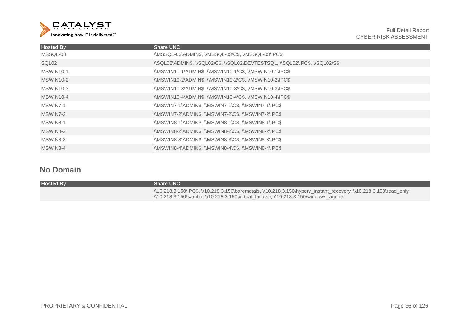

| <b>Hosted By</b> | <b>Share UNC</b>                                                            |
|------------------|-----------------------------------------------------------------------------|
| MSSQL-03         | IMSSQL-03\ADMIN\$, I\MSSQL-03\C\$, I\MSSQL-03\IPC\$                         |
| SQL02            | ISQL02\ADMIN\$, \\SQL02\C\$, \\SQL02\DEVTESTSQL, \\SQL02\IPC\$, \\SQL02\S\$ |
| MSWIN10-1        | \\MSWIN10-1\ADMIN\$,\\MSWIN10-1\C\$,\\MSWIN10-1\IPC\$                       |
| MSWIN10-2        | WASWIN10-2\ADMIN\$, \\MSWIN10-2\C\$, \\MSWIN10-2\IPC\$                      |
| MSWIN10-3        | \\MSWIN10-3\ADMIN\$, \\MSWIN10-3\C\$, \\MSWIN10-3\IPC\$                     |
| MSWIN10-4        | WASWIN10-4\ADMIN\$, \\MSWIN10-4\C\$, \\MSWIN10-4\IPC\$                      |
| MSWIN7-1         | WMSWIN7-1\ADMIN\$, WMSWIN7-1\C\$, WMSWIN7-1\IPC\$                           |
| MSWIN7-2         | WASWIN7-2\ADMIN\$, WASWIN7-2\C\$, WASWIN7-2\IPC\$                           |
| MSWIN8-1         | IMSWIN8-1\ADMIN\$, I\MSWIN8-1\C\$, I\MSWIN8-1\IPC\$                         |
| MSWIN8-2         | IMSWIN8-2\ADMIN\$, I\MSWIN8-2\C\$, I\MSWIN8-2\IPC\$                         |
| MSWIN8-3         | IMSWIN8-3\ADMIN\$, I\MSWIN8-3\C\$, \\MSWIN8-3\IPC\$                         |
| MSWIN8-4         | WASWIN8-4\ADMIN\$, \\MSWIN8-4\C\$, \\MSWIN8-4\IPC\$`                        |

### **No Domain**

**Hosted By Share UNC** \\10.218.3.150\IPC\$, \\10.218.3.150\baremetals, \\10.218.3.150\hyperv\_instant\_recovery, \\10.218.3.150\read\_only, \\10.218.3.150\samba, \\10.218.3.150\virtual\_failover, \\10.218.3.150\windows\_agents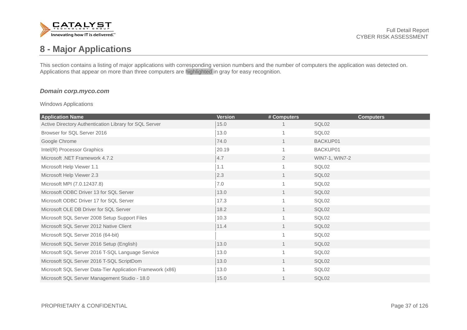

## **8 - Major Applications**

This section contains a listing of major applications with corresponding version numbers and the number of computers the application was detected on. Applications that appear on more than three computers are highlighted in gray for easy recognition.

#### *Domain corp.myco.com*

Windows Applications

| <b>Application Name</b>                                    | <b>Version</b> | # Computers    | <b>Computers</b> |
|------------------------------------------------------------|----------------|----------------|------------------|
| Active Directory Authentication Library for SQL Server     | 15.0           | $\mathbf{1}$   | SQL02            |
| Browser for SQL Server 2016                                | 13.0           | 1              | SQL02            |
| Google Chrome                                              | 74.0           | $\mathbf{1}$   | BACKUP01         |
| Intel(R) Processor Graphics                                | 20.19          | $\mathbf{1}$   | BACKUP01         |
| Microsoft .NET Framework 4.7.2                             | 4.7            | $\overline{2}$ | WIN7-1, WIN7-2   |
| Microsoft Help Viewer 1.1                                  | 1.1            | $\mathbf{1}$   | SQL02            |
| Microsoft Help Viewer 2.3                                  | 2.3            | 1              | SQL02            |
| Microsoft MPI (7.0.12437.8)                                | 7.0            | $\mathbf{1}$   | SQL02            |
| Microsoft ODBC Driver 13 for SQL Server                    | 13.0           | 1              | SQL02            |
| Microsoft ODBC Driver 17 for SQL Server                    | 17.3           | $\mathbf{1}$   | SQL02            |
| Microsoft OLE DB Driver for SQL Server                     | 18.2           | $\mathbf 1$    | SQL02            |
| Microsoft SQL Server 2008 Setup Support Files              | 10.3           | $\mathbf{1}$   | SQL02            |
| Microsoft SQL Server 2012 Native Client                    | 11.4           | 1              | SQL02            |
| Microsoft SQL Server 2016 (64-bit)                         |                | $\mathbf{1}$   | SQL02            |
| Microsoft SQL Server 2016 Setup (English)                  | 13.0           | $\mathbf{1}$   | SQL02            |
| Microsoft SQL Server 2016 T-SQL Language Service           | 13.0           | $\mathbf{1}$   | SQL02            |
| Microsoft SQL Server 2016 T-SQL ScriptDom                  | 13.0           | $\mathbf{1}$   | SQL02            |
| Microsoft SQL Server Data-Tier Application Framework (x86) | 13.0           | $\mathbf{1}$   | SQL02            |
| Microsoft SQL Server Management Studio - 18.0              | 15.0           | $\mathbf{1}$   | SQL02            |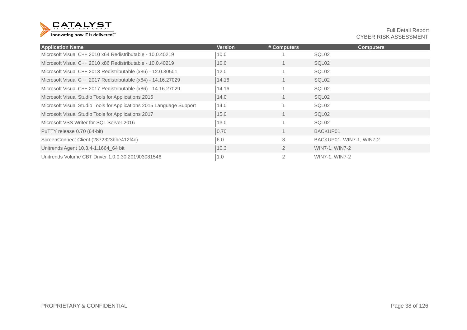

| <b>Application Name</b>                                              | Version | # Computers    | <b>Computers</b>         |
|----------------------------------------------------------------------|---------|----------------|--------------------------|
| Microsoft Visual C++ 2010 x64 Redistributable - 10.0.40219           | 10.0    |                | SQL02                    |
| Microsoft Visual C++ 2010 x86 Redistributable - 10.0.40219           | 10.0    |                | SQL02                    |
| Microsoft Visual C++ 2013 Redistributable (x86) - 12.0.30501         | 12.0    |                | SQL02                    |
| Microsoft Visual C++ 2017 Redistributable (x64) - 14.16.27029        | 14.16   | $\mathbf{1}$   | SQL02                    |
| Microsoft Visual C++ 2017 Redistributable (x86) - 14.16.27029        | 14.16   |                | SQL02                    |
| Microsoft Visual Studio Tools for Applications 2015                  | 14.0    |                | SQL02                    |
| Microsoft Visual Studio Tools for Applications 2015 Language Support | 14.0    |                | SQL02                    |
| Microsoft Visual Studio Tools for Applications 2017                  | 15.0    | $\mathbf{1}$   | SQL <sub>02</sub>        |
| Microsoft VSS Writer for SQL Server 2016                             | 13.0    | 1              | SOL <sub>02</sub>        |
| PuTTY release 0.70 (64-bit)                                          | 0.70    |                | BACKUP01                 |
| ScreenConnect Client (2872323bbe412f4c)                              | 6.0     | 3              | BACKUP01, WIN7-1, WIN7-2 |
| Unitrends Agent 10.3.4-1.1664 64 bit                                 | 10.3    | $\overline{2}$ | WIN7-1, WIN7-2           |
| Unitrends Volume CBT Driver 1,0,0,30,201903081546                    | 1.0     | $\overline{2}$ | WIN7-1, WIN7-2           |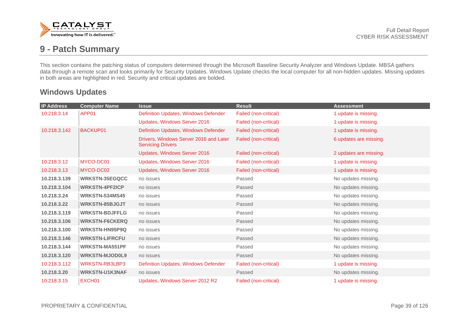

### **9 - Patch Summary**

This section contains the patching status of computers determined through the Microsoft Baseline Security Analyzer and Windows Update. MBSA gathers data through a remote scan and looks primarily for Security Updates. Windows Update checks the local computer for all non-hidden updates. Missing updates in both areas are highlighted in red. Security and critical updates are bolded.

#### **Windows Updates**

| <b>IP Address</b> | <b>Computer Name</b>  | <b>Issue</b>                                                       | <b>Result</b>         | <b>Assessment</b>      |
|-------------------|-----------------------|--------------------------------------------------------------------|-----------------------|------------------------|
| 10.218.3.14       | APP01                 | Definition Updates, Windows Defender                               | Failed (non-critical) | 1 update is missing.   |
|                   |                       | Updates, Windows Server 2016                                       | Failed (non-critical) | 1 update is missing.   |
| 10.218.3.142      | <b>BACKUP01</b>       | Definition Updates, Windows Defender                               | Failed (non-critical) | 1 update is missing.   |
|                   |                       | Drivers, Windows Server 2016 and Later<br><b>Servicing Drivers</b> | Failed (non-critical) | 6 updates are missing. |
|                   |                       | Updates, Windows Server 2016                                       | Failed (non-critical) | 2 updates are missing. |
| 10.218.3.12       | MYCO-DC01             | <b>Updates, Windows Server 2016</b>                                | Failed (non-critical) | 1 update is missing.   |
| 10.218.3.13       | MYCO-DC02             | Updates, Windows Server 2016                                       | Failed (non-critical) | 1 update is missing.   |
| 10.218.3.139      | <b>WRKSTN-35EGQCC</b> | no issues                                                          | Passed                | No updates missing.    |
| 10.218.3.104      | <b>WRKSTN-4PF2ICP</b> | no issues                                                          | Passed                | No updates missing.    |
| 10.218.3.24       | WRKSTN-534MS45        | no issues                                                          | Passed                | No updates missing.    |
| 10.218.3.22       | <b>WRKSTN-85BJGJT</b> | no issues                                                          | Passed                | No updates missing.    |
| 10.218.3.119      | <b>WRKSTN-BDJFFLG</b> | no issues                                                          | Passed                | No updates missing.    |
| 10.218.3.106      | <b>WRKSTN-F6CKERO</b> | no issues                                                          | Passed                | No updates missing.    |
| 10.218.3.100      | <b>WRKSTN-HN95P9O</b> | no issues                                                          | Passed                | No updates missing.    |
| 10.218.3.146      | <b>WRKSTN-LIFRCFU</b> | no issues                                                          | Passed                | No updates missing.    |
| 10.218.3.144      | <b>WRKSTN-MA551PF</b> | no issues                                                          | Passed                | No updates missing.    |
| 10.218.3.120      | <b>WRKSTN-MJOD0L9</b> | no issues                                                          | Passed                | No updates missing.    |
| 10.218.3.112      | <b>WRKSTN-RB3LBP3</b> | Definition Updates, Windows Defender                               | Failed (non-critical) | 1 update is missing.   |
| 10.218.3.20       | <b>WRKSTN-U1K3NAF</b> | no issues                                                          | Passed                | No updates missing.    |
| 10.218.3.15       | EXCH01                | Updates, Windows Server 2012 R2                                    | Failed (non-critical) | 1 update is missing.   |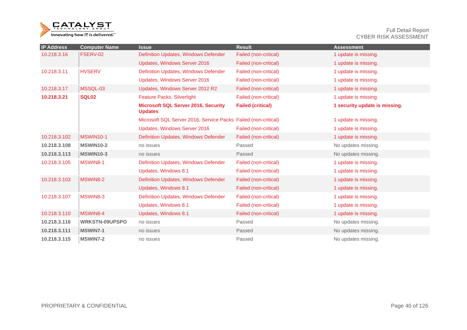

| <b>IP Address</b> | <b>Computer Name</b>  | <b>Issue</b>                                                   | <b>Result</b>            | <b>Assessment</b>             |
|-------------------|-----------------------|----------------------------------------------------------------|--------------------------|-------------------------------|
| 10.218.3.16       | FSERV-02              | Definition Updates, Windows Defender                           | Failed (non-critical)    | 1 update is missing.          |
|                   |                       | Updates, Windows Server 2016                                   | Failed (non-critical)    | 1 update is missing.          |
| 10.218.3.11       | <b>HVSERV</b>         | Definition Updates, Windows Defender                           | Failed (non-critical)    | 1 update is missing.          |
|                   |                       | Updates, Windows Server 2016                                   | Failed (non-critical)    | 1 update is missing.          |
| 10.218.3.17       | MSSQL-03              | Updates, Windows Server 2012 R2                                | Failed (non-critical)    | 1 update is missing.          |
| 10.218.3.21       | SQL02                 | <b>Feature Packs, Silverlight</b>                              | Failed (non-critical)    | 1 update is missing.          |
|                   |                       | <b>Microsoft SOL Server 2016, Security</b><br><b>Updates</b>   | <b>Failed (critical)</b> | 1 security update is missing. |
|                   |                       | Microsoft SQL Server 2016, Service Packs Failed (non-critical) |                          | 1 update is missing.          |
|                   |                       | Updates, Windows Server 2016                                   | Failed (non-critical)    | 1 update is missing.          |
| 10.218.3.102      | MSWIN10-1             | Definition Updates, Windows Defender                           | Failed (non-critical)    | 1 update is missing.          |
| 10.218.3.108      | <b>MSWIN10-2</b>      | no issues                                                      | Passed                   | No updates missing.           |
| 10.218.3.113      | <b>MSWIN10-3</b>      | no issues                                                      | Passed                   | No updates missing.           |
| 10.218.3.105      | MSWIN8-1              | Definition Updates, Windows Defender                           | Failed (non-critical)    | 1 update is missing.          |
|                   |                       | Updates, Windows 8.1                                           | Failed (non-critical)    | 1 update is missing.          |
| 10.218.3.103      | MSWIN8-2              | Definition Updates, Windows Defender                           | Failed (non-critical)    | 1 update is missing.          |
|                   |                       | Updates, Windows 8.1                                           | Failed (non-critical)    | 1 update is missing.          |
| 10.218.3.107      | MSWIN8-3              | Definition Updates, Windows Defender                           | Failed (non-critical)    | 1 update is missing.          |
|                   |                       | Updates, Windows 8.1                                           | Failed (non-critical)    | 1 update is missing.          |
| 10.218.3.110      | MSWIN8-4              | Updates, Windows 8.1                                           | Failed (non-critical)    | 1 update is missing.          |
| 10.218.3.116      | <b>WRKSTN-09UPSPO</b> | no issues                                                      | Passed                   | No updates missing.           |
| 10.218.3.111      | <b>MSWIN7-1</b>       | no issues                                                      | Passed                   | No updates missing.           |
| 10.218.3.115      | <b>MSWIN7-2</b>       | no issues                                                      | Passed                   | No updates missing.           |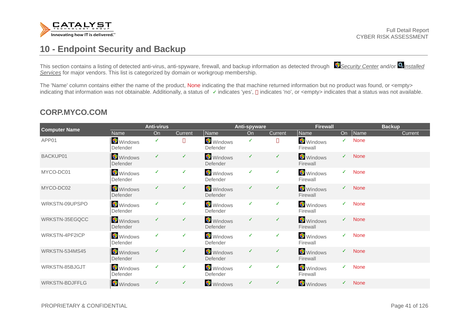

## **10 - Endpoint Security and Backup**

This section contains a listing of detected anti-virus, anti-spyware, firewall, and backup information as detected through *Security Center* and/or *Installed Services* for major vendors. This list is categorized by domain or workgroup membership.

The 'Name' column contains either the name of the product, None indicating the that machine returned information but no product was found, or <empty> indicating that information was not obtainable. Additionally, a status of vindicates 'yes', [] indicates 'no', or <empty> indicates that a status was not available.

### **CORP.MYCO.COM**

| <b>Computer Name</b>  |                                | <b>Anti-virus</b> |              |                                | Anti-spyware |              | <b>Firewall</b>                |               |                   | <b>Backup</b> |
|-----------------------|--------------------------------|-------------------|--------------|--------------------------------|--------------|--------------|--------------------------------|---------------|-------------------|---------------|
|                       | Name                           | <b>On</b>         | Current      | Name                           | On           | Current      | Name                           |               | On $\vert$ Name   | Current       |
| APP01                 | Windows<br>Defender            | ✓                 | $\Box$       | $\bigcirc$ Windows<br>Defender | ✓            | $\Box$       | Windows<br>Firewall            |               | None              |               |
| BACKUP01              | <b>Windows</b><br>Defender     | ✓                 | ✓            | <b>V</b> Windows<br>Defender   | ✓            | ✓            | <b>V</b> Windows<br>Firewall   | $\checkmark$  | None              |               |
| MYCO-DC01             | $\bigcirc$ Windows<br>Defender | ✓                 | $\checkmark$ | <b>V</b> Windows<br>Defender   | $\checkmark$ | $\checkmark$ | $\bigcirc$ Windows<br>Firewall |               | $\checkmark$ None |               |
| MYCO-DC02             | <b>V</b> Windows<br>Defender   | ✓                 | ✓            | <b>V</b> Windows<br>Defender   | $\checkmark$ | $\checkmark$ | Windows<br>Firewall            |               | $\checkmark$ None |               |
| WRKSTN-09UPSPO        | Windows<br>Defender            | ✓                 | ✓            | Windows<br>Defender            | ✓            | $\checkmark$ | $\bigcirc$ Windows<br>Firewall |               | <b>None</b>       |               |
| WRKSTN-35EGQCC        | <b>Windows</b><br>Defender     | ✓                 | ✓            | <b>V</b> Windows<br>Defender   | ✓            | $\checkmark$ | <b>V</b> Windows<br>Firewall   |               | $\checkmark$ None |               |
| WRKSTN-4PF2ICP        | <b>Windows</b><br>Defender     | ✓                 | $\checkmark$ | $\bigcirc$ Windows<br>Defender | ✓            | $\checkmark$ | $\bigcirc$ Windows<br>Firewall | $\checkmark$  | None              |               |
| WRKSTN-534MS45        | <b>Windows</b><br>Defender     | ✓                 | $\checkmark$ | Windows<br>Defender            | $\checkmark$ | $\checkmark$ | <b>V</b> Windows<br>Firewall   |               | $\checkmark$ None |               |
| WRKSTN-85BJGJT        | Windows<br>Defender            | ✓                 | ✓            | $\bigcirc$ Windows<br>Defender | $\checkmark$ | $\checkmark$ | Windows<br>Firewall            | $\mathcal{L}$ | None              |               |
| <b>WRKSTN-BDJFFLG</b> | Windows                        | ✓                 | ✓            | <b>Windows</b>                 | ✓            | $\checkmark$ | <b>V</b> Windows               |               | <b>None</b>       |               |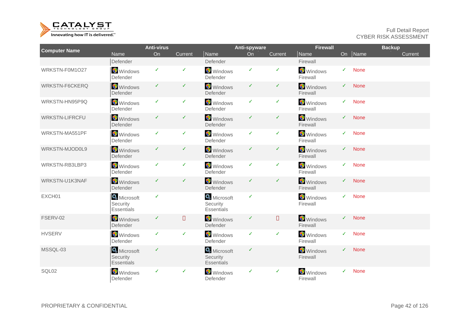

| <b>Computer Name</b>  |                                                     | <b>Anti-virus</b> |              |                                                     | <b>Anti-spyware</b> |              | <b>Firewall</b>                |              |                   | <b>Backup</b> |
|-----------------------|-----------------------------------------------------|-------------------|--------------|-----------------------------------------------------|---------------------|--------------|--------------------------------|--------------|-------------------|---------------|
|                       | Name                                                | On                | Current      | $\vert$ Name                                        | On                  | Current      | Name                           |              | On   Name         | Current       |
|                       | Defender                                            |                   |              | Defender                                            |                     |              | Firewall                       |              |                   |               |
| WRKSTN-F0M1O27        | <b>V</b> Windows<br>Defender                        | ✓                 | ✓            | <b>Windows</b><br>Defender                          | $\checkmark$        | $\checkmark$ | $\bigcirc$ Windows<br>Firewall |              | $\checkmark$ None |               |
| WRKSTN-F6CKERQ        | Windows<br>Defender                                 | $\checkmark$      | ✓            | Windows<br>Defender                                 | $\checkmark$        | $\checkmark$ | <b>V</b> Windows<br>Firewall   |              | $\checkmark$ None |               |
| WRKSTN-HN95P9Q        | <b>Windows</b><br>Defender                          | ✓                 | $\checkmark$ | Windows<br>Defender                                 | ✓                   | $\checkmark$ | Windows<br>Firewall            | $\checkmark$ | None              |               |
| <b>WRKSTN-LIFRCFU</b> | Windows<br>Defender                                 | $\checkmark$      | ✓            | <b>Windows</b><br>Defender                          | ✓                   | $\checkmark$ | Windows<br>Firewall            |              | $\checkmark$ None |               |
| WRKSTN-MA551PF        | <b>V</b> Windows<br>Defender                        | ✓                 | ✓            | <b>V</b> Windows<br>Defender                        | ✓                   | ✓            | Windows<br>Firewall            | ✓            | <b>None</b>       |               |
| WRKSTN-MJOD0L9        | <b>Windows</b><br>Defender                          | $\checkmark$      | ✓            | <b>V</b> Windows<br>Defender                        | $\checkmark$        | $\checkmark$ | Windows<br>Firewall            |              | $\checkmark$ None |               |
| WRKSTN-RB3LBP3        | <b>Windows</b><br>Defender                          | ✓                 | ✓            | <b>V</b> Windows<br>Defender                        | ✓                   | ✓            | Windows<br>Firewall            | $\checkmark$ | <b>None</b>       |               |
| WRKSTN-U1K3NAF        | <b>Windows</b><br>Defender                          | $\checkmark$      | ✓            | <b>Windows</b><br>Defender                          | $\checkmark$        | $\checkmark$ | <b>Windows</b><br>Firewall     |              | $\checkmark$ None |               |
| EXCH01                | <b>Q</b> Microsoft<br>Security<br><b>Essentials</b> | $\checkmark$      |              | <b>Q</b> Microsoft<br>Security<br>Essentials        | ✓                   |              | <b>Windows</b><br>Firewall     | $\checkmark$ | <b>None</b>       |               |
| FSERV-02              | <b>Windows</b><br>Defender                          | $\checkmark$      | $\Box$       | Windows<br>Defender                                 | $\checkmark$        | $\Box$       | Windows<br>Firewall            |              | $\checkmark$ None |               |
| <b>HVSERV</b>         | <b>V</b> Windows<br>Defender                        | ✓                 | ✓            | <b>Windows</b><br>Defender                          | ✓                   | $\checkmark$ | Windows<br>Firewall            | $\checkmark$ | None              |               |
| MSSQL-03              | <b>O</b> Microsoft<br>Security<br><b>Essentials</b> | $\checkmark$      |              | <b>Q</b> Microsoft<br>Security<br><b>Essentials</b> | ✓                   |              | Windows<br>Firewall            |              | $\checkmark$ None |               |
| SQL02                 | <b>V</b> Windows<br>Defender                        | ✓                 | ✓            | Windows<br>Defender                                 | ✓                   | ✓            | $\bigcup$ Windows<br>Firewall  | $\checkmark$ | <b>None</b>       |               |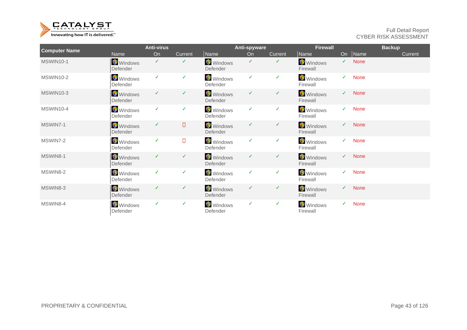

| <b>Computer Name</b> |                              | <b>Anti-virus</b> |              |                                | Anti-spyware |              | <b>Firewall</b>                |              |                   | <b>Backup</b> |
|----------------------|------------------------------|-------------------|--------------|--------------------------------|--------------|--------------|--------------------------------|--------------|-------------------|---------------|
|                      | Name                         | On                | Current      | Name                           | <b>On</b>    | Current      | Name                           |              | On $ Name$        | Current       |
| MSWIN10-1            | <b>V</b> Windows<br>Defender | ✓                 | ✓            | $\bigcirc$ Windows<br>Defender | ✓            | ✓            | <b>Windows</b><br>Firewall     |              | $\checkmark$ None |               |
| <b>MSWIN10-2</b>     | Windows<br>Defender          | $\checkmark$      | $\checkmark$ | $\bigcirc$ Windows<br>Defender | $\checkmark$ | ✓            | $\bigcirc$ Windows<br>Firewall |              | $\checkmark$ None |               |
| <b>MSWIN10-3</b>     | <b>V</b> Windows<br>Defender | $\checkmark$      | $\checkmark$ | $\bigcirc$ Windows<br>Defender | $\checkmark$ | $\checkmark$ | $\bigcirc$ Windows<br>Firewall |              | $\checkmark$ None |               |
| MSWIN10-4            | Windows<br>Defender          | ✓                 | $\checkmark$ | $\bigcirc$ Windows<br>Defender | ✓            | ✓            | $\bigcirc$ Windows<br>Firewall |              | $\checkmark$ None |               |
| MSWIN7-1             | <b>V</b> Windows<br>Defender | $\checkmark$      | $\Box$       | $\bigcirc$ Windows<br>Defender | ✓            | ✓            | <b>V</b> Windows<br>Firewall   |              | $\checkmark$ None |               |
| MSWIN7-2             | Windows<br>Defender          | ✓                 | $\Box$       | Windows<br>Defender            | ✓            | ✓            | $\bigcirc$ Windows<br>Firewall | $\checkmark$ | <b>None</b>       |               |
| MSWIN8-1             | <b>V</b> Windows<br>Defender | $\checkmark$      | $\checkmark$ | $\bigcirc$ Windows<br>Defender | ✓            | $\checkmark$ | $\bigcirc$ Windows<br>Firewall |              | $\checkmark$ None |               |
| MSWIN8-2             | Windows<br>Defender          | $\checkmark$      | ✓            | $\bigcirc$ Windows<br>Defender | $\checkmark$ | $\checkmark$ | $\bigcirc$ Windows<br>Firewall |              | $\checkmark$ None |               |
| MSWIN8-3             | <b>V</b> Windows<br>Defender | $\checkmark$      | $\checkmark$ | Windows<br>Defender            | ✓            | $\checkmark$ | <b>V</b> Windows<br>Firewall   |              | $\checkmark$ None |               |
| MSWIN8-4             | Windows<br>Defender          | ✓                 | ✓            | Windows<br>Defender            | ✓            | $\checkmark$ | Windows<br>Firewall            |              | $\checkmark$ None |               |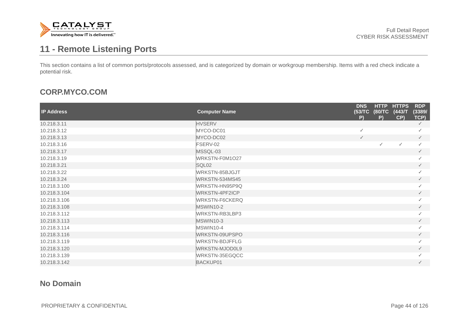

### **11 - Remote Listening Ports**

This section contains a list of common ports/protocols assessed, and is categorized by domain or workgroup membership. Items with a red check indicate a potential risk.

#### **CORP.MYCO.COM**

| <b>IP Address</b> | <b>Computer Name</b>  | <b>DNS</b><br>P) | P) | HTTP HTTPS<br>(53/TC (80/TC (443/T<br>CP) | <b>RDP</b><br>(3389)<br>TCP) |
|-------------------|-----------------------|------------------|----|-------------------------------------------|------------------------------|
| 10.218.3.11       | <b>HVSERV</b>         |                  |    |                                           | $\checkmark$                 |
| 10.218.3.12       | MYCO-DC01             | ✓                |    |                                           |                              |
| 10.218.3.13       | MYCO-DC02             | $\checkmark$     |    |                                           | $\checkmark$                 |
| 10.218.3.16       | FSERV-02              |                  | ✓  | $\checkmark$                              | ✓                            |
| 10.218.3.17       | MSSQL-03              |                  |    |                                           | $\checkmark$                 |
| 10.218.3.19       | WRKSTN-F0M1O27        |                  |    |                                           | $\checkmark$                 |
| 10.218.3.21       | SQL02                 |                  |    |                                           | $\checkmark$                 |
| 10.218.3.22       | WRKSTN-85BJGJT        |                  |    |                                           | ✓                            |
| 10.218.3.24       | WRKSTN-534MS45        |                  |    |                                           | $\checkmark$                 |
| 10.218.3.100      | WRKSTN-HN95P9Q        |                  |    |                                           |                              |
| 10.218.3.104      | WRKSTN-4PF2ICP        |                  |    |                                           | $\checkmark$                 |
| 10.218.3.106      | WRKSTN-F6CKERQ        |                  |    |                                           | ✓                            |
| 10.218.3.108      | <b>MSWIN10-2</b>      |                  |    |                                           | $\checkmark$                 |
| 10.218.3.112      | WRKSTN-RB3LBP3        |                  |    |                                           |                              |
| 10.218.3.113      | <b>MSWIN10-3</b>      |                  |    |                                           | $\checkmark$                 |
| 10.218.3.114      | <b>MSWIN10-4</b>      |                  |    |                                           | ✓                            |
| 10.218.3.116      | WRKSTN-09UPSPO        |                  |    |                                           | $\checkmark$                 |
| 10.218.3.119      | <b>WRKSTN-BDJFFLG</b> |                  |    |                                           | $\checkmark$                 |
| 10.218.3.120      | WRKSTN-MJOD0L9        |                  |    |                                           | $\checkmark$                 |
| 10.218.3.139      | WRKSTN-35EGQCC        |                  |    |                                           |                              |
| 10.218.3.142      | BACKUP01              |                  |    |                                           | ✓                            |

#### **No Domain**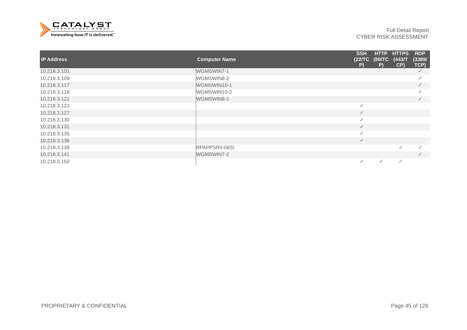

| <b>IP Address</b> | <b>Computer Name</b> | <b>SSH</b><br>P) | <b>HTTP</b><br>(22/TC (80/TC (443/T<br>P | <b>HTTPS</b><br>CP) | <b>RDP</b><br>(3389)<br>TCP) |
|-------------------|----------------------|------------------|------------------------------------------|---------------------|------------------------------|
| 10.218.3.101      | WGMSWIN7-1           |                  |                                          |                     |                              |
| 10.218.3.109      | WGMSWIN8-2           |                  |                                          |                     |                              |
| 10.218.3.117      | WGMSWIN10-1          |                  |                                          |                     | $\checkmark$                 |
| 10.218.3.118      | WGMSWIN10-2          |                  |                                          |                     |                              |
| 10.218.3.121      | WGMSWIN8-1           |                  |                                          |                     | $\checkmark$                 |
| 10.218.3.123      |                      | $\checkmark$     |                                          |                     |                              |
| 10.218.3.127      |                      | ✓                |                                          |                     |                              |
| 10.218.3.130      |                      | $\checkmark$     |                                          |                     |                              |
| 10.218.3.131      |                      | $\checkmark$     |                                          |                     |                              |
| 10.218.3.135      |                      | ✓                |                                          |                     |                              |
| 10.218.3.136      |                      | $\checkmark$     |                                          |                     |                              |
| 10.218.3.138      | RPAPPSRV-06SI        |                  |                                          |                     |                              |
| 10.218.3.141      | WGMSWIN7-2           |                  |                                          |                     | $\checkmark$                 |
| 10.218.3.150      |                      | $\checkmark$     | ✓                                        | ✓                   |                              |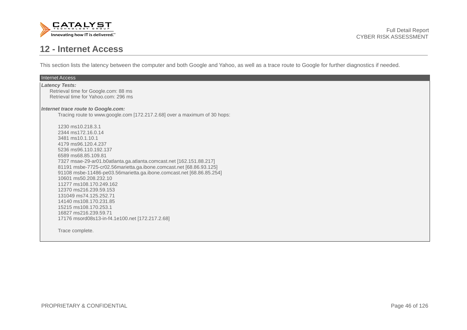

### **12 - Internet Access**

This section lists the latency between the computer and both Google and Yahoo, as well as a trace route to Google for further diagnostics if needed.

| <b>Internet Access</b>                                                                        |
|-----------------------------------------------------------------------------------------------|
| <b>Latency Tests:</b>                                                                         |
| Retrieval time for Google.com: 88 ms                                                          |
| Retrieval time for Yahoo.com: 296 ms                                                          |
|                                                                                               |
| Internet trace route to Google.com:                                                           |
| Tracing route to www.google.com [172.217.2.68] over a maximum of 30 hops:                     |
|                                                                                               |
| 1230 ms10.218.3.1                                                                             |
| 2344 ms172.16.0.14                                                                            |
| 3481 ms10.1.10.1                                                                              |
| 4179 ms96.120.4.237                                                                           |
| 5236 ms96.110.192.137                                                                         |
| 6589 ms68.85.109.81                                                                           |
| 7327 msae-29-ar01.b0atlanta.ga.atlanta.comcast.net [162.151.88.217]                           |
| 81191 msbe-7725-cr02.56marietta.ga.ibone.comcast.net [68.86.93.125]                           |
| 91108 msbe-11486-pe03.56marietta.ga.ibone.comcast.net [68.86.85.254]<br>10601 ms50.208.232.10 |
| 11277 ms108.170.249.162                                                                       |
| 12370 ms216.239.59.153                                                                        |
| 131049 ms74.125.252.71                                                                        |
| 14140 ms108.170.231.85                                                                        |
| 15215 ms108.170.253.1                                                                         |
| 16827 ms216.239.59.71                                                                         |
| 17176 msord08s13-in-f4.1e100.net [172.217.2.68]                                               |
|                                                                                               |
| Trace complete.                                                                               |
|                                                                                               |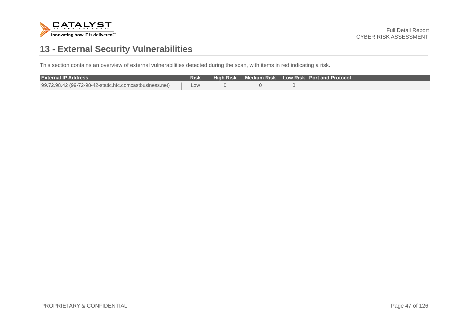

# **13 - External Security Vulnerabilities**

This section contains an overview of external vulnerabilities detected during the scan, with items in red indicating a risk.

| <b>External IP Address</b>                                   | <b>Risk</b> |  | High Risk Medium Risk Low Risk Port and Protocol |  |
|--------------------------------------------------------------|-------------|--|--------------------------------------------------|--|
| 99.72.98.42 (99-72-98-42-static.hfc.comcastbusiness.net) Low |             |  |                                                  |  |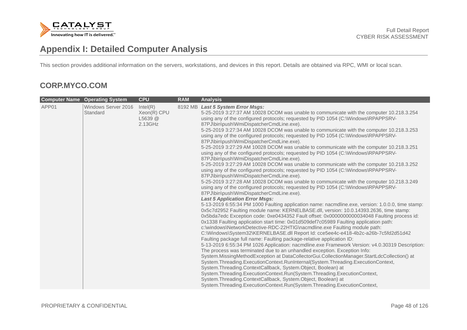

### **Appendix I: Detailed Computer Analysis**

This section provides additional information on the servers, workstations, and devices in this report. Details are obtained via RPC, WMI or local scan.

#### **CORP.MYCO.COM**

|       | <b>Computer Name Operating System</b> | <b>CPU</b>                                   | <b>RAM</b> | <b>Analysis</b>                                                                                                                                                                                                                                                                                                                                                                                                                                                                                                                                                                                                                                                                                                                                                                                                                                                                                                                                                                                                                                                                                                                                                                                                                                                                                                                                                                                                                                                                                                                                                                                                                                                                                                                                                                                                                                                                                                                                                                                                                                                                                                                                                                                                                                                                                                                                                                                                                                                                                                                        |
|-------|---------------------------------------|----------------------------------------------|------------|----------------------------------------------------------------------------------------------------------------------------------------------------------------------------------------------------------------------------------------------------------------------------------------------------------------------------------------------------------------------------------------------------------------------------------------------------------------------------------------------------------------------------------------------------------------------------------------------------------------------------------------------------------------------------------------------------------------------------------------------------------------------------------------------------------------------------------------------------------------------------------------------------------------------------------------------------------------------------------------------------------------------------------------------------------------------------------------------------------------------------------------------------------------------------------------------------------------------------------------------------------------------------------------------------------------------------------------------------------------------------------------------------------------------------------------------------------------------------------------------------------------------------------------------------------------------------------------------------------------------------------------------------------------------------------------------------------------------------------------------------------------------------------------------------------------------------------------------------------------------------------------------------------------------------------------------------------------------------------------------------------------------------------------------------------------------------------------------------------------------------------------------------------------------------------------------------------------------------------------------------------------------------------------------------------------------------------------------------------------------------------------------------------------------------------------------------------------------------------------------------------------------------------------|
| APP01 | Windows Server 2016<br>Standard       | Intel(R)<br>Xeon(R) CPU<br>L5639@<br>2.13GHz |            | 8192 MB Last 5 System Error Msgs:<br>5-25-2019 3:27:37 AM 10028 DCOM was unable to communicate with the computer 10.218.3.254<br>using any of the configured protocols; requested by PID 1054 (C:\Windows\RPAPPSRV-<br>87PJ\bin\push\WmiDispatcherCmdLine.exe).<br>5-25-2019 3:27:34 AM 10028 DCOM was unable to communicate with the computer 10.218.3.253<br>using any of the configured protocols; requested by PID 1054 (C:\Windows\RPAPPSRV-<br>87PJ\bin\push\WmiDispatcherCmdLine.exe).<br>5-25-2019 3:27:29 AM 10028 DCOM was unable to communicate with the computer 10.218.3.251<br>using any of the configured protocols; requested by PID 1054 (C:\Windows\RPAPPSRV-<br>87PJ\bin\push\WmiDispatcherCmdLine.exe).<br>5-25-2019 3:27:29 AM 10028 DCOM was unable to communicate with the computer 10.218.3.252<br>using any of the configured protocols; requested by PID 1054 (C:\Windows\RPAPPSRV-<br>87PJ\bin\push\WmiDispatcherCmdLine.exe).<br>5-25-2019 3:27:28 AM 10028 DCOM was unable to communicate with the computer 10.218.3.249<br>using any of the configured protocols; requested by PID 1054 (C:\Windows\RPAPPSRV-<br>87PJ\bin\push\WmiDispatcherCmdLine.exe).<br><b>Last 5 Application Error Msgs:</b><br>5-13-2019 6:55:34 PM 1000 Faulting application name: nacmdline.exe, version: 1.0.0.0, time stamp:<br>0x5c7d2952 Faulting module name: KERNELBASE.dll, version: 10.0.14393.2636, time stamp:<br>0x5bda7edc Exception code: 0xe0434352 Fault offset: 0x0000000000034048 Faulting process id:<br>0x1338 Faulting application start time: 0x01d509def7c05989 Faulting application path:<br>c:\windows\NetworkDetective-RDC-22HTIG\nacmdline.exe Faulting module path:<br>C:\Windows\System32\KERNELBASE.dll Report Id: cce5ee4c-e418-4b2c-a26b-7c5fd2d51d42<br>Faulting package full name: Faulting package-relative application ID:<br>5-13-2019 6:55:34 PM 1026 Application: nacmdline.exe Framework Version: v4.0.30319 Description:<br>The process was terminated due to an unhandled exception. Exception Info:<br>System.MissingMethodException at DataCollectorGui.CollectionManager.StartLdcCollection() at<br>System.Threading.ExecutionContext.RunInternal(System.Threading.ExecutionContext,<br>System. Threading. Context Callback, System. Object, Boolean) at<br>System.Threading.ExecutionContext.Run(System.Threading.ExecutionContext,<br>System. Threading. ContextCallback, System. Object, Boolean) at<br>System.Threading.ExecutionContext.Run(System.Threading.ExecutionContext, |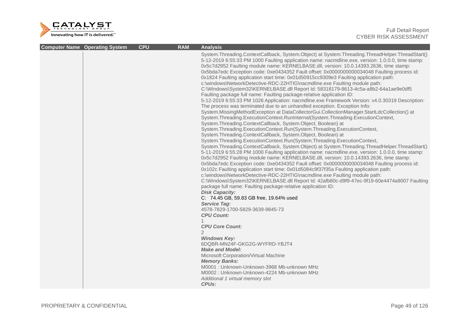

| <b>Computer Name Operating System</b> | <b>CPU</b> | <b>RAM</b> | <b>Analysis</b>                                                                                                                                                                                                                                                                                                                                                                                                                                                                                                                                                                                                                                                                                                                                                                                                                                                                                                                                                                                                                                                                                                                                                                                                                                                                                                                                                                                                                                                                                                                                                                                                                                                                                                                                                                                                                                                                                                                                                                                                                                                                                                                                                                                                                                                                                                                                                                                                                                                                                                                                                                                                                            |
|---------------------------------------|------------|------------|--------------------------------------------------------------------------------------------------------------------------------------------------------------------------------------------------------------------------------------------------------------------------------------------------------------------------------------------------------------------------------------------------------------------------------------------------------------------------------------------------------------------------------------------------------------------------------------------------------------------------------------------------------------------------------------------------------------------------------------------------------------------------------------------------------------------------------------------------------------------------------------------------------------------------------------------------------------------------------------------------------------------------------------------------------------------------------------------------------------------------------------------------------------------------------------------------------------------------------------------------------------------------------------------------------------------------------------------------------------------------------------------------------------------------------------------------------------------------------------------------------------------------------------------------------------------------------------------------------------------------------------------------------------------------------------------------------------------------------------------------------------------------------------------------------------------------------------------------------------------------------------------------------------------------------------------------------------------------------------------------------------------------------------------------------------------------------------------------------------------------------------------------------------------------------------------------------------------------------------------------------------------------------------------------------------------------------------------------------------------------------------------------------------------------------------------------------------------------------------------------------------------------------------------------------------------------------------------------------------------------------------------|
|                                       |            |            | System.Threading.ContextCallback, System.Object) at System.Threading.ThreadHelper.ThreadStart()<br>5-12-2019 6:55:33 PM 1000 Faulting application name: nacmdline.exe, version: 1.0.0.0, time stamp:<br>0x5c7d2952 Faulting module name: KERNELBASE.dll, version: 10.0.14393.2636, time stamp:<br>0x5bda7edc Exception code: 0xe0434352 Fault offset: 0x000000000034048 Faulting process id:<br>0x1824 Faulting application start time: 0x01d50915cc9309e3 Faulting application path:<br>c:\windows\NetworkDetective-RDC-22HTIG\nacmdline.exe Faulting module path:<br>C:\Windows\System32\KERNELBASE.dll Report Id: 58318179-8613-4c5a-a8b2-64a1ae9e0df5<br>Faulting package full name: Faulting package-relative application ID:<br>5-12-2019 6:55:33 PM 1026 Application: nacmdline.exe Framework Version: v4.0.30319 Description:<br>The process was terminated due to an unhandled exception. Exception Info:<br>System.MissingMethodException at DataCollectorGui.CollectionManager.StartLdcCollection() at<br>System.Threading.ExecutionContext.RunInternal(System.Threading.ExecutionContext,<br>System. Threading. Context Callback, System. Object, Boolean) at<br>System.Threading.ExecutionContext.Run(System.Threading.ExecutionContext,<br>System.Threading.ContextCallback, System.Object, Boolean) at<br>System.Threading.ExecutionContext.Run(System.Threading.ExecutionContext,<br>System.Threading.ContextCallback, System.Object) at System.Threading.ThreadHelper.ThreadStart()<br>5-11-2019 6:55:28 PM 1000 Faulting application name: nacmdline.exe, version: 1.0.0.0, time stamp:<br>0x5c7d2952 Faulting module name: KERNELBASE.dll, version: 10.0.14393.2636, time stamp:<br>0x5bda7edc Exception code: 0xe0434352 Fault offset: 0x000000000034048 Faulting process id:<br>0x102c Faulting application start time: 0x01d5084c9f37f35a Faulting application path:<br>c:\windows\NetworkDetective-RDC-22HTIG\nacmdline.exe Faulting module path:<br>C:\Windows\System32\KERNELBASE.dll Report Id: 42afb80c-d9f9-47ec-9f19-60e4474a9007 Faulting<br>package full name: Faulting package-relative application ID:<br><b>Disk Capacity:</b><br>C: 74.45 GB, 59.83 GB free, 19.64% used<br><b>Service Tag:</b><br>4578-7829-1700-5829-3639-9845-73<br><b>CPU Count:</b><br>$\mathbf{1}$<br><b>CPU Core Count:</b><br>$\overline{2}$<br><b>Windows Key:</b><br>6DQBR-MN24F-GKG2G-WYFRD-YBJT4<br><b>Make and Model:</b><br>Microsoft Corporation/Virtual Machine<br><b>Memory Banks:</b><br>M0001: Unknown-Unknown-3968 Mb-unknown MHz<br>M0002: Unknown-Unknown-4224 Mb-unknown MHz<br>Additional 1 virtual memory slot |
|                                       |            |            | CPUs:                                                                                                                                                                                                                                                                                                                                                                                                                                                                                                                                                                                                                                                                                                                                                                                                                                                                                                                                                                                                                                                                                                                                                                                                                                                                                                                                                                                                                                                                                                                                                                                                                                                                                                                                                                                                                                                                                                                                                                                                                                                                                                                                                                                                                                                                                                                                                                                                                                                                                                                                                                                                                                      |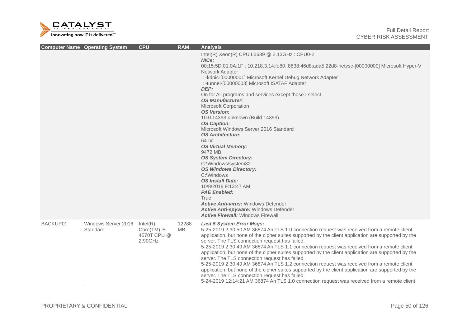

|          | <b>Computer Name Operating System</b> | <b>CPU</b>                                         | <b>RAM</b>         | <b>Analysis</b>                                                                                                                                                                                                                                                                                                                                                                                                                                                                                                                                                                                                                                                                                                                                                                                                                                                                                                                                                |
|----------|---------------------------------------|----------------------------------------------------|--------------------|----------------------------------------------------------------------------------------------------------------------------------------------------------------------------------------------------------------------------------------------------------------------------------------------------------------------------------------------------------------------------------------------------------------------------------------------------------------------------------------------------------------------------------------------------------------------------------------------------------------------------------------------------------------------------------------------------------------------------------------------------------------------------------------------------------------------------------------------------------------------------------------------------------------------------------------------------------------|
|          |                                       |                                                    |                    | Intel(R) Xeon(R) CPU L5639 @ 2.13GHz : CPU0-2<br>NICs:<br>00:15:5D:01:0A:1F: 10.218.3.14;fe80::8838:46d8:ada5:22d8-netvsc-[00000000] Microsoft Hyper-V<br>Network Adapter<br>: - kdnic-[00000001] Microsoft Kernel Debug Network Adapter<br>: - tunnel-[00000003] Microsoft ISATAP Adapter<br>DEP:<br>On for All programs and services except those I select<br><b>OS Manufacturer:</b><br><b>Microsoft Corporation</b><br><b>OS Version:</b><br>10.0.14393 unknown (Build 14393)<br><b>OS Caption:</b><br>Microsoft Windows Server 2016 Standard<br><b>OS Architecture:</b><br>64-bit<br><b>OS Virtual Memory:</b><br>9472 MB<br><b>OS System Directory:</b><br>C:\Windows\system32<br><b>OS Windows Directory:</b><br>C:\Windows<br><b>OS Install Date:</b><br>10/8/2018 9:13:47 AM<br><b>PAE Enabled:</b><br><b>True</b><br><b>Active Anti-virus: Windows Defender</b><br>Active Anti-spyware: Windows Defender<br><b>Active Firewall: Windows Firewall</b> |
| BACKUP01 | Windows Server 2016<br>Standard       | Intel(R)<br>Core(TM) i5-<br>4570T CPU @<br>2.90GHz | 12288<br><b>MB</b> | <b>Last 5 System Error Msgs:</b><br>5-25-2019 2:30:50 AM 36874 An TLS 1.0 connection request was received from a remote client<br>application, but none of the cipher suites supported by the client application are supported by the<br>server. The TLS connection request has failed.<br>5-25-2019 2:30:49 AM 36874 An TLS 1.1 connection request was received from a remote client<br>application, but none of the cipher suites supported by the client application are supported by the<br>server. The TLS connection request has failed.<br>5-25-2019 2:30:49 AM 36874 An TLS 1.2 connection request was received from a remote client<br>application, but none of the cipher suites supported by the client application are supported by the<br>server. The TLS connection request has failed.<br>5-24-2019 12:14:21 AM 36874 An TLS 1.0 connection request was received from a remote client                                                           |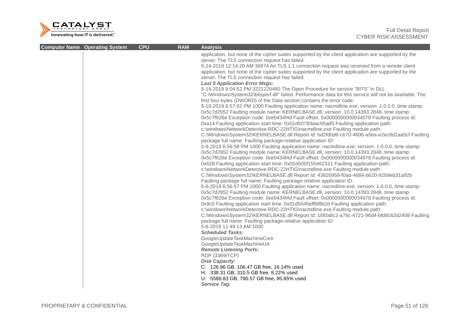



| <b>Computer Name Operating System</b> | <b>CPU</b> | <b>RAM</b> | <b>Analysis</b>                                                                                                                                                                                                                                                                                                                                                                                                                                                                                                                                                                                                                                                                                                                                                                                                                                                                                                                                                                                                                                                                                                                                                                                                                                                                                                                                                                                                                                                                                                                                                                                                                                                                                                                                                                                                                                                                                                                                                                                                                                                                                                                                                                                                                                                                                                                                                                                                                                                                                                                                                                                                                                                                                                                                                                                                                                                                                                                                                                                 |
|---------------------------------------|------------|------------|-------------------------------------------------------------------------------------------------------------------------------------------------------------------------------------------------------------------------------------------------------------------------------------------------------------------------------------------------------------------------------------------------------------------------------------------------------------------------------------------------------------------------------------------------------------------------------------------------------------------------------------------------------------------------------------------------------------------------------------------------------------------------------------------------------------------------------------------------------------------------------------------------------------------------------------------------------------------------------------------------------------------------------------------------------------------------------------------------------------------------------------------------------------------------------------------------------------------------------------------------------------------------------------------------------------------------------------------------------------------------------------------------------------------------------------------------------------------------------------------------------------------------------------------------------------------------------------------------------------------------------------------------------------------------------------------------------------------------------------------------------------------------------------------------------------------------------------------------------------------------------------------------------------------------------------------------------------------------------------------------------------------------------------------------------------------------------------------------------------------------------------------------------------------------------------------------------------------------------------------------------------------------------------------------------------------------------------------------------------------------------------------------------------------------------------------------------------------------------------------------------------------------------------------------------------------------------------------------------------------------------------------------------------------------------------------------------------------------------------------------------------------------------------------------------------------------------------------------------------------------------------------------------------------------------------------------------------------------------------------------|
|                                       |            |            | application, but none of the cipher suites supported by the client application are supported by the<br>server. The TLS connection request has failed.<br>5-24-2019 12:14:20 AM 36874 An TLS 1.1 connection request was received from a remote client<br>application, but none of the cipher suites supported by the client application are supported by the<br>server. The TLS connection request has failed.<br><b>Last 5 Application Error Msgs:</b><br>5-14-2019 8:04:52 PM 3221226480 The Open Procedure for service "BITS" in DLL<br>"C:\Windows\System32\bitsperf.dll" failed. Performance data for this service will not be available. The<br>first four bytes (DWORD) of the Data section contains the error code.<br>5-10-2019 6:57:02 PM 1000 Faulting application name: nacmdline.exe, version: 1.0.0.0, time stamp:<br>0x5c7d2952 Faulting module name: KERNELBASE.dll, version: 10.0.14393.2848, time stamp:<br>0x5c7f626e Exception code: 0xe0434f4d Fault offset: 0x0000000000034078 Faulting process id:<br>Oxa14 Faulting application start time: 0x01d50783aac65ad5 Faulting application path:<br>c:\windows\NetworkDetective-RDC-22HTIG\nacmdline.exe Faulting module path:<br>C:\Windows\System32\KERNELBASE.dll Report Id: bd2fd0d6-cb70-4606-a5ea-e2ec8d2aa5cf Faulting<br>package full name: Faulting package-relative application ID:<br>5-8-2019 6:56:58 PM 1000 Faulting application name: nacmdline.exe, version: 1.0.0.0, time stamp:<br>0x5c7d2952 Faulting module name: KERNELBASE.dll, version: 10.0.14393.2848, time stamp:<br>0x5c7f626e Exception code: 0xe0434f4d Fault offset: 0x0000000000034078 Faulting process id:<br>0x628 Faulting application start time: 0x01d505f155462311 Faulting application path:<br>c:\windows\NetworkDetective-RDC-22HTIG\nacmdline.exe Faulting module path:<br>C:\Windows\System32\KERNELBASE.dll Report Id: 43826959-f0ad-4684-b620-92b9eb31a92b<br>Faulting package full name: Faulting package-relative application ID:<br>5-6-2019 6:56:57 PM 1000 Faulting application name: nacmdline.exe, version: 1.0.0.0, time stamp:<br>0x5c7d2952 Faulting module name: KERNELBASE.dll, version: 10.0.14393.2848, time stamp:<br>0x5c7f626e Exception code: 0xe0434f4d Fault offset: 0x0000000000034078 Faulting process id:<br>0x9c0 Faulting application start time: 0x01d5045eff6f8b2d Faulting application path:<br>c:\windows\NetworkDetective-RDC-22HTIG\nacmdline.exe Faulting module path:<br>C:\Windows\System32\KERNELBASE.dll Report Id: 16f0a8c2-a78c-4721-96d4-bfd8c62d2408 Faulting<br>package full name: Faulting package-relative application ID:<br>5-6-2019 11:49:13 AM 1000<br><b>Scheduled Tasks:</b><br>GoogleUpdateTaskMachineCore<br>GoogleUpdateTaskMachineUA<br><b>Remote Listening Ports:</b><br>RDP (3389/TCP)<br><b>Disk Capacity:</b><br>C: 126.96 GB, 106.47 GB free, 16.14% used<br>H: 338.31 GB, 310.5 GB free, 8.22% used<br>U: 5588.83 GB, 790.57 GB free, 85.85% used<br><b>Service Tag:</b> |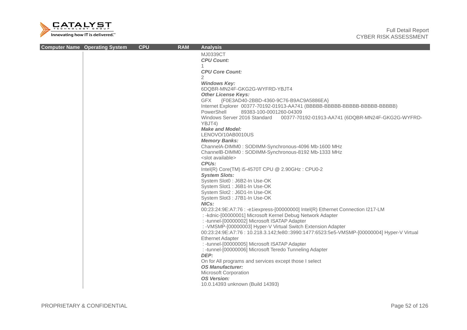

| <b>Computer Name Operating System</b> | <b>CPU</b> | <b>RAM</b> | <b>Analysis</b>                                                                           |
|---------------------------------------|------------|------------|-------------------------------------------------------------------------------------------|
|                                       |            |            | MJ0339CT                                                                                  |
|                                       |            |            | <b>CPU Count:</b>                                                                         |
|                                       |            |            | $\mathbf{1}$                                                                              |
|                                       |            |            | <b>CPU Core Count:</b>                                                                    |
|                                       |            |            | 2                                                                                         |
|                                       |            |            | <b>Windows Key:</b>                                                                       |
|                                       |            |            | 6DQBR-MN24F-GKG2G-WYFRD-YBJT4                                                             |
|                                       |            |            | <b>Other License Keys:</b>                                                                |
|                                       |            |            | GFX {F0E3AD40-2BBD-4360-9C76-B9AC9A5886EA}                                                |
|                                       |            |            | Internet Explorer 00377-70192-01913-AA741 (BBBBB-BBBBB-BBBBB-BBBBB-BBBBB)                 |
|                                       |            |            | PowerShell<br>89383-100-0001260-04309                                                     |
|                                       |            |            | Windows Server 2016 Standard<br>00377-70192-01913-AA741 (6DQBR-MN24F-GKG2G-WYFRD-         |
|                                       |            |            | YBJT4)                                                                                    |
|                                       |            |            | <b>Make and Model:</b>                                                                    |
|                                       |            |            | LENOVO/10AB0010US                                                                         |
|                                       |            |            | <b>Memory Banks:</b>                                                                      |
|                                       |            |            | ChannelA-DIMM0: SODIMM-Synchronous-4096 Mb-1600 MHz                                       |
|                                       |            |            | ChannelB-DIMM0: SODIMM-Synchronous-8192 Mb-1333 MHz                                       |
|                                       |            |            | <slot available=""></slot>                                                                |
|                                       |            |            | CPUs:                                                                                     |
|                                       |            |            | Intel(R) Core(TM) i5-4570T CPU @ 2.90GHz : CPU0-2                                         |
|                                       |            |            | <b>System Slots:</b>                                                                      |
|                                       |            |            | System Slot0: J6B2-In Use-OK<br>System Slot1 : J6B1-In Use-OK                             |
|                                       |            |            | System Slot2 : J6D1-In Use-OK                                                             |
|                                       |            |            | System Slot3 : J7B1-In Use-OK                                                             |
|                                       |            |            | NICs:                                                                                     |
|                                       |            |            | 00:23:24:9E:A7:76 : -e1iexpress-[00000000] Intel(R) Ethernet Connection I217-LM           |
|                                       |            |            | : - kdnic-[00000001] Microsoft Kernel Debug Network Adapter                               |
|                                       |            |            | : -tunnel-[00000002] Microsoft ISATAP Adapter                                             |
|                                       |            |            | : - VMSMP-[00000003] Hyper-V Virtual Switch Extension Adapter                             |
|                                       |            |            | 00:23:24:9E:A7:76: 10.218.3.142;fe80::3990:1477:6523:5e5-VMSMP-[00000004] Hyper-V Virtual |
|                                       |            |            | <b>Ethernet Adapter</b>                                                                   |
|                                       |            |            | : - tunnel-[00000005] Microsoft ISATAP Adapter                                            |
|                                       |            |            | : -tunnel-[00000006] Microsoft Teredo Tunneling Adapter                                   |
|                                       |            |            | DEP:                                                                                      |
|                                       |            |            | On for All programs and services except those I select                                    |
|                                       |            |            | <b>OS Manufacturer:</b>                                                                   |
|                                       |            |            | <b>Microsoft Corporation</b>                                                              |
|                                       |            |            | <b>OS Version:</b>                                                                        |
|                                       |            |            | 10.0.14393 unknown (Build 14393)                                                          |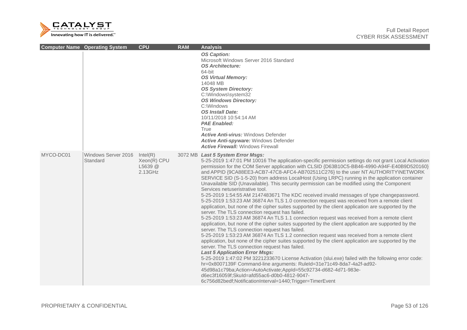

|           | <b>Computer Name Operating System</b> | <b>CPU</b>                                      | <b>RAM</b> | <b>Analysis</b>                                                                                                                                                                                                                                                                                                                                                                                                                                                                                                                                                                                                                                                                                                                                                                                                                                                                                                                                                                                                                                                                                                                                                                                                                                                                                                                                                                                                                                                                                                                                                                                                                                                                                                                                                                                                                               |
|-----------|---------------------------------------|-------------------------------------------------|------------|-----------------------------------------------------------------------------------------------------------------------------------------------------------------------------------------------------------------------------------------------------------------------------------------------------------------------------------------------------------------------------------------------------------------------------------------------------------------------------------------------------------------------------------------------------------------------------------------------------------------------------------------------------------------------------------------------------------------------------------------------------------------------------------------------------------------------------------------------------------------------------------------------------------------------------------------------------------------------------------------------------------------------------------------------------------------------------------------------------------------------------------------------------------------------------------------------------------------------------------------------------------------------------------------------------------------------------------------------------------------------------------------------------------------------------------------------------------------------------------------------------------------------------------------------------------------------------------------------------------------------------------------------------------------------------------------------------------------------------------------------------------------------------------------------------------------------------------------------|
|           |                                       |                                                 |            | <b>OS Caption:</b><br>Microsoft Windows Server 2016 Standard<br><b>OS Architecture:</b><br>64-bit<br><b>OS Virtual Memory:</b><br>14048 MB<br><b>OS System Directory:</b><br>C:\Windows\system32<br><b>OS Windows Directory:</b><br>C:\Windows<br><b>OS Install Date:</b><br>10/11/2018 10:54:14 AM<br><b>PAE Enabled:</b><br>True<br><b>Active Anti-virus: Windows Defender</b><br>Active Anti-spyware: Windows Defender<br><b>Active Firewall: Windows Firewall</b>                                                                                                                                                                                                                                                                                                                                                                                                                                                                                                                                                                                                                                                                                                                                                                                                                                                                                                                                                                                                                                                                                                                                                                                                                                                                                                                                                                         |
| MYCO-DC01 | Windows Server 2016<br>Standard       | Intel(R)<br>Xeon(R) CPU<br>$L5639$ @<br>2.13GHz |            | 3072 MB Last 5 System Error Msgs:<br>5-25-2019 1:47:01 PM 10016 The application-specific permission settings do not grant Local Activation<br>permission for the COM Server application with CLSID {D63B10C5-BB46-4990-A94F-E40B9D520160}<br>and APPID {9CA88EE3-ACB7-47C8-AFC4-AB702511C276} to the user NT AUTHORITY\NETWORK<br>SERVICE SID (S-1-5-20) from address LocalHost (Using LRPC) running in the application container<br>Unavailable SID (Unavailable). This security permission can be modified using the Component<br>Services netuseristrative tool.<br>5-25-2019 1:54:55 AM 2147483671 The KDC received invalid messages of type changepassword.<br>5-25-2019 1:53:23 AM 36874 An TLS 1.0 connection request was received from a remote client<br>application, but none of the cipher suites supported by the client application are supported by the<br>server. The TLS connection request has failed.<br>5-25-2019 1:53:23 AM 36874 An TLS 1.1 connection request was received from a remote client<br>application, but none of the cipher suites supported by the client application are supported by the<br>server. The TLS connection request has failed.<br>5-25-2019 1:53:23 AM 36874 An TLS 1.2 connection request was received from a remote client<br>application, but none of the cipher suites supported by the client application are supported by the<br>server. The TLS connection request has failed.<br><b>Last 5 Application Error Msgs:</b><br>5-25-2019 1:47:02 PM 3221233670 License Activation (slui.exe) failed with the following error code:<br>hr=0x8007139F Command-line arguments: RuleId=31e71c49-8da7-4a2f-ad92-<br>45d98a1c79ba;Action=AutoActivate;AppId=55c92734-d682-4d71-983e-<br>d6ec3f16059f;SkuId=afd55ac6-d0b0-4812-9047-<br>6c756d82bedf;NotificationInterval=1440;Trigger=TimerEvent |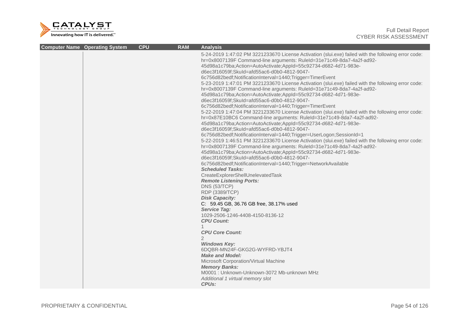

| <b>Computer Name Operating System</b> | <b>CPU</b> | <b>RAM</b> | <b>Analysis</b>                                                                                                                                                                                                                                                                                                                                                                                                                                                                                                                                                                                                                                                                                                                                                                                                                                                                                                                                                                                                                                                                                                                                                                                                                                                                                                                                                                                                                                                                                                                                                                                                                                                                                                                                                                                                                                                                                                                                                                                                                                                       |
|---------------------------------------|------------|------------|-----------------------------------------------------------------------------------------------------------------------------------------------------------------------------------------------------------------------------------------------------------------------------------------------------------------------------------------------------------------------------------------------------------------------------------------------------------------------------------------------------------------------------------------------------------------------------------------------------------------------------------------------------------------------------------------------------------------------------------------------------------------------------------------------------------------------------------------------------------------------------------------------------------------------------------------------------------------------------------------------------------------------------------------------------------------------------------------------------------------------------------------------------------------------------------------------------------------------------------------------------------------------------------------------------------------------------------------------------------------------------------------------------------------------------------------------------------------------------------------------------------------------------------------------------------------------------------------------------------------------------------------------------------------------------------------------------------------------------------------------------------------------------------------------------------------------------------------------------------------------------------------------------------------------------------------------------------------------------------------------------------------------------------------------------------------------|
|                                       |            |            | 5-24-2019 1:47:02 PM 3221233670 License Activation (slui.exe) failed with the following error code:<br>hr=0x8007139F Command-line arguments: RuleId=31e71c49-8da7-4a2f-ad92-<br>45d98a1c79ba;Action=AutoActivate;AppId=55c92734-d682-4d71-983e-<br>d6ec3f16059f;SkuId=afd55ac6-d0b0-4812-9047-<br>6c756d82bedf;NotificationInterval=1440;Trigger=TimerEvent<br>5-23-2019 1:47:01 PM 3221233670 License Activation (slui.exe) failed with the following error code:<br>hr=0x8007139F Command-line arguments: RuleId=31e71c49-8da7-4a2f-ad92-<br>45d98a1c79ba;Action=AutoActivate;AppId=55c92734-d682-4d71-983e-<br>d6ec3f16059f;SkuId=afd55ac6-d0b0-4812-9047-<br>6c756d82bedf;NotificationInterval=1440;Trigger=TimerEvent<br>5-22-2019 1:47:04 PM 3221233670 License Activation (slui.exe) failed with the following error code:<br>hr=0x87E10BC6 Command-line arguments: RuleId=31e71c49-8da7-4a2f-ad92-<br>45d98a1c79ba;Action=AutoActivate;AppId=55c92734-d682-4d71-983e-<br>d6ec3f16059f;SkuId=afd55ac6-d0b0-4812-9047-<br>6c756d82bedf;NotificationInterval=1440;Trigger=UserLogon;SessionId=1<br>5-22-2019 1:46:51 PM 3221233670 License Activation (slui.exe) failed with the following error code:<br>hr=0x8007139F Command-line arguments: RuleId=31e71c49-8da7-4a2f-ad92-<br>45d98a1c79ba;Action=AutoActivate;AppId=55c92734-d682-4d71-983e-<br>d6ec3f16059f;SkuId=afd55ac6-d0b0-4812-9047-<br>6c756d82bedf;NotificationInterval=1440;Trigger=NetworkAvailable<br><b>Scheduled Tasks:</b><br>CreateExplorerShellUnelevatedTask<br><b>Remote Listening Ports:</b><br>DNS (53/TCP)<br>RDP (3389/TCP)<br><b>Disk Capacity:</b><br>C: 59.45 GB, 36.76 GB free, 38.17% used<br><b>Service Tag:</b><br>1029-2506-1246-4408-4150-8136-12<br><b>CPU Count:</b><br>$\mathbf{1}$<br><b>CPU Core Count:</b><br>2<br><b>Windows Key:</b><br>6DQBR-MN24F-GKG2G-WYFRD-YBJT4<br><b>Make and Model:</b><br>Microsoft Corporation/Virtual Machine<br><b>Memory Banks:</b><br>M0001: Unknown-Unknown-3072 Mb-unknown MHz<br>Additional 1 virtual memory slot<br><b>CPUs:</b> |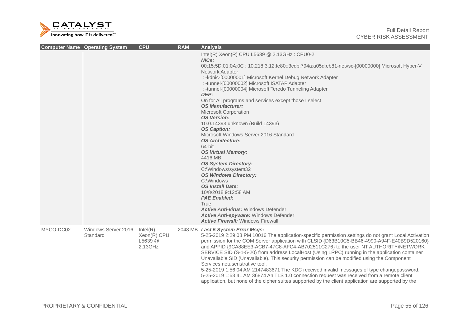

|           | <b>Computer Name Operating System</b> | <b>CPU</b>                                    | <b>RAM</b> | <b>Analysis</b>                                                                                                                                                                                                                                                                                                                                                                                                                                                                                                                                                                                                                                                                                                                                                                                                                                                                                                                                                                                                                  |
|-----------|---------------------------------------|-----------------------------------------------|------------|----------------------------------------------------------------------------------------------------------------------------------------------------------------------------------------------------------------------------------------------------------------------------------------------------------------------------------------------------------------------------------------------------------------------------------------------------------------------------------------------------------------------------------------------------------------------------------------------------------------------------------------------------------------------------------------------------------------------------------------------------------------------------------------------------------------------------------------------------------------------------------------------------------------------------------------------------------------------------------------------------------------------------------|
|           |                                       |                                               |            | Intel(R) Xeon(R) CPU L5639 @ 2.13GHz : CPU0-2<br>NIC <sub>s</sub> :<br>00:15:5D:01:0A:0C: 10.218.3.12;fe80::3cdb:794a:a05d:eb81-netysc-[00000000] Microsoft Hyper-V<br>Network Adapter<br>: - kdnic-[00000001] Microsoft Kernel Debug Network Adapter<br>: - tunnel-[00000002] Microsoft ISATAP Adapter<br>: - tunnel-[00000004] Microsoft Teredo Tunneling Adapter<br>DEP:<br>On for All programs and services except those I select<br><b>OS Manufacturer:</b><br><b>Microsoft Corporation</b><br><b>OS Version:</b><br>10.0.14393 unknown (Build 14393)<br><b>OS Caption:</b><br>Microsoft Windows Server 2016 Standard<br><b>OS Architecture:</b><br>64-bit<br><b>OS Virtual Memory:</b><br>4416 MB<br><b>OS System Directory:</b><br>C:\Windows\system32<br><b>OS Windows Directory:</b><br>C:\Windows<br><b>OS Install Date:</b><br>10/8/2018 9:12:58 AM<br><b>PAE Enabled:</b><br>True<br><b>Active Anti-virus: Windows Defender</b><br>Active Anti-spyware: Windows Defender<br><b>Active Firewall: Windows Firewall</b> |
| MYCO-DC02 | Windows Server 2016<br>Standard       | Intel(R)<br>Xeon(R) CPU<br>L5639 @<br>2.13GHz |            | 2048 MB Last 5 System Error Msgs:<br>5-25-2019 2:29:08 PM 10016 The application-specific permission settings do not grant Local Activation<br>permission for the COM Server application with CLSID {D63B10C5-BB46-4990-A94F-E40B9D520160}<br>and APPID {9CA88EE3-ACB7-47C8-AFC4-AB702511C276} to the user NT AUTHORITY\NETWORK<br>SERVICE SID (S-1-5-20) from address LocalHost (Using LRPC) running in the application container<br>Unavailable SID (Unavailable). This security permission can be modified using the Component<br>Services netuseristrative tool.<br>5-25-2019 1:56:04 AM 2147483671 The KDC received invalid messages of type changepassword.<br>5-25-2019 1:53:41 AM 36874 An TLS 1.0 connection request was received from a remote client<br>application, but none of the cipher suites supported by the client application are supported by the                                                                                                                                                            |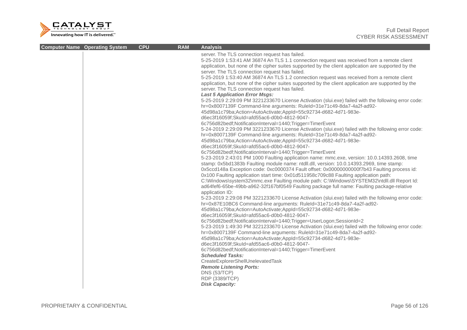

| <b>Computer Name Operating System</b> | <b>CPU</b> | <b>RAM</b> | <b>Analysis</b>                                                                                                                                                                                                                                                                                                                                                                                                                                                                                                                                                                                                                                                                                                                                                                                                                                                                                                                                                                                                                                                                                                                                                                                                                                                                                                                                                                                                                                                                                                                                                                                                                                                                                                                                                                                                                                                                                                                                                                                                                                                                                                                                                                                                                                                                                                                                                                                                                                                                                                                                                                                                                                                                                                                                                                                                                             |
|---------------------------------------|------------|------------|---------------------------------------------------------------------------------------------------------------------------------------------------------------------------------------------------------------------------------------------------------------------------------------------------------------------------------------------------------------------------------------------------------------------------------------------------------------------------------------------------------------------------------------------------------------------------------------------------------------------------------------------------------------------------------------------------------------------------------------------------------------------------------------------------------------------------------------------------------------------------------------------------------------------------------------------------------------------------------------------------------------------------------------------------------------------------------------------------------------------------------------------------------------------------------------------------------------------------------------------------------------------------------------------------------------------------------------------------------------------------------------------------------------------------------------------------------------------------------------------------------------------------------------------------------------------------------------------------------------------------------------------------------------------------------------------------------------------------------------------------------------------------------------------------------------------------------------------------------------------------------------------------------------------------------------------------------------------------------------------------------------------------------------------------------------------------------------------------------------------------------------------------------------------------------------------------------------------------------------------------------------------------------------------------------------------------------------------------------------------------------------------------------------------------------------------------------------------------------------------------------------------------------------------------------------------------------------------------------------------------------------------------------------------------------------------------------------------------------------------------------------------------------------------------------------------------------------------|
|                                       |            |            | server. The TLS connection request has failed.<br>5-25-2019 1:53:41 AM 36874 An TLS 1.1 connection request was received from a remote client<br>application, but none of the cipher suites supported by the client application are supported by the<br>server. The TLS connection request has failed.<br>5-25-2019 1:53:40 AM 36874 An TLS 1.2 connection request was received from a remote client<br>application, but none of the cipher suites supported by the client application are supported by the<br>server. The TLS connection request has failed.<br><b>Last 5 Application Error Msgs:</b><br>5-25-2019 2:29:09 PM 3221233670 License Activation (slui.exe) failed with the following error code:<br>hr=0x8007139F Command-line arguments: RuleId=31e71c49-8da7-4a2f-ad92-<br>45d98a1c79ba;Action=AutoActivate;AppId=55c92734-d682-4d71-983e-<br>d6ec3f16059f;SkuId=afd55ac6-d0b0-4812-9047-<br>6c756d82bedf;NotificationInterval=1440;Trigger=TimerEvent<br>5-24-2019 2:29:09 PM 3221233670 License Activation (slui.exe) failed with the following error code:<br>hr=0x8007139F Command-line arguments: RuleId=31e71c49-8da7-4a2f-ad92-<br>45d98a1c79ba;Action=AutoActivate;AppId=55c92734-d682-4d71-983e-<br>d6ec3f16059f;SkuId=afd55ac6-d0b0-4812-9047-<br>6c756d82bedf;NotificationInterval=1440;Trigger=TimerEvent<br>5-23-2019 2:43:01 PM 1000 Faulting application name: mmc.exe, version: 10.0.14393.2608, time<br>stamp: 0x5bd1383b Faulting module name: ntdll.dll, version: 10.0.14393.2969, time stamp:<br>0x5ccd148a Exception code: 0xc0000374 Fault offset: 0x00000000000f7b43 Faulting process id:<br>0x100 Faulting application start time: 0x01d511958c709c88 Faulting application path:<br>C:\Windows\system32\mmc.exe Faulting module path: C:\Windows\SYSTEM32\ntdll.dll Report Id:<br>ad64fef6-65be-49bb-a962-32f167bf0549 Faulting package full name: Faulting package-relative<br>application ID:<br>5-23-2019 2:29:08 PM 3221233670 License Activation (slui.exe) failed with the following error code:<br>hr=0x87E10BC6 Command-line arguments: RuleId=31e71c49-8da7-4a2f-ad92-<br>45d98a1c79ba;Action=AutoActivate;AppId=55c92734-d682-4d71-983e-<br>d6ec3f16059f;SkuId=afd55ac6-d0b0-4812-9047-<br>6c756d82bedf;NotificationInterval=1440;Trigger=UserLogon;SessionId=2<br>5-23-2019 1:49:30 PM 3221233670 License Activation (slui.exe) failed with the following error code:<br>hr=0x8007139F Command-line arguments: RuleId=31e71c49-8da7-4a2f-ad92-<br>45d98a1c79ba;Action=AutoActivate;AppId=55c92734-d682-4d71-983e-<br>d6ec3f16059f;SkuId=afd55ac6-d0b0-4812-9047-<br>6c756d82bedf;NotificationInterval=1440;Trigger=TimerEvent<br><b>Scheduled Tasks:</b><br>CreateExplorerShellUnelevatedTask<br><b>Remote Listening Ports:</b><br>DNS (53/TCP)<br>RDP (3389/TCP)<br><b>Disk Capacity:</b> |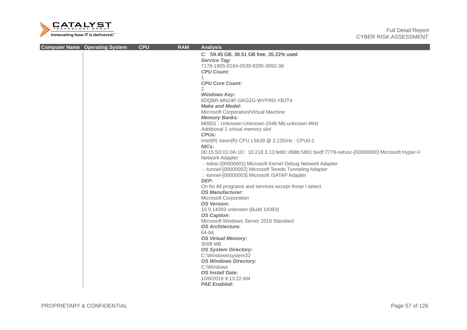

| <b>Computer Name Operating System</b> | <b>CPU</b> | <b>RAM</b> | <b>Analysis</b>                                                                              |
|---------------------------------------|------------|------------|----------------------------------------------------------------------------------------------|
|                                       |            |            | C: 59.45 GB, 38.51 GB free, 35.22% used                                                      |
|                                       |            |            | <b>Service Tag:</b>                                                                          |
|                                       |            |            | 7178-1805-0184-0539-8285-3692-38                                                             |
|                                       |            |            | <b>CPU Count:</b>                                                                            |
|                                       |            |            | 1                                                                                            |
|                                       |            |            | <b>CPU Core Count:</b>                                                                       |
|                                       |            |            | 2                                                                                            |
|                                       |            |            | <b>Windows Key:</b>                                                                          |
|                                       |            |            | 6DQBR-MN24F-GKG2G-WYFRD-YBJT4                                                                |
|                                       |            |            | <b>Make and Model:</b>                                                                       |
|                                       |            |            | Microsoft Corporation/Virtual Machine                                                        |
|                                       |            |            | <b>Memory Banks:</b>                                                                         |
|                                       |            |            | M0001: Unknown-Unknown-2048 Mb-unknown MHz                                                   |
|                                       |            |            | Additional 1 virtual memory slot                                                             |
|                                       |            |            | CPUs:                                                                                        |
|                                       |            |            | Intel(R) Xeon(R) CPU L5639 @ 2.13GHz : CPU0-2<br>NICs:                                       |
|                                       |            |            | 00:15:5D:01:0A:1D: 10.218.3.13;fe80::d98b:5881:6edf:7779-netvsc-[00000000] Microsoft Hyper-V |
|                                       |            |            | Network Adapter                                                                              |
|                                       |            |            | : - kdnic-[00000001] Microsoft Kernel Debug Network Adapter                                  |
|                                       |            |            | : - tunnel-[00000002] Microsoft Teredo Tunneling Adapter                                     |
|                                       |            |            | : - tunnel-[00000003] Microsoft ISATAP Adapter                                               |
|                                       |            |            | DEP:                                                                                         |
|                                       |            |            | On for All programs and services except those I select                                       |
|                                       |            |            | <b>OS Manufacturer:</b>                                                                      |
|                                       |            |            | <b>Microsoft Corporation</b>                                                                 |
|                                       |            |            | <b>OS Version:</b>                                                                           |
|                                       |            |            | 10.0.14393 unknown (Build 14393)                                                             |
|                                       |            |            | <b>OS Caption:</b>                                                                           |
|                                       |            |            | Microsoft Windows Server 2016 Standard                                                       |
|                                       |            |            | <b>OS Architecture:</b>                                                                      |
|                                       |            |            | 64-bit                                                                                       |
|                                       |            |            | <b>OS Virtual Memory:</b><br>3008 MB                                                         |
|                                       |            |            | <b>OS System Directory:</b>                                                                  |
|                                       |            |            | C:\Windows\system32                                                                          |
|                                       |            |            | <b>OS Windows Directory:</b>                                                                 |
|                                       |            |            | C:\Windows                                                                                   |
|                                       |            |            | <b>OS Install Date:</b>                                                                      |
|                                       |            |            | 10/8/2018 9:13:22 AM                                                                         |
|                                       |            |            | <b>PAE Enabled:</b>                                                                          |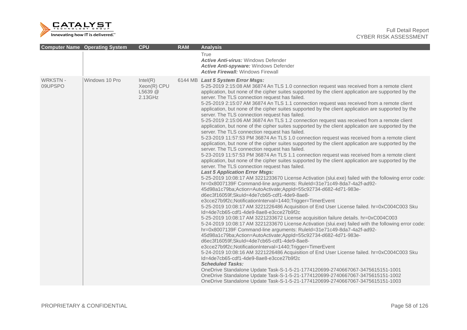

|                           | <b>Computer Name Operating System</b> | <b>CPU</b>                                   | <b>RAM</b> | <b>Analysis</b>                                                                                                                                                                                                                                                                                                                                                                                                                                                                                                                                                                                                                                                                                                                                                                                                                                                                                                                                                                                                                                                                                                                                                                                                                                                                                                                                                                                                                                                                                                                                                                                                                                                                                                                                                                                                                                                                                                                                                                                                                                                                                                                                                                                                                                                                                                                                                                                                                                                                                                                                                                                                                                                                                                                                           |
|---------------------------|---------------------------------------|----------------------------------------------|------------|-----------------------------------------------------------------------------------------------------------------------------------------------------------------------------------------------------------------------------------------------------------------------------------------------------------------------------------------------------------------------------------------------------------------------------------------------------------------------------------------------------------------------------------------------------------------------------------------------------------------------------------------------------------------------------------------------------------------------------------------------------------------------------------------------------------------------------------------------------------------------------------------------------------------------------------------------------------------------------------------------------------------------------------------------------------------------------------------------------------------------------------------------------------------------------------------------------------------------------------------------------------------------------------------------------------------------------------------------------------------------------------------------------------------------------------------------------------------------------------------------------------------------------------------------------------------------------------------------------------------------------------------------------------------------------------------------------------------------------------------------------------------------------------------------------------------------------------------------------------------------------------------------------------------------------------------------------------------------------------------------------------------------------------------------------------------------------------------------------------------------------------------------------------------------------------------------------------------------------------------------------------------------------------------------------------------------------------------------------------------------------------------------------------------------------------------------------------------------------------------------------------------------------------------------------------------------------------------------------------------------------------------------------------------------------------------------------------------------------------------------------------|
|                           |                                       |                                              |            | True<br><b>Active Anti-virus: Windows Defender</b><br><b>Active Anti-spyware: Windows Defender</b><br><b>Active Firewall: Windows Firewall</b>                                                                                                                                                                                                                                                                                                                                                                                                                                                                                                                                                                                                                                                                                                                                                                                                                                                                                                                                                                                                                                                                                                                                                                                                                                                                                                                                                                                                                                                                                                                                                                                                                                                                                                                                                                                                                                                                                                                                                                                                                                                                                                                                                                                                                                                                                                                                                                                                                                                                                                                                                                                                            |
| <b>WRKSTN-</b><br>09UPSPO | Windows 10 Pro                        | Intel(R)<br>Xeon(R) CPU<br>L5639@<br>2.13GHz |            | 6144 MB Last 5 System Error Msgs:<br>5-25-2019 2:15:08 AM 36874 An TLS 1.0 connection request was received from a remote client<br>application, but none of the cipher suites supported by the client application are supported by the<br>server. The TLS connection request has failed.<br>5-25-2019 2:15:07 AM 36874 An TLS 1.1 connection request was received from a remote client<br>application, but none of the cipher suites supported by the client application are supported by the<br>server. The TLS connection request has failed.<br>5-25-2019 2:15:06 AM 36874 An TLS 1.2 connection request was received from a remote client<br>application, but none of the cipher suites supported by the client application are supported by the<br>server. The TLS connection request has failed.<br>5-23-2019 11:57:53 PM 36874 An TLS 1.0 connection request was received from a remote client<br>application, but none of the cipher suites supported by the client application are supported by the<br>server. The TLS connection request has failed.<br>5-23-2019 11:57:53 PM 36874 An TLS 1.1 connection request was received from a remote client<br>application, but none of the cipher suites supported by the client application are supported by the<br>server. The TLS connection request has failed.<br><b>Last 5 Application Error Msgs:</b><br>5-25-2019 10:08:17 AM 3221233670 License Activation (slui.exe) failed with the following error code:<br>hr=0x8007139F Command-line arguments: RuleId=31e71c49-8da7-4a2f-ad92-<br>45d98a1c79ba;Action=AutoActivate;AppId=55c92734-d682-4d71-983e-<br>d6ec3f16059f;SkuId=4de7cb65-cdf1-4de9-8ae8-<br>e3cce27b9f2c;NotificationInterval=1440;Trigger=TimerEvent<br>5-25-2019 10:08:17 AM 3221226486 Acquisition of End User License failed. hr=0xC004C003 Sku<br>Id=4de7cb65-cdf1-4de9-8ae8-e3cce27b9f2c<br>5-25-2019 10:08:17 AM 3221233672 License acquisition failure details. hr=0xC004C003<br>5-24-2019 10:08:17 AM 3221233670 License Activation (slui.exe) failed with the following error code:<br>hr=0x8007139F Command-line arguments: RuleId=31e71c49-8da7-4a2f-ad92-<br>45d98a1c79ba;Action=AutoActivate;AppId=55c92734-d682-4d71-983e-<br>d6ec3f16059f;SkuId=4de7cb65-cdf1-4de9-8ae8-<br>e3cce27b9f2c;NotificationInterval=1440;Trigger=TimerEvent<br>5-24-2019 10:08:16 AM 3221226486 Acquisition of End User License failed. hr=0xC004C003 Sku<br>Id=4de7cb65-cdf1-4de9-8ae8-e3cce27b9f2c<br><b>Scheduled Tasks:</b><br>OneDrive Standalone Update Task-S-1-5-21-1774120699-2740667067-3475615151-1001<br>OneDrive Standalone Update Task-S-1-5-21-1774120699-2740667067-3475615151-1002<br>OneDrive Standalone Update Task-S-1-5-21-1774120699-2740667067-3475615151-1003 |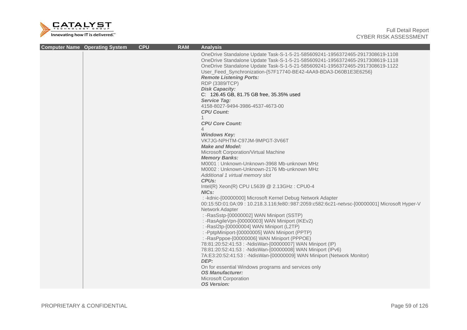

| <b>Computer Name Operating System</b> | <b>CPU</b><br><b>RAM</b> | <b>Analysis</b>                                                                                                                                                                                                                                                                                                                                                                                                                                                                                                                                                                                                                                                                                                                                                                                                                                                                                                                                                                                                                                                                                                                                                                                                                                                                                                                                                                                                                                                                                                                                                                                                                                                                                                                   |
|---------------------------------------|--------------------------|-----------------------------------------------------------------------------------------------------------------------------------------------------------------------------------------------------------------------------------------------------------------------------------------------------------------------------------------------------------------------------------------------------------------------------------------------------------------------------------------------------------------------------------------------------------------------------------------------------------------------------------------------------------------------------------------------------------------------------------------------------------------------------------------------------------------------------------------------------------------------------------------------------------------------------------------------------------------------------------------------------------------------------------------------------------------------------------------------------------------------------------------------------------------------------------------------------------------------------------------------------------------------------------------------------------------------------------------------------------------------------------------------------------------------------------------------------------------------------------------------------------------------------------------------------------------------------------------------------------------------------------------------------------------------------------------------------------------------------------|
|                                       |                          | OneDrive Standalone Update Task-S-1-5-21-585609241-1956372465-2917308619-1108<br>OneDrive Standalone Update Task-S-1-5-21-585609241-1956372465-2917308619-1118<br>OneDrive Standalone Update Task-S-1-5-21-585609241-1956372465-2917308619-1122<br>User Feed Synchronization-{57F17740-BE42-4AA9-BDA3-D60B1E3E6256}<br><b>Remote Listening Ports:</b><br>RDP (3389/TCP)<br><b>Disk Capacity:</b><br>C: 126.45 GB, 81.75 GB free, 35.35% used<br><b>Service Tag:</b><br>4158-8027-9494-3986-4537-4673-00<br><b>CPU Count:</b><br>$\mathbf{1}$<br><b>CPU Core Count:</b><br>4<br><b>Windows Key:</b><br>VK7JG-NPHTM-C97JM-9MPGT-3V66T<br><b>Make and Model:</b><br>Microsoft Corporation/Virtual Machine<br><b>Memory Banks:</b><br>M0001: Unknown-Unknown-3968 Mb-unknown MHz<br>M0002: Unknown-Unknown-2176 Mb-unknown MHz<br>Additional 1 virtual memory slot<br><b>CPUs:</b><br>Intel(R) Xeon(R) CPU L5639 @ 2.13GHz : CPU0-4<br>NICs:<br>: - kdnic-[00000000] Microsoft Kernel Debug Network Adapter<br>00:15:5D:01:0A:09:10.218.3.116;fe80::987:2059:c582:6c21-netvsc-[00000001] Microsoft Hyper-V<br>Network Adapter<br>: - RasSstp-[00000002] WAN Miniport (SSTP)<br>: -RasAgileVpn-[00000003] WAN Miniport (IKEv2)<br>: -Rasl2tp-[00000004] WAN Miniport (L2TP)<br>: - PptpMiniport-[00000005] WAN Miniport (PPTP)<br>: -RasPppoe-[00000006] WAN Miniport (PPPOE)<br>78:81:20:52:41:53 : - NdisWan-[00000007] WAN Miniport (IP)<br>78:81:20:52:41:53 : - NdisWan-[00000008] WAN Miniport (IPv6)<br>7A:E3:20:52:41:53 : - NdisWan-[00000009] WAN Miniport (Network Monitor)<br>DEP:<br>On for essential Windows programs and services only<br><b>OS Manufacturer:</b><br><b>Microsoft Corporation</b><br><b>OS Version:</b> |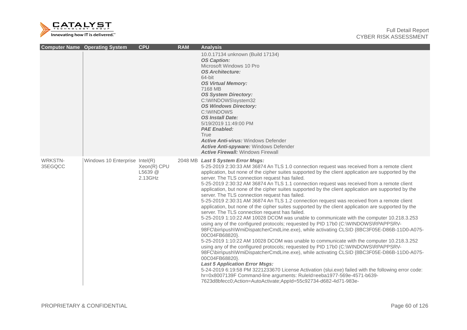

|                           | <b>Computer Name Operating System</b> | <b>CPU</b>                       | <b>RAM</b> | <b>Analysis</b>                                                                                                                                                                                                                                                                                                                                                                                                                                                                                                                                                                                                                                                                                                                                                                                                                                                                                                                                                                                                                                                                                                                                                                                                                                                                                                                                                                                                                                                                                                                                                                                                                                                                                      |
|---------------------------|---------------------------------------|----------------------------------|------------|------------------------------------------------------------------------------------------------------------------------------------------------------------------------------------------------------------------------------------------------------------------------------------------------------------------------------------------------------------------------------------------------------------------------------------------------------------------------------------------------------------------------------------------------------------------------------------------------------------------------------------------------------------------------------------------------------------------------------------------------------------------------------------------------------------------------------------------------------------------------------------------------------------------------------------------------------------------------------------------------------------------------------------------------------------------------------------------------------------------------------------------------------------------------------------------------------------------------------------------------------------------------------------------------------------------------------------------------------------------------------------------------------------------------------------------------------------------------------------------------------------------------------------------------------------------------------------------------------------------------------------------------------------------------------------------------------|
|                           |                                       |                                  |            | 10.0.17134 unknown (Build 17134)<br><b>OS Caption:</b><br>Microsoft Windows 10 Pro<br><b>OS Architecture:</b><br>64-bit<br><b>OS Virtual Memory:</b><br>7168 MB<br><b>OS System Directory:</b><br>C:\WINDOWS\system32<br><b>OS Windows Directory:</b><br>C:\WINDOWS<br><b>OS Install Date:</b><br>5/19/2019 11:49:00 PM<br><b>PAE Enabled:</b><br>True<br>Active Anti-virus: Windows Defender<br>Active Anti-spyware: Windows Defender<br><b>Active Firewall: Windows Firewall</b>                                                                                                                                                                                                                                                                                                                                                                                                                                                                                                                                                                                                                                                                                                                                                                                                                                                                                                                                                                                                                                                                                                                                                                                                                   |
| <b>WRKSTN-</b><br>35EGQCC | Windows 10 Enterprise Intel(R)        | Xeon(R) CPU<br>L5639@<br>2.13GHz |            | 2048 MB Last 5 System Error Msgs:<br>5-25-2019 2:30:33 AM 36874 An TLS 1.0 connection request was received from a remote client<br>application, but none of the cipher suites supported by the client application are supported by the<br>server. The TLS connection request has failed.<br>5-25-2019 2:30:32 AM 36874 An TLS 1.1 connection request was received from a remote client<br>application, but none of the cipher suites supported by the client application are supported by the<br>server. The TLS connection request has failed.<br>5-25-2019 2:30:31 AM 36874 An TLS 1.2 connection request was received from a remote client<br>application, but none of the cipher suites supported by the client application are supported by the<br>server. The TLS connection request has failed.<br>5-25-2019 1:10:22 AM 10028 DCOM was unable to communicate with the computer 10.218.3.253<br>using any of the configured protocols; requested by PID 17b0 (C:\WINDOWS\RPAPPSRV-<br>98FC\bin\push\WmiDispatcherCmdLine.exe), while activating CLSID {8BC3F05E-D86B-11D0-A075-<br>00C04FB68820}.<br>5-25-2019 1:10:22 AM 10028 DCOM was unable to communicate with the computer 10.218.3.252<br>using any of the configured protocols; requested by PID 17b0 (C:\WINDOWS\RPAPPSRV-<br>98FC\bin\push\WmiDispatcherCmdLine.exe), while activating CLSID {8BC3F05E-D86B-11D0-A075-<br>00C04FB68820}.<br><b>Last 5 Application Error Msgs:</b><br>5-24-2019 6:19:58 PM 3221233670 License Activation (slui.exe) failed with the following error code:<br>hr=0x8007139F Command-line arguments: RuleId=eeba1977-569e-4571-b639-<br>7623d8bfecc0;Action=AutoActivate;AppId=55c92734-d682-4d71-983e- |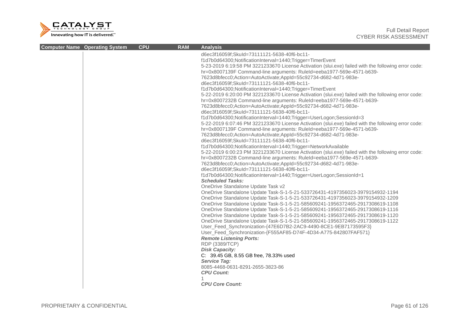

| <b>Computer Name Operating System</b> | <b>CPU</b> | <b>RAM</b> | <b>Analysis</b>                                                                                                                                                                                                                                                                                                                                                                                                                                                                                                                                                                                                                                                                                                                                                                                                                                                                                                                                                                                                                                                                                                                                                                                                                                                                                                                                                                                                                                                                                                                                                                                                                                                                                                                                                                                                                                                                                                                                                                                                                                                                                                                                                                                                                                                                                                                                                                                                                                                                                                                                       |
|---------------------------------------|------------|------------|-------------------------------------------------------------------------------------------------------------------------------------------------------------------------------------------------------------------------------------------------------------------------------------------------------------------------------------------------------------------------------------------------------------------------------------------------------------------------------------------------------------------------------------------------------------------------------------------------------------------------------------------------------------------------------------------------------------------------------------------------------------------------------------------------------------------------------------------------------------------------------------------------------------------------------------------------------------------------------------------------------------------------------------------------------------------------------------------------------------------------------------------------------------------------------------------------------------------------------------------------------------------------------------------------------------------------------------------------------------------------------------------------------------------------------------------------------------------------------------------------------------------------------------------------------------------------------------------------------------------------------------------------------------------------------------------------------------------------------------------------------------------------------------------------------------------------------------------------------------------------------------------------------------------------------------------------------------------------------------------------------------------------------------------------------------------------------------------------------------------------------------------------------------------------------------------------------------------------------------------------------------------------------------------------------------------------------------------------------------------------------------------------------------------------------------------------------------------------------------------------------------------------------------------------------|
|                                       |            |            | d6ec3f16059f;SkuId=73111121-5638-40f6-bc11-<br>f1d7b0d64300;NotificationInterval=1440;Trigger=TimerEvent<br>5-23-2019 6:19:58 PM 3221233670 License Activation (slui.exe) failed with the following error code:<br>hr=0x8007139F Command-line arguments: RuleId=eeba1977-569e-4571-b639-<br>7623d8bfecc0;Action=AutoActivate;AppId=55c92734-d682-4d71-983e-<br>d6ec3f16059f;SkuId=73111121-5638-40f6-bc11-<br>f1d7b0d64300;NotificationInterval=1440;Trigger=TimerEvent<br>5-22-2019 6:20:00 PM 3221233670 License Activation (slui.exe) failed with the following error code:<br>hr=0x8007232B Command-line arguments: RuleId=eeba1977-569e-4571-b639-<br>7623d8bfecc0;Action=AutoActivate;AppId=55c92734-d682-4d71-983e-<br>d6ec3f16059f;SkuId=73111121-5638-40f6-bc11-<br>f1d7b0d64300;NotificationInterval=1440;Trigger=UserLogon;SessionId=3<br>5-22-2019 6:07:46 PM 3221233670 License Activation (slui.exe) failed with the following error code:<br>hr=0x8007139F Command-line arguments: RuleId=eeba1977-569e-4571-b639-<br>7623d8bfecc0;Action=AutoActivate;AppId=55c92734-d682-4d71-983e-<br>d6ec3f16059f;SkuId=73111121-5638-40f6-bc11-<br>f1d7b0d64300;NotificationInterval=1440;Trigger=NetworkAvailable<br>5-22-2019 6:00:23 PM 3221233670 License Activation (slui.exe) failed with the following error code:<br>hr=0x8007232B Command-line arguments: RuleId=eeba1977-569e-4571-b639-<br>7623d8bfecc0;Action=AutoActivate;AppId=55c92734-d682-4d71-983e-<br>d6ec3f16059f;SkuId=73111121-5638-40f6-bc11-<br>f1d7b0d64300;NotificationInterval=1440;Trigger=UserLogon;SessionId=1<br><b>Scheduled Tasks:</b><br>OneDrive Standalone Update Task v2<br>OneDrive Standalone Update Task-S-1-5-21-533726431-4197356023-3979154932-1194<br>OneDrive Standalone Update Task-S-1-5-21-533726431-4197356023-3979154932-1209<br>OneDrive Standalone Update Task-S-1-5-21-585609241-1956372465-2917308619-1108<br>OneDrive Standalone Update Task-S-1-5-21-585609241-1956372465-2917308619-1116<br>OneDrive Standalone Update Task-S-1-5-21-585609241-1956372465-2917308619-1120<br>OneDrive Standalone Update Task-S-1-5-21-585609241-1956372465-2917308619-1122<br>User Feed Synchronization-{47E6D7B2-2AC9-4490-8CE1-9EB7173595F3}<br>User Feed Synchronization-{F555AF85-D74F-4D34-A775-842807FAF571}<br><b>Remote Listening Ports:</b><br>RDP (3389/TCP)<br><b>Disk Capacity:</b><br>C: 39.45 GB, 8.55 GB free, 78.33% used<br><b>Service Tag:</b><br>8085-4468-0631-8291-2655-3823-86<br><b>CPU Count:</b><br>1<br><b>CPU Core Count:</b> |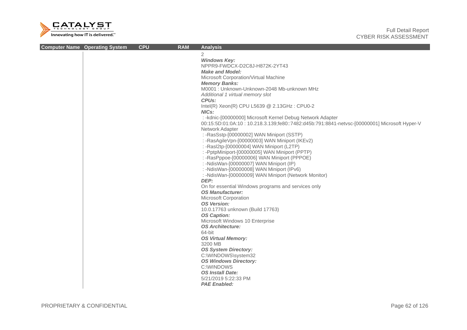

| <b>Computer Name Operating System</b> | <b>CPU</b> | <b>RAM</b> | <b>Analysis</b>                                                                             |
|---------------------------------------|------------|------------|---------------------------------------------------------------------------------------------|
|                                       |            |            | 2                                                                                           |
|                                       |            |            | <b>Windows Key:</b>                                                                         |
|                                       |            |            | NPPR9-FWDCX-D2C8J-H872K-2YT43                                                               |
|                                       |            |            | <b>Make and Model:</b>                                                                      |
|                                       |            |            | Microsoft Corporation/Virtual Machine                                                       |
|                                       |            |            | <b>Memory Banks:</b>                                                                        |
|                                       |            |            | M0001: Unknown-Unknown-2048 Mb-unknown MHz                                                  |
|                                       |            |            | Additional 1 virtual memory slot                                                            |
|                                       |            |            | CPU <sub>s</sub> :                                                                          |
|                                       |            |            | Intel(R) Xeon(R) CPU L5639 @ 2.13GHz : CPU0-2                                               |
|                                       |            |            | NICs:                                                                                       |
|                                       |            |            | : - kdnic-[00000000] Microsoft Kernel Debug Network Adapter                                 |
|                                       |            |            | 00:15:5D:01:0A:10:10.218.3.139;fe80::7482:d45b:791:8841-netvsc-[00000001] Microsoft Hyper-V |
|                                       |            |            | Network Adapter                                                                             |
|                                       |            |            | : - RasSstp-[00000002] WAN Miniport (SSTP)                                                  |
|                                       |            |            | : -RasAgileVpn-[00000003] WAN Miniport (IKEv2)                                              |
|                                       |            |            | : - Rasl2tp-[00000004] WAN Miniport (L2TP)                                                  |
|                                       |            |            | : - PptpMiniport-[00000005] WAN Miniport (PPTP)                                             |
|                                       |            |            | : -RasPppoe-[00000006] WAN Miniport (PPPOE)                                                 |
|                                       |            |            | : -NdisWan-[00000007] WAN Miniport (IP)                                                     |
|                                       |            |            | : -NdisWan-[00000008] WAN Miniport (IPv6)                                                   |
|                                       |            |            | : -NdisWan-[00000009] WAN Miniport (Network Monitor)                                        |
|                                       |            |            | DEP:                                                                                        |
|                                       |            |            | On for essential Windows programs and services only                                         |
|                                       |            |            | <b>OS Manufacturer:</b><br><b>Microsoft Corporation</b>                                     |
|                                       |            |            | <b>OS Version:</b>                                                                          |
|                                       |            |            | 10.0.17763 unknown (Build 17763)                                                            |
|                                       |            |            | <b>OS Caption:</b>                                                                          |
|                                       |            |            | Microsoft Windows 10 Enterprise                                                             |
|                                       |            |            | <b>OS Architecture:</b>                                                                     |
|                                       |            |            | 64-bit                                                                                      |
|                                       |            |            | <b>OS Virtual Memory:</b>                                                                   |
|                                       |            |            | 3200 MB                                                                                     |
|                                       |            |            | <b>OS System Directory:</b>                                                                 |
|                                       |            |            | C:\WINDOWS\system32                                                                         |
|                                       |            |            | <b>OS Windows Directory:</b>                                                                |
|                                       |            |            | C:\WINDOWS                                                                                  |
|                                       |            |            | <b>OS Install Date:</b>                                                                     |
|                                       |            |            | 5/21/2019 5:22:33 PM                                                                        |
|                                       |            |            | <b>PAE Enabled:</b>                                                                         |
|                                       |            |            |                                                                                             |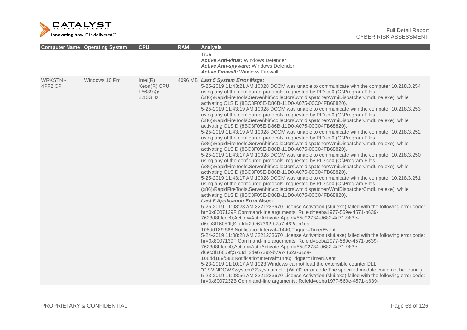

|                           | <b>Computer Name Operating System</b> | <b>CPU</b>                                   | <b>RAM</b> | <b>Analysis</b>                                                                                                                                                                                                                                                                                                                                                                                                                                                                                                                                                                                                                                                                                                                                                                                                                                                                                                                                                                                                                                                                                                                                                                                                                                                                                                                                                                                                                                                                                                                                                                                                                                                                                                                                                                                                                                                                                                                                                                                                                                                                                                                                                                                                                                                                                                                                                                                                                                                                                                                                                                                                                                                                                                                                                                                                                                                               |
|---------------------------|---------------------------------------|----------------------------------------------|------------|-------------------------------------------------------------------------------------------------------------------------------------------------------------------------------------------------------------------------------------------------------------------------------------------------------------------------------------------------------------------------------------------------------------------------------------------------------------------------------------------------------------------------------------------------------------------------------------------------------------------------------------------------------------------------------------------------------------------------------------------------------------------------------------------------------------------------------------------------------------------------------------------------------------------------------------------------------------------------------------------------------------------------------------------------------------------------------------------------------------------------------------------------------------------------------------------------------------------------------------------------------------------------------------------------------------------------------------------------------------------------------------------------------------------------------------------------------------------------------------------------------------------------------------------------------------------------------------------------------------------------------------------------------------------------------------------------------------------------------------------------------------------------------------------------------------------------------------------------------------------------------------------------------------------------------------------------------------------------------------------------------------------------------------------------------------------------------------------------------------------------------------------------------------------------------------------------------------------------------------------------------------------------------------------------------------------------------------------------------------------------------------------------------------------------------------------------------------------------------------------------------------------------------------------------------------------------------------------------------------------------------------------------------------------------------------------------------------------------------------------------------------------------------------------------------------------------------------------------------------------------------|
|                           |                                       |                                              |            | True<br><b>Active Anti-virus: Windows Defender</b><br>Active Anti-spyware: Windows Defender<br><b>Active Firewall: Windows Firewall</b>                                                                                                                                                                                                                                                                                                                                                                                                                                                                                                                                                                                                                                                                                                                                                                                                                                                                                                                                                                                                                                                                                                                                                                                                                                                                                                                                                                                                                                                                                                                                                                                                                                                                                                                                                                                                                                                                                                                                                                                                                                                                                                                                                                                                                                                                                                                                                                                                                                                                                                                                                                                                                                                                                                                                       |
| <b>WRKSTN-</b><br>4PF2ICP | Windows 10 Pro                        | Intel(R)<br>Xeon(R) CPU<br>L5639@<br>2.13GHz |            | 4096 MB Last 5 System Error Msgs:<br>5-25-2019 11:43:21 AM 10028 DCOM was unable to communicate with the computer 10.218.3.254<br>using any of the configured protocols; requested by PID ce0 (C:\Program Files<br>(x86)\RapidFireTools\Server\bin\collectors\wmidispatcher\WmiDispatcherCmdLine.exe), while<br>activating CLSID {8BC3F05E-D86B-11D0-A075-00C04FB68820}.<br>5-25-2019 11:43:19 AM 10028 DCOM was unable to communicate with the computer 10.218.3.253<br>using any of the configured protocols; requested by PID ce0 (C:\Program Files<br>(x86)\RapidFireTools\Server\bin\collectors\wmidispatcher\WmiDispatcherCmdLine.exe), while<br>activating CLSID {8BC3F05E-D86B-11D0-A075-00C04FB68820}.<br>5-25-2019 11:43:19 AM 10028 DCOM was unable to communicate with the computer 10.218.3.252<br>using any of the configured protocols; requested by PID ce0 (C:\Program Files<br>(x86)\RapidFireTools\Server\bin\collectors\wmidispatcher\WmiDispatcherCmdLine.exe), while<br>activating CLSID {8BC3F05E-D86B-11D0-A075-00C04FB68820}.<br>5-25-2019 11:43:17 AM 10028 DCOM was unable to communicate with the computer 10.218.3.250<br>using any of the configured protocols; requested by PID ce0 (C:\Program Files<br>(x86)\RapidFireTools\Server\bin\collectors\wmidispatcher\WmiDispatcherCmdLine.exe), while<br>activating CLSID {8BC3F05E-D86B-11D0-A075-00C04FB68820}.<br>5-25-2019 11:43:17 AM 10028 DCOM was unable to communicate with the computer 10.218.3.251<br>using any of the configured protocols; requested by PID ce0 (C:\Program Files<br>(x86)\RapidFireTools\Server\bin\collectors\wmidispatcher\WmiDispatcherCmdLine.exe), while<br>activating CLSID {8BC3F05E-D86B-11D0-A075-00C04FB68820}.<br><b>Last 5 Application Error Msgs:</b><br>5-25-2019 11:08:28 AM 3221233670 License Activation (slui.exe) failed with the following error code:<br>hr=0x8007139F Command-line arguments: RuleId=eeba1977-569e-4571-b639-<br>7623d8bfecc0;Action=AutoActivate;AppId=55c92734-d682-4d71-983e-<br>d6ec3f16059f;SkuId=2de67392-b7a7-462a-b1ca-<br>108dd189f588;NotificationInterval=1440;Trigger=TimerEvent<br>5-24-2019 11:08:28 AM 3221233670 License Activation (slui.exe) failed with the following error code:<br>hr=0x8007139F Command-line arguments: RuleId=eeba1977-569e-4571-b639-<br>7623d8bfecc0;Action=AutoActivate;AppId=55c92734-d682-4d71-983e-<br>d6ec3f16059f;SkuId=2de67392-b7a7-462a-b1ca-<br>108dd189f588;NotificationInterval=1440;Trigger=TimerEvent<br>5-23-2019 11:10:17 AM 1023 Windows cannot load the extensible counter DLL<br>"C:\WINDOWS\system32\sysmain.dll" (Win32 error code The specified module could not be found.).<br>5-23-2019 11:08:56 AM 3221233670 License Activation (slui.exe) failed with the following error code:<br>hr=0x8007232B Command-line arguments: RuleId=eeba1977-569e-4571-b639- |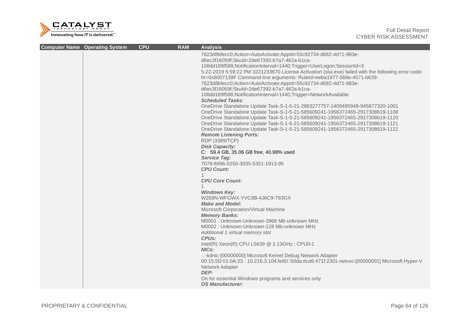

| <b>Computer Name Operating System</b> | <b>CPU</b><br><b>RAM</b> | <b>Analysis</b>                                                                                                                                                                                                                                                                                                                                                                                                                                                                                                                                                                                                                                                                                                                                                                                                                                                                                                                                                                                                                                                                                                                                                                                                                                                                                                                                                                                                                                                                                                                                                                                                                                                                                                                                                                                                                                                                                                           |
|---------------------------------------|--------------------------|---------------------------------------------------------------------------------------------------------------------------------------------------------------------------------------------------------------------------------------------------------------------------------------------------------------------------------------------------------------------------------------------------------------------------------------------------------------------------------------------------------------------------------------------------------------------------------------------------------------------------------------------------------------------------------------------------------------------------------------------------------------------------------------------------------------------------------------------------------------------------------------------------------------------------------------------------------------------------------------------------------------------------------------------------------------------------------------------------------------------------------------------------------------------------------------------------------------------------------------------------------------------------------------------------------------------------------------------------------------------------------------------------------------------------------------------------------------------------------------------------------------------------------------------------------------------------------------------------------------------------------------------------------------------------------------------------------------------------------------------------------------------------------------------------------------------------------------------------------------------------------------------------------------------------|
|                                       |                          | 7623d8bfecc0;Action=AutoActivate;AppId=55c92734-d682-4d71-983e-<br>d6ec3f16059f;SkuId=2de67392-b7a7-462a-b1ca-<br>108dd189f588;NotificationInterval=1440;Trigger=UserLogon;SessionId=3<br>5-22-2019 5:59:22 PM 3221233670 License Activation (slui.exe) failed with the following error code:<br>hr=0x8007139F Command-line arguments: RuleId=eeba1977-569e-4571-b639-<br>7623d8bfecc0;Action=AutoActivate;AppId=55c92734-d682-4d71-983e-<br>d6ec3f16059f;SkuId=2de67392-b7a7-462a-b1ca-<br>108dd189f588;NotificationInterval=1440;Trigger=NetworkAvailable<br><b>Scheduled Tasks:</b><br>OneDrive Standalone Update Task-S-1-5-21-2863277757-1409495948-945877320-1001<br>OneDrive Standalone Update Task-S-1-5-21-585609241-1956372465-2917308619-1108<br>OneDrive Standalone Update Task-S-1-5-21-585609241-1956372465-2917308619-1120<br>OneDrive Standalone Update Task-S-1-5-21-585609241-1956372465-2917308619-1121<br>OneDrive Standalone Update Task-S-1-5-21-585609241-1956372465-2917308619-1122<br><b>Remote Listening Ports:</b><br>RDP (3389/TCP)<br><b>Disk Capacity:</b><br>C: 59.4 GB, 35.06 GB free, 40.98% used<br><b>Service Tag:</b><br>7078-6996-0250-3035-5351-1913-95<br><b>CPU Count:</b><br>$\mathbf 1$<br><b>CPU Core Count:</b><br>$\mathbf{1}$<br><b>Windows Key:</b><br>W269N-WFGWX-YVC9B-4J6C9-T83GX<br><b>Make and Model:</b><br>Microsoft Corporation/Virtual Machine<br><b>Memory Banks:</b><br>M0001: Unknown-Unknown-3968 Mb-unknown MHz<br>M0002: Unknown-Unknown-128 Mb-unknown MHz<br>Additional 1 virtual memory slot<br>CPU <sub>s</sub> :<br>Intel(R) Xeon(R) CPU L5639 @ 2.13GHz : CPU0-1<br>NICs:<br>: - kdnic-[00000000] Microsoft Kernel Debug Network Adapter<br>00:15:5D:01:0A:23:10.218.3.104;fe80::50da:dcd6:471f:2301-netvsc-[00000001] Microsoft Hyper-V<br>Network Adapter<br>DEP:<br>On for essential Windows programs and services only<br><b>OS Manufacturer:</b> |
|                                       |                          |                                                                                                                                                                                                                                                                                                                                                                                                                                                                                                                                                                                                                                                                                                                                                                                                                                                                                                                                                                                                                                                                                                                                                                                                                                                                                                                                                                                                                                                                                                                                                                                                                                                                                                                                                                                                                                                                                                                           |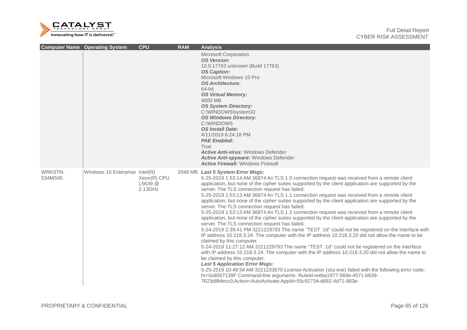

|                           | <b>Computer Name Operating System</b> | <b>CPU</b>                       | <b>RAM</b> | <b>Analysis</b>                                                                                                                                                                                                                                                                                                                                                                                                                                                                                                                                                                                                                                                                                                                                                                                                                                                                                                                                                                                                                                                                                                                                                                                                                                                                                                                                                                                                                                                                                                                                                                    |
|---------------------------|---------------------------------------|----------------------------------|------------|------------------------------------------------------------------------------------------------------------------------------------------------------------------------------------------------------------------------------------------------------------------------------------------------------------------------------------------------------------------------------------------------------------------------------------------------------------------------------------------------------------------------------------------------------------------------------------------------------------------------------------------------------------------------------------------------------------------------------------------------------------------------------------------------------------------------------------------------------------------------------------------------------------------------------------------------------------------------------------------------------------------------------------------------------------------------------------------------------------------------------------------------------------------------------------------------------------------------------------------------------------------------------------------------------------------------------------------------------------------------------------------------------------------------------------------------------------------------------------------------------------------------------------------------------------------------------------|
|                           |                                       |                                  |            | <b>Microsoft Corporation</b><br><b>OS Version:</b><br>10.0.17763 unknown (Build 17763)<br><b>OS Caption:</b><br>Microsoft Windows 10 Pro<br><b>OS Architecture:</b><br>64-bit<br><b>OS Virtual Memory:</b><br>4800 MB<br><b>OS System Directory:</b><br>C:\WINDOWS\system32<br><b>OS Windows Directory:</b><br>C:\WINDOWS<br><b>OS Install Date:</b><br>4/11/2019 6:24:18 PM<br><b>PAE Enabled:</b><br>True<br><b>Active Anti-virus: Windows Defender</b><br>Active Anti-spyware: Windows Defender<br><b>Active Firewall: Windows Firewall</b>                                                                                                                                                                                                                                                                                                                                                                                                                                                                                                                                                                                                                                                                                                                                                                                                                                                                                                                                                                                                                                     |
| <b>WRKSTN-</b><br>534MS45 | Windows 10 Enterprise Intel(R)        | Xeon(R) CPU<br>L5639@<br>2.13GHz |            | 2048 MB Last 5 System Error Msgs:<br>5-25-2019 1:53:14 AM 36874 An TLS 1.0 connection request was received from a remote client<br>application, but none of the cipher suites supported by the client application are supported by the<br>server. The TLS connection request has failed.<br>5-25-2019 1:53:13 AM 36874 An TLS 1.1 connection request was received from a remote client<br>application, but none of the cipher suites supported by the client application are supported by the<br>server. The TLS connection request has failed.<br>5-25-2019 1:53:13 AM 36874 An TLS 1.2 connection request was received from a remote client<br>application, but none of the cipher suites supported by the client application are supported by the<br>server. The TLS connection request has failed.<br>5-24-2019 2:39:41 PM 3221229793 The name "TEST :1d" could not be registered on the interface with<br>IP address 10.218.3.24. The computer with the IP address 10.218.3.20 did not allow the name to be<br>claimed by this computer.<br>5-24-2019 11:27:12 AM 3221229793 The name "TEST :1d" could not be registered on the interface<br>with IP address 10.218.3.24. The computer with the IP address 10.218.3.20 did not allow the name to<br>be claimed by this computer.<br><b>Last 5 Application Error Msgs:</b><br>5-25-2019 10:49:54 AM 3221233670 License Activation (slui.exe) failed with the following error code:<br>hr=0x8007139F Command-line arguments: RuleId=eeba1977-569e-4571-b639-<br>7623d8bfecc0;Action=AutoActivate;AppId=55c92734-d682-4d71-983e- |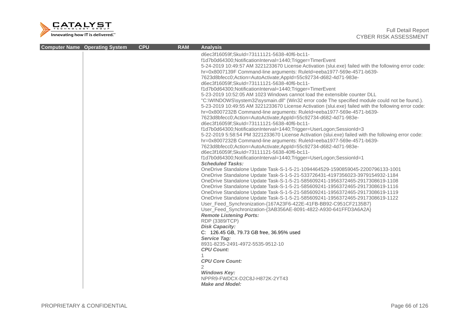

| <b>Computer Name Operating System</b> | <b>CPU</b> | <b>RAM</b> | <b>Analysis</b>                                                                                                                                                                                                                                                                                                                                                                                                                                                                                                                                                                                                                                                                                                                                                                                                                                                                                                                                                                                                                                                                                                                                                                                                                                                                                                                                                                                                                                                                                                                                                                                                                                                                                                                                                                                                                                                                                                                                                                                                                                                                                                                                                                                                                                                                                                                                                                                                                              |
|---------------------------------------|------------|------------|----------------------------------------------------------------------------------------------------------------------------------------------------------------------------------------------------------------------------------------------------------------------------------------------------------------------------------------------------------------------------------------------------------------------------------------------------------------------------------------------------------------------------------------------------------------------------------------------------------------------------------------------------------------------------------------------------------------------------------------------------------------------------------------------------------------------------------------------------------------------------------------------------------------------------------------------------------------------------------------------------------------------------------------------------------------------------------------------------------------------------------------------------------------------------------------------------------------------------------------------------------------------------------------------------------------------------------------------------------------------------------------------------------------------------------------------------------------------------------------------------------------------------------------------------------------------------------------------------------------------------------------------------------------------------------------------------------------------------------------------------------------------------------------------------------------------------------------------------------------------------------------------------------------------------------------------------------------------------------------------------------------------------------------------------------------------------------------------------------------------------------------------------------------------------------------------------------------------------------------------------------------------------------------------------------------------------------------------------------------------------------------------------------------------------------------------|
|                                       |            |            | d6ec3f16059f;SkuId=73111121-5638-40f6-bc11-<br>f1d7b0d64300;NotificationInterval=1440;Trigger=TimerEvent<br>5-24-2019 10:49:57 AM 3221233670 License Activation (slui.exe) failed with the following error code:<br>hr=0x8007139F Command-line arguments: RuleId=eeba1977-569e-4571-b639-<br>7623d8bfecc0;Action=AutoActivate;AppId=55c92734-d682-4d71-983e-<br>d6ec3f16059f;SkuId=73111121-5638-40f6-bc11-<br>f1d7b0d64300;NotificationInterval=1440;Trigger=TimerEvent<br>5-23-2019 10:52:05 AM 1023 Windows cannot load the extensible counter DLL<br>"C:\WINDOWS\system32\sysmain.dll" (Win32 error code The specified module could not be found.).<br>5-23-2019 10:49:55 AM 3221233670 License Activation (slui.exe) failed with the following error code:<br>hr=0x8007232B Command-line arguments: RuleId=eeba1977-569e-4571-b639-<br>7623d8bfecc0;Action=AutoActivate;AppId=55c92734-d682-4d71-983e-<br>d6ec3f16059f;SkuId=73111121-5638-40f6-bc11-<br>f1d7b0d64300;NotificationInterval=1440;Trigger=UserLogon;SessionId=3<br>5-22-2019 5:58:54 PM 3221233670 License Activation (slui.exe) failed with the following error code:<br>hr=0x8007232B Command-line arguments: RuleId=eeba1977-569e-4571-b639-<br>7623d8bfecc0;Action=AutoActivate;AppId=55c92734-d682-4d71-983e-<br>d6ec3f16059f;SkuId=73111121-5638-40f6-bc11-<br>f1d7b0d64300;NotificationInterval=1440;Trigger=UserLogon;SessionId=1<br><b>Scheduled Tasks:</b><br>OneDrive Standalone Update Task-S-1-5-21-1094464529-1590859045-2200796133-1001<br>OneDrive Standalone Update Task-S-1-5-21-533726431-4197356023-3979154932-1184<br>OneDrive Standalone Update Task-S-1-5-21-585609241-1956372465-2917308619-1108<br>OneDrive Standalone Update Task-S-1-5-21-585609241-1956372465-2917308619-1116<br>OneDrive Standalone Update Task-S-1-5-21-585609241-1956372465-2917308619-1119<br>OneDrive Standalone Update Task-S-1-5-21-585609241-1956372465-2917308619-1122<br>User Feed Synchronization-{167A23F6-422E-41FB-BB92-C951CF2135B7}<br>User_Feed_Synchronization-{3AB356AE-8091-4822-A930-641FFD3A6A2A}<br><b>Remote Listening Ports:</b><br>RDP (3389/TCP)<br><b>Disk Capacity:</b><br>C: 126.45 GB, 79.73 GB free, 36.95% used<br><b>Service Tag:</b><br>8931-8235-2491-4972-5535-9512-10<br><b>CPU Count:</b><br>$\mathbf{1}$<br><b>CPU Core Count:</b><br>$\mathcal{P}$<br><b>Windows Key:</b><br>NPPR9-FWDCX-D2C8J-H872K-2YT43<br><b>Make and Model:</b> |
|                                       |            |            |                                                                                                                                                                                                                                                                                                                                                                                                                                                                                                                                                                                                                                                                                                                                                                                                                                                                                                                                                                                                                                                                                                                                                                                                                                                                                                                                                                                                                                                                                                                                                                                                                                                                                                                                                                                                                                                                                                                                                                                                                                                                                                                                                                                                                                                                                                                                                                                                                                              |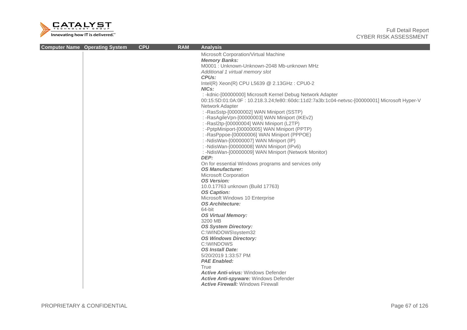

| <b>Computer Name Operating System</b> | <b>CPU</b> | <b>RAM</b> | <b>Analysis</b>                                                                                                |
|---------------------------------------|------------|------------|----------------------------------------------------------------------------------------------------------------|
|                                       |            |            | Microsoft Corporation/Virtual Machine                                                                          |
|                                       |            |            | <b>Memory Banks:</b>                                                                                           |
|                                       |            |            | M0001: Unknown-Unknown-2048 Mb-unknown MHz                                                                     |
|                                       |            |            | Additional 1 virtual memory slot                                                                               |
|                                       |            |            | CPU <sub>s</sub> :                                                                                             |
|                                       |            |            | Intel(R) Xeon(R) CPU L5639 @ 2.13GHz : CPU0-2                                                                  |
|                                       |            |            | NICs:                                                                                                          |
|                                       |            |            | : - kdnic-[00000000] Microsoft Kernel Debug Network Adapter                                                    |
|                                       |            |            | 00:15:5D:01:0A:0F:10.218.3.24;fe80::60dc:11d2:7a3b:1c04-netvsc-[00000001] Microsoft Hyper-V<br>Network Adapter |
|                                       |            |            |                                                                                                                |
|                                       |            |            | : -RasSstp-[00000002] WAN Miniport (SSTP)<br>: -RasAgileVpn-[00000003] WAN Miniport (IKEv2)                    |
|                                       |            |            | : - Rasl2tp-[00000004] WAN Miniport (L2TP)                                                                     |
|                                       |            |            | : - PptpMiniport-[00000005] WAN Miniport (PPTP)                                                                |
|                                       |            |            | : - RasPppoe-[00000006] WAN Miniport (PPPOE)                                                                   |
|                                       |            |            | : -NdisWan-[00000007] WAN Miniport (IP)                                                                        |
|                                       |            |            | : -NdisWan-[00000008] WAN Miniport (IPv6)                                                                      |
|                                       |            |            | : -NdisWan-[00000009] WAN Miniport (Network Monitor)                                                           |
|                                       |            |            | DEP:                                                                                                           |
|                                       |            |            | On for essential Windows programs and services only                                                            |
|                                       |            |            | <b>OS Manufacturer:</b>                                                                                        |
|                                       |            |            | <b>Microsoft Corporation</b>                                                                                   |
|                                       |            |            | <b>OS Version:</b>                                                                                             |
|                                       |            |            | 10.0.17763 unknown (Build 17763)                                                                               |
|                                       |            |            | <b>OS Caption:</b>                                                                                             |
|                                       |            |            | Microsoft Windows 10 Enterprise                                                                                |
|                                       |            |            | <b>OS Architecture:</b>                                                                                        |
|                                       |            |            | 64-bit                                                                                                         |
|                                       |            |            | <b>OS Virtual Memory:</b>                                                                                      |
|                                       |            |            | 3200 MB                                                                                                        |
|                                       |            |            | <b>OS System Directory:</b>                                                                                    |
|                                       |            |            | C:\WINDOWS\system32                                                                                            |
|                                       |            |            | <b>OS Windows Directory:</b>                                                                                   |
|                                       |            |            | C:\WINDOWS                                                                                                     |
|                                       |            |            | <b>OS Install Date:</b>                                                                                        |
|                                       |            |            | 5/20/2019 1:33:57 PM                                                                                           |
|                                       |            |            | <b>PAE Enabled:</b><br>True                                                                                    |
|                                       |            |            | <b>Active Anti-virus: Windows Defender</b>                                                                     |
|                                       |            |            | Active Anti-spyware: Windows Defender                                                                          |
|                                       |            |            | <b>Active Firewall: Windows Firewall</b>                                                                       |
|                                       |            |            |                                                                                                                |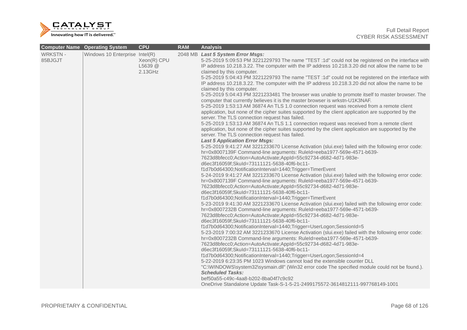

|                           | <b>Computer Name Operating System</b> | <b>CPU</b>                        | <b>RAM</b> | <b>Analysis</b>                                                                                                                                                                                                                                                                                                                                                                                                                                                                                                                                                                                                                                                                                                                                                                                                                                                                                                                                                                                                                                                                                                                                                                                                                                                                                                                                                                                                                                                                                                                                                                                                                                                                                                                                                                                                                                                                                                                                                                                                                                                                                                                                                                                                                                                                                                                                                                                                                                                                                                                                                                                                                                                                                                                                                                                                                                                                                                                                                                              |
|---------------------------|---------------------------------------|-----------------------------------|------------|----------------------------------------------------------------------------------------------------------------------------------------------------------------------------------------------------------------------------------------------------------------------------------------------------------------------------------------------------------------------------------------------------------------------------------------------------------------------------------------------------------------------------------------------------------------------------------------------------------------------------------------------------------------------------------------------------------------------------------------------------------------------------------------------------------------------------------------------------------------------------------------------------------------------------------------------------------------------------------------------------------------------------------------------------------------------------------------------------------------------------------------------------------------------------------------------------------------------------------------------------------------------------------------------------------------------------------------------------------------------------------------------------------------------------------------------------------------------------------------------------------------------------------------------------------------------------------------------------------------------------------------------------------------------------------------------------------------------------------------------------------------------------------------------------------------------------------------------------------------------------------------------------------------------------------------------------------------------------------------------------------------------------------------------------------------------------------------------------------------------------------------------------------------------------------------------------------------------------------------------------------------------------------------------------------------------------------------------------------------------------------------------------------------------------------------------------------------------------------------------------------------------------------------------------------------------------------------------------------------------------------------------------------------------------------------------------------------------------------------------------------------------------------------------------------------------------------------------------------------------------------------------------------------------------------------------------------------------------------------------|
| <b>WRKSTN-</b><br>85BJGJT | Windows 10 Enterprise Intel(R)        | Xeon(R) CPU<br>L5639 @<br>2.13GHz |            | 2048 MB Last 5 System Error Msgs:<br>5-25-2019 5:09:53 PM 3221229793 The name "TEST :1d" could not be registered on the interface with<br>IP address 10.218.3.22. The computer with the IP address 10.218.3.20 did not allow the name to be<br>claimed by this computer.<br>5-25-2019 5:04:43 PM 3221229793 The name "TEST :1d" could not be registered on the interface with<br>IP address 10.218.3.22. The computer with the IP address 10.218.3.20 did not allow the name to be<br>claimed by this computer.<br>5-25-2019 5:04:43 PM 3221233481 The browser was unable to promote itself to master browser. The<br>computer that currently believes it is the master browser is wrkstn-U1K3NAF.<br>5-25-2019 1:53:13 AM 36874 An TLS 1.0 connection request was received from a remote client<br>application, but none of the cipher suites supported by the client application are supported by the<br>server. The TLS connection request has failed.<br>5-25-2019 1:53:13 AM 36874 An TLS 1.1 connection request was received from a remote client<br>application, but none of the cipher suites supported by the client application are supported by the<br>server. The TLS connection request has failed.<br><b>Last 5 Application Error Msgs:</b><br>5-25-2019 9:41:27 AM 3221233670 License Activation (slui.exe) failed with the following error code:<br>hr=0x8007139F Command-line arguments: RuleId=eeba1977-569e-4571-b639-<br>7623d8bfecc0;Action=AutoActivate;AppId=55c92734-d682-4d71-983e-<br>d6ec3f16059f;SkuId=73111121-5638-40f6-bc11-<br>f1d7b0d64300;NotificationInterval=1440;Trigger=TimerEvent<br>5-24-2019 9:41:27 AM 3221233670 License Activation (slui.exe) failed with the following error code:<br>hr=0x8007139F Command-line arguments: RuleId=eeba1977-569e-4571-b639-<br>7623d8bfecc0;Action=AutoActivate;AppId=55c92734-d682-4d71-983e-<br>d6ec3f16059f;SkuId=73111121-5638-40f6-bc11-<br>f1d7b0d64300;NotificationInterval=1440;Trigger=TimerEvent<br>5-23-2019 9:41:30 AM 3221233670 License Activation (slui.exe) failed with the following error code:<br>hr=0x8007232B Command-line arguments: RuleId=eeba1977-569e-4571-b639-<br>7623d8bfecc0;Action=AutoActivate;AppId=55c92734-d682-4d71-983e-<br>d6ec3f16059f;SkuId=73111121-5638-40f6-bc11-<br>f1d7b0d64300;NotificationInterval=1440;Trigger=UserLogon;SessionId=5<br>5-23-2019 7:00:32 AM 3221233670 License Activation (slui.exe) failed with the following error code:<br>hr=0x8007232B Command-line arguments: RuleId=eeba1977-569e-4571-b639-<br>7623d8bfecc0;Action=AutoActivate;AppId=55c92734-d682-4d71-983e-<br>d6ec3f16059f;SkuId=73111121-5638-40f6-bc11-<br>f1d7b0d64300;NotificationInterval=1440;Trigger=UserLogon;SessionId=4<br>5-22-2019 6:23:35 PM 1023 Windows cannot load the extensible counter DLL<br>"C:\WINDOWS\system32\sysmain.dll" (Win32 error code The specified module could not be found.).<br><b>Scheduled Tasks:</b><br>bef50a55-c49c-4aa8-b202-8ba04f7c9c92 |
|                           |                                       |                                   |            | OneDrive Standalone Update Task-S-1-5-21-2499175572-3614812111-997768149-1001                                                                                                                                                                                                                                                                                                                                                                                                                                                                                                                                                                                                                                                                                                                                                                                                                                                                                                                                                                                                                                                                                                                                                                                                                                                                                                                                                                                                                                                                                                                                                                                                                                                                                                                                                                                                                                                                                                                                                                                                                                                                                                                                                                                                                                                                                                                                                                                                                                                                                                                                                                                                                                                                                                                                                                                                                                                                                                                |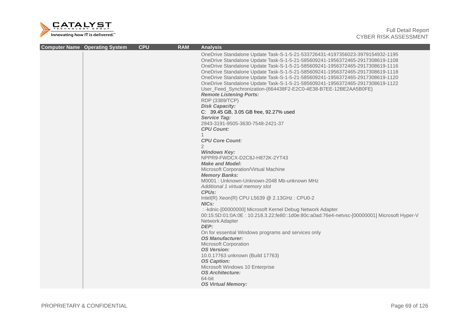

| <b>Computer Name Operating System</b> | <b>CPU</b> | <b>RAM</b> | <b>Analysis</b>                                                                                                                                                                                                                                                                                                                                                                                                                                                                                                                                                                                                                                                                                                                                                                                                                                                                                                                                                                                                                                                                                                                                                                                                                                                                                                                                                                                                                                                                                                                                                                                                                              |
|---------------------------------------|------------|------------|----------------------------------------------------------------------------------------------------------------------------------------------------------------------------------------------------------------------------------------------------------------------------------------------------------------------------------------------------------------------------------------------------------------------------------------------------------------------------------------------------------------------------------------------------------------------------------------------------------------------------------------------------------------------------------------------------------------------------------------------------------------------------------------------------------------------------------------------------------------------------------------------------------------------------------------------------------------------------------------------------------------------------------------------------------------------------------------------------------------------------------------------------------------------------------------------------------------------------------------------------------------------------------------------------------------------------------------------------------------------------------------------------------------------------------------------------------------------------------------------------------------------------------------------------------------------------------------------------------------------------------------------|
|                                       |            |            | OneDrive Standalone Update Task-S-1-5-21-533726431-4197356023-3979154932-1195<br>OneDrive Standalone Update Task-S-1-5-21-585609241-1956372465-2917308619-1108<br>OneDrive Standalone Update Task-S-1-5-21-585609241-1956372465-2917308619-1116<br>OneDrive Standalone Update Task-S-1-5-21-585609241-1956372465-2917308619-1118<br>OneDrive Standalone Update Task-S-1-5-21-585609241-1956372465-2917308619-1120<br>OneDrive Standalone Update Task-S-1-5-21-585609241-1956372465-2917308619-1122<br>User_Feed_Synchronization-{664438F2-E2C0-4E38-B7EE-12BE2AA5B0FE}<br><b>Remote Listening Ports:</b><br>RDP (3389/TCP)<br><b>Disk Capacity:</b><br>C: 39.45 GB, 3.05 GB free, 92.27% used<br><b>Service Tag:</b><br>2943-3191-9505-3630-7548-2421-37<br><b>CPU Count:</b><br>$\mathbf{1}$<br><b>CPU Core Count:</b><br><b>Windows Key:</b><br>NPPR9-FWDCX-D2C8J-H872K-2YT43<br><b>Make and Model:</b><br>Microsoft Corporation/Virtual Machine<br><b>Memory Banks:</b><br>M0001: Unknown-Unknown-2048 Mb-unknown MHz<br>Additional 1 virtual memory slot<br>CPU <sub>s</sub> :<br>Intel(R) Xeon(R) CPU L5639 @ 2.13GHz : CPU0-2<br>NICs:<br>: - kdnic-[00000000] Microsoft Kernel Debug Network Adapter<br>00:15:5D:01:0A:0E: 10.218.3.22;fe80::1d0e:80c:a0ad:76e4-netvsc-[00000001] Microsoft Hyper-V<br>Network Adapter<br>DEP:<br>On for essential Windows programs and services only<br><b>OS Manufacturer:</b><br><b>Microsoft Corporation</b><br><b>OS Version:</b><br>10.0.17763 unknown (Build 17763)<br><b>OS Caption:</b><br>Microsoft Windows 10 Enterprise<br><b>OS Architecture:</b><br>64-bit<br><b>OS Virtual Memory:</b> |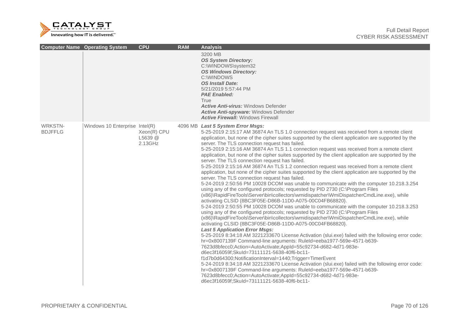

|                                  | <b>Computer Name Operating System</b> | <b>CPU</b>                        | <b>RAM</b> | <b>Analysis</b>                                                                                                                                                                                                                                                                                                                                                                                                                                                                                                                                                                                                                                                                                                                                                                                                                                                                                                                                                                                                                                                                                                                                                                                                                                                                                                                                                                                                                                                                                                                                                                                                                                                                                                                                                                                                                                                                                                                                                                                                                                                                                                                                                                                |
|----------------------------------|---------------------------------------|-----------------------------------|------------|------------------------------------------------------------------------------------------------------------------------------------------------------------------------------------------------------------------------------------------------------------------------------------------------------------------------------------------------------------------------------------------------------------------------------------------------------------------------------------------------------------------------------------------------------------------------------------------------------------------------------------------------------------------------------------------------------------------------------------------------------------------------------------------------------------------------------------------------------------------------------------------------------------------------------------------------------------------------------------------------------------------------------------------------------------------------------------------------------------------------------------------------------------------------------------------------------------------------------------------------------------------------------------------------------------------------------------------------------------------------------------------------------------------------------------------------------------------------------------------------------------------------------------------------------------------------------------------------------------------------------------------------------------------------------------------------------------------------------------------------------------------------------------------------------------------------------------------------------------------------------------------------------------------------------------------------------------------------------------------------------------------------------------------------------------------------------------------------------------------------------------------------------------------------------------------------|
|                                  |                                       |                                   |            | 3200 MB<br><b>OS System Directory:</b><br>C:\WINDOWS\system32<br><b>OS Windows Directory:</b><br>C:\WINDOWS<br><b>OS Install Date:</b><br>5/21/2019 5:57:44 PM<br><b>PAE Enabled:</b><br>True<br><b>Active Anti-virus: Windows Defender</b><br><b>Active Anti-spyware: Windows Defender</b><br><b>Active Firewall: Windows Firewall</b>                                                                                                                                                                                                                                                                                                                                                                                                                                                                                                                                                                                                                                                                                                                                                                                                                                                                                                                                                                                                                                                                                                                                                                                                                                                                                                                                                                                                                                                                                                                                                                                                                                                                                                                                                                                                                                                        |
| <b>WRKSTN-</b><br><b>BDJFFLG</b> | Windows 10 Enterprise Intel(R)        | Xeon(R) CPU<br>L5639 @<br>2.13GHz |            | 4096 MB Last 5 System Error Msgs:<br>5-25-2019 2:15:17 AM 36874 An TLS 1.0 connection request was received from a remote client<br>application, but none of the cipher suites supported by the client application are supported by the<br>server. The TLS connection request has failed.<br>5-25-2019 2:15:16 AM 36874 An TLS 1.1 connection request was received from a remote client<br>application, but none of the cipher suites supported by the client application are supported by the<br>server. The TLS connection request has failed.<br>5-25-2019 2:15:16 AM 36874 An TLS 1.2 connection request was received from a remote client<br>application, but none of the cipher suites supported by the client application are supported by the<br>server. The TLS connection request has failed.<br>5-24-2019 2:50:56 PM 10028 DCOM was unable to communicate with the computer 10.218.3.254<br>using any of the configured protocols; requested by PID 2730 (C:\Program Files<br>(x86)\RapidFireTools\Server\bin\collectors\wmidispatcher\WmiDispatcherCmdLine.exe), while<br>activating CLSID {8BC3F05E-D86B-11D0-A075-00C04FB68820}.<br>5-24-2019 2:50:55 PM 10028 DCOM was unable to communicate with the computer 10.218.3.253<br>using any of the configured protocols; requested by PID 2730 (C:\Program Files<br>(x86)\RapidFireTools\Server\bin\collectors\wmidispatcher\WmiDispatcherCmdLine.exe), while<br>activating CLSID {8BC3F05E-D86B-11D0-A075-00C04FB68820}.<br><b>Last 5 Application Error Msgs:</b><br>5-25-2019 8:34:18 AM 3221233670 License Activation (slui.exe) failed with the following error code:<br>hr=0x8007139F Command-line arguments: RuleId=eeba1977-569e-4571-b639-<br>7623d8bfecc0;Action=AutoActivate;AppId=55c92734-d682-4d71-983e-<br>d6ec3f16059f;SkuId=73111121-5638-40f6-bc11-<br>f1d7b0d64300;NotificationInterval=1440;Trigger=TimerEvent<br>5-24-2019 8:34:18 AM 3221233670 License Activation (slui.exe) failed with the following error code:<br>hr=0x8007139F Command-line arguments: RuleId=eeba1977-569e-4571-b639-<br>7623d8bfecc0;Action=AutoActivate;AppId=55c92734-d682-4d71-983e-<br>d6ec3f16059f;SkuId=73111121-5638-40f6-bc11- |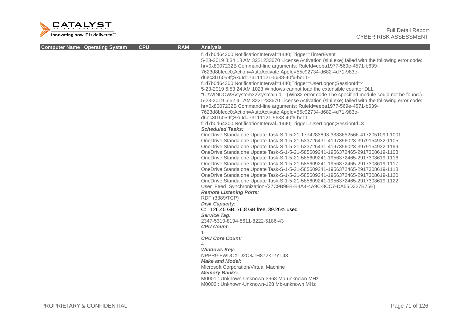

| <b>Computer Name Operating System</b> | <b>CPU</b> | <b>RAM</b> | <b>Analysis</b>                                                                                                                                                                                                                                                                                                                                                                                                                                                                                                                                                                                                                                                                                                                                                                                                                                                                                                                                                                                                                                                                                                                                                                                                                                                                                                                                                                                                                                                                                                                                                                                                                                                                                                                                                                                                                                                                                                                                                                                                                                                                                                                                                                                                                                                                                                                                           |
|---------------------------------------|------------|------------|-----------------------------------------------------------------------------------------------------------------------------------------------------------------------------------------------------------------------------------------------------------------------------------------------------------------------------------------------------------------------------------------------------------------------------------------------------------------------------------------------------------------------------------------------------------------------------------------------------------------------------------------------------------------------------------------------------------------------------------------------------------------------------------------------------------------------------------------------------------------------------------------------------------------------------------------------------------------------------------------------------------------------------------------------------------------------------------------------------------------------------------------------------------------------------------------------------------------------------------------------------------------------------------------------------------------------------------------------------------------------------------------------------------------------------------------------------------------------------------------------------------------------------------------------------------------------------------------------------------------------------------------------------------------------------------------------------------------------------------------------------------------------------------------------------------------------------------------------------------------------------------------------------------------------------------------------------------------------------------------------------------------------------------------------------------------------------------------------------------------------------------------------------------------------------------------------------------------------------------------------------------------------------------------------------------------------------------------------------------|
|                                       |            |            | f1d7b0d64300;NotificationInterval=1440;Trigger=TimerEvent<br>5-23-2019 8:34:18 AM 3221233670 License Activation (slui.exe) failed with the following error code:<br>hr=0x8007232B Command-line arguments: RuleId=eeba1977-569e-4571-b639-<br>7623d8bfecc0;Action=AutoActivate;AppId=55c92734-d682-4d71-983e-<br>d6ec3f16059f;SkuId=73111121-5638-40f6-bc11-<br>f1d7b0d64300;NotificationInterval=1440;Trigger=UserLogon;SessionId=4<br>5-23-2019 6:53:24 AM 1023 Windows cannot load the extensible counter DLL<br>"C:\WINDOWS\system32\sysmain.dll" (Win32 error code The specified module could not be found.).<br>5-23-2019 6:52:41 AM 3221233670 License Activation (slui.exe) failed with the following error code:<br>hr=0x8007232B Command-line arguments: RuleId=eeba1977-569e-4571-b639-<br>7623d8bfecc0;Action=AutoActivate;AppId=55c92734-d682-4d71-983e-<br>d6ec3f16059f;SkuId=73111121-5638-40f6-bc11-<br>f1d7b0d64300;NotificationInterval=1440;Trigger=UserLogon;SessionId=3<br><b>Scheduled Tasks:</b><br>OneDrive Standalone Update Task-S-1-5-21-1774283893-3383652566-4172051099-1001<br>OneDrive Standalone Update Task-S-1-5-21-533726431-4197356023-3979154932-1105<br>OneDrive Standalone Update Task-S-1-5-21-533726431-4197356023-3979154932-1199<br>OneDrive Standalone Update Task-S-1-5-21-585609241-1956372465-2917308619-1108<br>OneDrive Standalone Update Task-S-1-5-21-585609241-1956372465-2917308619-1116<br>OneDrive Standalone Update Task-S-1-5-21-585609241-1956372465-2917308619-1117<br>OneDrive Standalone Update Task-S-1-5-21-585609241-1956372465-2917308619-1118<br>OneDrive Standalone Update Task-S-1-5-21-585609241-1956372465-2917308619-1120<br>OneDrive Standalone Update Task-S-1-5-21-585609241-1956372465-2917308619-1122<br>User_Feed_Synchronization-{27C9B9EB-B4A4-4A9C-8CC7-DA55D327B75E}<br><b>Remote Listening Ports:</b><br>RDP (3389/TCP)<br><b>Disk Capacity:</b><br>C: 126.45 GB, 76.8 GB free, 39.26% used<br><b>Service Tag:</b><br>2347-5310-8194-8611-8222-5186-43<br><b>CPU Count:</b><br>$\mathbf{1}$<br><b>CPU Core Count:</b><br>4<br><b>Windows Key:</b><br>NPPR9-FWDCX-D2C8J-H872K-2YT43<br><b>Make and Model:</b><br>Microsoft Corporation/Virtual Machine<br><b>Memory Banks:</b><br>M0001: Unknown-Unknown-3968 Mb-unknown MHz<br>M0002: Unknown-Unknown-128 Mb-unknown MHz |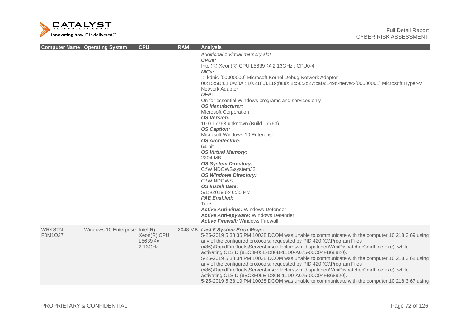

|                           | <b>Computer Name Operating System</b> | <b>CPU</b>                       | <b>RAM</b> | <b>Analysis</b>                                                                                                                                                                                                                                                                                                                                                                                                                                                                                                                                                                                                                                                                                                                                                                                                                                                                                                                                                     |
|---------------------------|---------------------------------------|----------------------------------|------------|---------------------------------------------------------------------------------------------------------------------------------------------------------------------------------------------------------------------------------------------------------------------------------------------------------------------------------------------------------------------------------------------------------------------------------------------------------------------------------------------------------------------------------------------------------------------------------------------------------------------------------------------------------------------------------------------------------------------------------------------------------------------------------------------------------------------------------------------------------------------------------------------------------------------------------------------------------------------|
|                           |                                       |                                  |            | Additional 1 virtual memory slot<br>CPU <sub>s</sub> :<br>Intel(R) Xeon(R) CPU L5639 @ 2.13GHz : CPU0-4<br>NIC <sub>s</sub> :<br>: - kdnic-[00000000] Microsoft Kernel Debug Network Adapter<br>00:15:5D:01:0A:0A: 10.218.3.119;fe80::8c50:2d27:cafa:149d-netvsc-[00000001] Microsoft Hyper-V<br>Network Adapter<br>DEP:<br>On for essential Windows programs and services only<br><b>OS Manufacturer:</b><br><b>Microsoft Corporation</b><br><b>OS Version:</b><br>10.0.17763 unknown (Build 17763)<br><b>OS Caption:</b><br>Microsoft Windows 10 Enterprise<br><b>OS Architecture:</b><br>64-bit<br><b>OS Virtual Memory:</b><br>2304 MB<br><b>OS System Directory:</b><br>C:\WINDOWS\system32<br><b>OS Windows Directory:</b><br>C:\WINDOWS<br><b>OS Install Date:</b><br>5/15/2019 6:46:35 PM<br><b>PAE Enabled:</b><br>True<br><b>Active Anti-virus: Windows Defender</b><br>Active Anti-spyware: Windows Defender<br><b>Active Firewall: Windows Firewall</b> |
| <b>WRKSTN-</b><br>F0M1O27 | Windows 10 Enterprise Intel(R)        | Xeon(R) CPU<br>L5639@<br>2.13GHz |            | 2048 MB Last 5 System Error Msgs:<br>5-25-2019 5:38:35 PM 10028 DCOM was unable to communicate with the computer 10.218.3.69 using<br>any of the configured protocols; requested by PID 420 (C:\Program Files<br>(x86)\RapidFireTools\Server\bin\collectors\wmidispatcher\WmiDispatcherCmdLine.exe), while<br>activating CLSID {8BC3F05E-D86B-11D0-A075-00C04FB68820}.<br>5-25-2019 5:38:34 PM 10028 DCOM was unable to communicate with the computer 10.218.3.68 using<br>any of the configured protocols; requested by PID 420 (C:\Program Files<br>(x86)\RapidFireTools\Server\bin\collectors\wmidispatcher\WmiDispatcherCmdLine.exe), while<br>activating CLSID {8BC3F05E-D86B-11D0-A075-00C04FB68820}.<br>5-25-2019 5:38:19 PM 10028 DCOM was unable to communicate with the computer 10.218.3.67 using                                                                                                                                                        |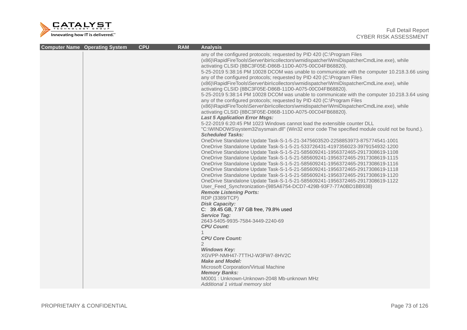

| <b>Computer Name Operating System</b> | <b>CPU</b> | <b>RAM</b> | <b>Analysis</b>                                                                                                                                                                                                                                                                                                                                                                                                                                                                                                                                                                                                                                                                                                                                                                                                                                                                                                                                                                                                                                                                                                                                                                                                                                                                                                                                                                                                 |
|---------------------------------------|------------|------------|-----------------------------------------------------------------------------------------------------------------------------------------------------------------------------------------------------------------------------------------------------------------------------------------------------------------------------------------------------------------------------------------------------------------------------------------------------------------------------------------------------------------------------------------------------------------------------------------------------------------------------------------------------------------------------------------------------------------------------------------------------------------------------------------------------------------------------------------------------------------------------------------------------------------------------------------------------------------------------------------------------------------------------------------------------------------------------------------------------------------------------------------------------------------------------------------------------------------------------------------------------------------------------------------------------------------------------------------------------------------------------------------------------------------|
|                                       |            |            | any of the configured protocols; requested by PID 420 (C:\Program Files<br>(x86)\RapidFireTools\Server\bin\collectors\wmidispatcher\WmiDispatcherCmdLine.exe), while<br>activating CLSID {8BC3F05E-D86B-11D0-A075-00C04FB68820}.<br>5-25-2019 5:38:16 PM 10028 DCOM was unable to communicate with the computer 10.218.3.66 using<br>any of the configured protocols; requested by PID 420 (C:\Program Files<br>(x86)\RapidFireTools\Server\bin\collectors\wmidispatcher\WmiDispatcherCmdLine.exe), while<br>activating CLSID {8BC3F05E-D86B-11D0-A075-00C04FB68820}.<br>5-25-2019 5:38:14 PM 10028 DCOM was unable to communicate with the computer 10.218.3.64 using<br>any of the configured protocols; requested by PID 420 (C:\Program Files<br>(x86)\RapidFireTools\Server\bin\collectors\wmidispatcher\WmiDispatcherCmdLine.exe), while<br>activating CLSID {8BC3F05E-D86B-11D0-A075-00C04FB68820}.<br><b>Last 5 Application Error Msgs:</b><br>5-22-2019 6:20:45 PM 1023 Windows cannot load the extensible counter DLL<br>"C:\WINDOWS\system32\sysmain.dll" (Win32 error code The specified module could not be found.).<br><b>Scheduled Tasks:</b><br>OneDrive Standalone Update Task-S-1-5-21-3475603520-2258853973-875774541-1001<br>OneDrive Standalone Update Task-S-1-5-21-533726431-4197356023-3979154932-1200<br>OneDrive Standalone Update Task-S-1-5-21-585609241-1956372465-2917308619-1108 |
|                                       |            |            | OneDrive Standalone Update Task-S-1-5-21-585609241-1956372465-2917308619-1115<br>OneDrive Standalone Update Task-S-1-5-21-585609241-1956372465-2917308619-1116<br>OneDrive Standalone Update Task-S-1-5-21-585609241-1956372465-2917308619-1118<br>OneDrive Standalone Update Task-S-1-5-21-585609241-1956372465-2917308619-1120<br>OneDrive Standalone Update Task-S-1-5-21-585609241-1956372465-2917308619-1122<br>User Feed Synchronization-{985A6754-DCD7-429B-93F7-77A0BD1BB938}                                                                                                                                                                                                                                                                                                                                                                                                                                                                                                                                                                                                                                                                                                                                                                                                                                                                                                                           |
|                                       |            |            | <b>Remote Listening Ports:</b><br>RDP (3389/TCP)<br><b>Disk Capacity:</b><br>C: 39.45 GB, 7.97 GB free, 79.8% used<br><b>Service Tag:</b>                                                                                                                                                                                                                                                                                                                                                                                                                                                                                                                                                                                                                                                                                                                                                                                                                                                                                                                                                                                                                                                                                                                                                                                                                                                                       |
|                                       |            |            | 2643-5405-9935-7584-3449-2240-69<br><b>CPU Count:</b><br>1<br><b>CPU Core Count:</b><br>2                                                                                                                                                                                                                                                                                                                                                                                                                                                                                                                                                                                                                                                                                                                                                                                                                                                                                                                                                                                                                                                                                                                                                                                                                                                                                                                       |
|                                       |            |            | <b>Windows Key:</b><br>XGVPP-NMH47-7TTHJ-W3FW7-8HV2C<br><b>Make and Model:</b><br>Microsoft Corporation/Virtual Machine<br><b>Memory Banks:</b>                                                                                                                                                                                                                                                                                                                                                                                                                                                                                                                                                                                                                                                                                                                                                                                                                                                                                                                                                                                                                                                                                                                                                                                                                                                                 |
|                                       |            |            | M0001: Unknown-Unknown-2048 Mb-unknown MHz<br>Additional 1 virtual memory slot                                                                                                                                                                                                                                                                                                                                                                                                                                                                                                                                                                                                                                                                                                                                                                                                                                                                                                                                                                                                                                                                                                                                                                                                                                                                                                                                  |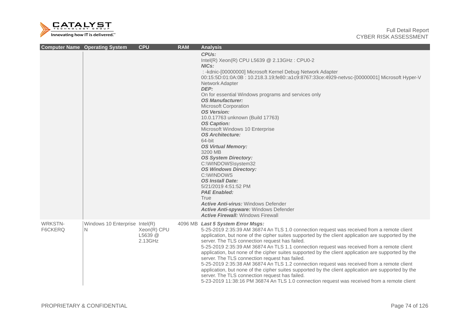

|                           | <b>Computer Name Operating System</b> | <b>CPU</b>                        | <b>RAM</b> | <b>Analysis</b>                                                                                                                                                                                                                                                                                                                                                                                                                                                                                                                                                                                                                                                                                                                                                                                                                                                                                            |
|---------------------------|---------------------------------------|-----------------------------------|------------|------------------------------------------------------------------------------------------------------------------------------------------------------------------------------------------------------------------------------------------------------------------------------------------------------------------------------------------------------------------------------------------------------------------------------------------------------------------------------------------------------------------------------------------------------------------------------------------------------------------------------------------------------------------------------------------------------------------------------------------------------------------------------------------------------------------------------------------------------------------------------------------------------------|
|                           |                                       |                                   |            | CPUs:<br>Intel(R) Xeon(R) CPU L5639 @ 2.13GHz : CPU0-2<br>NICs:<br>: - kdnic-[00000000] Microsoft Kernel Debug Network Adapter<br>00:15:5D:01:0A:0B:10.218.3.19;fe80::a1c9:8767:33ce:4929-netvsc-[00000001] Microsoft Hyper-V<br>Network Adapter<br>DEP:<br>On for essential Windows programs and services only<br><b>OS Manufacturer:</b><br><b>Microsoft Corporation</b><br><b>OS Version:</b><br>10.0.17763 unknown (Build 17763)<br><b>OS Caption:</b><br>Microsoft Windows 10 Enterprise<br><b>OS Architecture:</b><br>64-bit<br><b>OS Virtual Memory:</b><br>3200 MB<br><b>OS System Directory:</b><br>C:\WINDOWS\system32<br><b>OS Windows Directory:</b><br>C:\WINDOWS<br><b>OS Install Date:</b><br>5/21/2019 4:51:52 PM<br><b>PAE Enabled:</b><br><b>True</b><br><b>Active Anti-virus: Windows Defender</b><br>Active Anti-spyware: Windows Defender<br><b>Active Firewall: Windows Firewall</b> |
| <b>WRKSTN-</b><br>F6CKERO | Windows 10 Enterprise Intel(R)<br>N   | Xeon(R) CPU<br>L5639 @<br>2.13GHz |            | 4096 MB Last 5 System Error Msgs:<br>5-25-2019 2:35:39 AM 36874 An TLS 1.0 connection request was received from a remote client<br>application, but none of the cipher suites supported by the client application are supported by the<br>server. The TLS connection request has failed.<br>5-25-2019 2:35:39 AM 36874 An TLS 1.1 connection request was received from a remote client<br>application, but none of the cipher suites supported by the client application are supported by the<br>server. The TLS connection request has failed.<br>5-25-2019 2:35:38 AM 36874 An TLS 1.2 connection request was received from a remote client<br>application, but none of the cipher suites supported by the client application are supported by the<br>server. The TLS connection request has failed.<br>5-23-2019 11:38:16 PM 36874 An TLS 1.0 connection request was received from a remote client      |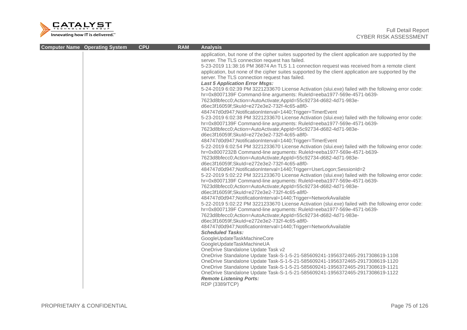

| <b>Computer Name Operating System</b> | <b>CPU</b> | <b>RAM</b> | <b>Analysis</b>                                                                                                                                                                                                                                                                                                                                                                                                                                                                                                                                                                                                                                                                                                                                                                                                                                                                                                                                                                                                                                                                                                                                                                                                                                                                                                                                                                                                                                                                                                                                                                                                                                                                                                                                                                                                                                                                                                                                                                                                                                                                                                                                                                                                                                                                                                                                                                                                                                                                                                                                                                                                                                                                                                                                                                                                               |
|---------------------------------------|------------|------------|-------------------------------------------------------------------------------------------------------------------------------------------------------------------------------------------------------------------------------------------------------------------------------------------------------------------------------------------------------------------------------------------------------------------------------------------------------------------------------------------------------------------------------------------------------------------------------------------------------------------------------------------------------------------------------------------------------------------------------------------------------------------------------------------------------------------------------------------------------------------------------------------------------------------------------------------------------------------------------------------------------------------------------------------------------------------------------------------------------------------------------------------------------------------------------------------------------------------------------------------------------------------------------------------------------------------------------------------------------------------------------------------------------------------------------------------------------------------------------------------------------------------------------------------------------------------------------------------------------------------------------------------------------------------------------------------------------------------------------------------------------------------------------------------------------------------------------------------------------------------------------------------------------------------------------------------------------------------------------------------------------------------------------------------------------------------------------------------------------------------------------------------------------------------------------------------------------------------------------------------------------------------------------------------------------------------------------------------------------------------------------------------------------------------------------------------------------------------------------------------------------------------------------------------------------------------------------------------------------------------------------------------------------------------------------------------------------------------------------------------------------------------------------------------------------------------------------|
|                                       |            |            | application, but none of the cipher suites supported by the client application are supported by the<br>server. The TLS connection request has failed.<br>5-23-2019 11:38:16 PM 36874 An TLS 1.1 connection request was received from a remote client<br>application, but none of the cipher suites supported by the client application are supported by the<br>server. The TLS connection request has failed.<br><b>Last 5 Application Error Msgs:</b><br>5-24-2019 6:02:39 PM 3221233670 License Activation (slui.exe) failed with the following error code:<br>hr=0x8007139F Command-line arguments: RuleId=eeba1977-569e-4571-b639-<br>7623d8bfecc0;Action=AutoActivate;AppId=55c92734-d682-4d71-983e-<br>d6ec3f16059f;SkuId=e272e3e2-732f-4c65-a8f0-<br>484747d0d947;NotificationInterval=1440;Trigger=TimerEvent<br>5-23-2019 6:02:38 PM 3221233670 License Activation (slui.exe) failed with the following error code:<br>hr=0x8007139F Command-line arguments: RuleId=eeba1977-569e-4571-b639-<br>7623d8bfecc0;Action=AutoActivate;AppId=55c92734-d682-4d71-983e-<br>d6ec3f16059f;SkuId=e272e3e2-732f-4c65-a8f0-<br>484747d0d947;NotificationInterval=1440;Trigger=TimerEvent<br>5-22-2019 6:02:54 PM 3221233670 License Activation (slui.exe) failed with the following error code:<br>hr=0x8007232B Command-line arguments: RuleId=eeba1977-569e-4571-b639-<br>7623d8bfecc0;Action=AutoActivate;AppId=55c92734-d682-4d71-983e-<br>d6ec3f16059f;SkuId=e272e3e2-732f-4c65-a8f0-<br>484747d0d947;NotificationInterval=1440;Trigger=UserLogon;SessionId=2<br>5-22-2019 5:02:22 PM 3221233670 License Activation (slui.exe) failed with the following error code:<br>hr=0x8007139F Command-line arguments: RuleId=eeba1977-569e-4571-b639-<br>7623d8bfecc0;Action=AutoActivate;AppId=55c92734-d682-4d71-983e-<br>d6ec3f16059f;SkuId=e272e3e2-732f-4c65-a8f0-<br>484747d0d947;NotificationInterval=1440;Trigger=NetworkAvailable<br>5-22-2019 5:02:22 PM 3221233670 License Activation (slui.exe) failed with the following error code:<br>hr=0x8007139F Command-line arguments: RuleId=eeba1977-569e-4571-b639-<br>7623d8bfecc0;Action=AutoActivate;AppId=55c92734-d682-4d71-983e-<br>d6ec3f16059f;SkuId=e272e3e2-732f-4c65-a8f0-<br>484747d0d947;NotificationInterval=1440;Trigger=NetworkAvailable<br><b>Scheduled Tasks:</b><br>GoogleUpdateTaskMachineCore<br>GoogleUpdateTaskMachineUA<br>OneDrive Standalone Update Task v2<br>OneDrive Standalone Update Task-S-1-5-21-585609241-1956372465-2917308619-1108<br>OneDrive Standalone Update Task-S-1-5-21-585609241-1956372465-2917308619-1120<br>OneDrive Standalone Update Task-S-1-5-21-585609241-1956372465-2917308619-1121<br>OneDrive Standalone Update Task-S-1-5-21-585609241-1956372465-2917308619-1122<br><b>Remote Listening Ports:</b><br>RDP (3389/TCP) |
|                                       |            |            |                                                                                                                                                                                                                                                                                                                                                                                                                                                                                                                                                                                                                                                                                                                                                                                                                                                                                                                                                                                                                                                                                                                                                                                                                                                                                                                                                                                                                                                                                                                                                                                                                                                                                                                                                                                                                                                                                                                                                                                                                                                                                                                                                                                                                                                                                                                                                                                                                                                                                                                                                                                                                                                                                                                                                                                                                               |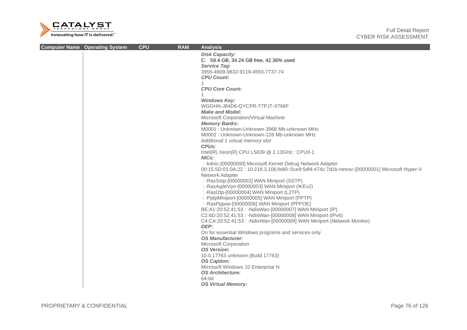

| <b>Computer Name Operating System</b> | <b>CPU</b> | <b>RAM</b> | <b>Analysis</b>                                                                              |
|---------------------------------------|------------|------------|----------------------------------------------------------------------------------------------|
|                                       |            |            | <b>Disk Capacity:</b>                                                                        |
|                                       |            |            | C: 59.4 GB, 34.24 GB free, 42.36% used                                                       |
|                                       |            |            | <b>Service Tag:</b>                                                                          |
|                                       |            |            | 3955-4909-9832-9119-4593-7737-74                                                             |
|                                       |            |            | <b>CPU Count:</b>                                                                            |
|                                       |            |            | 1                                                                                            |
|                                       |            |            | <b>CPU Core Count:</b>                                                                       |
|                                       |            |            |                                                                                              |
|                                       |            |            | <b>Windows Key:</b>                                                                          |
|                                       |            |            | WGGHN-J84D6-QYCPR-T7PJ7-X766F                                                                |
|                                       |            |            | <b>Make and Model:</b>                                                                       |
|                                       |            |            | Microsoft Corporation/Virtual Machine                                                        |
|                                       |            |            | <b>Memory Banks:</b>                                                                         |
|                                       |            |            | M0001: Unknown-Unknown-3968 Mb-unknown MHz                                                   |
|                                       |            |            | M0002: Unknown-Unknown-128 Mb-unknown MHz                                                    |
|                                       |            |            | Additional 1 virtual memory slot                                                             |
|                                       |            |            | CPU <sub>s</sub> :                                                                           |
|                                       |            |            | Intel(R) Xeon(R) CPU L5639 @ 2.13GHz : CPU0-1                                                |
|                                       |            |            | NICs:                                                                                        |
|                                       |            |            | : - kdnic-[00000000] Microsoft Kernel Debug Network Adapter                                  |
|                                       |            |            | 00:15:5D:01:0A:22:10.218.3.106;fe80::5ce9:5df4:474c:7d1b-netvsc-[00000001] Microsoft Hyper-V |
|                                       |            |            | Network Adapter                                                                              |
|                                       |            |            | : -RasSstp-[00000002] WAN Miniport (SSTP)<br>: -RasAgileVpn-[00000003] WAN Miniport (IKEv2)  |
|                                       |            |            | : -Rasl2tp- $[00000004]$ WAN Miniport (L2TP)                                                 |
|                                       |            |            | : - PptpMiniport-[00000005] WAN Miniport (PPTP)                                              |
|                                       |            |            | : -RasPppoe-[00000006] WAN Miniport (PPPOE)                                                  |
|                                       |            |            | BE:A1:20:52:41:53 : -NdisWan-[00000007] WAN Miniport (IP)                                    |
|                                       |            |            | C2:6D:20:52:41:53 : - NdisWan-[00000008] WAN Miniport (IPv6)                                 |
|                                       |            |            | C4:CA:20:52:41:53 : - NdisWan-[00000009] WAN Miniport (Network Monitor)                      |
|                                       |            |            | DEP:                                                                                         |
|                                       |            |            | On for essential Windows programs and services only                                          |
|                                       |            |            | <b>OS Manufacturer:</b>                                                                      |
|                                       |            |            | <b>Microsoft Corporation</b>                                                                 |
|                                       |            |            | <b>OS Version:</b>                                                                           |
|                                       |            |            | 10.0.17763 unknown (Build 17763)                                                             |
|                                       |            |            | <b>OS Caption:</b>                                                                           |
|                                       |            |            | Microsoft Windows 10 Enterprise N                                                            |
|                                       |            |            | <b>OS Architecture:</b>                                                                      |
|                                       |            |            | 64-bit                                                                                       |
|                                       |            |            | <b>OS Virtual Memory:</b>                                                                    |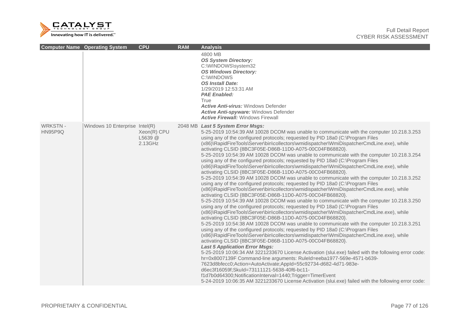

|                    | <b>Computer Name Operating System</b> | <b>CPU</b>                       | <b>RAM</b> | <b>Analysis</b>                                                                                                                                                                                                                                                                                                                                                                                                                                                                                                                                                                                                                                                                                                                                                                                                                                                                                                                                                                                                                                                                                                                                                                                                                                                                                                                                                                                                                                                                                                                                                                                                                                                                                                                                                                                                                                                                                                                                                                                                                                                                                                                                                                                                                                            |
|--------------------|---------------------------------------|----------------------------------|------------|------------------------------------------------------------------------------------------------------------------------------------------------------------------------------------------------------------------------------------------------------------------------------------------------------------------------------------------------------------------------------------------------------------------------------------------------------------------------------------------------------------------------------------------------------------------------------------------------------------------------------------------------------------------------------------------------------------------------------------------------------------------------------------------------------------------------------------------------------------------------------------------------------------------------------------------------------------------------------------------------------------------------------------------------------------------------------------------------------------------------------------------------------------------------------------------------------------------------------------------------------------------------------------------------------------------------------------------------------------------------------------------------------------------------------------------------------------------------------------------------------------------------------------------------------------------------------------------------------------------------------------------------------------------------------------------------------------------------------------------------------------------------------------------------------------------------------------------------------------------------------------------------------------------------------------------------------------------------------------------------------------------------------------------------------------------------------------------------------------------------------------------------------------------------------------------------------------------------------------------------------------|
|                    |                                       |                                  |            | 4800 MB<br><b>OS System Directory:</b><br>C:\WINDOWS\system32<br><b>OS Windows Directory:</b><br>C:\WINDOWS<br><b>OS Install Date:</b><br>1/29/2019 12:53:31 AM<br><b>PAE Enabled:</b><br>True<br><b>Active Anti-virus: Windows Defender</b><br><b>Active Anti-spyware: Windows Defender</b><br><b>Active Firewall: Windows Firewall</b>                                                                                                                                                                                                                                                                                                                                                                                                                                                                                                                                                                                                                                                                                                                                                                                                                                                                                                                                                                                                                                                                                                                                                                                                                                                                                                                                                                                                                                                                                                                                                                                                                                                                                                                                                                                                                                                                                                                   |
| WRKSTN-<br>HN95P9Q | Windows 10 Enterprise Intel(R)        | Xeon(R) CPU<br>L5639@<br>2.13GHz |            | 2048 MB Last 5 System Error Msgs:<br>5-25-2019 10:54:39 AM 10028 DCOM was unable to communicate with the computer 10.218.3.253<br>using any of the configured protocols; requested by PID 18a0 (C:\Program Files<br>(x86)\RapidFireTools\Server\bin\collectors\wmidispatcher\WmiDispatcherCmdLine.exe), while<br>activating CLSID {8BC3F05E-D86B-11D0-A075-00C04FB68820}.<br>5-25-2019 10:54:39 AM 10028 DCOM was unable to communicate with the computer 10.218.3.254<br>using any of the configured protocols; requested by PID 18a0 (C:\Program Files<br>(x86)\RapidFireTools\Server\bin\collectors\wmidispatcher\WmiDispatcherCmdLine.exe), while<br>activating CLSID {8BC3F05E-D86B-11D0-A075-00C04FB68820}.<br>5-25-2019 10:54:39 AM 10028 DCOM was unable to communicate with the computer 10.218.3.252<br>using any of the configured protocols; requested by PID 18a0 (C:\Program Files<br>(x86)\RapidFireTools\Server\bin\collectors\wmidispatcher\WmiDispatcherCmdLine.exe), while<br>activating CLSID {8BC3F05E-D86B-11D0-A075-00C04FB68820}.<br>5-25-2019 10:54:39 AM 10028 DCOM was unable to communicate with the computer 10.218.3.250<br>using any of the configured protocols; requested by PID 18a0 (C:\Program Files<br>(x86)\RapidFireTools\Server\bin\collectors\wmidispatcher\WmiDispatcherCmdLine.exe), while<br>activating CLSID {8BC3F05E-D86B-11D0-A075-00C04FB68820}.<br>5-25-2019 10:54:38 AM 10028 DCOM was unable to communicate with the computer 10.218.3.251<br>using any of the configured protocols; requested by PID 18a0 (C:\Program Files<br>(x86)\RapidFireTools\Server\bin\collectors\wmidispatcher\WmiDispatcherCmdLine.exe), while<br>activating CLSID {8BC3F05E-D86B-11D0-A075-00C04FB68820}.<br><b>Last 5 Application Error Msgs:</b><br>5-25-2019 10:06:34 AM 3221233670 License Activation (slui.exe) failed with the following error code:<br>hr=0x8007139F Command-line arguments: RuleId=eeba1977-569e-4571-b639-<br>7623d8bfecc0;Action=AutoActivate;AppId=55c92734-d682-4d71-983e-<br>d6ec3f16059f;SkuId=73111121-5638-40f6-bc11-<br>f1d7b0d64300;NotificationInterval=1440;Trigger=TimerEvent<br>5-24-2019 10:06:35 AM 3221233670 License Activation (slui.exe) failed with the following error code: |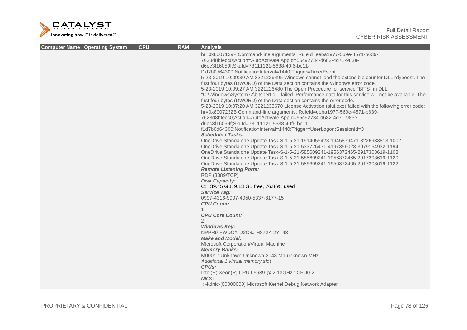

| <b>Computer Name Operating System</b> | <b>CPU</b> | <b>RAM</b> | <b>Analysis</b>                                                                                                                                                                                                                                                                                                                                                                                                                                                                                                                                                                                                                                                                                                                                                                                                                                                                                                                                                                                                                                                                                                                                                                                                                                                                                                                                                                                                                                                                                                                                                                                                                                                                                                                                                                                                                                                                                                                                                                                                                                                                                                                                                                     |
|---------------------------------------|------------|------------|-------------------------------------------------------------------------------------------------------------------------------------------------------------------------------------------------------------------------------------------------------------------------------------------------------------------------------------------------------------------------------------------------------------------------------------------------------------------------------------------------------------------------------------------------------------------------------------------------------------------------------------------------------------------------------------------------------------------------------------------------------------------------------------------------------------------------------------------------------------------------------------------------------------------------------------------------------------------------------------------------------------------------------------------------------------------------------------------------------------------------------------------------------------------------------------------------------------------------------------------------------------------------------------------------------------------------------------------------------------------------------------------------------------------------------------------------------------------------------------------------------------------------------------------------------------------------------------------------------------------------------------------------------------------------------------------------------------------------------------------------------------------------------------------------------------------------------------------------------------------------------------------------------------------------------------------------------------------------------------------------------------------------------------------------------------------------------------------------------------------------------------------------------------------------------------|
|                                       |            |            | hr=0x8007139F Command-line arguments: RuleId=eeba1977-569e-4571-b639-<br>7623d8bfecc0;Action=AutoActivate;AppId=55c92734-d682-4d71-983e-<br>d6ec3f16059f;SkuId=73111121-5638-40f6-bc11-<br>f1d7b0d64300;NotificationInterval=1440;Trigger=TimerEvent<br>5-23-2019 10:09:30 AM 3221226495 Windows cannot load the extensible counter DLL rdyboost. The<br>first four bytes (DWORD) of the Data section contains the Windows error code.<br>5-23-2019 10:09:27 AM 3221226480 The Open Procedure for service "BITS" in DLL<br>"C:\Windows\System32\bitsperf.dll" failed. Performance data for this service will not be available. The<br>first four bytes (DWORD) of the Data section contains the error code.<br>5-23-2019 10:07:20 AM 3221233670 License Activation (slui.exe) failed with the following error code:<br>hr=0x8007232B Command-line arguments: RuleId=eeba1977-569e-4571-b639-<br>7623d8bfecc0;Action=AutoActivate;AppId=55c92734-d682-4d71-983e-<br>d6ec3f16059f;SkuId=73111121-5638-40f6-bc11-<br>f1d7b0d64300;NotificationInterval=1440;Trigger=UserLogon;SessionId=3<br><b>Scheduled Tasks:</b><br>OneDrive Standalone Update Task-S-1-5-21-1914055428-1945879471-3226933813-1002<br>OneDrive Standalone Update Task-S-1-5-21-533726431-4197356023-3979154932-1194<br>OneDrive Standalone Update Task-S-1-5-21-585609241-1956372465-2917308619-1108<br>OneDrive Standalone Update Task-S-1-5-21-585609241-1956372465-2917308619-1120<br>OneDrive Standalone Update Task-S-1-5-21-585609241-1956372465-2917308619-1122<br><b>Remote Listening Ports:</b><br>RDP (3389/TCP)<br><b>Disk Capacity:</b><br>C: 39.45 GB, 9.13 GB free, 76.86% used<br><b>Service Tag:</b><br>0997-4316-9907-4050-5337-8177-15<br><b>CPU Count:</b><br>$\mathbf{1}$<br><b>CPU Core Count:</b><br>2<br><b>Windows Key:</b><br>NPPR9-FWDCX-D2C8J-H872K-2YT43<br><b>Make and Model:</b><br>Microsoft Corporation/Virtual Machine<br><b>Memory Banks:</b><br>M0001: Unknown-Unknown-2048 Mb-unknown MHz<br>Additional 1 virtual memory slot<br>CPU <sub>s</sub> :<br>Intel(R) Xeon(R) CPU L5639 $@$ 2.13GHz : CPU0-2<br>NICs:<br>: - kdnic-[00000000] Microsoft Kernel Debug Network Adapter |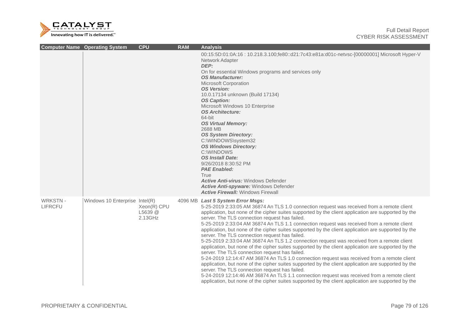

|                                  | <b>Computer Name Operating System</b> | <b>CPU</b>                       | <b>RAM</b> | <b>Analysis</b>                                                                                                                                                                                                                                                                                                                                                                                                                                                                                                                                                                                                                                                                                                                                                                                                                                                                                                                                                                                                                                                                                                                                                                                                                                                      |
|----------------------------------|---------------------------------------|----------------------------------|------------|----------------------------------------------------------------------------------------------------------------------------------------------------------------------------------------------------------------------------------------------------------------------------------------------------------------------------------------------------------------------------------------------------------------------------------------------------------------------------------------------------------------------------------------------------------------------------------------------------------------------------------------------------------------------------------------------------------------------------------------------------------------------------------------------------------------------------------------------------------------------------------------------------------------------------------------------------------------------------------------------------------------------------------------------------------------------------------------------------------------------------------------------------------------------------------------------------------------------------------------------------------------------|
|                                  |                                       |                                  |            | 00:15:5D:01:0A:16:10.218.3.100;fe80::d21:7c43:e81a:d01c-netvsc-[00000001] Microsoft Hyper-V<br>Network Adapter<br>DEP:<br>On for essential Windows programs and services only<br><b>OS Manufacturer:</b><br><b>Microsoft Corporation</b><br><b>OS Version:</b><br>10.0.17134 unknown (Build 17134)<br><b>OS Caption:</b><br>Microsoft Windows 10 Enterprise<br><b>OS Architecture:</b><br>64-bit<br><b>OS Virtual Memory:</b><br>2688 MB<br><b>OS System Directory:</b><br>C:\WINDOWS\system32<br><b>OS Windows Directory:</b><br>C:\WINDOWS<br><b>OS Install Date:</b><br>9/26/2018 8:30:52 PM<br><b>PAE Enabled:</b><br>True<br><b>Active Anti-virus: Windows Defender</b><br>Active Anti-spyware: Windows Defender<br><b>Active Firewall: Windows Firewall</b>                                                                                                                                                                                                                                                                                                                                                                                                                                                                                                    |
| <b>WRKSTN-</b><br><b>LIFRCFU</b> | Windows 10 Enterprise Intel(R)        | Xeon(R) CPU<br>L5639@<br>2.13GHz |            | 4096 MB Last 5 System Error Msgs:<br>5-25-2019 2:33:05 AM 36874 An TLS 1.0 connection request was received from a remote client<br>application, but none of the cipher suites supported by the client application are supported by the<br>server. The TLS connection request has failed.<br>5-25-2019 2:33:04 AM 36874 An TLS 1.1 connection request was received from a remote client<br>application, but none of the cipher suites supported by the client application are supported by the<br>server. The TLS connection request has failed.<br>5-25-2019 2:33:04 AM 36874 An TLS 1.2 connection request was received from a remote client<br>application, but none of the cipher suites supported by the client application are supported by the<br>server. The TLS connection request has failed.<br>5-24-2019 12:14:47 AM 36874 An TLS 1.0 connection request was received from a remote client<br>application, but none of the cipher suites supported by the client application are supported by the<br>server. The TLS connection request has failed.<br>5-24-2019 12:14:46 AM 36874 An TLS 1.1 connection request was received from a remote client<br>application, but none of the cipher suites supported by the client application are supported by the |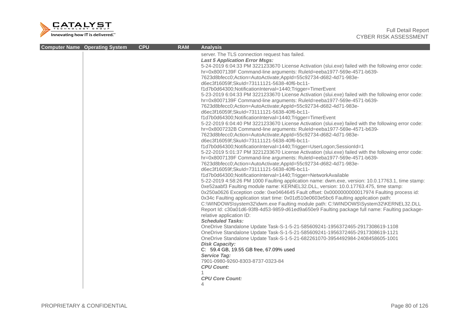

| <b>Computer Name Operating System</b> | <b>CPU</b> | <b>RAM</b> | <b>Analysis</b>                                                                                                                                                                                                                                                                                                                                                                                                                                                                                                                                                                                                                                                                                                                                                                                                                                                                                                                                                                                                                                                                                                                                                                                                                                                                                                                                                                                                                                                                                                                                                                                                                                                                                                                                                                                                                                                                                                                                                                                                                                                                                                                                                                                                                                                                                                                                                                                                                                                                                                                                                                                           |
|---------------------------------------|------------|------------|-----------------------------------------------------------------------------------------------------------------------------------------------------------------------------------------------------------------------------------------------------------------------------------------------------------------------------------------------------------------------------------------------------------------------------------------------------------------------------------------------------------------------------------------------------------------------------------------------------------------------------------------------------------------------------------------------------------------------------------------------------------------------------------------------------------------------------------------------------------------------------------------------------------------------------------------------------------------------------------------------------------------------------------------------------------------------------------------------------------------------------------------------------------------------------------------------------------------------------------------------------------------------------------------------------------------------------------------------------------------------------------------------------------------------------------------------------------------------------------------------------------------------------------------------------------------------------------------------------------------------------------------------------------------------------------------------------------------------------------------------------------------------------------------------------------------------------------------------------------------------------------------------------------------------------------------------------------------------------------------------------------------------------------------------------------------------------------------------------------------------------------------------------------------------------------------------------------------------------------------------------------------------------------------------------------------------------------------------------------------------------------------------------------------------------------------------------------------------------------------------------------------------------------------------------------------------------------------------------------|
|                                       |            |            | server. The TLS connection request has failed.<br><b>Last 5 Application Error Msgs:</b><br>5-24-2019 6:04:33 PM 3221233670 License Activation (slui.exe) failed with the following error code:<br>hr=0x8007139F Command-line arguments: RuleId=eeba1977-569e-4571-b639-<br>7623d8bfecc0;Action=AutoActivate;AppId=55c92734-d682-4d71-983e-<br>d6ec3f16059f;SkuId=73111121-5638-40f6-bc11-<br>f1d7b0d64300;NotificationInterval=1440;Trigger=TimerEvent<br>5-23-2019 6:04:33 PM 3221233670 License Activation (slui.exe) failed with the following error code:<br>hr=0x8007139F Command-line arguments: RuleId=eeba1977-569e-4571-b639-<br>7623d8bfecc0;Action=AutoActivate;AppId=55c92734-d682-4d71-983e-<br>d6ec3f16059f;SkuId=73111121-5638-40f6-bc11-<br>f1d7b0d64300;NotificationInterval=1440;Trigger=TimerEvent<br>5-22-2019 6:04:40 PM 3221233670 License Activation (slui.exe) failed with the following error code:<br>hr=0x8007232B Command-line arguments: RuleId=eeba1977-569e-4571-b639-<br>7623d8bfecc0;Action=AutoActivate;AppId=55c92734-d682-4d71-983e-<br>d6ec3f16059f;SkuId=73111121-5638-40f6-bc11-<br>f1d7b0d64300;NotificationInterval=1440;Trigger=UserLogon;SessionId=1<br>5-22-2019 5:01:37 PM 3221233670 License Activation (slui.exe) failed with the following error code:<br>hr=0x8007139F Command-line arguments: RuleId=eeba1977-569e-4571-b639-<br>7623d8bfecc0;Action=AutoActivate;AppId=55c92734-d682-4d71-983e-<br>d6ec3f16059f;SkuId=73111121-5638-40f6-bc11-<br>f1d7b0d64300;NotificationInterval=1440;Trigger=NetworkAvailable<br>5-22-2019 4:58:26 PM 1000 Faulting application name: dwm.exe, version: 10.0.17763.1, time stamp:<br>0xe52aabf3 Faulting module name: KERNEL32.DLL, version: 10.0.17763.475, time stamp:<br>0x250a0626 Exception code: 0xe0464645 Fault offset: 0x000000000017974 Faulting process id:<br>0x34c Faulting application start time: 0x01d510e0603e5bc6 Faulting application path:<br>C:\WINDOWS\system32\dwm.exe Faulting module path: C:\WINDOWS\System32\KERNEL32.DLL<br>Report Id: c30a01d6-93f8-4d53-9859-d61ed9a650e9 Faulting package full name: Faulting package-<br>relative application ID:<br><b>Scheduled Tasks:</b><br>OneDrive Standalone Update Task-S-1-5-21-585609241-1956372465-2917308619-1108<br>OneDrive Standalone Update Task-S-1-5-21-585609241-1956372465-2917308619-1121<br>OneDrive Standalone Update Task-S-1-5-21-682261070-3954492984-2408458605-1001<br><b>Disk Capacity:</b><br>C: 59.4 GB, 19.55 GB free, 67.09% used<br><b>Service Tag:</b><br>7901-0980-9260-8303-8737-0323-84<br><b>CPU Count:</b> |
|                                       |            |            | $\mathbf{1}$<br><b>CPU Core Count:</b>                                                                                                                                                                                                                                                                                                                                                                                                                                                                                                                                                                                                                                                                                                                                                                                                                                                                                                                                                                                                                                                                                                                                                                                                                                                                                                                                                                                                                                                                                                                                                                                                                                                                                                                                                                                                                                                                                                                                                                                                                                                                                                                                                                                                                                                                                                                                                                                                                                                                                                                                                                    |
|                                       |            |            | 4                                                                                                                                                                                                                                                                                                                                                                                                                                                                                                                                                                                                                                                                                                                                                                                                                                                                                                                                                                                                                                                                                                                                                                                                                                                                                                                                                                                                                                                                                                                                                                                                                                                                                                                                                                                                                                                                                                                                                                                                                                                                                                                                                                                                                                                                                                                                                                                                                                                                                                                                                                                                         |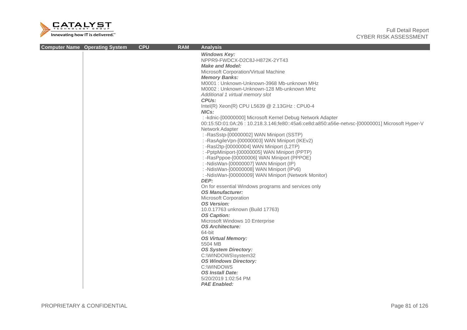

| <b>Computer Name Operating System</b> | <b>CPU</b> | <b>RAM</b> | <b>Analysis</b>                                                                              |
|---------------------------------------|------------|------------|----------------------------------------------------------------------------------------------|
|                                       |            |            | <b>Windows Key:</b>                                                                          |
|                                       |            |            | NPPR9-FWDCX-D2C8J-H872K-2YT43                                                                |
|                                       |            |            | <b>Make and Model:</b>                                                                       |
|                                       |            |            | Microsoft Corporation/Virtual Machine                                                        |
|                                       |            |            | <b>Memory Banks:</b>                                                                         |
|                                       |            |            | M0001: Unknown-Unknown-3968 Mb-unknown MHz                                                   |
|                                       |            |            | M0002: Unknown-Unknown-128 Mb-unknown MHz                                                    |
|                                       |            |            | Additional 1 virtual memory slot                                                             |
|                                       |            |            | CPU <sub>s</sub> :                                                                           |
|                                       |            |            | Intel(R) Xeon(R) CPU L5639 @ 2.13GHz : CPU0-4                                                |
|                                       |            |            | NICs:                                                                                        |
|                                       |            |            | : - kdnic-[00000000] Microsoft Kernel Debug Network Adapter                                  |
|                                       |            |            | 00:15:5D:01:0A:26:10.218.3.146;fe80::45a6:ce8d:a850:a56e-netvsc-[00000001] Microsoft Hyper-V |
|                                       |            |            | Network Adapter                                                                              |
|                                       |            |            | : -RasSstp-[00000002] WAN Miniport (SSTP)<br>: -RasAgileVpn-[00000003] WAN Miniport (IKEv2)  |
|                                       |            |            | : -Rasl2tp-[00000004] WAN Miniport (L2TP)                                                    |
|                                       |            |            | : -PptpMiniport-[00000005] WAN Miniport (PPTP)                                               |
|                                       |            |            | : -RasPppoe-[00000006] WAN Miniport (PPPOE)                                                  |
|                                       |            |            | : -NdisWan-[00000007] WAN Miniport (IP)                                                      |
|                                       |            |            | : -NdisWan-[00000008] WAN Miniport (IPv6)                                                    |
|                                       |            |            | : -NdisWan-[00000009] WAN Miniport (Network Monitor)                                         |
|                                       |            |            | DEP:                                                                                         |
|                                       |            |            | On for essential Windows programs and services only                                          |
|                                       |            |            | <b>OS Manufacturer:</b>                                                                      |
|                                       |            |            | <b>Microsoft Corporation</b>                                                                 |
|                                       |            |            | <b>OS Version:</b>                                                                           |
|                                       |            |            | 10.0.17763 unknown (Build 17763)                                                             |
|                                       |            |            | <b>OS Caption:</b>                                                                           |
|                                       |            |            | Microsoft Windows 10 Enterprise                                                              |
|                                       |            |            | <b>OS Architecture:</b>                                                                      |
|                                       |            |            | 64-bit                                                                                       |
|                                       |            |            | <b>OS Virtual Memory:</b>                                                                    |
|                                       |            |            | 5504 MB                                                                                      |
|                                       |            |            | <b>OS System Directory:</b><br>C:\WINDOWS\system32                                           |
|                                       |            |            | <b>OS Windows Directory:</b>                                                                 |
|                                       |            |            | C:\WINDOWS                                                                                   |
|                                       |            |            | <b>OS Install Date:</b>                                                                      |
|                                       |            |            | 5/20/2019 1:02:54 PM                                                                         |
|                                       |            |            | <b>PAE Enabled:</b>                                                                          |
|                                       |            |            |                                                                                              |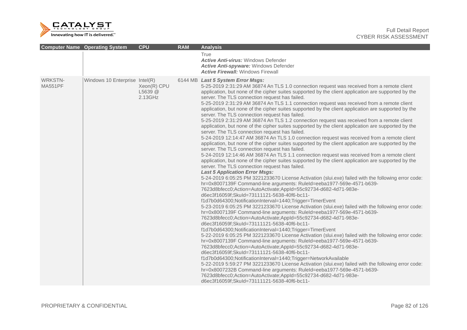

|                                  | <b>Computer Name Operating System</b> | <b>CPU</b>                       | <b>RAM</b> | <b>Analysis</b>                                                                                                                                                                                                                                                                                                                                                                                                                                                                                                                                                                                                                                                                                                                                                                                                                                                                                                                                                                                                                                                                                                                                                                                                                                                                                                                                                                                                                                                                                                                                                                                                                                                                                                                                                                                                                                                                                                                                                                                                                                                                                                                                                                                                                                                                                                                                                                                                                                                                                                                                                                                                                                                                                                                                                      |
|----------------------------------|---------------------------------------|----------------------------------|------------|----------------------------------------------------------------------------------------------------------------------------------------------------------------------------------------------------------------------------------------------------------------------------------------------------------------------------------------------------------------------------------------------------------------------------------------------------------------------------------------------------------------------------------------------------------------------------------------------------------------------------------------------------------------------------------------------------------------------------------------------------------------------------------------------------------------------------------------------------------------------------------------------------------------------------------------------------------------------------------------------------------------------------------------------------------------------------------------------------------------------------------------------------------------------------------------------------------------------------------------------------------------------------------------------------------------------------------------------------------------------------------------------------------------------------------------------------------------------------------------------------------------------------------------------------------------------------------------------------------------------------------------------------------------------------------------------------------------------------------------------------------------------------------------------------------------------------------------------------------------------------------------------------------------------------------------------------------------------------------------------------------------------------------------------------------------------------------------------------------------------------------------------------------------------------------------------------------------------------------------------------------------------------------------------------------------------------------------------------------------------------------------------------------------------------------------------------------------------------------------------------------------------------------------------------------------------------------------------------------------------------------------------------------------------------------------------------------------------------------------------------------------------|
|                                  |                                       |                                  |            | True<br><b>Active Anti-virus: Windows Defender</b><br>Active Anti-spyware: Windows Defender<br><b>Active Firewall: Windows Firewall</b>                                                                                                                                                                                                                                                                                                                                                                                                                                                                                                                                                                                                                                                                                                                                                                                                                                                                                                                                                                                                                                                                                                                                                                                                                                                                                                                                                                                                                                                                                                                                                                                                                                                                                                                                                                                                                                                                                                                                                                                                                                                                                                                                                                                                                                                                                                                                                                                                                                                                                                                                                                                                                              |
| <b>WRKSTN-</b><br><b>MA551PF</b> | Windows 10 Enterprise Intel(R)        | Xeon(R) CPU<br>L5639@<br>2.13GHz |            | 6144 MB Last 5 System Error Msgs:<br>5-25-2019 2:31:29 AM 36874 An TLS 1.0 connection request was received from a remote client<br>application, but none of the cipher suites supported by the client application are supported by the<br>server. The TLS connection request has failed.<br>5-25-2019 2:31:29 AM 36874 An TLS 1.1 connection request was received from a remote client<br>application, but none of the cipher suites supported by the client application are supported by the<br>server. The TLS connection request has failed.<br>5-25-2019 2:31:29 AM 36874 An TLS 1.2 connection request was received from a remote client<br>application, but none of the cipher suites supported by the client application are supported by the<br>server. The TLS connection request has failed.<br>5-24-2019 12:14:47 AM 36874 An TLS 1.0 connection request was received from a remote client<br>application, but none of the cipher suites supported by the client application are supported by the<br>server. The TLS connection request has failed.<br>5-24-2019 12:14:46 AM 36874 An TLS 1.1 connection request was received from a remote client<br>application, but none of the cipher suites supported by the client application are supported by the<br>server. The TLS connection request has failed.<br><b>Last 5 Application Error Msgs:</b><br>5-24-2019 6:05:25 PM 3221233670 License Activation (slui.exe) failed with the following error code:<br>hr=0x8007139F Command-line arguments: RuleId=eeba1977-569e-4571-b639-<br>7623d8bfecc0;Action=AutoActivate;AppId=55c92734-d682-4d71-983e-<br>d6ec3f16059f;SkuId=73111121-5638-40f6-bc11-<br>f1d7b0d64300;NotificationInterval=1440;Trigger=TimerEvent<br>5-23-2019 6:05:25 PM 3221233670 License Activation (slui.exe) failed with the following error code:<br>hr=0x8007139F Command-line arguments: RuleId=eeba1977-569e-4571-b639-<br>7623d8bfecc0;Action=AutoActivate;AppId=55c92734-d682-4d71-983e-<br>d6ec3f16059f;SkuId=73111121-5638-40f6-bc11-<br>f1d7b0d64300;NotificationInterval=1440;Trigger=TimerEvent<br>5-22-2019 6:05:25 PM 3221233670 License Activation (slui.exe) failed with the following error code:<br>hr=0x8007139F Command-line arguments: RuleId=eeba1977-569e-4571-b639-<br>7623d8bfecc0;Action=AutoActivate;AppId=55c92734-d682-4d71-983e-<br>d6ec3f16059f;SkuId=73111121-5638-40f6-bc11-<br>f1d7b0d64300;NotificationInterval=1440;Trigger=NetworkAvailable<br>5-22-2019 5:59:27 PM 3221233670 License Activation (slui.exe) failed with the following error code:<br>hr=0x8007232B Command-line arguments: RuleId=eeba1977-569e-4571-b639-<br>7623d8bfecc0;Action=AutoActivate;AppId=55c92734-d682-4d71-983e-<br>d6ec3f16059f;SkuId=73111121-5638-40f6-bc11- |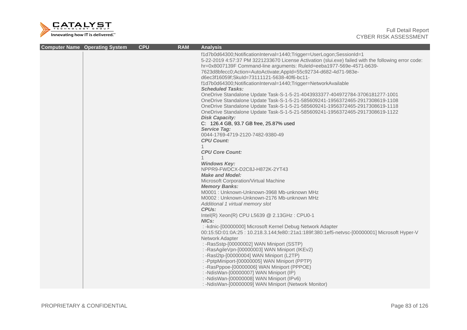

| f1d7b0d64300;NotificationInterval=1440;Trigger=UserLogon;SessionId=1<br>5-22-2019 4:57:37 PM 3221233670 License Activation (slui.exe) failed with the following error code:<br>hr=0x8007139F Command-line arguments: RuleId=eeba1977-569e-4571-b639-<br>7623d8bfecc0;Action=AutoActivate;AppId=55c92734-d682-4d71-983e-<br>d6ec3f16059f;SkuId=73111121-5638-40f6-bc11-<br>f1d7b0d64300;NotificationInterval=1440;Trigger=NetworkAvailable<br><b>Scheduled Tasks:</b><br>OneDrive Standalone Update Task-S-1-5-21-4043933377-404972784-3706181277-1001<br>OneDrive Standalone Update Task-S-1-5-21-585609241-1956372465-2917308619-1108<br>OneDrive Standalone Update Task-S-1-5-21-585609241-1956372465-2917308619-1118<br>OneDrive Standalone Update Task-S-1-5-21-585609241-1956372465-2917308619-1122<br><b>Disk Capacity:</b><br>C: 126.4 GB, 93.7 GB free, 25.87% used<br><b>Service Tag:</b><br>0044-1769-4719-2120-7482-9380-49<br><b>CPU Count:</b><br>1<br><b>CPU Core Count:</b><br><b>Windows Key:</b><br>NPPR9-FWDCX-D2C8J-H872K-2YT43<br><b>Make and Model:</b><br>Microsoft Corporation/Virtual Machine<br><b>Memory Banks:</b><br>M0001: Unknown-Unknown-3968 Mb-unknown MHz<br>M0002: Unknown-Unknown-2176 Mb-unknown MHz<br>Additional 1 virtual memory slot<br>CPU <sub>s</sub> :<br>Intel(R) Xeon(R) CPU L5639 @ 2.13GHz : CPU0-1<br>NICs:<br>: - kdnic-[00000000] Microsoft Kernel Debug Network Adapter<br>00:15:5D:01:0A:25:10.218.3.144;fe80::21a1:189f:380:1ef5-netvsc-[00000001] Microsoft Hyper-V<br>Network Adapter<br>: -RasSstp-[00000002] WAN Miniport (SSTP)<br>: -RasAgileVpn-[00000003] WAN Miniport (IKEv2)<br>: - Rasl2tp-[00000004] WAN Miniport (L2TP)<br>: -PptpMiniport-[00000005] WAN Miniport (PPTP) | <b>Computer Name Operating System</b> | <b>CPU</b> | <b>RAM</b> | <b>Analysis</b>                             |
|-----------------------------------------------------------------------------------------------------------------------------------------------------------------------------------------------------------------------------------------------------------------------------------------------------------------------------------------------------------------------------------------------------------------------------------------------------------------------------------------------------------------------------------------------------------------------------------------------------------------------------------------------------------------------------------------------------------------------------------------------------------------------------------------------------------------------------------------------------------------------------------------------------------------------------------------------------------------------------------------------------------------------------------------------------------------------------------------------------------------------------------------------------------------------------------------------------------------------------------------------------------------------------------------------------------------------------------------------------------------------------------------------------------------------------------------------------------------------------------------------------------------------------------------------------------------------------------------------------------------------------------------------------------------------------------------------------------------------------------------------|---------------------------------------|------------|------------|---------------------------------------------|
| : - NdisWan-[00000007] WAN Miniport (IP)<br>: -NdisWan-[00000008] WAN Miniport (IPv6)<br>: -NdisWan-[00000009] WAN Miniport (Network Monitor)                                                                                                                                                                                                                                                                                                                                                                                                                                                                                                                                                                                                                                                                                                                                                                                                                                                                                                                                                                                                                                                                                                                                                                                                                                                                                                                                                                                                                                                                                                                                                                                                 |                                       |            |            | : -RasPppoe-[00000006] WAN Miniport (PPPOE) |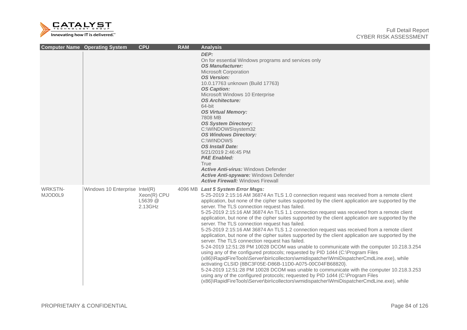

|                           | <b>Computer Name Operating System</b> | <b>CPU</b>                       | <b>RAM</b> | <b>Analysis</b>                                                                                                                                                                                                                                                                                                                                                                                                                                                                                                                                                                                                                                                                                                                                                                                                                                                                                                                                                                                                                                                                                                                                                                                                                                                                                                                                                                                                            |
|---------------------------|---------------------------------------|----------------------------------|------------|----------------------------------------------------------------------------------------------------------------------------------------------------------------------------------------------------------------------------------------------------------------------------------------------------------------------------------------------------------------------------------------------------------------------------------------------------------------------------------------------------------------------------------------------------------------------------------------------------------------------------------------------------------------------------------------------------------------------------------------------------------------------------------------------------------------------------------------------------------------------------------------------------------------------------------------------------------------------------------------------------------------------------------------------------------------------------------------------------------------------------------------------------------------------------------------------------------------------------------------------------------------------------------------------------------------------------------------------------------------------------------------------------------------------------|
|                           |                                       |                                  |            | DEP:<br>On for essential Windows programs and services only<br><b>OS Manufacturer:</b><br><b>Microsoft Corporation</b><br><b>OS Version:</b><br>10.0.17763 unknown (Build 17763)<br><b>OS Caption:</b><br>Microsoft Windows 10 Enterprise<br><b>OS Architecture:</b><br>64-bit<br><b>OS Virtual Memory:</b><br>7808 MB<br><b>OS System Directory:</b><br>C:\WINDOWS\system32<br><b>OS Windows Directory:</b><br>C:\WINDOWS<br><b>OS Install Date:</b><br>5/21/2019 2:46:45 PM<br><b>PAE Enabled:</b><br>True<br><b>Active Anti-virus: Windows Defender</b><br><b>Active Anti-spyware: Windows Defender</b><br><b>Active Firewall: Windows Firewall</b>                                                                                                                                                                                                                                                                                                                                                                                                                                                                                                                                                                                                                                                                                                                                                                     |
| <b>WRKSTN-</b><br>MJOD0L9 | Windows 10 Enterprise Intel(R)        | Xeon(R) CPU<br>L5639@<br>2.13GHz |            | 4096 MB Last 5 System Error Msgs:<br>5-25-2019 2:15:16 AM 36874 An TLS 1.0 connection request was received from a remote client<br>application, but none of the cipher suites supported by the client application are supported by the<br>server. The TLS connection request has failed.<br>5-25-2019 2:15:16 AM 36874 An TLS 1.1 connection request was received from a remote client<br>application, but none of the cipher suites supported by the client application are supported by the<br>server. The TLS connection request has failed.<br>5-25-2019 2:15:16 AM 36874 An TLS 1.2 connection request was received from a remote client<br>application, but none of the cipher suites supported by the client application are supported by the<br>server. The TLS connection request has failed.<br>5-24-2019 12:51:28 PM 10028 DCOM was unable to communicate with the computer 10.218.3.254<br>using any of the configured protocols; requested by PID 1d44 (C:\Program Files<br>(x86)\RapidFireTools\Server\bin\collectors\wmidispatcher\WmiDispatcherCmdLine.exe), while<br>activating CLSID {8BC3F05E-D86B-11D0-A075-00C04FB68820}.<br>5-24-2019 12:51:28 PM 10028 DCOM was unable to communicate with the computer 10.218.3.253<br>using any of the configured protocols; requested by PID 1d44 (C:\Program Files<br>(x86)\RapidFireTools\Server\bin\collectors\wmidispatcher\WmiDispatcherCmdLine.exe), while |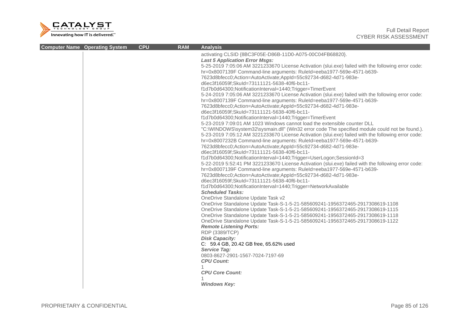

| <b>Computer Name Operating System</b> | <b>CPU</b> | <b>RAM</b> | <b>Analysis</b>                                                                                                                                                                                                                                                                                                                                                                                                                                                                                                                                                                                                                                                                                                                                                                                                                                                                                                                                                                                                                                                                                                                                                                                                                                                                                                                                                                                                                                                                                                                                                                                                                                                                                                                                                                                                                                                                                                                                                                                                                                                                                                                                                                                                                                                                                                                                                                                                         |
|---------------------------------------|------------|------------|-------------------------------------------------------------------------------------------------------------------------------------------------------------------------------------------------------------------------------------------------------------------------------------------------------------------------------------------------------------------------------------------------------------------------------------------------------------------------------------------------------------------------------------------------------------------------------------------------------------------------------------------------------------------------------------------------------------------------------------------------------------------------------------------------------------------------------------------------------------------------------------------------------------------------------------------------------------------------------------------------------------------------------------------------------------------------------------------------------------------------------------------------------------------------------------------------------------------------------------------------------------------------------------------------------------------------------------------------------------------------------------------------------------------------------------------------------------------------------------------------------------------------------------------------------------------------------------------------------------------------------------------------------------------------------------------------------------------------------------------------------------------------------------------------------------------------------------------------------------------------------------------------------------------------------------------------------------------------------------------------------------------------------------------------------------------------------------------------------------------------------------------------------------------------------------------------------------------------------------------------------------------------------------------------------------------------------------------------------------------------------------------------------------------------|
|                                       |            |            | activating CLSID {8BC3F05E-D86B-11D0-A075-00C04FB68820}.<br><b>Last 5 Application Error Msgs:</b><br>5-25-2019 7:05:06 AM 3221233670 License Activation (slui.exe) failed with the following error code:<br>hr=0x8007139F Command-line arguments: RuleId=eeba1977-569e-4571-b639-<br>7623d8bfecc0;Action=AutoActivate;AppId=55c92734-d682-4d71-983e-<br>d6ec3f16059f;SkuId=73111121-5638-40f6-bc11-<br>f1d7b0d64300;NotificationInterval=1440;Trigger=TimerEvent<br>5-24-2019 7:05:06 AM 3221233670 License Activation (slui.exe) failed with the following error code:<br>hr=0x8007139F Command-line arguments: RuleId=eeba1977-569e-4571-b639-<br>7623d8bfecc0;Action=AutoActivate;AppId=55c92734-d682-4d71-983e-<br>d6ec3f16059f;SkuId=73111121-5638-40f6-bc11-<br>f1d7b0d64300;NotificationInterval=1440;Trigger=TimerEvent<br>5-23-2019 7:09:01 AM 1023 Windows cannot load the extensible counter DLL<br>"C:\WINDOWS\system32\sysmain.dll" (Win32 error code The specified module could not be found.).<br>5-23-2019 7:05:12 AM 3221233670 License Activation (slui.exe) failed with the following error code:<br>hr=0x8007232B Command-line arguments: RuleId=eeba1977-569e-4571-b639-<br>7623d8bfecc0;Action=AutoActivate;AppId=55c92734-d682-4d71-983e-<br>d6ec3f16059f;SkuId=73111121-5638-40f6-bc11-<br>f1d7b0d64300;NotificationInterval=1440;Trigger=UserLogon;SessionId=3<br>5-22-2019 5:52:41 PM 3221233670 License Activation (slui.exe) failed with the following error code:<br>hr=0x8007139F Command-line arguments: RuleId=eeba1977-569e-4571-b639-<br>7623d8bfecc0;Action=AutoActivate;AppId=55c92734-d682-4d71-983e-<br>d6ec3f16059f;SkuId=73111121-5638-40f6-bc11-<br>f1d7b0d64300;NotificationInterval=1440;Trigger=NetworkAvailable<br><b>Scheduled Tasks:</b><br>OneDrive Standalone Update Task v2<br>OneDrive Standalone Update Task-S-1-5-21-585609241-1956372465-2917308619-1108<br>OneDrive Standalone Update Task-S-1-5-21-585609241-1956372465-2917308619-1115<br>OneDrive Standalone Update Task-S-1-5-21-585609241-1956372465-2917308619-1118<br>OneDrive Standalone Update Task-S-1-5-21-585609241-1956372465-2917308619-1122<br><b>Remote Listening Ports:</b><br>RDP (3389/TCP)<br><b>Disk Capacity:</b><br>C: 59.4 GB, 20.42 GB free, 65.62% used<br><b>Service Tag:</b><br>0803-8627-2901-1567-7024-7197-69<br><b>CPU Count:</b><br>$\mathbf{1}$<br><b>CPU Core Count:</b><br>1 |
|                                       |            |            | <b>Windows Key:</b>                                                                                                                                                                                                                                                                                                                                                                                                                                                                                                                                                                                                                                                                                                                                                                                                                                                                                                                                                                                                                                                                                                                                                                                                                                                                                                                                                                                                                                                                                                                                                                                                                                                                                                                                                                                                                                                                                                                                                                                                                                                                                                                                                                                                                                                                                                                                                                                                     |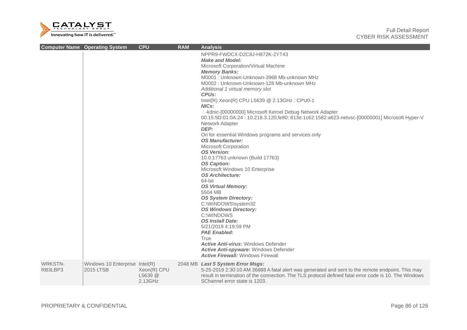

|                           | <b>Computer Name Operating System</b>       | <b>CPU</b>                        | <b>RAM</b> | <b>Analysis</b>                                                                                                                                                                                                                                                                                                                                                                                                                                                                                                                                                                                                                                                                                                                                                                                                                                                                                                                                                                                                                                                                                                                                                                    |
|---------------------------|---------------------------------------------|-----------------------------------|------------|------------------------------------------------------------------------------------------------------------------------------------------------------------------------------------------------------------------------------------------------------------------------------------------------------------------------------------------------------------------------------------------------------------------------------------------------------------------------------------------------------------------------------------------------------------------------------------------------------------------------------------------------------------------------------------------------------------------------------------------------------------------------------------------------------------------------------------------------------------------------------------------------------------------------------------------------------------------------------------------------------------------------------------------------------------------------------------------------------------------------------------------------------------------------------------|
|                           |                                             |                                   |            | NPPR9-FWDCX-D2C8J-H872K-2YT43<br><b>Make and Model:</b><br>Microsoft Corporation/Virtual Machine<br><b>Memory Banks:</b><br>M0001: Unknown-Unknown-3968 Mb-unknown MHz<br>M0002: Unknown-Unknown-128 Mb-unknown MHz<br>Additional 1 virtual memory slot<br>CPU <sub>s</sub> :<br>Intel(R) Xeon(R) CPU L5639 @ 2.13GHz : CPU0-1<br>NIC <sub>S</sub> :<br>: - kdnic-[00000000] Microsoft Kernel Debug Network Adapter<br>00:15:5D:01:0A:24:10.218.3.120;fe80::813e:1c62:1582:a623-netvsc-[00000001] Microsoft Hyper-V<br>Network Adapter<br>DEP:<br>On for essential Windows programs and services only<br><b>OS Manufacturer:</b><br>Microsoft Corporation<br><b>OS Version:</b><br>10.0.17763 unknown (Build 17763)<br><b>OS Caption:</b><br>Microsoft Windows 10 Enterprise<br><b>OS Architecture:</b><br>64-bit<br><b>OS Virtual Memory:</b><br>5504 MB<br><b>OS System Directory:</b><br>C:\WINDOWS\system32<br><b>OS Windows Directory:</b><br>C:\WINDOWS<br><b>OS Install Date:</b><br>5/21/2019 4:19:59 PM<br><b>PAE Enabled:</b><br>True<br><b>Active Anti-virus: Windows Defender</b><br>Active Anti-spyware: Windows Defender<br><b>Active Firewall: Windows Firewall</b> |
| <b>WRKSTN-</b><br>RB3LBP3 | Windows 10 Enterprise Intel(R)<br>2015 LTSB | Xeon(R) CPU<br>L5639 @<br>2.13GHz |            | 2048 MB Last 5 System Error Msgs:<br>5-25-2019 2:30:10 AM 36888 A fatal alert was generated and sent to the remote endpoint. This may<br>result in termination of the connection. The TLS protocol defined fatal error code is 10. The Windows<br>SChannel error state is 1203.                                                                                                                                                                                                                                                                                                                                                                                                                                                                                                                                                                                                                                                                                                                                                                                                                                                                                                    |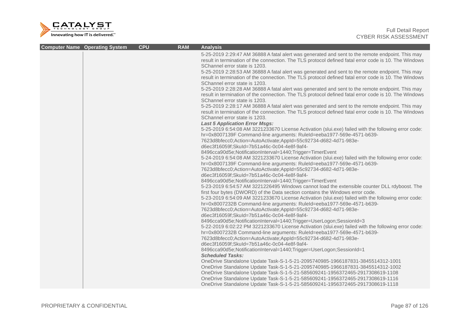

| <b>Computer Name Operating System</b> | <b>CPU</b> | <b>RAM</b> | <b>Analysis</b>                                                                                                                                                                                                                                                             |
|---------------------------------------|------------|------------|-----------------------------------------------------------------------------------------------------------------------------------------------------------------------------------------------------------------------------------------------------------------------------|
|                                       |            |            | 5-25-2019 2:29:47 AM 36888 A fatal alert was generated and sent to the remote endpoint. This may<br>result in termination of the connection. The TLS protocol defined fatal error code is 10. The Windows<br>SChannel error state is 1203.                                  |
|                                       |            |            | 5-25-2019 2:28:53 AM 36888 A fatal alert was generated and sent to the remote endpoint. This may<br>result in termination of the connection. The TLS protocol defined fatal error code is 10. The Windows<br>SChannel error state is 1203.                                  |
|                                       |            |            | 5-25-2019 2:28:28 AM 36888 A fatal alert was generated and sent to the remote endpoint. This may<br>result in termination of the connection. The TLS protocol defined fatal error code is 10. The Windows                                                                   |
|                                       |            |            | SChannel error state is 1203.<br>5-25-2019 2:28:17 AM 36888 A fatal alert was generated and sent to the remote endpoint. This may<br>result in termination of the connection. The TLS protocol defined fatal error code is 10. The Windows<br>SChannel error state is 1203. |
|                                       |            |            | <b>Last 5 Application Error Msgs:</b>                                                                                                                                                                                                                                       |
|                                       |            |            | 5-25-2019 6:54:08 AM 3221233670 License Activation (slui.exe) failed with the following error code:<br>hr=0x8007139F Command-line arguments: RuleId=eeba1977-569e-4571-b639-                                                                                                |
|                                       |            |            | 7623d8bfecc0;Action=AutoActivate;AppId=55c92734-d682-4d71-983e-                                                                                                                                                                                                             |
|                                       |            |            | d6ec3f16059f;SkuId=7b51a46c-0c04-4e8f-9af4-                                                                                                                                                                                                                                 |
|                                       |            |            | 8496cca90d5e;NotificationInterval=1440;Trigger=TimerEvent                                                                                                                                                                                                                   |
|                                       |            |            | 5-24-2019 6:54:08 AM 3221233670 License Activation (slui.exe) failed with the following error code:<br>hr=0x8007139F Command-line arguments: RuleId=eeba1977-569e-4571-b639-                                                                                                |
|                                       |            |            | 7623d8bfecc0;Action=AutoActivate;AppId=55c92734-d682-4d71-983e-                                                                                                                                                                                                             |
|                                       |            |            | d6ec3f16059f;SkuId=7b51a46c-0c04-4e8f-9af4-                                                                                                                                                                                                                                 |
|                                       |            |            | 8496cca90d5e;NotificationInterval=1440;Trigger=TimerEvent                                                                                                                                                                                                                   |
|                                       |            |            | 5-23-2019 6:54:57 AM 3221226495 Windows cannot load the extensible counter DLL rdyboost. The                                                                                                                                                                                |
|                                       |            |            | first four bytes (DWORD) of the Data section contains the Windows error code.<br>5-23-2019 6:54:09 AM 3221233670 License Activation (slui.exe) failed with the following error code:                                                                                        |
|                                       |            |            | hr=0x8007232B Command-line arguments: RuleId=eeba1977-569e-4571-b639-                                                                                                                                                                                                       |
|                                       |            |            | 7623d8bfecc0;Action=AutoActivate;AppId=55c92734-d682-4d71-983e-                                                                                                                                                                                                             |
|                                       |            |            | d6ec3f16059f;SkuId=7b51a46c-0c04-4e8f-9af4-                                                                                                                                                                                                                                 |
|                                       |            |            | 8496cca90d5e;NotificationInterval=1440;Trigger=UserLogon;SessionId=3                                                                                                                                                                                                        |
|                                       |            |            | 5-22-2019 6:02:22 PM 3221233670 License Activation (slui.exe) failed with the following error code:                                                                                                                                                                         |
|                                       |            |            | hr=0x8007232B Command-line arguments: RuleId=eeba1977-569e-4571-b639-                                                                                                                                                                                                       |
|                                       |            |            | 7623d8bfecc0;Action=AutoActivate;AppId=55c92734-d682-4d71-983e-                                                                                                                                                                                                             |
|                                       |            |            | d6ec3f16059f;SkuId=7b51a46c-0c04-4e8f-9af4-                                                                                                                                                                                                                                 |
|                                       |            |            | 8496cca90d5e;NotificationInterval=1440;Trigger=UserLogon;SessionId=1                                                                                                                                                                                                        |
|                                       |            |            | <b>Scheduled Tasks:</b>                                                                                                                                                                                                                                                     |
|                                       |            |            | OneDrive Standalone Update Task-S-1-5-21-2095740985-1966187831-3845514312-1001<br>OneDrive Standalone Update Task-S-1-5-21-2095740985-1966187831-3845514312-1002                                                                                                            |
|                                       |            |            | OneDrive Standalone Update Task-S-1-5-21-585609241-1956372465-2917308619-1108                                                                                                                                                                                               |
|                                       |            |            | OneDrive Standalone Update Task-S-1-5-21-585609241-1956372465-2917308619-1116                                                                                                                                                                                               |
|                                       |            |            | OneDrive Standalone Update Task-S-1-5-21-585609241-1956372465-2917308619-1118                                                                                                                                                                                               |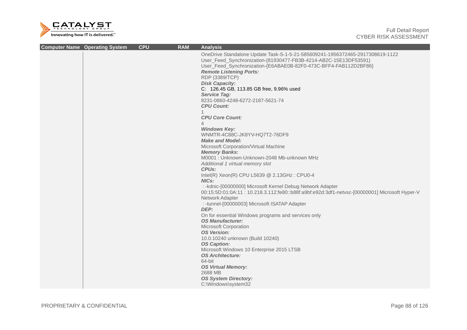

| <b>Computer Name Operating System</b> | <b>CPU</b> | <b>RAM</b> | <b>Analysis</b>                                                                                                                                                                                                                                                                                                                                                                                                                                                                                                                                                                                                                                                                                                                                                                                                                                                                                                                                                                                                                                                                                                                                                                                                                                                                                                                                                                                                                 |
|---------------------------------------|------------|------------|---------------------------------------------------------------------------------------------------------------------------------------------------------------------------------------------------------------------------------------------------------------------------------------------------------------------------------------------------------------------------------------------------------------------------------------------------------------------------------------------------------------------------------------------------------------------------------------------------------------------------------------------------------------------------------------------------------------------------------------------------------------------------------------------------------------------------------------------------------------------------------------------------------------------------------------------------------------------------------------------------------------------------------------------------------------------------------------------------------------------------------------------------------------------------------------------------------------------------------------------------------------------------------------------------------------------------------------------------------------------------------------------------------------------------------|
|                                       |            |            | OneDrive Standalone Update Task-S-1-5-21-585609241-1956372465-2917308619-1122<br>User_Feed_Synchronization-{81930477-FB3B-4214-AB2C-15E13DF53591}<br>User Feed Synchronization-{E6ABAE0B-82F0-473C-BFF4-FAB112D2BF86}<br><b>Remote Listening Ports:</b><br>RDP (3389/TCP)<br><b>Disk Capacity:</b><br>C: 126.45 GB, 113.85 GB free, 9.96% used<br><b>Service Tag:</b><br>8231-0860-4248-6272-2187-5621-74<br><b>CPU Count:</b><br>$\mathbf 1$<br><b>CPU Core Count:</b><br>4<br><b>Windows Key:</b><br>WNMTR-4C88C-JK8YV-HQ7T2-76DF9<br><b>Make and Model:</b><br>Microsoft Corporation/Virtual Machine<br><b>Memory Banks:</b><br>M0001: Unknown-Unknown-2048 Mb-unknown MHz<br>Additional 1 virtual memory slot<br>CPU <sub>s</sub> :<br>Intel(R) Xeon(R) CPU L5639 @ 2.13GHz : CPU0-4<br>NICs:<br>: - kdnic-[00000000] Microsoft Kernel Debug Network Adapter<br>00:15:5D:01:0A:11:10.218.3.112;fe80::b88f:a9bf:e92d:3df1-netvsc-[00000001] Microsoft Hyper-V<br>Network Adapter<br>: - tunnel-[00000003] Microsoft ISATAP Adapter<br>DEP:<br>On for essential Windows programs and services only<br><b>OS Manufacturer:</b><br><b>Microsoft Corporation</b><br><b>OS Version:</b><br>10.0.10240 unknown (Build 10240)<br><b>OS Caption:</b><br>Microsoft Windows 10 Enterprise 2015 LTSB<br><b>OS Architecture:</b><br>64-bit<br><b>OS Virtual Memory:</b><br>2688 MB<br><b>OS System Directory:</b><br>C:\Windows\system32 |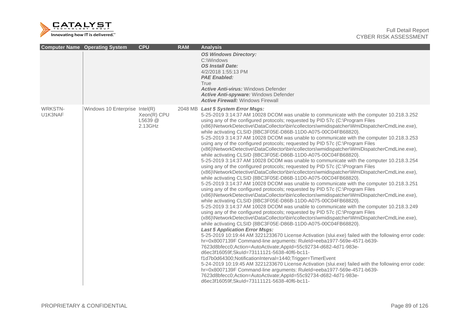

|                           | <b>Computer Name Operating System</b> | <b>CPU</b>                       | <b>RAM</b> | <b>Analysis</b>                                                                                                                                                                                                                                                                                                                                                                                                                                                                                                                                                                                                                                                                                                                                                                                                                                                                                                                                                                                                                                                                                                                                                                                                                                                                                                                                                                                                                                                                                                                                                                                                                                                                                                                                                                                                                                                                                                                                                                                                                                                                                                                                                                                                                                                                                                                                                                                                                                                                          |
|---------------------------|---------------------------------------|----------------------------------|------------|------------------------------------------------------------------------------------------------------------------------------------------------------------------------------------------------------------------------------------------------------------------------------------------------------------------------------------------------------------------------------------------------------------------------------------------------------------------------------------------------------------------------------------------------------------------------------------------------------------------------------------------------------------------------------------------------------------------------------------------------------------------------------------------------------------------------------------------------------------------------------------------------------------------------------------------------------------------------------------------------------------------------------------------------------------------------------------------------------------------------------------------------------------------------------------------------------------------------------------------------------------------------------------------------------------------------------------------------------------------------------------------------------------------------------------------------------------------------------------------------------------------------------------------------------------------------------------------------------------------------------------------------------------------------------------------------------------------------------------------------------------------------------------------------------------------------------------------------------------------------------------------------------------------------------------------------------------------------------------------------------------------------------------------------------------------------------------------------------------------------------------------------------------------------------------------------------------------------------------------------------------------------------------------------------------------------------------------------------------------------------------------------------------------------------------------------------------------------------------------|
|                           |                                       |                                  |            | <b>OS Windows Directory:</b><br>C:\Windows<br><b>OS Install Date:</b><br>4/2/2018 1:55:13 PM<br><b>PAE Enabled:</b><br>True<br><b>Active Anti-virus: Windows Defender</b><br>Active Anti-spyware: Windows Defender<br><b>Active Firewall: Windows Firewall</b>                                                                                                                                                                                                                                                                                                                                                                                                                                                                                                                                                                                                                                                                                                                                                                                                                                                                                                                                                                                                                                                                                                                                                                                                                                                                                                                                                                                                                                                                                                                                                                                                                                                                                                                                                                                                                                                                                                                                                                                                                                                                                                                                                                                                                           |
| <b>WRKSTN-</b><br>U1K3NAF | Windows 10 Enterprise Intel(R)        | Xeon(R) CPU<br>L5639@<br>2.13GHz |            | 2048 MB Last 5 System Error Msgs:<br>5-25-2019 3:14:37 AM 10028 DCOM was unable to communicate with the computer 10.218.3.252<br>using any of the configured protocols; requested by PID 57c (C:\Program Files<br>(x86)\NetworkDetective\DataCollector\bin\collectors\wmidispatcher\WmiDispatcherCmdLine.exe),<br>while activating CLSID {8BC3F05E-D86B-11D0-A075-00C04FB68820}.<br>5-25-2019 3:14:37 AM 10028 DCOM was unable to communicate with the computer 10.218.3.253<br>using any of the configured protocols; requested by PID 57c (C:\Program Files<br>(x86)\NetworkDetective\DataCollector\bin\collectors\wmidispatcher\WmiDispatcherCmdLine.exe),<br>while activating CLSID {8BC3F05E-D86B-11D0-A075-00C04FB68820}.<br>5-25-2019 3:14:37 AM 10028 DCOM was unable to communicate with the computer 10.218.3.254<br>using any of the configured protocols; requested by PID 57c (C:\Program Files<br>(x86)\NetworkDetective\DataCollector\bin\collectors\wmidispatcher\WmiDispatcherCmdLine.exe),<br>while activating CLSID {8BC3F05E-D86B-11D0-A075-00C04FB68820}.<br>5-25-2019 3:14:37 AM 10028 DCOM was unable to communicate with the computer 10.218.3.251<br>using any of the configured protocols; requested by PID 57c (C:\Program Files<br>(x86)\NetworkDetective\DataCollector\bin\collectors\wmidispatcher\WmiDispatcherCmdLine.exe),<br>while activating CLSID {8BC3F05E-D86B-11D0-A075-00C04FB68820}.<br>5-25-2019 3:14:37 AM 10028 DCOM was unable to communicate with the computer 10.218.3.249<br>using any of the configured protocols; requested by PID 57c (C:\Program Files<br>(x86)\NetworkDetective\DataCollector\bin\collectors\wmidispatcher\WmiDispatcherCmdLine.exe),<br>while activating CLSID {8BC3F05E-D86B-11D0-A075-00C04FB68820}.<br><b>Last 5 Application Error Msgs:</b><br>5-25-2019 10:19:44 AM 3221233670 License Activation (slui.exe) failed with the following error code:<br>hr=0x8007139F Command-line arguments: RuleId=eeba1977-569e-4571-b639-<br>7623d8bfecc0;Action=AutoActivate;AppId=55c92734-d682-4d71-983e-<br>d6ec3f16059f;SkuId=73111121-5638-40f6-bc11-<br>f1d7b0d64300;NotificationInterval=1440;Trigger=TimerEvent<br>5-24-2019 10:19:45 AM 3221233670 License Activation (slui.exe) failed with the following error code:<br>hr=0x8007139F Command-line arguments: RuleId=eeba1977-569e-4571-b639-<br>7623d8bfecc0;Action=AutoActivate;AppId=55c92734-d682-4d71-983e-<br>d6ec3f16059f;SkuId=73111121-5638-40f6-bc11- |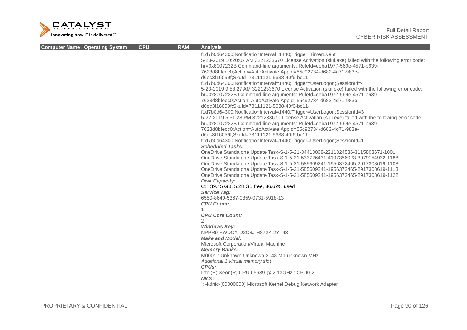

| <b>Computer Name Operating System</b> | <b>CPU</b> | <b>RAM</b> | <b>Analysis</b>                                                                                                                                                                                                                                                                                                                                                                                                                                                                                                                                                                                                                                                                                                                                                                                                                                                                                                                                                                                                                                                                                                                                                                                                                                                                                                                                                                                                                                                                                                                                                                                                                                                                                                                                                                                                                                                                                                                                                                                                                                                                                                                                                                                         |
|---------------------------------------|------------|------------|---------------------------------------------------------------------------------------------------------------------------------------------------------------------------------------------------------------------------------------------------------------------------------------------------------------------------------------------------------------------------------------------------------------------------------------------------------------------------------------------------------------------------------------------------------------------------------------------------------------------------------------------------------------------------------------------------------------------------------------------------------------------------------------------------------------------------------------------------------------------------------------------------------------------------------------------------------------------------------------------------------------------------------------------------------------------------------------------------------------------------------------------------------------------------------------------------------------------------------------------------------------------------------------------------------------------------------------------------------------------------------------------------------------------------------------------------------------------------------------------------------------------------------------------------------------------------------------------------------------------------------------------------------------------------------------------------------------------------------------------------------------------------------------------------------------------------------------------------------------------------------------------------------------------------------------------------------------------------------------------------------------------------------------------------------------------------------------------------------------------------------------------------------------------------------------------------------|
|                                       |            |            | f1d7b0d64300;NotificationInterval=1440;Trigger=TimerEvent<br>5-23-2019 10:20:07 AM 3221233670 License Activation (slui.exe) failed with the following error code:<br>hr=0x8007232B Command-line arguments: RuleId=eeba1977-569e-4571-b639-<br>7623d8bfecc0;Action=AutoActivate;AppId=55c92734-d682-4d71-983e-<br>d6ec3f16059f;SkuId=73111121-5638-40f6-bc11-<br>f1d7b0d64300;NotificationInterval=1440;Trigger=UserLogon;SessionId=4<br>5-23-2019 9:58:27 AM 3221233670 License Activation (slui.exe) failed with the following error code:<br>hr=0x8007232B Command-line arguments: RuleId=eeba1977-569e-4571-b639-<br>7623d8bfecc0;Action=AutoActivate;AppId=55c92734-d682-4d71-983e-<br>d6ec3f16059f;SkuId=73111121-5638-40f6-bc11-<br>f1d7b0d64300;NotificationInterval=1440;Trigger=UserLogon;SessionId=3<br>5-22-2019 5:51:28 PM 3221233670 License Activation (slui.exe) failed with the following error code:<br>hr=0x8007232B Command-line arguments: RuleId=eeba1977-569e-4571-b639-<br>7623d8bfecc0;Action=AutoActivate;AppId=55c92734-d682-4d71-983e-<br>d6ec3f16059f;SkuId=73111121-5638-40f6-bc11-<br>f1d7b0d64300;NotificationInterval=1440;Trigger=UserLogon;SessionId=1<br><b>Scheduled Tasks:</b><br>OneDrive Standalone Update Task-S-1-5-21-34413068-2211824536-3115803671-1001<br>OneDrive Standalone Update Task-S-1-5-21-533726431-4197356023-3979154932-1188<br>OneDrive Standalone Update Task-S-1-5-21-585609241-1956372465-2917308619-1108<br>OneDrive Standalone Update Task-S-1-5-21-585609241-1956372465-2917308619-1113<br>OneDrive Standalone Update Task-S-1-5-21-585609241-1956372465-2917308619-1122<br><b>Disk Capacity:</b><br>C: 39.45 GB, 5.28 GB free, 86.62% used<br><b>Service Tag:</b><br>6550-8640-5367-0859-0731-5918-13<br><b>CPU Count:</b><br>1<br><b>CPU Core Count:</b><br>2<br><b>Windows Key:</b><br>NPPR9-FWDCX-D2C8J-H872K-2YT43<br><b>Make and Model:</b><br>Microsoft Corporation/Virtual Machine<br><b>Memory Banks:</b><br>M0001: Unknown-Unknown-2048 Mb-unknown MHz<br>Additional 1 virtual memory slot<br>CPUs:<br>Intel(R) Xeon(R) CPU L5639 $@$ 2.13GHz : CPU0-2<br>NICs:<br>: - kdnic-[00000000] Microsoft Kernel Debug Network Adapter |
|                                       |            |            |                                                                                                                                                                                                                                                                                                                                                                                                                                                                                                                                                                                                                                                                                                                                                                                                                                                                                                                                                                                                                                                                                                                                                                                                                                                                                                                                                                                                                                                                                                                                                                                                                                                                                                                                                                                                                                                                                                                                                                                                                                                                                                                                                                                                         |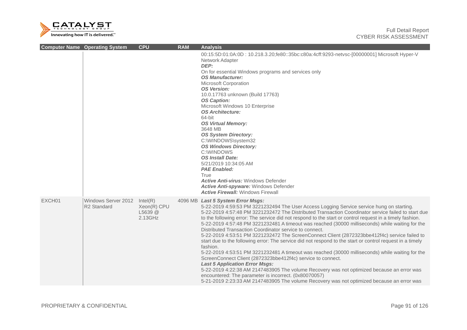

|        | <b>Computer Name Operating System</b>          | <b>CPU</b>                                       | <b>RAM</b> | <b>Analysis</b>                                                                                                                                                                                                                                                                                                                                                                                                                                                                                                                                                                                                                                                                                                                                                                                                                                                                                                                                                                                                                                                                                                                                                                                             |
|--------|------------------------------------------------|--------------------------------------------------|------------|-------------------------------------------------------------------------------------------------------------------------------------------------------------------------------------------------------------------------------------------------------------------------------------------------------------------------------------------------------------------------------------------------------------------------------------------------------------------------------------------------------------------------------------------------------------------------------------------------------------------------------------------------------------------------------------------------------------------------------------------------------------------------------------------------------------------------------------------------------------------------------------------------------------------------------------------------------------------------------------------------------------------------------------------------------------------------------------------------------------------------------------------------------------------------------------------------------------|
|        |                                                |                                                  |            | 00:15:5D:01:0A:0D:10.218.3.20;fe80::35bc:c80a:4cff:9293-netvsc-[00000001] Microsoft Hyper-V<br>Network Adapter<br>DEP:<br>On for essential Windows programs and services only<br><b>OS Manufacturer:</b><br>Microsoft Corporation<br><b>OS Version:</b><br>10.0.17763 unknown (Build 17763)<br><b>OS Caption:</b><br>Microsoft Windows 10 Enterprise<br><b>OS Architecture:</b><br>64-bit<br><b>OS Virtual Memory:</b><br>3648 MB<br><b>OS System Directory:</b><br>C:\WINDOWS\system32<br><b>OS Windows Directory:</b><br>C:\WINDOWS<br><b>OS Install Date:</b><br>5/21/2019 10:34:05 AM<br><b>PAE Enabled:</b><br>True<br><b>Active Anti-virus: Windows Defender</b><br><b>Active Anti-spyware: Windows Defender</b><br><b>Active Firewall: Windows Firewall</b>                                                                                                                                                                                                                                                                                                                                                                                                                                          |
| EXCH01 | Windows Server 2012<br>R <sub>2</sub> Standard | Intel(R)<br>Xeon(R) CPU<br>L5639 @<br>$2.13$ GHz |            | 4096 MB Last 5 System Error Msgs:<br>5-22-2019 4:59:53 PM 3221232494 The User Access Logging Service service hung on starting.<br>5-22-2019 4:57:48 PM 3221232472 The Distributed Transaction Coordinator service failed to start due<br>to the following error: The service did not respond to the start or control request in a timely fashion.<br>5-22-2019 4:57:48 PM 3221232481 A timeout was reached (30000 milliseconds) while waiting for the<br>Distributed Transaction Coordinator service to connect.<br>5-22-2019 4:53:51 PM 3221232472 The ScreenConnect Client (2872323bbe412f4c) service failed to<br>start due to the following error: The service did not respond to the start or control request in a timely<br>fashion.<br>5-22-2019 4:53:51 PM 3221232481 A timeout was reached (30000 milliseconds) while waiting for the<br>ScreenConnect Client (2872323bbe412f4c) service to connect.<br><b>Last 5 Application Error Msgs:</b><br>5-22-2019 4:22:38 AM 2147483905 The volume Recovery was not optimized because an error was<br>encountered: The parameter is incorrect. (0x80070057)<br>5-21-2019 2:23:33 AM 2147483905 The volume Recovery was not optimized because an error was |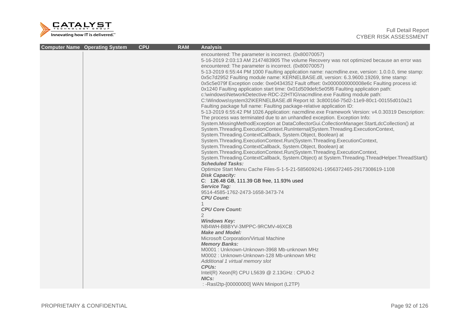

| <b>Computer Name Operating System</b> | <b>CPU</b> | <b>RAM</b> | <b>Analysis</b>                                                                                                                                                                                                                                                                                                                                                                                                                                                                                                                                                                                                                                                                                                                                                                                                                                                                                                                                                                                                                                                                                                                                                                                                                                                                                                                                                                                                                                                                                                                                                                                                                                                                                                                                                                                                                                                                                                                                                                                                                                                                                                                                                                                                                                                                                                                               |
|---------------------------------------|------------|------------|-----------------------------------------------------------------------------------------------------------------------------------------------------------------------------------------------------------------------------------------------------------------------------------------------------------------------------------------------------------------------------------------------------------------------------------------------------------------------------------------------------------------------------------------------------------------------------------------------------------------------------------------------------------------------------------------------------------------------------------------------------------------------------------------------------------------------------------------------------------------------------------------------------------------------------------------------------------------------------------------------------------------------------------------------------------------------------------------------------------------------------------------------------------------------------------------------------------------------------------------------------------------------------------------------------------------------------------------------------------------------------------------------------------------------------------------------------------------------------------------------------------------------------------------------------------------------------------------------------------------------------------------------------------------------------------------------------------------------------------------------------------------------------------------------------------------------------------------------------------------------------------------------------------------------------------------------------------------------------------------------------------------------------------------------------------------------------------------------------------------------------------------------------------------------------------------------------------------------------------------------------------------------------------------------------------------------------------------------|
|                                       |            |            | encountered: The parameter is incorrect. (0x80070057)<br>5-16-2019 2:03:13 AM 2147483905 The volume Recovery was not optimized because an error was<br>encountered: The parameter is incorrect. (0x80070057)<br>5-13-2019 6:55:44 PM 1000 Faulting application name: nacmdline.exe, version: 1.0.0.0, time stamp:<br>0x5c7d2952 Faulting module name: KERNELBASE.dll, version: 6.3.9600.19269, time stamp:<br>0x5c5e079f Exception code: 0xe0434352 Fault offset: 0x0000000000008e6c Faulting process id:<br>0x1240 Faulting application start time: 0x01d509defc5e05f6 Faulting application path:<br>c:\windows\NetworkDetective-RDC-22HTIG\nacmdline.exe Faulting module path:<br>C:\Windows\system32\KERNELBASE.dll Report Id: 3c80016d-75d2-11e9-80c1-00155d010a21<br>Faulting package full name: Faulting package-relative application ID:<br>5-13-2019 6:55:42 PM 1026 Application: nacmdline.exe Framework Version: v4.0.30319 Description:<br>The process was terminated due to an unhandled exception. Exception Info:<br>System.MissingMethodException at DataCollectorGui.CollectionManager.StartLdcCollection() at<br>System.Threading.ExecutionContext.RunInternal(System.Threading.ExecutionContext,<br>System.Threading.ContextCallback, System.Object, Boolean) at<br>System.Threading.ExecutionContext.Run(System.Threading.ExecutionContext,<br>System.Threading.ContextCallback, System.Object, Boolean) at<br>System.Threading.ExecutionContext.Run(System.Threading.ExecutionContext,<br>System.Threading.ContextCallback, System.Object) at System.Threading.ThreadHelper.ThreadStart()<br><b>Scheduled Tasks:</b><br>Optimize Start Menu Cache Files-S-1-5-21-585609241-1956372465-2917308619-1108<br><b>Disk Capacity:</b><br>C: 126.48 GB, 111.39 GB free, 11.93% used<br><b>Service Tag:</b><br>9514-4585-1762-2473-1658-3473-74<br><b>CPU Count:</b><br>$\mathbf{1}$<br><b>CPU Core Count:</b><br>2<br><b>Windows Key:</b><br>NB4WH-BBBYV-3MPPC-9RCMV-46XCB<br><b>Make and Model:</b><br>Microsoft Corporation/Virtual Machine<br><b>Memory Banks:</b><br>M0001: Unknown-Unknown-3968 Mb-unknown MHz<br>M0002: Unknown-Unknown-128 Mb-unknown MHz<br>Additional 1 virtual memory slot<br>CPU <sub>s</sub> :<br>Intel(R) Xeon(R) CPU L5639 @ 2.13GHz : CPU0-2<br>NICs:<br>: -Rasl2tp-[00000000] WAN Miniport (L2TP) |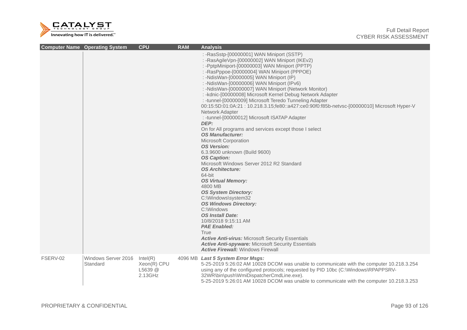

|          | <b>Computer Name Operating System</b> | <b>CPU</b>                                   | <b>RAM</b> | <b>Analysis</b>                                                                                                                                                                                                                                                                                                                                                                                                                                                                                                                                                                                                                                                                                                                                                                                                                                                                                                                                                                                                                                                                                                                                                                                                                                                                                                                            |
|----------|---------------------------------------|----------------------------------------------|------------|--------------------------------------------------------------------------------------------------------------------------------------------------------------------------------------------------------------------------------------------------------------------------------------------------------------------------------------------------------------------------------------------------------------------------------------------------------------------------------------------------------------------------------------------------------------------------------------------------------------------------------------------------------------------------------------------------------------------------------------------------------------------------------------------------------------------------------------------------------------------------------------------------------------------------------------------------------------------------------------------------------------------------------------------------------------------------------------------------------------------------------------------------------------------------------------------------------------------------------------------------------------------------------------------------------------------------------------------|
|          |                                       |                                              |            | : - RasSstp-[00000001] WAN Miniport (SSTP)<br>: -RasAgileVpn-[00000002] WAN Miniport (IKEv2)<br>: - PptpMiniport-[00000003] WAN Miniport (PPTP)<br>: -RasPppoe-[00000004] WAN Miniport (PPPOE)<br>: -NdisWan-[00000005] WAN Miniport (IP)<br>: -NdisWan-[00000006] WAN Miniport (IPv6)<br>: -NdisWan-[00000007] WAN Miniport (Network Monitor)<br>: - kdnic-[00000008] Microsoft Kernel Debug Network Adapter<br>: - tunnel-[00000009] Microsoft Teredo Tunneling Adapter<br>00:15:5D:01:0A:21:10.218.3.15;fe80::a427:ce0:90f0:f85b-netvsc-[00000010] Microsoft Hyper-V<br>Network Adapter<br>: - tunnel-[00000012] Microsoft ISATAP Adapter<br>DEP:<br>On for All programs and services except those I select<br><b>OS Manufacturer:</b><br><b>Microsoft Corporation</b><br><b>OS Version:</b><br>6.3.9600 unknown (Build 9600)<br><b>OS Caption:</b><br>Microsoft Windows Server 2012 R2 Standard<br><b>OS Architecture:</b><br>64-bit<br><b>OS Virtual Memory:</b><br>4800 MB<br><b>OS System Directory:</b><br>C:\Windows\system32<br><b>OS Windows Directory:</b><br>C:\Windows<br><b>OS Install Date:</b><br>10/8/2018 9:15:11 AM<br><b>PAE Enabled:</b><br>True<br><b>Active Anti-virus: Microsoft Security Essentials</b><br><b>Active Anti-spyware: Microsoft Security Essentials</b><br><b>Active Firewall: Windows Firewall</b> |
| FSERV-02 | Windows Server 2016<br>Standard       | Intel(R)<br>Xeon(R) CPU<br>L5639@<br>2.13GHz |            | 4096 MB Last 5 System Error Msgs:<br>5-25-2019 5:26:02 AM 10028 DCOM was unable to communicate with the computer 10.218.3.254<br>using any of the configured protocols; requested by PID 10bc (C:\Windows\RPAPPSRV-<br>32WR\bin\push\WmiDispatcherCmdLine.exe).<br>5-25-2019 5:26:01 AM 10028 DCOM was unable to communicate with the computer 10.218.3.253                                                                                                                                                                                                                                                                                                                                                                                                                                                                                                                                                                                                                                                                                                                                                                                                                                                                                                                                                                                |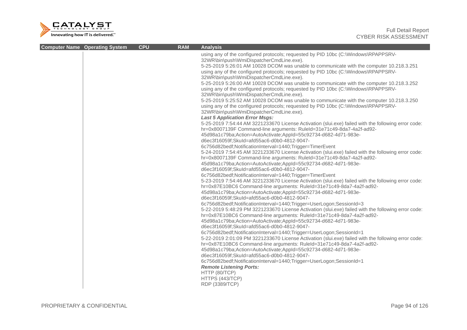

| <b>Computer Name Operating System</b> | <b>CPU</b> | <b>RAM</b> | <b>Analysis</b>                                                                                                                                                                                                                                                                                                                                                                                                                                                                                                                                                                                                                                                                                                                                                                                                                                                                                                                                                                                                                                                                                                                                                                                                                                                                                                                                                                                                                                                                                                                                                                                                                                                                                                                                                                                                                                                                                                                                                                                                                                                                                                                                                                                                                                                                                                                                                                                                                                                                                                                                                                                                                                                                                                                                                                                                       |
|---------------------------------------|------------|------------|-----------------------------------------------------------------------------------------------------------------------------------------------------------------------------------------------------------------------------------------------------------------------------------------------------------------------------------------------------------------------------------------------------------------------------------------------------------------------------------------------------------------------------------------------------------------------------------------------------------------------------------------------------------------------------------------------------------------------------------------------------------------------------------------------------------------------------------------------------------------------------------------------------------------------------------------------------------------------------------------------------------------------------------------------------------------------------------------------------------------------------------------------------------------------------------------------------------------------------------------------------------------------------------------------------------------------------------------------------------------------------------------------------------------------------------------------------------------------------------------------------------------------------------------------------------------------------------------------------------------------------------------------------------------------------------------------------------------------------------------------------------------------------------------------------------------------------------------------------------------------------------------------------------------------------------------------------------------------------------------------------------------------------------------------------------------------------------------------------------------------------------------------------------------------------------------------------------------------------------------------------------------------------------------------------------------------------------------------------------------------------------------------------------------------------------------------------------------------------------------------------------------------------------------------------------------------------------------------------------------------------------------------------------------------------------------------------------------------------------------------------------------------------------------------------------------------|
|                                       |            |            | using any of the configured protocols; requested by PID 10bc (C:\Windows\RPAPPSRV-<br>32WR\bin\push\WmiDispatcherCmdLine.exe).<br>5-25-2019 5:26:01 AM 10028 DCOM was unable to communicate with the computer 10.218.3.251<br>using any of the configured protocols; requested by PID 10bc (C:\Windows\RPAPPSRV-<br>32WR\bin\push\WmiDispatcherCmdLine.exe).<br>5-25-2019 5:26:00 AM 10028 DCOM was unable to communicate with the computer 10.218.3.252<br>using any of the configured protocols; requested by PID 10bc (C:\Windows\RPAPPSRV-<br>32WR\bin\push\WmiDispatcherCmdLine.exe).<br>5-25-2019 5:25:52 AM 10028 DCOM was unable to communicate with the computer 10.218.3.250<br>using any of the configured protocols; requested by PID 10bc (C:\Windows\RPAPPSRV-<br>32WR\bin\push\WmiDispatcherCmdLine.exe).<br><b>Last 5 Application Error Msgs:</b><br>5-25-2019 7:54:44 AM 3221233670 License Activation (slui.exe) failed with the following error code:<br>hr=0x8007139F Command-line arguments: RuleId=31e71c49-8da7-4a2f-ad92-<br>45d98a1c79ba;Action=AutoActivate;AppId=55c92734-d682-4d71-983e-<br>d6ec3f16059f;SkuId=afd55ac6-d0b0-4812-9047-<br>6c756d82bedf;NotificationInterval=1440;Trigger=TimerEvent<br>5-24-2019 7:54:45 AM 3221233670 License Activation (slui.exe) failed with the following error code:<br>hr=0x8007139F Command-line arguments: RuleId=31e71c49-8da7-4a2f-ad92-<br>45d98a1c79ba;Action=AutoActivate;AppId=55c92734-d682-4d71-983e-<br>d6ec3f16059f;SkuId=afd55ac6-d0b0-4812-9047-<br>6c756d82bedf;NotificationInterval=1440;Trigger=TimerEvent<br>5-23-2019 7:54:46 AM 3221233670 License Activation (slui.exe) failed with the following error code:<br>hr=0x87E10BC6 Command-line arguments: RuleId=31e71c49-8da7-4a2f-ad92-<br>45d98a1c79ba;Action=AutoActivate;AppId=55c92734-d682-4d71-983e-<br>d6ec3f16059f;SkuId=afd55ac6-d0b0-4812-9047-<br>6c756d82bedf;NotificationInterval=1440;Trigger=UserLogon;SessionId=3<br>5-22-2019 5:48:29 PM 3221233670 License Activation (slui.exe) failed with the following error code:<br>hr=0x87E10BC6 Command-line arguments: RuleId=31e71c49-8da7-4a2f-ad92-<br>45d98a1c79ba;Action=AutoActivate;AppId=55c92734-d682-4d71-983e-<br>d6ec3f16059f;SkuId=afd55ac6-d0b0-4812-9047-<br>6c756d82bedf;NotificationInterval=1440;Trigger=UserLogon;SessionId=1<br>5-22-2019 2:01:09 PM 3221233670 License Activation (slui.exe) failed with the following error code:<br>hr=0x87E10BC6 Command-line arguments: RuleId=31e71c49-8da7-4a2f-ad92-<br>45d98a1c79ba;Action=AutoActivate;AppId=55c92734-d682-4d71-983e-<br>d6ec3f16059f;SkuId=afd55ac6-d0b0-4812-9047-<br>6c756d82bedf;NotificationInterval=1440;Trigger=UserLogon;SessionId=1<br><b>Remote Listening Ports:</b><br>HTTP (80/TCP)<br>HTTPS (443/TCP)<br>RDP (3389/TCP) |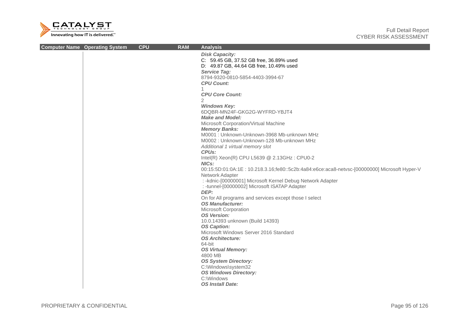

| <b>Computer Name Operating System</b> | <b>CPU</b> | <b>RAM</b> | <b>Analysis</b>                                                                              |
|---------------------------------------|------------|------------|----------------------------------------------------------------------------------------------|
|                                       |            |            | <b>Disk Capacity:</b><br>C: 59.45 GB, 37.52 GB free, 36.89% used                             |
|                                       |            |            | D: 49.87 GB, 44.64 GB free, 10.49% used                                                      |
|                                       |            |            | <b>Service Tag:</b><br>8794-9320-0810-5854-4403-3994-67                                      |
|                                       |            |            | <b>CPU Count:</b>                                                                            |
|                                       |            |            | $\mathbf{1}$                                                                                 |
|                                       |            |            | <b>CPU Core Count:</b>                                                                       |
|                                       |            |            | 2                                                                                            |
|                                       |            |            | <b>Windows Key:</b>                                                                          |
|                                       |            |            | 6DQBR-MN24F-GKG2G-WYFRD-YBJT4<br><b>Make and Model:</b>                                      |
|                                       |            |            | Microsoft Corporation/Virtual Machine                                                        |
|                                       |            |            | <b>Memory Banks:</b>                                                                         |
|                                       |            |            | M0001: Unknown-Unknown-3968 Mb-unknown MHz                                                   |
|                                       |            |            | M0002: Unknown-Unknown-128 Mb-unknown MHz                                                    |
|                                       |            |            | Additional 1 virtual memory slot                                                             |
|                                       |            |            | CPU <sub>s</sub> :                                                                           |
|                                       |            |            | Intel(R) Xeon(R) CPU L5639 @ 2.13GHz : CPU0-2<br>NICs:                                       |
|                                       |            |            | 00:15:5D:01:0A:1E: 10.218.3.16;fe80::5c2b:4a84:e6ce:aca8-netvsc-[00000000] Microsoft Hyper-V |
|                                       |            |            | Network Adapter                                                                              |
|                                       |            |            | : - kdnic-[00000001] Microsoft Kernel Debug Network Adapter                                  |
|                                       |            |            | : - tunnel-[00000002] Microsoft ISATAP Adapter                                               |
|                                       |            |            | DEP:                                                                                         |
|                                       |            |            | On for All programs and services except those I select                                       |
|                                       |            |            | <b>OS Manufacturer:</b>                                                                      |
|                                       |            |            | Microsoft Corporation<br><b>OS Version:</b>                                                  |
|                                       |            |            | 10.0.14393 unknown (Build 14393)                                                             |
|                                       |            |            | <b>OS Caption:</b>                                                                           |
|                                       |            |            | Microsoft Windows Server 2016 Standard                                                       |
|                                       |            |            | <b>OS Architecture:</b>                                                                      |
|                                       |            |            | 64-bit                                                                                       |
|                                       |            |            | <b>OS Virtual Memory:</b><br>4800 MB                                                         |
|                                       |            |            | <b>OS System Directory:</b>                                                                  |
|                                       |            |            | C:\Windows\system32                                                                          |
|                                       |            |            | <b>OS Windows Directory:</b>                                                                 |
|                                       |            |            | C:\Windows                                                                                   |
|                                       |            |            | <b>OS Install Date:</b>                                                                      |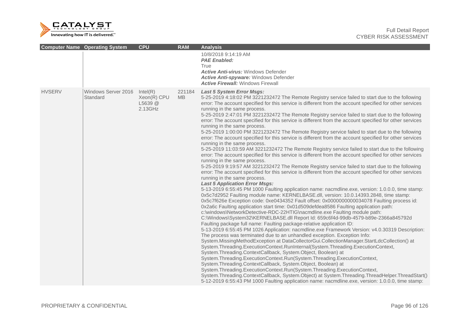

|               | <b>Computer Name Operating System</b> | <b>CPU</b>                                   | <b>RAM</b>          | <b>Analysis</b>                                                                                                                                                                                                                                                                                                                                                                                                                                                                                                                                                                                                                                                                                                                                                                                                                                                                                                                                                                                                                                                                                                                                                                                                                                                                                                                                                                                                                                                                                                                                                                                                                                                                                                                                                                                                                                                                                                                                                                                                                                                                                                                                                                                                                                                                                                                                                                                                                                                                                                                                                                                                                                                                                                                                                                                                                          |
|---------------|---------------------------------------|----------------------------------------------|---------------------|------------------------------------------------------------------------------------------------------------------------------------------------------------------------------------------------------------------------------------------------------------------------------------------------------------------------------------------------------------------------------------------------------------------------------------------------------------------------------------------------------------------------------------------------------------------------------------------------------------------------------------------------------------------------------------------------------------------------------------------------------------------------------------------------------------------------------------------------------------------------------------------------------------------------------------------------------------------------------------------------------------------------------------------------------------------------------------------------------------------------------------------------------------------------------------------------------------------------------------------------------------------------------------------------------------------------------------------------------------------------------------------------------------------------------------------------------------------------------------------------------------------------------------------------------------------------------------------------------------------------------------------------------------------------------------------------------------------------------------------------------------------------------------------------------------------------------------------------------------------------------------------------------------------------------------------------------------------------------------------------------------------------------------------------------------------------------------------------------------------------------------------------------------------------------------------------------------------------------------------------------------------------------------------------------------------------------------------------------------------------------------------------------------------------------------------------------------------------------------------------------------------------------------------------------------------------------------------------------------------------------------------------------------------------------------------------------------------------------------------------------------------------------------------------------------------------------------------|
|               |                                       |                                              |                     | 10/8/2018 9:14:19 AM<br><b>PAE Enabled:</b><br>True<br><b>Active Anti-virus: Windows Defender</b><br>Active Anti-spyware: Windows Defender<br><b>Active Firewall: Windows Firewall</b>                                                                                                                                                                                                                                                                                                                                                                                                                                                                                                                                                                                                                                                                                                                                                                                                                                                                                                                                                                                                                                                                                                                                                                                                                                                                                                                                                                                                                                                                                                                                                                                                                                                                                                                                                                                                                                                                                                                                                                                                                                                                                                                                                                                                                                                                                                                                                                                                                                                                                                                                                                                                                                                   |
| <b>HVSERV</b> | Windows Server 2016<br>Standard       | Intel(R)<br>Xeon(R) CPU<br>L5639@<br>2.13GHz | 221184<br><b>MB</b> | <b>Last 5 System Error Msgs:</b><br>5-25-2019 4:18:02 PM 3221232472 The Remote Registry service failed to start due to the following<br>error: The account specified for this service is different from the account specified for other services<br>running in the same process.<br>5-25-2019 2:47:01 PM 3221232472 The Remote Registry service failed to start due to the following<br>error: The account specified for this service is different from the account specified for other services<br>running in the same process.<br>5-25-2019 1:00:00 PM 3221232472 The Remote Registry service failed to start due to the following<br>error: The account specified for this service is different from the account specified for other services<br>running in the same process.<br>5-25-2019 11:03:59 AM 3221232472 The Remote Registry service failed to start due to the following<br>error: The account specified for this service is different from the account specified for other services<br>running in the same process.<br>5-25-2019 9:19:57 AM 3221232472 The Remote Registry service failed to start due to the following<br>error: The account specified for this service is different from the account specified for other services<br>running in the same process.<br><b>Last 5 Application Error Msgs:</b><br>5-13-2019 6:55:45 PM 1000 Faulting application name: nacmdline.exe, version: 1.0.0.0, time stamp:<br>0x5c7d2952 Faulting module name: KERNELBASE.dll, version: 10.0.14393.2848, time stamp:<br>0x5c7f626e Exception code: 0xe0434352 Fault offset: 0x000000000034078 Faulting process id:<br>0x2a6c Faulting application start time: 0x01d509defdea8586 Faulting application path:<br>c:\windows\NetworkDetective-RDC-22HTIG\nacmdline.exe Faulting module path:<br>C:\Windows\System32\KERNELBASE.dll Report Id: 659c6f4d-99db-4579-b89e-2366a845792d<br>Faulting package full name: Faulting package-relative application ID:<br>5-13-2019 6:55:45 PM 1026 Application: nacmdline.exe Framework Version: v4.0.30319 Description:<br>The process was terminated due to an unhandled exception. Exception Info:<br>System.MissingMethodException at DataCollectorGui.CollectionManager.StartLdcCollection() at<br>System.Threading.ExecutionContext.RunInternal(System.Threading.ExecutionContext,<br>System. Threading. Context Callback, System. Object, Boolean) at<br>System.Threading.ExecutionContext.Run(System.Threading.ExecutionContext,<br>System. Threading. Context Callback, System. Object, Boolean) at<br>System.Threading.ExecutionContext.Run(System.Threading.ExecutionContext,<br>System.Threading.ContextCallback, System.Object) at System.Threading.ThreadHelper.ThreadStart()<br>5-12-2019 6:55:43 PM 1000 Faulting application name: nacmdline.exe, version: 1.0.0.0, time stamp: |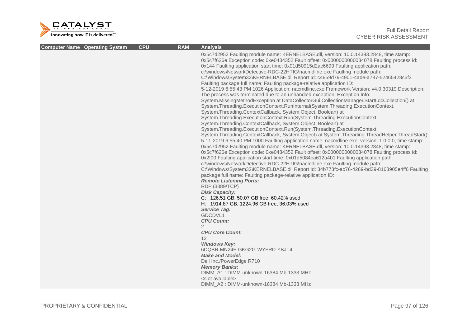

| <b>Computer Name Operating System</b> | <b>CPU</b> | <b>RAM</b> | <b>Analysis</b>                                                                                                                                                                                                                                                                                                                                                                                                                                                                                                                                                                                                                                                                                                                                                                                                                                                                                                                                                                                                                                                                                                                                                                                                                                                                                                                                                                                                                                                                                                                                                                                                                                                                                                                                                                                                                                                                                                                                                                                                                                                                                                                                                                                                                                                                                                                                                                                                                                               |
|---------------------------------------|------------|------------|---------------------------------------------------------------------------------------------------------------------------------------------------------------------------------------------------------------------------------------------------------------------------------------------------------------------------------------------------------------------------------------------------------------------------------------------------------------------------------------------------------------------------------------------------------------------------------------------------------------------------------------------------------------------------------------------------------------------------------------------------------------------------------------------------------------------------------------------------------------------------------------------------------------------------------------------------------------------------------------------------------------------------------------------------------------------------------------------------------------------------------------------------------------------------------------------------------------------------------------------------------------------------------------------------------------------------------------------------------------------------------------------------------------------------------------------------------------------------------------------------------------------------------------------------------------------------------------------------------------------------------------------------------------------------------------------------------------------------------------------------------------------------------------------------------------------------------------------------------------------------------------------------------------------------------------------------------------------------------------------------------------------------------------------------------------------------------------------------------------------------------------------------------------------------------------------------------------------------------------------------------------------------------------------------------------------------------------------------------------------------------------------------------------------------------------------------------------|
|                                       |            |            | 0x5c7d2952 Faulting module name: KERNELBASE.dll, version: 10.0.14393.2848, time stamp:<br>0x5c7f626e Exception code: 0xe0434352 Fault offset: 0x000000000034078 Faulting process id:<br>0x144 Faulting application start time: 0x01d50915d2ac6699 Faulting application path:<br>c:\windows\NetworkDetective-RDC-22HTIG\nacmdline.exe Faulting module path:<br>C:\Windows\System32\KERNELBASE.dll Report Id: c4959d79-4901-4ade-a787-52465428c5f3<br>Faulting package full name: Faulting package-relative application ID:<br>5-12-2019 6:55:43 PM 1026 Application: nacmdline.exe Framework Version: v4.0.30319 Description:<br>The process was terminated due to an unhandled exception. Exception Info:<br>System.MissingMethodException at DataCollectorGui.CollectionManager.StartLdcCollection() at<br>System.Threading.ExecutionContext.RunInternal(System.Threading.ExecutionContext,<br>System.Threading.ContextCallback, System.Object, Boolean) at<br>System.Threading.ExecutionContext.Run(System.Threading.ExecutionContext,<br>System. Threading. Context Callback, System. Object, Boolean) at<br>System.Threading.ExecutionContext.Run(System.Threading.ExecutionContext,<br>System.Threading.ContextCallback, System.Object) at System.Threading.ThreadHelper.ThreadStart()<br>5-11-2019 6:55:40 PM 1000 Faulting application name: nacmdline.exe, version: 1.0.0.0, time stamp:<br>0x5c7d2952 Faulting module name: KERNELBASE.dll, version: 10.0.14393.2848, time stamp:<br>0x5c7f626e Exception code: 0xe0434352 Fault offset: 0x000000000034078 Faulting process id:<br>0x2f00 Faulting application start time: 0x01d5084ca612a4b1 Faulting application path:<br>c:\windows\NetworkDetective-RDC-22HTIG\nacmdline.exe Faulting module path:<br>C:\Windows\System32\KERNELBASE.dll Report Id: 34b773fc-ac76-4269-bd39-8163905e4ff6 Faulting<br>package full name: Faulting package-relative application ID:<br><b>Remote Listening Ports:</b><br>RDP (3389/TCP)<br><b>Disk Capacity:</b><br>C: 126.51 GB, 50.07 GB free, 60.42% used<br>H: 1914.87 GB, 1224.96 GB free, 36.03% used<br><b>Service Tag:</b><br>GDCDVL1<br><b>CPU Count:</b><br>2<br><b>CPU Core Count:</b><br>12<br><b>Windows Key:</b><br>6DQBR-MN24F-GKG2G-WYFRD-YBJT4<br><b>Make and Model:</b><br>Dell Inc./PowerEdge R710<br><b>Memory Banks:</b><br>DIMM A1: DIMM-unknown-16384 Mb-1333 MHz<br><slot available=""><br/>DIMM A2: DIMM-unknown-16384 Mb-1333 MHz</slot> |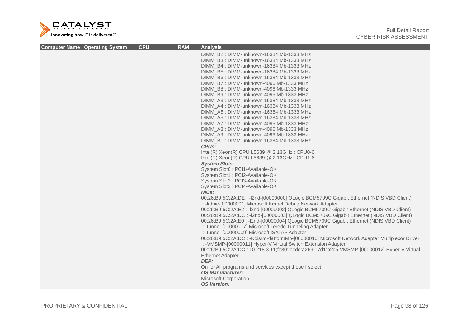

| <b>Computer Name Operating System</b> | <b>CPU</b> | <b>RAM</b> | <b>Analysis</b>                                                                                                                                                                                                                                                                                                                                                                                                                                                                                                                                                                                                                                                                                                                                                                                                                                                                                                                                                                                                                                                                                                                                                                                                                                                                                                                                                                                                                                                                                                                                                                                                                                                                                                                                                                                                                                                                                                                                                                                                    |
|---------------------------------------|------------|------------|--------------------------------------------------------------------------------------------------------------------------------------------------------------------------------------------------------------------------------------------------------------------------------------------------------------------------------------------------------------------------------------------------------------------------------------------------------------------------------------------------------------------------------------------------------------------------------------------------------------------------------------------------------------------------------------------------------------------------------------------------------------------------------------------------------------------------------------------------------------------------------------------------------------------------------------------------------------------------------------------------------------------------------------------------------------------------------------------------------------------------------------------------------------------------------------------------------------------------------------------------------------------------------------------------------------------------------------------------------------------------------------------------------------------------------------------------------------------------------------------------------------------------------------------------------------------------------------------------------------------------------------------------------------------------------------------------------------------------------------------------------------------------------------------------------------------------------------------------------------------------------------------------------------------------------------------------------------------------------------------------------------------|
|                                       |            |            | DIMM B2: DIMM-unknown-16384 Mb-1333 MHz<br>DIMM B3: DIMM-unknown-16384 Mb-1333 MHz<br>DIMM B4: DIMM-unknown-16384 Mb-1333 MHz<br>DIMM_B5: DIMM-unknown-16384 Mb-1333 MHz<br>DIMM B6: DIMM-unknown-16384 Mb-1333 MHz<br>DIMM B7: DIMM-unknown-4096 Mb-1333 MHz<br>DIMM B8: DIMM-unknown-4096 Mb-1333 MHz<br>DIMM B9: DIMM-unknown-4096 Mb-1333 MHz<br>DIMM A3: DIMM-unknown-16384 Mb-1333 MHz<br>DIMM A4: DIMM-unknown-16384 Mb-1333 MHz<br>DIMM A5: DIMM-unknown-16384 Mb-1333 MHz<br>DIMM A6: DIMM-unknown-16384 Mb-1333 MHz<br>DIMM A7: DIMM-unknown-4096 Mb-1333 MHz<br>DIMM A8: DIMM-unknown-4096 Mb-1333 MHz<br>DIMM_A9: DIMM-unknown-4096 Mb-1333 MHz<br>DIMM B1: DIMM-unknown-16384 Mb-1333 MHz<br>CPU <sub>s</sub> :<br>Intel(R) Xeon(R) CPU L5639 @ 2.13GHz : CPU0-6<br>Intel(R) Xeon(R) CPU L5639 @ 2.13GHz : CPU1-6<br><b>System Slots:</b><br>System Slot0 : PCI1-Available-OK<br>System Slot1 : PCI2-Available-OK<br>System Slot2 : PCI3-Available-OK<br>System Slot3 : PCI4-Available-OK<br>NICs:<br>00:26:B9:5C:2A:DE: -l2nd-[00000000] QLogic BCM5709C Gigabit Ethernet (NDIS VBD Client)<br>: - kdnic-[00000001] Microsoft Kernel Debug Network Adapter<br>00:26:B9:5C:2A:E2: -l2nd-[00000002] QLogic BCM5709C Gigabit Ethernet (NDIS VBD Client)<br>00:26:B9:5C:2A:DC : -l2nd-[00000003] QLogic BCM5709C Gigabit Ethernet (NDIS VBD Client)<br>00:26:B9:5C:2A:E0: - l2nd-[00000004] QLogic BCM5709C Gigabit Ethernet (NDIS VBD Client)<br>: - tunnel-[00000007] Microsoft Teredo Tunneling Adapter<br>: - tunnel-[00000009] Microsoft ISATAP Adapter<br>00:26:B9:5C:2A:DC: -NdisImPlatformMp-[00000010] Microsoft Network Adapter Multiplexor Driver<br>: - VMSMP-[00000011] Hyper-V Virtual Switch Extension Adapter<br>00:26:B9:5C:2A:DC: 10.218.3.11;fe80::ecdd:a269:17d1:b2c5-VMSMP-[00000012] Hyper-V Virtual<br><b>Ethernet Adapter</b><br>DEP:<br>On for All programs and services except those I select<br><b>OS Manufacturer:</b><br><b>Microsoft Corporation</b><br><b>OS Version:</b> |
|                                       |            |            |                                                                                                                                                                                                                                                                                                                                                                                                                                                                                                                                                                                                                                                                                                                                                                                                                                                                                                                                                                                                                                                                                                                                                                                                                                                                                                                                                                                                                                                                                                                                                                                                                                                                                                                                                                                                                                                                                                                                                                                                                    |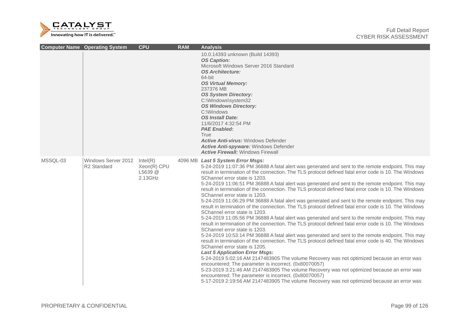

|          | <b>Computer Name Operating System</b>          | <b>CPU</b>                                    | <b>RAM</b> | <b>Analysis</b>                                                                                                                                                                                                                                                                                                                                                                                                                                                                                                                                                                                                                                                                                                                                                                                                                                                                                                                                                                                                                                                                                                                                                                                                                                                                                                                                                                                                                                                                                                                                                                                                                                                                                                                   |
|----------|------------------------------------------------|-----------------------------------------------|------------|-----------------------------------------------------------------------------------------------------------------------------------------------------------------------------------------------------------------------------------------------------------------------------------------------------------------------------------------------------------------------------------------------------------------------------------------------------------------------------------------------------------------------------------------------------------------------------------------------------------------------------------------------------------------------------------------------------------------------------------------------------------------------------------------------------------------------------------------------------------------------------------------------------------------------------------------------------------------------------------------------------------------------------------------------------------------------------------------------------------------------------------------------------------------------------------------------------------------------------------------------------------------------------------------------------------------------------------------------------------------------------------------------------------------------------------------------------------------------------------------------------------------------------------------------------------------------------------------------------------------------------------------------------------------------------------------------------------------------------------|
|          |                                                |                                               |            | 10.0.14393 unknown (Build 14393)<br><b>OS Caption:</b><br>Microsoft Windows Server 2016 Standard<br><b>OS Architecture:</b><br>64-bit<br><b>OS Virtual Memory:</b><br>237376 MB<br><b>OS System Directory:</b><br>C:\Windows\system32<br><b>OS Windows Directory:</b><br>C:\Windows<br><b>OS Install Date:</b><br>11/6/2017 4:32:54 PM<br><b>PAE Enabled:</b><br>True<br><b>Active Anti-virus: Windows Defender</b><br>Active Anti-spyware: Windows Defender<br><b>Active Firewall: Windows Firewall</b>                                                                                                                                                                                                                                                                                                                                                                                                                                                                                                                                                                                                                                                                                                                                                                                                                                                                                                                                                                                                                                                                                                                                                                                                                          |
| MSSQL-03 | Windows Server 2012<br>R <sub>2</sub> Standard | Intel(R)<br>Xeon(R) CPU<br>L5639 @<br>2.13GHz |            | 4096 MB Last 5 System Error Msgs:<br>5-24-2019 11:07:36 PM 36888 A fatal alert was generated and sent to the remote endpoint. This may<br>result in termination of the connection. The TLS protocol defined fatal error code is 10. The Windows<br>SChannel error state is 1203.<br>5-24-2019 11:06:51 PM 36888 A fatal alert was generated and sent to the remote endpoint. This may<br>result in termination of the connection. The TLS protocol defined fatal error code is 10. The Windows<br>SChannel error state is 1203.<br>5-24-2019 11:06:29 PM 36888 A fatal alert was generated and sent to the remote endpoint. This may<br>result in termination of the connection. The TLS protocol defined fatal error code is 10. The Windows<br>SChannel error state is 1203.<br>5-24-2019 11:05:56 PM 36888 A fatal alert was generated and sent to the remote endpoint. This may<br>result in termination of the connection. The TLS protocol defined fatal error code is 10. The Windows<br>SChannel error state is 1203.<br>5-24-2019 10:53:14 PM 36888 A fatal alert was generated and sent to the remote endpoint. This may<br>result in termination of the connection. The TLS protocol defined fatal error code is 40. The Windows<br>SChannel error state is 1205.<br><b>Last 5 Application Error Msgs:</b><br>5-24-2019 5:02:16 AM 2147483905 The volume Recovery was not optimized because an error was<br>encountered: The parameter is incorrect. (0x80070057)<br>5-23-2019 3:21:46 AM 2147483905 The volume Recovery was not optimized because an error was<br>encountered: The parameter is incorrect. (0x80070057)<br>5-17-2019 2:19:56 AM 2147483905 The volume Recovery was not optimized because an error was |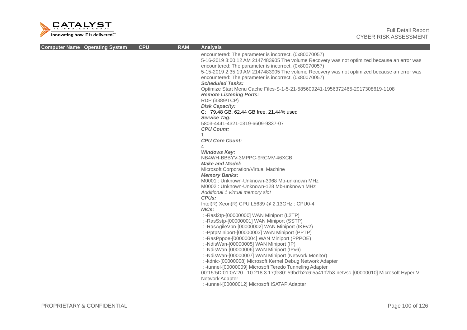

| encountered: The parameter is incorrect. (0x80070057)<br>5-16-2019 3:00:12 AM 2147483905 The volume Recovery was not optimized because an error was<br>encountered: The parameter is incorrect. (0x80070057)<br>5-15-2019 2:35:19 AM 2147483905 The volume Recovery was not optimized because an error was<br>encountered: The parameter is incorrect. (0x80070057)<br><b>Scheduled Tasks:</b><br>Optimize Start Menu Cache Files-S-1-5-21-585609241-1956372465-2917308619-1108<br><b>Remote Listening Ports:</b><br>RDP (3389/TCP)<br><b>Disk Capacity:</b><br>C: 79.48 GB, 62.44 GB free, 21.44% used<br><b>Service Tag:</b><br>5803-4441-4321-0319-6609-9337-07<br><b>CPU Count:</b><br>1<br><b>CPU Core Count:</b><br><b>Windows Key:</b><br>NB4WH-BBBYV-3MPPC-9RCMV-46XCB<br><b>Make and Model:</b><br>Microsoft Corporation/Virtual Machine<br><b>Memory Banks:</b><br>M0001: Unknown-Unknown-3968 Mb-unknown MHz<br>M0002: Unknown-Unknown-128 Mb-unknown MHz<br>Additional 1 virtual memory slot<br>CPU <sub>s</sub> :<br>Intel(R) Xeon(R) CPU L5639 @ 2.13GHz : CPU0-4<br>NICs:<br>: -Rasl2tp-[00000000] WAN Miniport (L2TP)<br>: - RasSstp-[00000001] WAN Miniport (SSTP)<br>: -RasAgileVpn-[00000002] WAN Miniport (IKEv2)<br>: -PptpMiniport-[00000003] WAN Miniport (PPTP)<br>: - RasPppoe-[00000004] WAN Miniport (PPPOE)<br>: -NdisWan-[00000005] WAN Miniport (IP)<br>: -NdisWan-[00000006] WAN Miniport (IPv6)<br>: - NdisWan-[00000007] WAN Miniport (Network Monitor)<br>: - kdnic-[00000008] Microsoft Kernel Debug Network Adapter<br>: - tunnel-[00000009] Microsoft Teredo Tunneling Adapter<br>00:15:5D:01:0A:20: 10.218.3.17;fe80::59bd:b2c6:5a41:f7b3-netvsc-[00000010] Microsoft Hyper-V<br>Network Adapter | <b>Computer Name Operating System</b> | <b>CPU</b> | <b>RAM</b> | <b>Analysis</b>                                |
|----------------------------------------------------------------------------------------------------------------------------------------------------------------------------------------------------------------------------------------------------------------------------------------------------------------------------------------------------------------------------------------------------------------------------------------------------------------------------------------------------------------------------------------------------------------------------------------------------------------------------------------------------------------------------------------------------------------------------------------------------------------------------------------------------------------------------------------------------------------------------------------------------------------------------------------------------------------------------------------------------------------------------------------------------------------------------------------------------------------------------------------------------------------------------------------------------------------------------------------------------------------------------------------------------------------------------------------------------------------------------------------------------------------------------------------------------------------------------------------------------------------------------------------------------------------------------------------------------------------------------------------------------------------------------------------------------------------------------------------|---------------------------------------|------------|------------|------------------------------------------------|
|                                                                                                                                                                                                                                                                                                                                                                                                                                                                                                                                                                                                                                                                                                                                                                                                                                                                                                                                                                                                                                                                                                                                                                                                                                                                                                                                                                                                                                                                                                                                                                                                                                                                                                                                        |                                       |            |            | : - tunnel-[00000012] Microsoft ISATAP Adapter |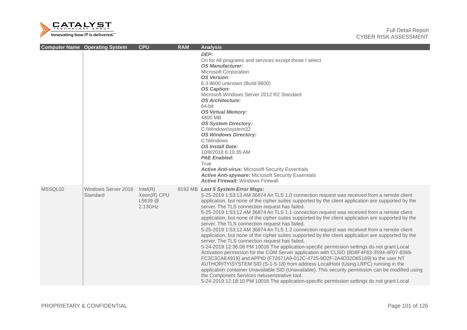

|         | <b>Computer Name Operating System</b> | <b>CPU</b>                                      | <b>RAM</b> | <b>Analysis</b>                                                                                                                                                                                                                                                                                                                                                                                                                                                                                                                                                                                                                                                                                                                                                                                                                                                                                                                                                                                                                                                                                                                                                                                                                                                                                                                                                                                                                  |
|---------|---------------------------------------|-------------------------------------------------|------------|----------------------------------------------------------------------------------------------------------------------------------------------------------------------------------------------------------------------------------------------------------------------------------------------------------------------------------------------------------------------------------------------------------------------------------------------------------------------------------------------------------------------------------------------------------------------------------------------------------------------------------------------------------------------------------------------------------------------------------------------------------------------------------------------------------------------------------------------------------------------------------------------------------------------------------------------------------------------------------------------------------------------------------------------------------------------------------------------------------------------------------------------------------------------------------------------------------------------------------------------------------------------------------------------------------------------------------------------------------------------------------------------------------------------------------|
|         |                                       |                                                 |            | DEP:<br>On for All programs and services except those I select<br><b>OS Manufacturer:</b><br><b>Microsoft Corporation</b><br><b>OS Version:</b><br>6.3.9600 unknown (Build 9600)<br><b>OS Caption:</b><br>Microsoft Windows Server 2012 R2 Standard<br><b>OS Architecture:</b><br>64-bit<br><b>OS Virtual Memory:</b><br>4800 MB<br><b>OS System Directory:</b><br>C:\Windows\system32<br><b>OS Windows Directory:</b><br>C:\Windows<br><b>OS Install Date:</b><br>10/8/2018 6:10:35 AM<br><b>PAE Enabled:</b><br>True<br><b>Active Anti-virus: Microsoft Security Essentials</b><br>Active Anti-spyware: Microsoft Security Essentials<br><b>Active Firewall: Windows Firewall</b>                                                                                                                                                                                                                                                                                                                                                                                                                                                                                                                                                                                                                                                                                                                                              |
| MSSQL02 | Windows Server 2016<br>Standard       | Intel(R)<br>Xeon(R) CPU<br>L5639 $@$<br>2.13GHz |            | 8192 MB Last 5 System Error Msgs:<br>5-25-2019 1:53:13 AM 36874 An TLS 1.0 connection request was received from a remote client<br>application, but none of the cipher suites supported by the client application are supported by the<br>server. The TLS connection request has failed.<br>5-25-2019 1:53:12 AM 36874 An TLS 1.1 connection request was received from a remote client<br>application, but none of the cipher suites supported by the client application are supported by the<br>server. The TLS connection request has failed.<br>5-25-2019 1:53:12 AM 36874 An TLS 1.2 connection request was received from a remote client<br>application, but none of the cipher suites supported by the client application are supported by the<br>server. The TLS connection request has failed.<br>5-24-2019 12:36:08 PM 10016 The application-specific permission settings do not grant Local<br>Activation permission for the COM Server application with CLSID {8D8F4F83-3594-4F07-8369-<br>FC3C3CAE4919} and APPID {F72671A9-012C-4725-9D2F-2A4D32D65169} to the user NT<br>AUTHORITY\SYSTEM SID (S-1-5-18) from address LocalHost (Using LRPC) running in the<br>application container Unavailable SID (Unavailable). This security permission can be modified using<br>the Component Services netuseristrative tool.<br>5-24-2019 12:18:10 PM 10016 The application-specific permission settings do not grant Local |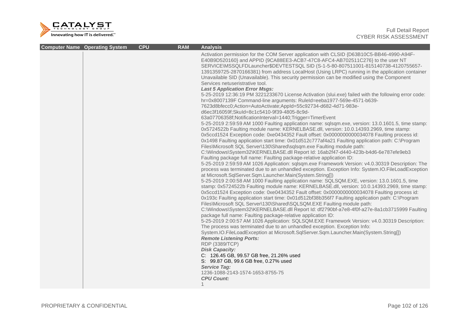

| <b>Computer Name Operating System</b> | <b>CPU</b> | <b>RAM</b> | <b>Analysis</b>                                                                                                                                                                                                                                                                                                                                                                                                                                                                                                                                                                                                                                                                                                                                                                                                                                                                                                                                                                                                                                                                                                                                                                                                                                                                                                                                                                                                                                                                                                                                                                                                                                                                                                                                                                                                                                                                                                                                                                                                                                                                                                                                                                                                                                                                                                                                                                                                                                                                                                                                                                                                                                                                                                                                                                                                                                                                                                                                                                                         |
|---------------------------------------|------------|------------|---------------------------------------------------------------------------------------------------------------------------------------------------------------------------------------------------------------------------------------------------------------------------------------------------------------------------------------------------------------------------------------------------------------------------------------------------------------------------------------------------------------------------------------------------------------------------------------------------------------------------------------------------------------------------------------------------------------------------------------------------------------------------------------------------------------------------------------------------------------------------------------------------------------------------------------------------------------------------------------------------------------------------------------------------------------------------------------------------------------------------------------------------------------------------------------------------------------------------------------------------------------------------------------------------------------------------------------------------------------------------------------------------------------------------------------------------------------------------------------------------------------------------------------------------------------------------------------------------------------------------------------------------------------------------------------------------------------------------------------------------------------------------------------------------------------------------------------------------------------------------------------------------------------------------------------------------------------------------------------------------------------------------------------------------------------------------------------------------------------------------------------------------------------------------------------------------------------------------------------------------------------------------------------------------------------------------------------------------------------------------------------------------------------------------------------------------------------------------------------------------------------------------------------------------------------------------------------------------------------------------------------------------------------------------------------------------------------------------------------------------------------------------------------------------------------------------------------------------------------------------------------------------------------------------------------------------------------------------------------------------------|
|                                       |            |            | Activation permission for the COM Server application with CLSID {D63B10C5-BB46-4990-A94F-<br>E40B9D520160} and APPID {9CA88EE3-ACB7-47C8-AFC4-AB702511C276} to the user NT<br>SERVICE\MSSQLFDLauncher\$DEVTESTSQL SID (S-1-5-80-807511001-815140738-4120755657-<br>1391359725-2870166381) from address LocalHost (Using LRPC) running in the application container<br>Unavailable SID (Unavailable). This security permission can be modified using the Component<br>Services netuseristrative tool.<br><b>Last 5 Application Error Msgs:</b><br>5-25-2019 12:36:19 PM 3221233670 License Activation (slui.exe) failed with the following error code:<br>hr=0x8007139F Command-line arguments: RuleId=eeba1977-569e-4571-b639-<br>7623d8bfecc0;Action=AutoActivate;AppId=55c92734-d682-4d71-983e-<br>d6ec3f16059f;SkuId=8c1c5410-9f39-4805-8c9d-<br>63a07706358f;NotificationInterval=1440;Trigger=TimerEvent<br>5-25-2019 2:59:59 AM 1000 Faulting application name: sqlsqm.exe, version: 13.0.1601.5, time stamp:<br>0x5724522b Faulting module name: KERNELBASE.dll, version: 10.0.14393.2969, time stamp:<br>0x5ccd1524 Exception code: 0xe0434352 Fault offset: 0x0000000000034078 Faulting process id:<br>0x1498 Faulting application start time: 0x01d512c777af4a21 Faulting application path: C:\Program<br>Files\Microsoft SQL Server\130\Shared\sqlsqm.exe Faulting module path:<br>C:\Windows\System32\KERNELBASE.dll Report Id: 16ab2f47-d440-423b-b4d6-6e787efe9eb3<br>Faulting package full name: Faulting package-relative application ID:<br>5-25-2019 2:59:59 AM 1026 Application: sqlsqm.exe Framework Version: v4.0.30319 Description: The<br>process was terminated due to an unhandled exception. Exception Info: System.IO.FileLoadException<br>at Microsoft.SqlServer.Sqm.Launcher.Main(System.String[])<br>5-25-2019 2:00:58 AM 1000 Faulting application name: SQLSQM.EXE, version: 13.0.1601.5, time<br>stamp: 0x5724522b Faulting module name: KERNELBASE.dll, version: 10.0.14393.2969, time stamp:<br>0x5ccd1524 Exception code: 0xe0434352 Fault offset: 0x000000000034078 Faulting process id:<br>0x193c Faulting application start time: 0x01d512bf38b356f7 Faulting application path: C:\Program<br>Files\Microsoft SQL Server\130\Shared\SQLSQM.EXE Faulting module path:<br>C:\Windows\System32\KERNELBASE.dll Report Id: df2790bf-a7e8-4f0f-a27e-8a1cb3715999 Faulting<br>package full name: Faulting package-relative application ID:<br>5-25-2019 2:00:57 AM 1026 Application: SQLSQM.EXE Framework Version: v4.0.30319 Description:<br>The process was terminated due to an unhandled exception. Exception Info:<br>System.IO.FileLoadException at Microsoft.SqlServer.Sqm.Launcher.Main(System.String[])<br><b>Remote Listening Ports:</b><br>RDP (3389/TCP)<br><b>Disk Capacity:</b><br>C: 126.45 GB, 99.57 GB free, 21.26% used<br>S: 99.87 GB, 99.6 GB free, 0.27% used<br><b>Service Tag:</b><br>1236-1088-2143-1574-1653-8755-75<br><b>CPU Count:</b><br>1 |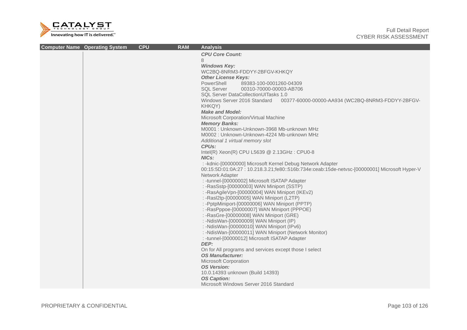

| <b>Computer Name Operating System</b> | <b>CPU</b> | <b>RAM</b> | <b>Analysis</b>                                                                             |
|---------------------------------------|------------|------------|---------------------------------------------------------------------------------------------|
|                                       |            |            | <b>CPU Core Count:</b>                                                                      |
|                                       |            |            | 8                                                                                           |
|                                       |            |            | <b>Windows Key:</b>                                                                         |
|                                       |            |            | WC2BQ-8NRM3-FDDYY-2BFGV-KHKQY                                                               |
|                                       |            |            | <b>Other License Keys:</b>                                                                  |
|                                       |            |            | PowerShell<br>89383-100-0001260-04309                                                       |
|                                       |            |            | <b>SOL Server</b><br>00310-70000-00003-AB706                                                |
|                                       |            |            | SQL Server DataCollectionUITasks 1.0                                                        |
|                                       |            |            | Windows Server 2016 Standard<br>00377-60000-00000-AA934 (WC2BQ-8NRM3-FDDYY-2BFGV-           |
|                                       |            |            | KHKQY)                                                                                      |
|                                       |            |            | <b>Make and Model:</b>                                                                      |
|                                       |            |            | Microsoft Corporation/Virtual Machine                                                       |
|                                       |            |            | <b>Memory Banks:</b>                                                                        |
|                                       |            |            | M0001: Unknown-Unknown-3968 Mb-unknown MHz                                                  |
|                                       |            |            | M0002: Unknown-Unknown-4224 Mb-unknown MHz                                                  |
|                                       |            |            | Additional 1 virtual memory slot                                                            |
|                                       |            |            | CPU <sub>s</sub> :                                                                          |
|                                       |            |            | Intel(R) Xeon(R) CPU L5639 @ 2.13GHz : CPU0-8                                               |
|                                       |            |            | NICs:                                                                                       |
|                                       |            |            | : - kdnic-[00000000] Microsoft Kernel Debug Network Adapter                                 |
|                                       |            |            | 00:15:5D:01:0A:27:10.218.3.21;fe80::516b:734e:ceab:15de-netvsc-[00000001] Microsoft Hyper-V |
|                                       |            |            | Network Adapter<br>: - tunnel-[00000002] Microsoft ISATAP Adapter                           |
|                                       |            |            | : - RasSstp-[00000003] WAN Miniport (SSTP)                                                  |
|                                       |            |            | : -RasAgileVpn-[00000004] WAN Miniport (IKEv2)                                              |
|                                       |            |            | : -Rasl2tp-[00000005] WAN Miniport (L2TP)                                                   |
|                                       |            |            | : - PptpMiniport-[00000006] WAN Miniport (PPTP)                                             |
|                                       |            |            | : -RasPppoe-[00000007] WAN Miniport (PPPOE)                                                 |
|                                       |            |            | : - RasGre-[00000008] WAN Miniport (GRE)                                                    |
|                                       |            |            | : -NdisWan-[00000009] WAN Miniport (IP)                                                     |
|                                       |            |            | : -NdisWan-[00000010] WAN Miniport (IPv6)                                                   |
|                                       |            |            | : -NdisWan-[00000011] WAN Miniport (Network Monitor)                                        |
|                                       |            |            | : - tunnel-[00000012] Microsoft ISATAP Adapter                                              |
|                                       |            |            | DEP:                                                                                        |
|                                       |            |            | On for All programs and services except those I select                                      |
|                                       |            |            | <b>OS Manufacturer:</b>                                                                     |
|                                       |            |            | <b>Microsoft Corporation</b>                                                                |
|                                       |            |            | <b>OS Version:</b>                                                                          |
|                                       |            |            | 10.0.14393 unknown (Build 14393)                                                            |
|                                       |            |            | <b>OS Caption:</b>                                                                          |
|                                       |            |            | Microsoft Windows Server 2016 Standard                                                      |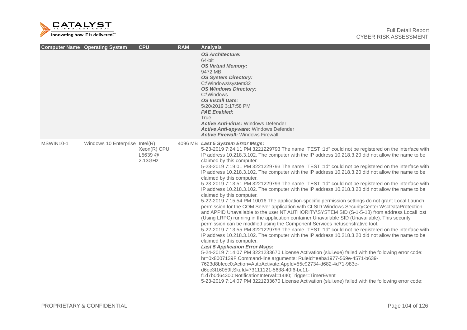

|           | <b>Computer Name Operating System</b> | <b>CPU</b>                       | <b>RAM</b> | <b>Analysis</b>                                                                                                                                                                                                                                                                                                                                                                                                                                                                                                                                                                                                                                                                                                                                                                                                                                                                                                                                                                                                                                                                                                                                                                                                                                                                                                                                                                                                                                                                                                                                                                                                                                                                                                                                                                                                                                                                                                                                                                                           |
|-----------|---------------------------------------|----------------------------------|------------|-----------------------------------------------------------------------------------------------------------------------------------------------------------------------------------------------------------------------------------------------------------------------------------------------------------------------------------------------------------------------------------------------------------------------------------------------------------------------------------------------------------------------------------------------------------------------------------------------------------------------------------------------------------------------------------------------------------------------------------------------------------------------------------------------------------------------------------------------------------------------------------------------------------------------------------------------------------------------------------------------------------------------------------------------------------------------------------------------------------------------------------------------------------------------------------------------------------------------------------------------------------------------------------------------------------------------------------------------------------------------------------------------------------------------------------------------------------------------------------------------------------------------------------------------------------------------------------------------------------------------------------------------------------------------------------------------------------------------------------------------------------------------------------------------------------------------------------------------------------------------------------------------------------------------------------------------------------------------------------------------------------|
|           |                                       |                                  |            | <b>OS Architecture:</b><br>64-bit<br><b>OS Virtual Memory:</b><br>9472 MB<br><b>OS System Directory:</b><br>C:\Windows\system32<br><b>OS Windows Directory:</b><br>C:\Windows<br><b>OS Install Date:</b><br>5/20/2019 3:17:58 PM<br><b>PAE Enabled:</b><br>True<br><b>Active Anti-virus: Windows Defender</b><br>Active Anti-spyware: Windows Defender<br><b>Active Firewall: Windows Firewall</b>                                                                                                                                                                                                                                                                                                                                                                                                                                                                                                                                                                                                                                                                                                                                                                                                                                                                                                                                                                                                                                                                                                                                                                                                                                                                                                                                                                                                                                                                                                                                                                                                        |
| MSWIN10-1 | Windows 10 Enterprise Intel(R)        | Xeon(R) CPU<br>L5639@<br>2.13GHz |            | 4096 MB Last 5 System Error Msgs:<br>5-23-2019 7:24:11 PM 3221229793 The name "TEST :1d" could not be registered on the interface with<br>IP address 10.218.3.102. The computer with the IP address 10.218.3.20 did not allow the name to be<br>claimed by this computer.<br>5-23-2019 7:19:01 PM 3221229793 The name "TEST :1d" could not be registered on the interface with<br>IP address 10.218.3.102. The computer with the IP address 10.218.3.20 did not allow the name to be<br>claimed by this computer.<br>5-23-2019 7:13:51 PM 3221229793 The name "TEST :1d" could not be registered on the interface with<br>IP address 10.218.3.102. The computer with the IP address 10.218.3.20 did not allow the name to be<br>claimed by this computer.<br>5-22-2019 7:15:54 PM 10016 The application-specific permission settings do not grant Local Launch<br>permission for the COM Server application with CLSID Windows.SecurityCenter.WscDataProtection<br>and APPID Unavailable to the user NT AUTHORITY\SYSTEM SID (S-1-5-18) from address LocalHost<br>(Using LRPC) running in the application container Unavailable SID (Unavailable). This security<br>permission can be modified using the Component Services netuseristrative tool.<br>5-22-2019 7:13:55 PM 3221229793 The name "TEST :1d" could not be registered on the interface with<br>IP address 10.218.3.102. The computer with the IP address 10.218.3.20 did not allow the name to be<br>claimed by this computer.<br><b>Last 5 Application Error Msgs:</b><br>5-24-2019 7:14:07 PM 3221233670 License Activation (slui.exe) failed with the following error code:<br>hr=0x8007139F Command-line arguments: RuleId=eeba1977-569e-4571-b639-<br>7623d8bfecc0;Action=AutoActivate;AppId=55c92734-d682-4d71-983e-<br>d6ec3f16059f;SkuId=73111121-5638-40f6-bc11-<br>f1d7b0d64300;NotificationInterval=1440;Trigger=TimerEvent<br>5-23-2019 7:14:07 PM 3221233670 License Activation (slui.exe) failed with the following error code: |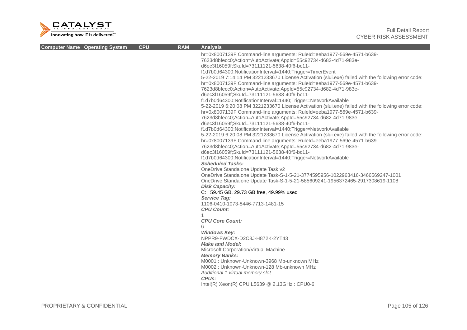

| <b>Computer Name Operating System</b> | <b>CPU</b> | <b>RAM</b> | <b>Analysis</b>                                                                                                                                                                                                                                                                                                                                                                                                                                                                                                                                                                                                                                                                                                                                                                                                                                                                                                                                                                                                                                                                                                                                                                                                                                                                                                                                                                                                                                                                                                                                                                                                                                                                                                                                                                                                                                                                                                                                                                                                                                                                                                                                                     |
|---------------------------------------|------------|------------|---------------------------------------------------------------------------------------------------------------------------------------------------------------------------------------------------------------------------------------------------------------------------------------------------------------------------------------------------------------------------------------------------------------------------------------------------------------------------------------------------------------------------------------------------------------------------------------------------------------------------------------------------------------------------------------------------------------------------------------------------------------------------------------------------------------------------------------------------------------------------------------------------------------------------------------------------------------------------------------------------------------------------------------------------------------------------------------------------------------------------------------------------------------------------------------------------------------------------------------------------------------------------------------------------------------------------------------------------------------------------------------------------------------------------------------------------------------------------------------------------------------------------------------------------------------------------------------------------------------------------------------------------------------------------------------------------------------------------------------------------------------------------------------------------------------------------------------------------------------------------------------------------------------------------------------------------------------------------------------------------------------------------------------------------------------------------------------------------------------------------------------------------------------------|
|                                       |            |            | hr=0x8007139F Command-line arguments: RuleId=eeba1977-569e-4571-b639-<br>7623d8bfecc0;Action=AutoActivate;AppId=55c92734-d682-4d71-983e-<br>d6ec3f16059f;SkuId=73111121-5638-40f6-bc11-<br>f1d7b0d64300;NotificationInterval=1440;Trigger=TimerEvent<br>5-22-2019 7:14:14 PM 3221233670 License Activation (slui.exe) failed with the following error code:<br>hr=0x8007139F Command-line arguments: RuleId=eeba1977-569e-4571-b639-<br>7623d8bfecc0;Action=AutoActivate;AppId=55c92734-d682-4d71-983e-<br>d6ec3f16059f;SkuId=73111121-5638-40f6-bc11-<br>f1d7b0d64300;NotificationInterval=1440;Trigger=NetworkAvailable<br>5-22-2019 6:20:08 PM 3221233670 License Activation (slui.exe) failed with the following error code:<br>hr=0x8007139F Command-line arguments: RuleId=eeba1977-569e-4571-b639-<br>7623d8bfecc0;Action=AutoActivate;AppId=55c92734-d682-4d71-983e-<br>d6ec3f16059f;SkuId=73111121-5638-40f6-bc11-<br>f1d7b0d64300;NotificationInterval=1440;Trigger=NetworkAvailable<br>5-22-2019 6:20:08 PM 3221233670 License Activation (slui.exe) failed with the following error code:<br>hr=0x8007139F Command-line arguments: RuleId=eeba1977-569e-4571-b639-<br>7623d8bfecc0;Action=AutoActivate;AppId=55c92734-d682-4d71-983e-<br>d6ec3f16059f;SkuId=73111121-5638-40f6-bc11-<br>f1d7b0d64300;NotificationInterval=1440;Trigger=NetworkAvailable<br><b>Scheduled Tasks:</b><br>OneDrive Standalone Update Task v2<br>OneDrive Standalone Update Task-S-1-5-21-3774595956-1022963416-3466569247-1001<br>OneDrive Standalone Update Task-S-1-5-21-585609241-1956372465-2917308619-1108<br><b>Disk Capacity:</b><br>C: 59.45 GB, 29.73 GB free, 49.99% used<br><b>Service Tag:</b><br>1106-0410-1073-8446-7713-1481-15<br><b>CPU Count:</b><br>$\mathbf{1}$<br><b>CPU Core Count:</b><br>հ<br><b>Windows Key:</b><br>NPPR9-FWDCX-D2C8J-H872K-2YT43<br><b>Make and Model:</b><br>Microsoft Corporation/Virtual Machine<br><b>Memory Banks:</b><br>M0001: Unknown-Unknown-3968 Mb-unknown MHz<br>M0002: Unknown-Unknown-128 Mb-unknown MHz<br>Additional 1 virtual memory slot<br>CPU <sub>s</sub> :<br>Intel(R) Xeon(R) CPU L5639 @ 2.13GHz : CPU0-6 |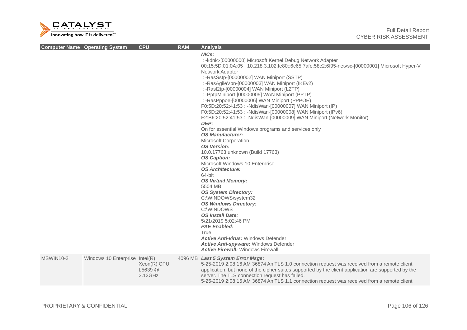



|           | <b>Computer Name Operating System</b> | <b>CPU</b>                       | <b>RAM</b> | <b>Analysis</b>                                                                                                                                                                                                                                                                                                                                                                                                                                                                                                                                                                                                                                                                                                                                                                                                                                                                                                                                                                                                                                                                                                                                                                                                                                                                                 |
|-----------|---------------------------------------|----------------------------------|------------|-------------------------------------------------------------------------------------------------------------------------------------------------------------------------------------------------------------------------------------------------------------------------------------------------------------------------------------------------------------------------------------------------------------------------------------------------------------------------------------------------------------------------------------------------------------------------------------------------------------------------------------------------------------------------------------------------------------------------------------------------------------------------------------------------------------------------------------------------------------------------------------------------------------------------------------------------------------------------------------------------------------------------------------------------------------------------------------------------------------------------------------------------------------------------------------------------------------------------------------------------------------------------------------------------|
|           |                                       |                                  |            | NICs:<br>: - kdnic-[00000000] Microsoft Kernel Debug Network Adapter<br>00:15:5D:01:0A:05: 10.218.3.102;fe80::6c65:7afe:58c2:6f95-netvsc-[00000001] Microsoft Hyper-V<br>Network Adapter<br>: -RasSstp-[00000002] WAN Miniport (SSTP)<br>: -RasAgileVpn-[00000003] WAN Miniport (IKEv2)<br>: -Rasl2tp-[00000004] WAN Miniport (L2TP)<br>: -PptpMiniport-[00000005] WAN Miniport (PPTP)<br>: -RasPppoe-[00000006] WAN Miniport (PPPOE)<br>F0:5D:20:52:41:53 : - NdisWan-[00000007] WAN Miniport (IP)<br>F0:5D:20:52:41:53 : -NdisWan-[00000008] WAN Miniport (IPv6)<br>F2:B6:20:52:41:53 : -NdisWan-[00000009] WAN Miniport (Network Monitor)<br>DEP:<br>On for essential Windows programs and services only<br><b>OS Manufacturer:</b><br><b>Microsoft Corporation</b><br><b>OS Version:</b><br>10.0.17763 unknown (Build 17763)<br><b>OS Caption:</b><br>Microsoft Windows 10 Enterprise<br><b>OS Architecture:</b><br>64-bit<br><b>OS Virtual Memory:</b><br>5504 MB<br><b>OS System Directory:</b><br>C:\WINDOWS\system32<br><b>OS Windows Directory:</b><br>C:\WINDOWS<br><b>OS Install Date:</b><br>5/21/2019 5:02:46 PM<br><b>PAE Enabled:</b><br>True<br><b>Active Anti-virus: Windows Defender</b><br>Active Anti-spyware: Windows Defender<br><b>Active Firewall: Windows Firewall</b> |
| MSWIN10-2 | Windows 10 Enterprise Intel(R)        | Xeon(R) CPU<br>L5639@<br>2.13GHz |            | 4096 MB Last 5 System Error Msgs:<br>5-25-2019 2:08:16 AM 36874 An TLS 1.0 connection request was received from a remote client<br>application, but none of the cipher suites supported by the client application are supported by the<br>server. The TLS connection request has failed.<br>5-25-2019 2:08:15 AM 36874 An TLS 1.1 connection request was received from a remote client                                                                                                                                                                                                                                                                                                                                                                                                                                                                                                                                                                                                                                                                                                                                                                                                                                                                                                          |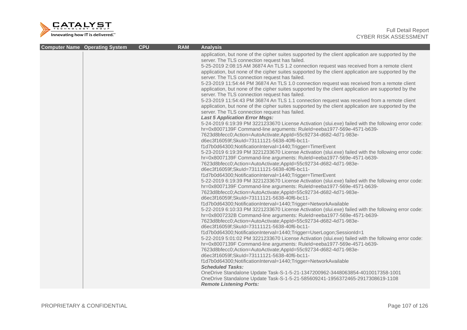

| <b>Computer Name Operating System</b> | <b>CPU</b> | <b>RAM</b> | <b>Analysis</b>                                                                                                                                                                                                                                                                                                                                                                                                                                                                                                                                                                                                                                                                                                                                                                                                                                                                                                                                                                                                                                                                                                                                                                                                                                                                                                                                                                                                                                                                                                                                                                                                                                                                                     |
|---------------------------------------|------------|------------|-----------------------------------------------------------------------------------------------------------------------------------------------------------------------------------------------------------------------------------------------------------------------------------------------------------------------------------------------------------------------------------------------------------------------------------------------------------------------------------------------------------------------------------------------------------------------------------------------------------------------------------------------------------------------------------------------------------------------------------------------------------------------------------------------------------------------------------------------------------------------------------------------------------------------------------------------------------------------------------------------------------------------------------------------------------------------------------------------------------------------------------------------------------------------------------------------------------------------------------------------------------------------------------------------------------------------------------------------------------------------------------------------------------------------------------------------------------------------------------------------------------------------------------------------------------------------------------------------------------------------------------------------------------------------------------------------------|
|                                       |            |            | application, but none of the cipher suites supported by the client application are supported by the<br>server. The TLS connection request has failed.<br>5-25-2019 2:08:15 AM 36874 An TLS 1.2 connection request was received from a remote client<br>application, but none of the cipher suites supported by the client application are supported by the<br>server. The TLS connection request has failed.<br>5-23-2019 11:54:44 PM 36874 An TLS 1.0 connection request was received from a remote client<br>application, but none of the cipher suites supported by the client application are supported by the<br>server. The TLS connection request has failed.<br>5-23-2019 11:54:43 PM 36874 An TLS 1.1 connection request was received from a remote client<br>application, but none of the cipher suites supported by the client application are supported by the<br>server. The TLS connection request has failed.<br><b>Last 5 Application Error Msgs:</b><br>5-24-2019 6:19:39 PM 3221233670 License Activation (slui.exe) failed with the following error code:<br>hr=0x8007139F Command-line arguments: RuleId=eeba1977-569e-4571-b639-<br>7623d8bfecc0;Action=AutoActivate;AppId=55c92734-d682-4d71-983e-<br>d6ec3f16059f;SkuId=73111121-5638-40f6-bc11-<br>f1d7b0d64300;NotificationInterval=1440;Trigger=TimerEvent<br>5-23-2019 6:19:39 PM 3221233670 License Activation (slui.exe) failed with the following error code:<br>hr=0x8007139F Command-line arguments: RuleId=eeba1977-569e-4571-b639-<br>7623d8bfecc0;Action=AutoActivate;AppId=55c92734-d682-4d71-983e-<br>d6ec3f16059f;SkuId=73111121-5638-40f6-bc11-<br>f1d7b0d64300;NotificationInterval=1440;Trigger=TimerEvent |
|                                       |            |            | 5-22-2019 6:19:39 PM 3221233670 License Activation (slui.exe) failed with the following error code:<br>hr=0x8007139F Command-line arguments: RuleId=eeba1977-569e-4571-b639-<br>7623d8bfecc0;Action=AutoActivate;AppId=55c92734-d682-4d71-983e-<br>d6ec3f16059f;SkuId=73111121-5638-40f6-bc11-<br>f1d7b0d64300;NotificationInterval=1440;Trigger=NetworkAvailable<br>5-22-2019 6:10:33 PM 3221233670 License Activation (slui.exe) failed with the following error code:<br>hr=0x8007232B Command-line arguments: RuleId=eeba1977-569e-4571-b639-<br>7623d8bfecc0;Action=AutoActivate;AppId=55c92734-d682-4d71-983e-<br>d6ec3f16059f;SkuId=73111121-5638-40f6-bc11-<br>f1d7b0d64300;NotificationInterval=1440;Trigger=UserLogon;SessionId=1<br>5-22-2019 5:01:02 PM 3221233670 License Activation (slui.exe) failed with the following error code:<br>hr=0x8007139F Command-line arguments: RuleId=eeba1977-569e-4571-b639-<br>7623d8bfecc0;Action=AutoActivate;AppId=55c92734-d682-4d71-983e-<br>d6ec3f16059f;SkuId=73111121-5638-40f6-bc11-<br>f1d7b0d64300;NotificationInterval=1440;Trigger=NetworkAvailable<br><b>Scheduled Tasks:</b>                                                                                                                                                                                                                                                                                                                                                                                                                                                                                                                                                         |
|                                       |            |            | OneDrive Standalone Update Task-S-1-5-21-1347200962-3448063854-4010017358-1001<br>OneDrive Standalone Update Task-S-1-5-21-585609241-1956372465-2917308619-1108<br><b>Remote Listening Ports:</b>                                                                                                                                                                                                                                                                                                                                                                                                                                                                                                                                                                                                                                                                                                                                                                                                                                                                                                                                                                                                                                                                                                                                                                                                                                                                                                                                                                                                                                                                                                   |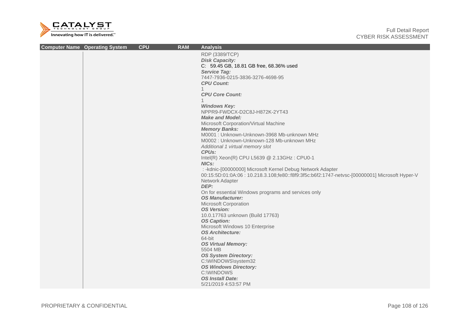

| <b>Computer Name Operating System</b> | <b>CPU</b> | <b>RAM</b> | <b>Analysis</b>                                                                               |
|---------------------------------------|------------|------------|-----------------------------------------------------------------------------------------------|
|                                       |            |            | RDP (3389/TCP)                                                                                |
|                                       |            |            | <b>Disk Capacity:</b>                                                                         |
|                                       |            |            | C: 59.45 GB, 18.81 GB free, 68.36% used                                                       |
|                                       |            |            | <b>Service Tag:</b>                                                                           |
|                                       |            |            | 7447-7936-0215-3836-3276-4698-95                                                              |
|                                       |            |            | <b>CPU Count:</b>                                                                             |
|                                       |            |            | $\mathbf 1$                                                                                   |
|                                       |            |            | <b>CPU Core Count:</b>                                                                        |
|                                       |            |            |                                                                                               |
|                                       |            |            | <b>Windows Key:</b>                                                                           |
|                                       |            |            | NPPR9-FWDCX-D2C8J-H872K-2YT43                                                                 |
|                                       |            |            | <b>Make and Model:</b>                                                                        |
|                                       |            |            | Microsoft Corporation/Virtual Machine                                                         |
|                                       |            |            | <b>Memory Banks:</b>                                                                          |
|                                       |            |            | M0001: Unknown-Unknown-3968 Mb-unknown MHz                                                    |
|                                       |            |            | M0002: Unknown-Unknown-128 Mb-unknown MHz                                                     |
|                                       |            |            | Additional 1 virtual memory slot                                                              |
|                                       |            |            | CPUs:                                                                                         |
|                                       |            |            | Intel(R) Xeon(R) CPU L5639 @ 2.13GHz : CPU0-1<br>NICs:                                        |
|                                       |            |            | : - kdnic-[00000000] Microsoft Kernel Debug Network Adapter                                   |
|                                       |            |            | 00:15:5D:01:0A:06: 10.218.3.108;fe80::f8f9:3f5c:b6f2:1747-netvsc-[00000001] Microsoft Hyper-V |
|                                       |            |            | Network Adapter                                                                               |
|                                       |            |            | DEP:                                                                                          |
|                                       |            |            | On for essential Windows programs and services only                                           |
|                                       |            |            | <b>OS Manufacturer:</b>                                                                       |
|                                       |            |            | <b>Microsoft Corporation</b>                                                                  |
|                                       |            |            | <b>OS Version:</b>                                                                            |
|                                       |            |            | 10.0.17763 unknown (Build 17763)                                                              |
|                                       |            |            | <b>OS Caption:</b>                                                                            |
|                                       |            |            | Microsoft Windows 10 Enterprise                                                               |
|                                       |            |            | <b>OS Architecture:</b>                                                                       |
|                                       |            |            | 64-bit                                                                                        |
|                                       |            |            | <b>OS Virtual Memory:</b>                                                                     |
|                                       |            |            | 5504 MB                                                                                       |
|                                       |            |            | <b>OS System Directory:</b>                                                                   |
|                                       |            |            | C:\WINDOWS\system32                                                                           |
|                                       |            |            | <b>OS Windows Directory:</b>                                                                  |
|                                       |            |            | C:\WINDOWS                                                                                    |
|                                       |            |            | <b>OS Install Date:</b>                                                                       |
|                                       |            |            | 5/21/2019 4:53:57 PM                                                                          |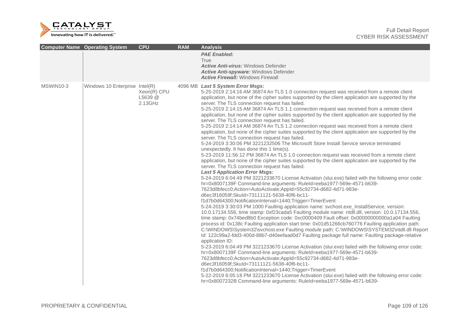

|                  | <b>Computer Name Operating System</b> | <b>CPU</b>                          | <b>RAM</b> | <b>Analysis</b>                                                                                                                                                                                                                                                                                                                                                                                                                                                                                                                                                                                                                                                                                                                                                                                                                                                                                                                                                                                                                                                                                                                                                                                                                                                                                                                                                                                                                                                                                                                                                                                                                                                                                                                                                                                                                                                                                                                                                                                                                                                                                                                                                                                                                                                                                                                                                                                                                                                                                                                                                                                                                                                                                                                                                                       |
|------------------|---------------------------------------|-------------------------------------|------------|---------------------------------------------------------------------------------------------------------------------------------------------------------------------------------------------------------------------------------------------------------------------------------------------------------------------------------------------------------------------------------------------------------------------------------------------------------------------------------------------------------------------------------------------------------------------------------------------------------------------------------------------------------------------------------------------------------------------------------------------------------------------------------------------------------------------------------------------------------------------------------------------------------------------------------------------------------------------------------------------------------------------------------------------------------------------------------------------------------------------------------------------------------------------------------------------------------------------------------------------------------------------------------------------------------------------------------------------------------------------------------------------------------------------------------------------------------------------------------------------------------------------------------------------------------------------------------------------------------------------------------------------------------------------------------------------------------------------------------------------------------------------------------------------------------------------------------------------------------------------------------------------------------------------------------------------------------------------------------------------------------------------------------------------------------------------------------------------------------------------------------------------------------------------------------------------------------------------------------------------------------------------------------------------------------------------------------------------------------------------------------------------------------------------------------------------------------------------------------------------------------------------------------------------------------------------------------------------------------------------------------------------------------------------------------------------------------------------------------------------------------------------------------------|
|                  |                                       |                                     |            | <b>PAE Enabled:</b><br>True<br><b>Active Anti-virus: Windows Defender</b><br>Active Anti-spyware: Windows Defender<br><b>Active Firewall: Windows Firewall</b>                                                                                                                                                                                                                                                                                                                                                                                                                                                                                                                                                                                                                                                                                                                                                                                                                                                                                                                                                                                                                                                                                                                                                                                                                                                                                                                                                                                                                                                                                                                                                                                                                                                                                                                                                                                                                                                                                                                                                                                                                                                                                                                                                                                                                                                                                                                                                                                                                                                                                                                                                                                                                        |
| <b>MSWIN10-3</b> | Windows 10 Enterprise Intel(R)        | Xeon(R) CPU<br>L5639 $@$<br>2.13GHz |            | 4096 MB Last 5 System Error Msgs:<br>5-25-2019 2:14:16 AM 36874 An TLS 1.0 connection request was received from a remote client<br>application, but none of the cipher suites supported by the client application are supported by the<br>server. The TLS connection request has failed.<br>5-25-2019 2:14:15 AM 36874 An TLS 1.1 connection request was received from a remote client<br>application, but none of the cipher suites supported by the client application are supported by the<br>server. The TLS connection request has failed.<br>5-25-2019 2:14:14 AM 36874 An TLS 1.2 connection request was received from a remote client<br>application, but none of the cipher suites supported by the client application are supported by the<br>server. The TLS connection request has failed.<br>5-24-2019 3:30:06 PM 3221232506 The Microsoft Store Install Service service terminated<br>unexpectedly. It has done this 1 time(s).<br>5-23-2019 11:56:12 PM 36874 An TLS 1.0 connection request was received from a remote client<br>application, but none of the cipher suites supported by the client application are supported by the<br>server. The TLS connection request has failed.<br><b>Last 5 Application Error Msgs:</b><br>5-24-2019 6:04:49 PM 3221233670 License Activation (slui.exe) failed with the following error code:<br>hr=0x8007139F Command-line arguments: RuleId=eeba1977-569e-4571-b639-<br>7623d8bfecc0;Action=AutoActivate;AppId=55c92734-d682-4d71-983e-<br>d6ec3f16059f;SkuId=73111121-5638-40f6-bc11-<br>f1d7b0d64300;NotificationInterval=1440;Trigger=TimerEvent<br>5-24-2019 3:30:03 PM 1000 Faulting application name: svchost.exe InstallService, version:<br>10.0.17134.556, time stamp: 0xf23cada5 Faulting module name: ntdll.dll, version: 10.0.17134.556,<br>time stamp: 0x74bed8b0 Exception code: 0xc0000409 Fault offset: 0x000000000000a1a04 Faulting<br>process id: 0x138c Faulting application start time: 0x01d51266cb760776 Faulting application path:<br>C:\WINDOWS\System32\svchost.exe Faulting module path: C:\WINDOWS\SYSTEM32\ntdll.dll Report<br>Id: 122c99a2-fdd3-400d-88b7-d40eefaad0d7 Faulting package full name: Faulting package-relative<br>application ID:<br>5-23-2019 6:04:49 PM 3221233670 License Activation (slui.exe) failed with the following error code:<br>hr=0x8007139F Command-line arguments: RuleId=eeba1977-569e-4571-b639-<br>7623d8bfecc0;Action=AutoActivate;AppId=55c92734-d682-4d71-983e-<br>d6ec3f16059f;SkuId=73111121-5638-40f6-bc11-<br>f1d7b0d64300;NotificationInterval=1440;Trigger=TimerEvent<br>5-22-2019 6:05:18 PM 3221233670 License Activation (slui.exe) failed with the following error code:<br>hr=0x8007232B Command-line arguments: RuleId=eeba1977-569e-4571-b639- |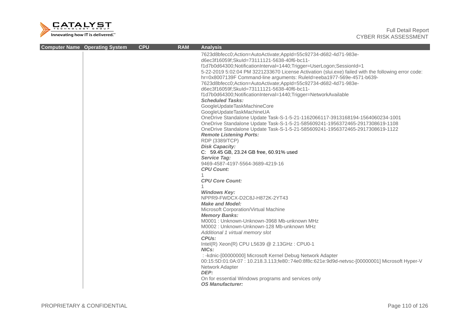

| <b>Computer Name Operating System</b> | <b>CPU</b> | <b>RAM</b> | <b>Analysis</b>                                                                                                                                                                                                                                                                                                                                                                                                                                                                                                                                                                                                                                                                                                                                                                                                                                                                                                                                                                                                                                                                                                                                                                                                                                                                                                                                                                                                                                                                                                                                                                                                                                                                                                                                          |
|---------------------------------------|------------|------------|----------------------------------------------------------------------------------------------------------------------------------------------------------------------------------------------------------------------------------------------------------------------------------------------------------------------------------------------------------------------------------------------------------------------------------------------------------------------------------------------------------------------------------------------------------------------------------------------------------------------------------------------------------------------------------------------------------------------------------------------------------------------------------------------------------------------------------------------------------------------------------------------------------------------------------------------------------------------------------------------------------------------------------------------------------------------------------------------------------------------------------------------------------------------------------------------------------------------------------------------------------------------------------------------------------------------------------------------------------------------------------------------------------------------------------------------------------------------------------------------------------------------------------------------------------------------------------------------------------------------------------------------------------------------------------------------------------------------------------------------------------|
|                                       |            |            | 7623d8bfecc0;Action=AutoActivate;AppId=55c92734-d682-4d71-983e-<br>d6ec3f16059f;SkuId=73111121-5638-40f6-bc11-<br>f1d7b0d64300;NotificationInterval=1440;Trigger=UserLogon;SessionId=1<br>5-22-2019 5:02:04 PM 3221233670 License Activation (slui.exe) failed with the following error code:<br>hr=0x8007139F Command-line arguments: RuleId=eeba1977-569e-4571-b639-<br>7623d8bfecc0;Action=AutoActivate;AppId=55c92734-d682-4d71-983e-<br>d6ec3f16059f;SkuId=73111121-5638-40f6-bc11-<br>f1d7b0d64300;NotificationInterval=1440;Trigger=NetworkAvailable<br><b>Scheduled Tasks:</b><br>GoogleUpdateTaskMachineCore<br>GoogleUpdateTaskMachineUA<br>OneDrive Standalone Update Task-S-1-5-21-1162066117-3913168194-1564060234-1001<br>OneDrive Standalone Update Task-S-1-5-21-585609241-1956372465-2917308619-1108<br>OneDrive Standalone Update Task-S-1-5-21-585609241-1956372465-2917308619-1122<br><b>Remote Listening Ports:</b><br>RDP (3389/TCP)<br><b>Disk Capacity:</b><br>C: 59.45 GB, 23.24 GB free, 60.91% used<br><b>Service Tag:</b><br>9469-4587-4197-5564-3689-4219-16<br><b>CPU Count:</b><br>1<br><b>CPU Core Count:</b><br>1<br><b>Windows Key:</b><br>NPPR9-FWDCX-D2C8J-H872K-2YT43<br><b>Make and Model:</b><br>Microsoft Corporation/Virtual Machine<br><b>Memory Banks:</b><br>M0001: Unknown-Unknown-3968 Mb-unknown MHz<br>M0002: Unknown-Unknown-128 Mb-unknown MHz<br>Additional 1 virtual memory slot<br>CPUs:<br>Intel(R) Xeon(R) CPU L5639 @ 2.13GHz : CPU0-1<br>NICs:<br>: - kdnic-[00000000] Microsoft Kernel Debug Network Adapter<br>00:15:5D:01:0A:07:10.218.3.113;fe80::74e0:8f8c:621e:9d9d-netvsc-[00000001] Microsoft Hyper-V<br>Network Adapter<br>DEP:<br>On for essential Windows programs and services only |
|                                       |            |            | <b>OS Manufacturer:</b>                                                                                                                                                                                                                                                                                                                                                                                                                                                                                                                                                                                                                                                                                                                                                                                                                                                                                                                                                                                                                                                                                                                                                                                                                                                                                                                                                                                                                                                                                                                                                                                                                                                                                                                                  |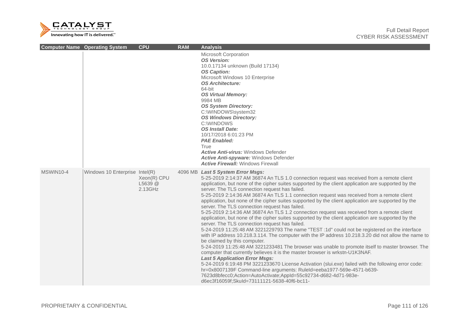

|           | <b>Computer Name Operating System</b> | <b>CPU</b>                       | <b>RAM</b> | <b>Analysis</b>                                                                                                                                                                                                                                                                                                                                                                                                                                                                                                                                                                                                                                                                                                                                                                                                                                                                                                                                                                                                                                                                                                                                                                                                                                                                                                                                                                                                                                                                                                                                                                |
|-----------|---------------------------------------|----------------------------------|------------|--------------------------------------------------------------------------------------------------------------------------------------------------------------------------------------------------------------------------------------------------------------------------------------------------------------------------------------------------------------------------------------------------------------------------------------------------------------------------------------------------------------------------------------------------------------------------------------------------------------------------------------------------------------------------------------------------------------------------------------------------------------------------------------------------------------------------------------------------------------------------------------------------------------------------------------------------------------------------------------------------------------------------------------------------------------------------------------------------------------------------------------------------------------------------------------------------------------------------------------------------------------------------------------------------------------------------------------------------------------------------------------------------------------------------------------------------------------------------------------------------------------------------------------------------------------------------------|
|           |                                       |                                  |            | <b>Microsoft Corporation</b><br><b>OS Version:</b><br>10.0.17134 unknown (Build 17134)<br><b>OS Caption:</b><br>Microsoft Windows 10 Enterprise<br><b>OS Architecture:</b><br>64-bit<br><b>OS Virtual Memory:</b><br>9984 MB<br><b>OS System Directory:</b><br>C:\WINDOWS\system32<br><b>OS Windows Directory:</b><br>C:\WINDOWS<br><b>OS Install Date:</b><br>10/17/2018 6:01:23 PM<br><b>PAE Enabled:</b><br>True<br><b>Active Anti-virus: Windows Defender</b><br><b>Active Anti-spyware: Windows Defender</b><br><b>Active Firewall: Windows Firewall</b>                                                                                                                                                                                                                                                                                                                                                                                                                                                                                                                                                                                                                                                                                                                                                                                                                                                                                                                                                                                                                  |
| MSWIN10-4 | Windows 10 Enterprise Intel(R)        | Xeon(R) CPU<br>L5639@<br>2.13GHz |            | 4096 MB Last 5 System Error Msgs:<br>5-25-2019 2:14:37 AM 36874 An TLS 1.0 connection request was received from a remote client<br>application, but none of the cipher suites supported by the client application are supported by the<br>server. The TLS connection request has failed.<br>5-25-2019 2:14:36 AM 36874 An TLS 1.1 connection request was received from a remote client<br>application, but none of the cipher suites supported by the client application are supported by the<br>server. The TLS connection request has failed.<br>5-25-2019 2:14:36 AM 36874 An TLS 1.2 connection request was received from a remote client<br>application, but none of the cipher suites supported by the client application are supported by the<br>server. The TLS connection request has failed.<br>5-24-2019 11:25:48 AM 3221229793 The name "TEST :1d" could not be registered on the interface<br>with IP address 10.218.3.114. The computer with the IP address 10.218.3.20 did not allow the name to<br>be claimed by this computer.<br>5-24-2019 11:25:48 AM 3221233481 The browser was unable to promote itself to master browser. The<br>computer that currently believes it is the master browser is wrkstn-U1K3NAF.<br><b>Last 5 Application Error Msgs:</b><br>5-24-2019 6:19:48 PM 3221233670 License Activation (slui.exe) failed with the following error code:<br>hr=0x8007139F Command-line arguments: RuleId=eeba1977-569e-4571-b639-<br>7623d8bfecc0;Action=AutoActivate;AppId=55c92734-d682-4d71-983e-<br>d6ec3f16059f;SkuId=73111121-5638-40f6-bc11- |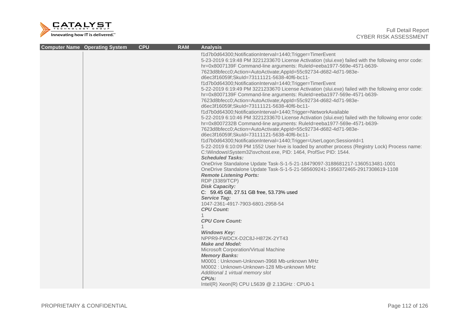

| <b>Computer Name Operating System</b> | <b>CPU</b> | <b>RAM</b> | <b>Analysis</b>                                                                                                                                                                                                                                                                                                                                                                                                                                                                                                                                                                                                                                                                                                                                                                                                                                                                                                                                                                                                                                                                                                                                                                                                                                                                                                                                                                                                                                                                                                                                                                                                                                                                                                                                                                                                                                                                                                                                                                                                                                                                                                                                              |
|---------------------------------------|------------|------------|--------------------------------------------------------------------------------------------------------------------------------------------------------------------------------------------------------------------------------------------------------------------------------------------------------------------------------------------------------------------------------------------------------------------------------------------------------------------------------------------------------------------------------------------------------------------------------------------------------------------------------------------------------------------------------------------------------------------------------------------------------------------------------------------------------------------------------------------------------------------------------------------------------------------------------------------------------------------------------------------------------------------------------------------------------------------------------------------------------------------------------------------------------------------------------------------------------------------------------------------------------------------------------------------------------------------------------------------------------------------------------------------------------------------------------------------------------------------------------------------------------------------------------------------------------------------------------------------------------------------------------------------------------------------------------------------------------------------------------------------------------------------------------------------------------------------------------------------------------------------------------------------------------------------------------------------------------------------------------------------------------------------------------------------------------------------------------------------------------------------------------------------------------------|
|                                       |            |            | f1d7b0d64300;NotificationInterval=1440;Trigger=TimerEvent<br>5-23-2019 6:19:48 PM 3221233670 License Activation (slui.exe) failed with the following error code:<br>hr=0x8007139F Command-line arguments: RuleId=eeba1977-569e-4571-b639-<br>7623d8bfecc0;Action=AutoActivate;AppId=55c92734-d682-4d71-983e-<br>d6ec3f16059f;SkuId=73111121-5638-40f6-bc11-<br>f1d7b0d64300;NotificationInterval=1440;Trigger=TimerEvent<br>5-22-2019 6:19:49 PM 3221233670 License Activation (slui.exe) failed with the following error code:<br>hr=0x8007139F Command-line arguments: RuleId=eeba1977-569e-4571-b639-<br>7623d8bfecc0;Action=AutoActivate;AppId=55c92734-d682-4d71-983e-<br>d6ec3f16059f;SkuId=73111121-5638-40f6-bc11-<br>f1d7b0d64300;NotificationInterval=1440;Trigger=NetworkAvailable<br>5-22-2019 6:10:46 PM 3221233670 License Activation (slui.exe) failed with the following error code:<br>hr=0x8007232B Command-line arguments: RuleId=eeba1977-569e-4571-b639-<br>7623d8bfecc0;Action=AutoActivate;AppId=55c92734-d682-4d71-983e-<br>d6ec3f16059f;SkuId=73111121-5638-40f6-bc11-<br>f1d7b0d64300;NotificationInterval=1440;Trigger=UserLogon;SessionId=1<br>5-22-2019 6:10:09 PM 1552 User hive is loaded by another process (Registry Lock) Process name:<br>C:\Windows\System32\svchost.exe, PID: 1464, ProfSvc PID: 1544.<br><b>Scheduled Tasks:</b><br>OneDrive Standalone Update Task-S-1-5-21-18479097-3188681217-1360513481-1001<br>OneDrive Standalone Update Task-S-1-5-21-585609241-1956372465-2917308619-1108<br><b>Remote Listening Ports:</b><br>RDP (3389/TCP)<br><b>Disk Capacity:</b><br>C: 59.45 GB, 27.51 GB free, 53.73% used<br><b>Service Tag:</b><br>1047-2361-4917-7903-6801-2958-54<br><b>CPU Count:</b><br>$\mathbf{1}$<br><b>CPU Core Count:</b><br>$\mathbf{1}$<br><b>Windows Key:</b><br>NPPR9-FWDCX-D2C8J-H872K-2YT43<br><b>Make and Model:</b><br>Microsoft Corporation/Virtual Machine<br><b>Memory Banks:</b><br>M0001: Unknown-Unknown-3968 Mb-unknown MHz<br>M0002: Unknown-Unknown-128 Mb-unknown MHz<br>Additional 1 virtual memory slot<br><b>CPUs:</b><br>Intel(R) Xeon(R) CPU L5639 @ 2.13GHz : CPU0-1 |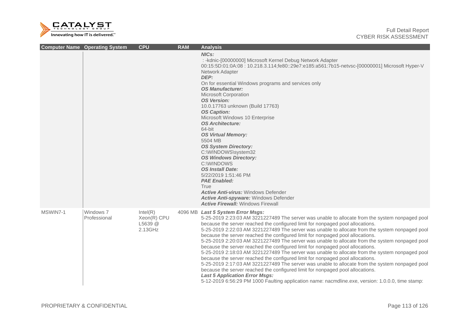

|          | <b>Computer Name Operating System</b> | <b>CPU</b>                                    | <b>RAM</b> | <b>Analysis</b>                                                                                                                                                                                                                                                                                                                                                                                                                                                                                                                                                                                                                                                                                                                                                                                                                                                                                                                                                                                                                                                                                                          |
|----------|---------------------------------------|-----------------------------------------------|------------|--------------------------------------------------------------------------------------------------------------------------------------------------------------------------------------------------------------------------------------------------------------------------------------------------------------------------------------------------------------------------------------------------------------------------------------------------------------------------------------------------------------------------------------------------------------------------------------------------------------------------------------------------------------------------------------------------------------------------------------------------------------------------------------------------------------------------------------------------------------------------------------------------------------------------------------------------------------------------------------------------------------------------------------------------------------------------------------------------------------------------|
|          |                                       |                                               |            | NICs:<br>: - kdnic-[00000000] Microsoft Kernel Debug Network Adapter<br>00:15:5D:01:0A:08:10.218.3.114;fe80::29e7:e185:a561:7b15-netvsc-[00000001] Microsoft Hyper-V<br>Network Adapter<br>DEP:<br>On for essential Windows programs and services only<br><b>OS Manufacturer:</b><br><b>Microsoft Corporation</b><br><b>OS Version:</b><br>10.0.17763 unknown (Build 17763)<br><b>OS Caption:</b><br>Microsoft Windows 10 Enterprise<br><b>OS Architecture:</b><br>64-bit<br><b>OS Virtual Memory:</b><br>5504 MB<br><b>OS System Directory:</b><br>C:\WINDOWS\system32<br><b>OS Windows Directory:</b><br>C:\WINDOWS<br><b>OS Install Date:</b><br>5/22/2019 1:51:46 PM<br><b>PAE Enabled:</b><br>True<br><b>Active Anti-virus: Windows Defender</b><br>Active Anti-spyware: Windows Defender<br><b>Active Firewall: Windows Firewall</b>                                                                                                                                                                                                                                                                               |
| MSWIN7-1 | Windows 7<br>Professional             | Intel(R)<br>Xeon(R) CPU<br>L5639 @<br>2.13GHz |            | 4096 MB Last 5 System Error Msgs:<br>5-25-2019 2:23:03 AM 3221227489 The server was unable to allocate from the system nonpaged pool<br>because the server reached the configured limit for nonpaged pool allocations.<br>5-25-2019 2:22:03 AM 3221227489 The server was unable to allocate from the system nonpaged pool<br>because the server reached the configured limit for nonpaged pool allocations.<br>5-25-2019 2:20:03 AM 3221227489 The server was unable to allocate from the system nonpaged pool<br>because the server reached the configured limit for nonpaged pool allocations.<br>5-25-2019 2:18:03 AM 3221227489 The server was unable to allocate from the system nonpaged pool<br>because the server reached the configured limit for nonpaged pool allocations.<br>5-25-2019 2:17:03 AM 3221227489 The server was unable to allocate from the system nonpaged pool<br>because the server reached the configured limit for nonpaged pool allocations.<br><b>Last 5 Application Error Msgs:</b><br>5-12-2019 6:56:29 PM 1000 Faulting application name: nacmdline.exe, version: 1.0.0.0, time stamp: |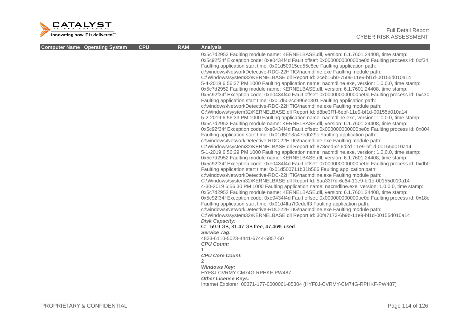

| <b>Computer Name Operating System</b> | <b>CPU</b> | <b>RAM</b> | <b>Analysis</b>                                                                                                                                                                                                                                                                                                                                                                                                                                                                                                                                                                                                                                                                                                                                                                                                                                                                                                                                                                                                                                                                                                                                                                                                                                                                                                                                                                                                                                                                                                                                                                                                                                                                                                                                                                                                                                                                                                                                                                                                                                                                                                                                                                                                                                                                                                                                                                                                                                                                                                                                                                                                                                                                                                                                                                                                                                                                                                                                                                                                                         |
|---------------------------------------|------------|------------|-----------------------------------------------------------------------------------------------------------------------------------------------------------------------------------------------------------------------------------------------------------------------------------------------------------------------------------------------------------------------------------------------------------------------------------------------------------------------------------------------------------------------------------------------------------------------------------------------------------------------------------------------------------------------------------------------------------------------------------------------------------------------------------------------------------------------------------------------------------------------------------------------------------------------------------------------------------------------------------------------------------------------------------------------------------------------------------------------------------------------------------------------------------------------------------------------------------------------------------------------------------------------------------------------------------------------------------------------------------------------------------------------------------------------------------------------------------------------------------------------------------------------------------------------------------------------------------------------------------------------------------------------------------------------------------------------------------------------------------------------------------------------------------------------------------------------------------------------------------------------------------------------------------------------------------------------------------------------------------------------------------------------------------------------------------------------------------------------------------------------------------------------------------------------------------------------------------------------------------------------------------------------------------------------------------------------------------------------------------------------------------------------------------------------------------------------------------------------------------------------------------------------------------------------------------------------------------------------------------------------------------------------------------------------------------------------------------------------------------------------------------------------------------------------------------------------------------------------------------------------------------------------------------------------------------------------------------------------------------------------------------------------------------------|
|                                       |            |            | 0x5c7d2952 Faulting module name: KERNELBASE.dll, version: 6.1.7601.24408, time stamp:<br>0x5c92f34f Exception code: 0xe0434f4d Fault offset: 0x00000000000be0d Faulting process id: 0xf34<br>Faulting application start time: 0x01d50915ed55c8ce Faulting application path:<br>c:\windows\NetworkDetective-RDC-22HTIG\nacmdline.exe Faulting module path:<br>C:\Windows\system32\KERNELBASE.dll Report Id: 2ceb16b0-7509-11e9-bf1d-00155d010a14<br>5-4-2019 6:56:27 PM 1000 Faulting application name: nacmdline.exe, version: 1.0.0.0, time stamp:<br>0x5c7d2952 Faulting module name: KERNELBASE.dll, version: 6.1.7601.24408, time stamp:<br>0x5c92f34f Exception code: 0xe0434f4d Fault offset: 0x00000000000be0d Faulting process id: 0xc30<br>Faulting application start time: 0x01d502cc996e1301 Faulting application path:<br>c:\windows\NetworkDetective-RDC-22HTIG\nacmdline.exe Faulting module path:<br>C:\Windows\system32\KERNELBASE.dll Report Id: d8be3f7f-6ebf-11e9-bf1d-00155d010a14<br>5-2-2019 6:56:33 PM 1000 Faulting application name: nacmdline.exe, version: 1.0.0.0, time stamp:<br>0x5c7d2952 Faulting module name: KERNELBASE.dll, version: 6.1.7601.24408, time stamp:<br>0x5c92f34f Exception code: 0xe0434f4d Fault offset: 0x00000000000be0d Faulting process id: 0x804<br>Faulting application start time: 0x01d5013a47edb29c Faulting application path:<br>c:\windows\NetworkDetective-RDC-22HTIG\nacmdline.exe Faulting module path:<br>C:\Windows\system32\KERNELBASE.dll Report Id: 878eed52-6d2d-11e9-bf1d-00155d010a14<br>5-1-2019 6:56:29 PM 1000 Faulting application name: nacmdline.exe, version: 1.0.0.0, time stamp:<br>0x5c7d2952 Faulting module name: KERNELBASE.dll, version: 6.1.7601.24408, time stamp:<br>0x5c92f34f Exception code: 0xe0434f4d Fault offset: 0x00000000000be0d Faulting process id: 0xdb0<br>Faulting application start time: 0x01d500711b31b586 Faulting application path:<br>c:\windows\NetworkDetective-RDC-22HTIG\nacmdline.exe Faulting module path:<br>C:\Windows\system32\KERNELBASE.dll Report Id: 5aa33f7d-6c64-11e9-bf1d-00155d010a14<br>4-30-2019 6:56:30 PM 1000 Faulting application name: nacmdline.exe, version: 1.0.0.0, time stamp:<br>0x5c7d2952 Faulting module name: KERNELBASE.dll, version: 6.1.7601.24408, time stamp:<br>0x5c92f34f Exception code: 0xe0434f4d Fault offset: 0x000000000000be0d Faulting process id: 0x18c<br>Faulting application start time: 0x01d4ffa7f0edeff3 Faulting application path:<br>c:\windows\NetworkDetective-RDC-22HTIG\nacmdline.exe Faulting module path:<br>C:\Windows\system32\KERNELBASE.dll Report Id: 30fa7173-6b9b-11e9-bf1d-00155d010a14<br><b>Disk Capacity:</b><br>C: 59.9 GB, 31.47 GB free, 47.46% used<br><b>Service Tag:</b><br>4823-6110-5023-4441-6744-5857-50<br><b>CPU Count:</b><br>1<br><b>CPU Core Count:</b><br>2<br><b>Windows Key:</b><br>HYF8J-CVRMY-CM74G-RPHKF-PW487<br><b>Other License Keys:</b><br>Internet Explorer 00371-177-0000061-85304 (HYF8J-CVRMY-CM74G-RPHKF-PW487) |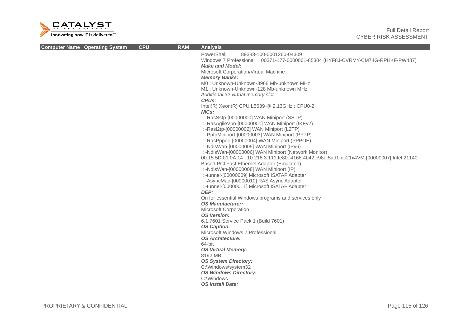

| <b>Computer Name Operating System</b> | <b>CPU</b> | <b>RAM</b> | <b>Analysis</b>                                                                                                                                                                                                                                                                                                                                                                                                                                                                                                                                                                                                                                                                                                                                                                                                                                                                                                                                                                                                                                                                                                                                                                                                                                                                                                                                                                                                                                                                                                                                      |
|---------------------------------------|------------|------------|------------------------------------------------------------------------------------------------------------------------------------------------------------------------------------------------------------------------------------------------------------------------------------------------------------------------------------------------------------------------------------------------------------------------------------------------------------------------------------------------------------------------------------------------------------------------------------------------------------------------------------------------------------------------------------------------------------------------------------------------------------------------------------------------------------------------------------------------------------------------------------------------------------------------------------------------------------------------------------------------------------------------------------------------------------------------------------------------------------------------------------------------------------------------------------------------------------------------------------------------------------------------------------------------------------------------------------------------------------------------------------------------------------------------------------------------------------------------------------------------------------------------------------------------------|
|                                       |            |            | PowerShell<br>89383-100-0001260-04309<br>Windows 7 Professional 00371-177-0000061-85304 (HYF8J-CVRMY-CM74G-RPHKF-PW487)<br><b>Make and Model:</b><br>Microsoft Corporation/Virtual Machine<br><b>Memory Banks:</b><br>M0: Unknown-Unknown-3968 Mb-unknown MHz<br>M1: Unknown-Unknown-128 Mb-unknown MHz<br>Additional 32 virtual memory slot<br>CPUs:<br>Intel(R) Xeon(R) CPU L5639 @ 2.13GHz : CPU0-2<br>NICs:<br>: - RasSstp-[00000000] WAN Miniport (SSTP)<br>: -RasAgileVpn-[00000001] WAN Miniport (IKEv2)<br>: -Rasl2tp-[00000002] WAN Miniport (L2TP)<br>: - PptpMiniport-[00000003] WAN Miniport (PPTP)<br>: -RasPppoe-[00000004] WAN Miniport (PPPOE)<br>: -NdisWan-[00000005] WAN Miniport (IPv6)<br>: -NdisWan-[00000006] WAN Miniport (Network Monitor)<br>00:15:5D:01:0A:14:10.218.3.111;fe80::4168:4b42:c98d:5ad1-dc21x4VM-[00000007] Intel 21140-<br><b>Based PCI Fast Ethernet Adapter (Emulated)</b><br>: -NdisWan-[00000008] WAN Miniport (IP)<br>: - tunnel-[00000009] Microsoft ISATAP Adapter<br>: - AsyncMac-[00000010] RAS Async Adapter<br>: - tunnel-[00000011] Microsoft ISATAP Adapter<br>DEP:<br>On for essential Windows programs and services only<br><b>OS Manufacturer:</b><br><b>Microsoft Corporation</b><br><b>OS Version:</b><br>6.1.7601 Service Pack 1 (Build 7601)<br><b>OS Caption:</b><br>Microsoft Windows 7 Professional<br><b>OS Architecture:</b><br>64-bit<br><b>OS Virtual Memory:</b><br>8192 MB<br><b>OS System Directory:</b><br>C:\Windows\system32<br><b>OS Windows Directory:</b><br>C:\Windows |
|                                       |            |            | <b>OS Install Date:</b>                                                                                                                                                                                                                                                                                                                                                                                                                                                                                                                                                                                                                                                                                                                                                                                                                                                                                                                                                                                                                                                                                                                                                                                                                                                                                                                                                                                                                                                                                                                              |
|                                       |            |            |                                                                                                                                                                                                                                                                                                                                                                                                                                                                                                                                                                                                                                                                                                                                                                                                                                                                                                                                                                                                                                                                                                                                                                                                                                                                                                                                                                                                                                                                                                                                                      |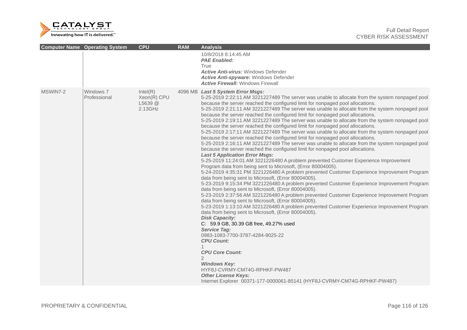

|          | <b>Computer Name Operating System</b> | <b>CPU</b>                                   | <b>RAM</b> | <b>Analysis</b>                                                                                                                                                                                                                                                                                                                                                                                                                                                                                                                                                                                                                                                                                                                                                                                                                                                                                                                                                                                                                                                                                                                                                                                                                                                                                                                                                                                                                                                                                                                                                                                                                                                                                                                                                                                                                                                                                                                                                                                                                                                                                                                                                         |
|----------|---------------------------------------|----------------------------------------------|------------|-------------------------------------------------------------------------------------------------------------------------------------------------------------------------------------------------------------------------------------------------------------------------------------------------------------------------------------------------------------------------------------------------------------------------------------------------------------------------------------------------------------------------------------------------------------------------------------------------------------------------------------------------------------------------------------------------------------------------------------------------------------------------------------------------------------------------------------------------------------------------------------------------------------------------------------------------------------------------------------------------------------------------------------------------------------------------------------------------------------------------------------------------------------------------------------------------------------------------------------------------------------------------------------------------------------------------------------------------------------------------------------------------------------------------------------------------------------------------------------------------------------------------------------------------------------------------------------------------------------------------------------------------------------------------------------------------------------------------------------------------------------------------------------------------------------------------------------------------------------------------------------------------------------------------------------------------------------------------------------------------------------------------------------------------------------------------------------------------------------------------------------------------------------------------|
|          |                                       |                                              |            | 10/8/2018 8:14:45 AM<br><b>PAE Enabled:</b><br>True<br><b>Active Anti-virus: Windows Defender</b><br>Active Anti-spyware: Windows Defender<br><b>Active Firewall: Windows Firewall</b>                                                                                                                                                                                                                                                                                                                                                                                                                                                                                                                                                                                                                                                                                                                                                                                                                                                                                                                                                                                                                                                                                                                                                                                                                                                                                                                                                                                                                                                                                                                                                                                                                                                                                                                                                                                                                                                                                                                                                                                  |
| MSWIN7-2 | Windows 7<br>Professional             | Intel(R)<br>Xeon(R) CPU<br>L5639@<br>2.13GHz |            | 4096 MB Last 5 System Error Msgs:<br>5-25-2019 2:22:11 AM 3221227489 The server was unable to allocate from the system nonpaged pool<br>because the server reached the configured limit for nonpaged pool allocations.<br>5-25-2019 2:21:11 AM 3221227489 The server was unable to allocate from the system nonpaged pool<br>because the server reached the configured limit for nonpaged pool allocations.<br>5-25-2019 2:19:11 AM 3221227489 The server was unable to allocate from the system nonpaged pool<br>because the server reached the configured limit for nonpaged pool allocations.<br>5-25-2019 2:17:11 AM 3221227489 The server was unable to allocate from the system nonpaged pool<br>because the server reached the configured limit for nonpaged pool allocations.<br>5-25-2019 2:16:11 AM 3221227489 The server was unable to allocate from the system nonpaged pool<br>because the server reached the configured limit for nonpaged pool allocations.<br><b>Last 5 Application Error Msgs:</b><br>5-25-2019 11:24:01 AM 3221226480 A problem prevented Customer Experience Improvement<br>Program data from being sent to Microsoft, (Error 80004005).<br>5-24-2019 4:35:31 PM 3221226480 A problem prevented Customer Experience Improvement Program<br>data from being sent to Microsoft, (Error 80004005).<br>5-23-2019 9:15:34 PM 3221226480 A problem prevented Customer Experience Improvement Program<br>data from being sent to Microsoft, (Error 80004005).<br>5-23-2019 2:37:56 AM 3221226480 A problem prevented Customer Experience Improvement Program<br>data from being sent to Microsoft, (Error 80004005).<br>5-23-2019 1:13:10 AM 3221226480 A problem prevented Customer Experience Improvement Program<br>data from being sent to Microsoft, (Error 80004005).<br><b>Disk Capacity:</b><br>C: 59.9 GB, 30.39 GB free, 49.27% used<br><b>Service Tag:</b><br>0983-1083-7700-3787-4284-9025-22<br><b>CPU Count:</b><br>$\mathbf{1}$<br><b>CPU Core Count:</b><br><b>Windows Key:</b><br>HYF8J-CVRMY-CM74G-RPHKF-PW487<br><b>Other License Keys:</b><br>Internet Explorer 00371-177-0000061-85141 (HYF8J-CVRMY-CM74G-RPHKF-PW487) |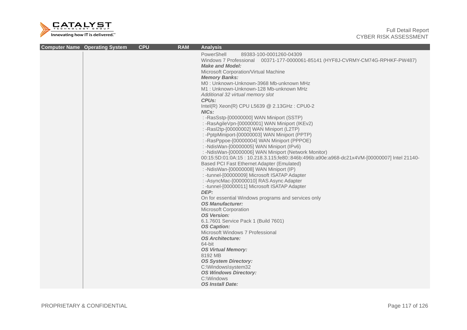

| <b>Computer Name Operating System</b> | <b>CPU</b> | <b>RAM</b> | <b>Analysis</b>                                                                                                                                                                                                                                                                                                                                                                                                                                                                                                                                                                                                                                                                                                                                                                                                                                                                                                                                                                                                                                                                                                                                                                                                                                                                                                                                                                                                                                                                                                                                                                         |
|---------------------------------------|------------|------------|-----------------------------------------------------------------------------------------------------------------------------------------------------------------------------------------------------------------------------------------------------------------------------------------------------------------------------------------------------------------------------------------------------------------------------------------------------------------------------------------------------------------------------------------------------------------------------------------------------------------------------------------------------------------------------------------------------------------------------------------------------------------------------------------------------------------------------------------------------------------------------------------------------------------------------------------------------------------------------------------------------------------------------------------------------------------------------------------------------------------------------------------------------------------------------------------------------------------------------------------------------------------------------------------------------------------------------------------------------------------------------------------------------------------------------------------------------------------------------------------------------------------------------------------------------------------------------------------|
|                                       |            |            | PowerShell<br>89383-100-0001260-04309<br>Windows 7 Professional 00371-177-0000061-85141 (HYF8J-CVRMY-CM74G-RPHKF-PW487)<br><b>Make and Model:</b><br>Microsoft Corporation/Virtual Machine<br><b>Memory Banks:</b><br>M0: Unknown-Unknown-3968 Mb-unknown MHz<br>M1: Unknown-Unknown-128 Mb-unknown MHz<br>Additional 32 virtual memory slot<br>CPU <sub>s</sub> :<br>Intel(R) Xeon(R) CPU L5639 @ 2.13GHz : CPU0-2<br>NICs:<br>: - RasSstp-[00000000] WAN Miniport (SSTP)<br>: -RasAgileVpn-[00000001] WAN Miniport (IKEv2)<br>: - Rasl2tp-[00000002] WAN Miniport (L2TP)<br>: - PptpMiniport-[00000003] WAN Miniport (PPTP)<br>: -RasPppoe-[00000004] WAN Miniport (PPPOE)<br>: -NdisWan-[00000005] WAN Miniport (IPv6)<br>: -NdisWan-[00000006] WAN Miniport (Network Monitor)<br>00:15:5D:01:0A:15: 10.218.3.115;fe80::846b:496b:a90e:a968-dc21x4VM-[00000007] Intel 21140-<br>Based PCI Fast Ethernet Adapter (Emulated)<br>: -NdisWan-[00000008] WAN Miniport (IP)<br>: - tunnel-[00000009] Microsoft ISATAP Adapter<br>: - AsyncMac-[00000010] RAS Async Adapter<br>: - tunnel-[00000011] Microsoft ISATAP Adapter<br>DEP:<br>On for essential Windows programs and services only<br><b>OS Manufacturer:</b><br><b>Microsoft Corporation</b><br><b>OS Version:</b><br>6.1.7601 Service Pack 1 (Build 7601)<br><b>OS Caption:</b><br>Microsoft Windows 7 Professional<br><b>OS Architecture:</b><br>64-bit<br><b>OS Virtual Memory:</b><br>8192 MB<br><b>OS System Directory:</b><br>C:\Windows\system32<br><b>OS Windows Directory:</b><br>C:\Windows<br><b>OS Install Date:</b> |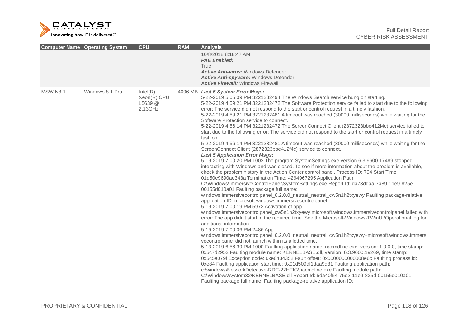

|          | <b>Computer Name Operating System</b> | <b>CPU</b>                                    | <b>RAM</b> | <b>Analysis</b>                                                                                                                                                                                                                                                                                                                                                                                                                                                                                                                                                                                                                                                                                                                                                                                                                                                                                                                                                                                                                                                                                                                                                                                                                                                                                                                                                                                                                                                                                                                                                                                                                                                                                                                                                                                                                                                                                                                                                                                                                                                                                                                                                                                                                                                                                                                                                                                                                                                                                                                                                                                                                                                                                      |
|----------|---------------------------------------|-----------------------------------------------|------------|------------------------------------------------------------------------------------------------------------------------------------------------------------------------------------------------------------------------------------------------------------------------------------------------------------------------------------------------------------------------------------------------------------------------------------------------------------------------------------------------------------------------------------------------------------------------------------------------------------------------------------------------------------------------------------------------------------------------------------------------------------------------------------------------------------------------------------------------------------------------------------------------------------------------------------------------------------------------------------------------------------------------------------------------------------------------------------------------------------------------------------------------------------------------------------------------------------------------------------------------------------------------------------------------------------------------------------------------------------------------------------------------------------------------------------------------------------------------------------------------------------------------------------------------------------------------------------------------------------------------------------------------------------------------------------------------------------------------------------------------------------------------------------------------------------------------------------------------------------------------------------------------------------------------------------------------------------------------------------------------------------------------------------------------------------------------------------------------------------------------------------------------------------------------------------------------------------------------------------------------------------------------------------------------------------------------------------------------------------------------------------------------------------------------------------------------------------------------------------------------------------------------------------------------------------------------------------------------------------------------------------------------------------------------------------------------------|
|          |                                       |                                               |            | 10/8/2018 8:18:47 AM<br><b>PAE Enabled:</b><br>True<br><b>Active Anti-virus: Windows Defender</b><br>Active Anti-spyware: Windows Defender<br><b>Active Firewall: Windows Firewall</b>                                                                                                                                                                                                                                                                                                                                                                                                                                                                                                                                                                                                                                                                                                                                                                                                                                                                                                                                                                                                                                                                                                                                                                                                                                                                                                                                                                                                                                                                                                                                                                                                                                                                                                                                                                                                                                                                                                                                                                                                                                                                                                                                                                                                                                                                                                                                                                                                                                                                                                               |
| MSWIN8-1 | Windows 8.1 Pro                       | Intel(R)<br>Xeon(R) CPU<br>L5639 @<br>2.13GHz |            | 4096 MB Last 5 System Error Msgs:<br>5-22-2019 5:05:09 PM 3221232494 The Windows Search service hung on starting.<br>5-22-2019 4:59:21 PM 3221232472 The Software Protection service failed to start due to the following<br>error: The service did not respond to the start or control request in a timely fashion.<br>5-22-2019 4:59:21 PM 3221232481 A timeout was reached (30000 milliseconds) while waiting for the<br>Software Protection service to connect.<br>5-22-2019 4:56:14 PM 3221232472 The ScreenConnect Client (2872323bbe412f4c) service failed to<br>start due to the following error: The service did not respond to the start or control request in a timely<br>fashion.<br>5-22-2019 4:56:14 PM 3221232481 A timeout was reached (30000 milliseconds) while waiting for the<br>ScreenConnect Client (2872323bbe412f4c) service to connect.<br><b>Last 5 Application Error Msgs:</b><br>5-19-2019 7:00:20 PM 1002 The program SystemSettings.exe version 6.3.9600.17489 stopped<br>interacting with Windows and was closed. To see if more information about the problem is available,<br>check the problem history in the Action Center control panel. Process ID: 794 Start Time:<br>01d50e9690ae343a Termination Time: 4294967295 Application Path:<br>C:\Windows\ImmersiveControlPanel\SystemSettings.exe Report Id: da73ddaa-7a89-11e9-825e-<br>00155d010a01 Faulting package full name:<br>windows.immersivecontrolpanel_6.2.0.0_neutral_neutral_cw5n1h2txyewy Faulting package-relative<br>application ID: microsoft.windows.immersivecontrolpanel<br>5-19-2019 7:00:19 PM 5973 Activation of app<br>windows.immersivecontrolpanel cw5n1h2txyewy!microsoft.windows.immersivecontrolpanel failed with<br>error: The app didn't start in the required time. See the Microsoft-Windows-TWinUI/Operational log for<br>additional information.<br>5-19-2019 7:00:06 PM 2486 App<br>windows.immersivecontrolpanel 6.2.0.0 neutral neutral cw5n1h2txyewy+microsoft.windows.immersi<br>vecontrolpanel did not launch within its allotted time.<br>5-13-2019 6:56:39 PM 1000 Faulting application name: nacmdline.exe, version: 1.0.0.0, time stamp:<br>0x5c7d2952 Faulting module name: KERNELBASE.dll, version: 6.3.9600.19269, time stamp:<br>0x5c5e079f Exception code: 0xe0434352 Fault offset: 0x0000000000008e6c Faulting process id:<br>0xe84 Faulting application start time: 0x01d509df1daa9d31 Faulting application path:<br>c:\windows\NetworkDetective-RDC-22HTIG\nacmdline.exe Faulting module path:<br>C:\Windows\system32\KERNELBASE.dll Report Id: 5da40f54-75d2-11e9-825d-00155d010a01<br>Faulting package full name: Faulting package-relative application ID: |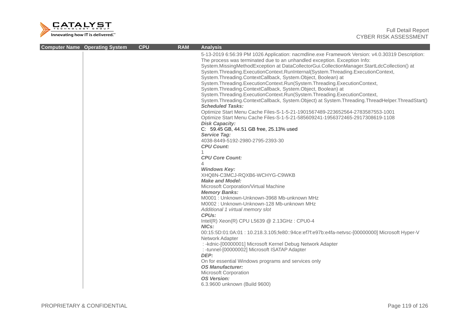

| <b>Computer Name Operating System</b> | <b>CPU</b> | <b>RAM</b> | <b>Analysis</b>                                                                                                                                                                                                                                                                                                                                                                                                                                                                                                                                                                                                                                                                                                                                                                                                                                                                                                                                                                                                                                                                                                                                                                                                                                                                                                                                                                                                                                                                                                                                                                                                                                                                                                                                                                                                                                                                                                                                |
|---------------------------------------|------------|------------|------------------------------------------------------------------------------------------------------------------------------------------------------------------------------------------------------------------------------------------------------------------------------------------------------------------------------------------------------------------------------------------------------------------------------------------------------------------------------------------------------------------------------------------------------------------------------------------------------------------------------------------------------------------------------------------------------------------------------------------------------------------------------------------------------------------------------------------------------------------------------------------------------------------------------------------------------------------------------------------------------------------------------------------------------------------------------------------------------------------------------------------------------------------------------------------------------------------------------------------------------------------------------------------------------------------------------------------------------------------------------------------------------------------------------------------------------------------------------------------------------------------------------------------------------------------------------------------------------------------------------------------------------------------------------------------------------------------------------------------------------------------------------------------------------------------------------------------------------------------------------------------------------------------------------------------------|
|                                       |            |            | 5-13-2019 6:56:39 PM 1026 Application: nacmdline.exe Framework Version: v4.0.30319 Description:<br>The process was terminated due to an unhandled exception. Exception Info:<br>System.MissingMethodException at DataCollectorGui.CollectionManager.StartLdcCollection() at<br>System.Threading.ExecutionContext.RunInternal(System.Threading.ExecutionContext,<br>System. Threading. Context Callback, System. Object, Boolean) at<br>System.Threading.ExecutionContext.Run(System.Threading.ExecutionContext,<br>System.Threading.ContextCallback, System.Object, Boolean) at<br>System.Threading.ExecutionContext.Run(System.Threading.ExecutionContext,<br>System.Threading.ContextCallback, System.Object) at System.Threading.ThreadHelper.ThreadStart()<br><b>Scheduled Tasks:</b><br>Optimize Start Menu Cache Files-S-1-5-21-1901567489-223652564-2783587553-1001<br>Optimize Start Menu Cache Files-S-1-5-21-585609241-1956372465-2917308619-1108<br><b>Disk Capacity:</b><br>C: 59.45 GB, 44.51 GB free, 25.13% used<br><b>Service Tag:</b><br>4038-8449-5192-2980-2795-2393-30<br><b>CPU Count:</b><br>$\mathbf{1}$<br><b>CPU Core Count:</b><br>4<br><b>Windows Key:</b><br>XHQ8N-C3MCJ-RQXB6-WCHYG-C9WKB<br><b>Make and Model:</b><br>Microsoft Corporation/Virtual Machine<br><b>Memory Banks:</b><br>M0001: Unknown-Unknown-3968 Mb-unknown MHz<br>M0002: Unknown-Unknown-128 Mb-unknown MHz<br>Additional 1 virtual memory slot<br>CPU <sub>s</sub> :<br>Intel(R) Xeon(R) CPU L5639 @ 2.13GHz : CPU0-4<br>NICs:<br>00:15:5D:01:0A:01:10.218.3.105;fe80::94ce:ef7f:e97b:e4fa-netvsc-[00000000] Microsoft Hyper-V<br>Network Adapter<br>: - kdnic-[00000001] Microsoft Kernel Debug Network Adapter<br>: - tunnel-[00000002] Microsoft ISATAP Adapter<br>DEP:<br>On for essential Windows programs and services only<br><b>OS Manufacturer:</b><br>Microsoft Corporation<br><b>OS Version:</b><br>6.3.9600 unknown (Build 9600) |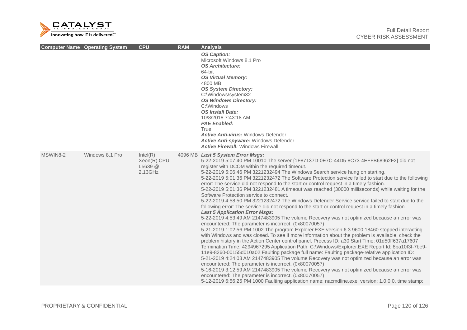

|          | <b>Computer Name Operating System</b> | <b>CPU</b>                                      | <b>RAM</b> | <b>Analysis</b>                                                                                                                                                                                                                                                                                                                                                                                                                                                                                                                                                                                                                                                                                                                                                                                                                                                                                                                                                                                                                                                                                                                                                                                                                                                                                                                                                                                                                                                                                                                                                                                                                                                                                                                                                                                                                                                                                                                                         |
|----------|---------------------------------------|-------------------------------------------------|------------|---------------------------------------------------------------------------------------------------------------------------------------------------------------------------------------------------------------------------------------------------------------------------------------------------------------------------------------------------------------------------------------------------------------------------------------------------------------------------------------------------------------------------------------------------------------------------------------------------------------------------------------------------------------------------------------------------------------------------------------------------------------------------------------------------------------------------------------------------------------------------------------------------------------------------------------------------------------------------------------------------------------------------------------------------------------------------------------------------------------------------------------------------------------------------------------------------------------------------------------------------------------------------------------------------------------------------------------------------------------------------------------------------------------------------------------------------------------------------------------------------------------------------------------------------------------------------------------------------------------------------------------------------------------------------------------------------------------------------------------------------------------------------------------------------------------------------------------------------------------------------------------------------------------------------------------------------------|
|          |                                       |                                                 |            | <b>OS Caption:</b><br>Microsoft Windows 8.1 Pro<br><b>OS Architecture:</b><br>64-bit<br><b>OS Virtual Memory:</b><br>4800 MB<br><b>OS System Directory:</b><br>C:\Windows\system32<br><b>OS Windows Directory:</b><br>C:\Windows<br><b>OS Install Date:</b><br>10/8/2018 7:43:18 AM<br><b>PAE Enabled:</b><br>True<br><b>Active Anti-virus: Windows Defender</b><br>Active Anti-spyware: Windows Defender<br><b>Active Firewall: Windows Firewall</b>                                                                                                                                                                                                                                                                                                                                                                                                                                                                                                                                                                                                                                                                                                                                                                                                                                                                                                                                                                                                                                                                                                                                                                                                                                                                                                                                                                                                                                                                                                   |
| MSWIN8-2 | Windows 8.1 Pro                       | Intel(R)<br>Xeon(R) CPU<br>L5639@<br>$2.13$ GHz |            | 4096 MB Last 5 System Error Msgs:<br>5-22-2019 5:07:40 PM 10010 The server {1F87137D-0E7C-44D5-8C73-4EFFB68962F2} did not<br>register with DCOM within the required timeout.<br>5-22-2019 5:06:46 PM 3221232494 The Windows Search service hung on starting.<br>5-22-2019 5:01:36 PM 3221232472 The Software Protection service failed to start due to the following<br>error: The service did not respond to the start or control request in a timely fashion.<br>5-22-2019 5:01:36 PM 3221232481 A timeout was reached (30000 milliseconds) while waiting for the<br>Software Protection service to connect.<br>5-22-2019 4:58:50 PM 3221232472 The Windows Defender Service service failed to start due to the<br>following error: The service did not respond to the start or control request in a timely fashion.<br><b>Last 5 Application Error Msgs:</b><br>5-22-2019 4:53:49 AM 2147483905 The volume Recovery was not optimized because an error was<br>encountered: The parameter is incorrect. (0x80070057)<br>5-21-2019 1:02:56 PM 1002 The program Explorer.EXE version 6.3.9600.18460 stopped interacting<br>with Windows and was closed. To see if more information about the problem is available, check the<br>problem history in the Action Center control panel. Process ID: a30 Start Time: 01d50ff637a17607<br>Termination Time: 4294967295 Application Path: C:\Windows\Explorer.EXE Report Id: 8ba10f3f-7be9-<br>11e9-8260-00155d010a02 Faulting package full name: Faulting package-relative application ID:<br>5-21-2019 4:24:03 AM 2147483905 The volume Recovery was not optimized because an error was<br>encountered: The parameter is incorrect. (0x80070057)<br>5-16-2019 3:12:59 AM 2147483905 The volume Recovery was not optimized because an error was<br>encountered: The parameter is incorrect. (0x80070057)<br>5-12-2019 6:56:25 PM 1000 Faulting application name: nacmdline.exe, version: 1.0.0.0, time stamp: |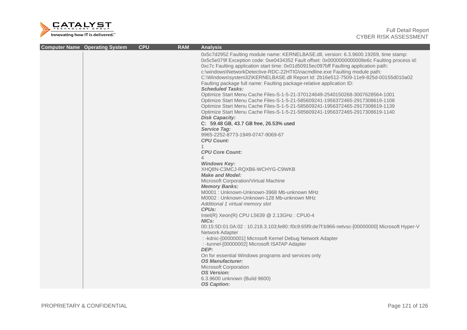

| <b>Computer Name Operating System</b> | <b>CPU</b><br><b>RAM</b> | <b>Analysis</b>                                                                                                                                                                                                                                                                                                                                                                                                                                                                                                                                                                                                                                                                                                                                                                                                                                                                                                                                                                                                                                                                                                                                                                                                                                                                                                                                                                                    |
|---------------------------------------|--------------------------|----------------------------------------------------------------------------------------------------------------------------------------------------------------------------------------------------------------------------------------------------------------------------------------------------------------------------------------------------------------------------------------------------------------------------------------------------------------------------------------------------------------------------------------------------------------------------------------------------------------------------------------------------------------------------------------------------------------------------------------------------------------------------------------------------------------------------------------------------------------------------------------------------------------------------------------------------------------------------------------------------------------------------------------------------------------------------------------------------------------------------------------------------------------------------------------------------------------------------------------------------------------------------------------------------------------------------------------------------------------------------------------------------|
|                                       |                          | 0x5c7d2952 Faulting module name: KERNELBASE.dll, version: 6.3.9600.19269, time stamp:<br>0x5c5e079f Exception code: 0xe0434352 Fault offset: 0x0000000000008e6c Faulting process id:<br>0xc7c Faulting application start time: 0x01d50915ec097bff Faulting application path:<br>c:\windows\NetworkDetective-RDC-22HTIG\nacmdline.exe Faulting module path:<br>C:\Windows\system32\KERNELBASE.dll Report Id: 2b16e512-7509-11e9-825d-00155d010a02<br>Faulting package full name: Faulting package-relative application ID:<br><b>Scheduled Tasks:</b><br>Optimize Start Menu Cache Files-S-1-5-21-370124649-2540150268-3007628564-1001<br>Optimize Start Menu Cache Files-S-1-5-21-585609241-1956372465-2917308619-1108<br>Optimize Start Menu Cache Files-S-1-5-21-585609241-1956372465-2917308619-1139<br>Optimize Start Menu Cache Files-S-1-5-21-585609241-1956372465-2917308619-1140<br><b>Disk Capacity:</b><br>C: 59.48 GB, 43.7 GB free, 26.53% used<br><b>Service Tag:</b><br>9965-2252-8773-1949-0747-9069-67<br><b>CPU Count:</b><br>$\mathbf{1}$<br><b>CPU Core Count:</b><br>4<br><b>Windows Key:</b><br>XHQ8N-C3MCJ-RQXB6-WCHYG-C9WKB<br><b>Make and Model:</b><br>Microsoft Corporation/Virtual Machine<br><b>Memory Banks:</b><br>M0001: Unknown-Unknown-3968 Mb-unknown MHz<br>M0002: Unknown-Unknown-128 Mb-unknown MHz<br>Additional 1 virtual memory slot<br>CPU <sub>s</sub> : |
|                                       |                          | Intel(R) Xeon(R) CPU L5639 @ 2.13GHz : CPU0-4<br>NICs:                                                                                                                                                                                                                                                                                                                                                                                                                                                                                                                                                                                                                                                                                                                                                                                                                                                                                                                                                                                                                                                                                                                                                                                                                                                                                                                                             |
|                                       |                          | 00:15:5D:01:0A:02:10.218.3.103;fe80::f0c9:65f9:de7f:b966-netvsc-[00000000] Microsoft Hyper-V<br>Network Adapter<br>: - kdnic-[00000001] Microsoft Kernel Debug Network Adapter<br>: - tunnel-[00000002] Microsoft ISATAP Adapter<br>DEP:                                                                                                                                                                                                                                                                                                                                                                                                                                                                                                                                                                                                                                                                                                                                                                                                                                                                                                                                                                                                                                                                                                                                                           |
|                                       |                          | On for essential Windows programs and services only<br><b>OS Manufacturer:</b><br><b>Microsoft Corporation</b><br><b>OS Version:</b><br>6.3.9600 unknown (Build 9600)<br><b>OS Caption:</b>                                                                                                                                                                                                                                                                                                                                                                                                                                                                                                                                                                                                                                                                                                                                                                                                                                                                                                                                                                                                                                                                                                                                                                                                        |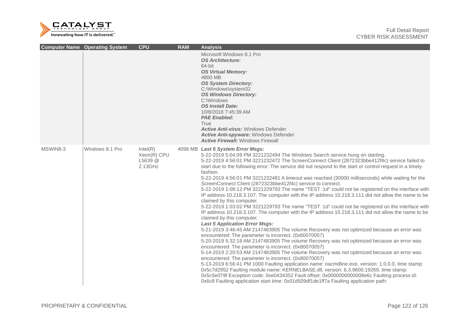

|          | <b>Computer Name Operating System</b> | <b>CPU</b>                                       | <b>RAM</b> | <b>Analysis</b>                                                                                                                                                                                                                                                                                                                                                                                                                                                                                                                                                                                                                                                                                                                                                                                                                                                                                                                                                                                                                                                                                                                                                                                                                                                                                                                                                                                                                                                                                                                                                                                                                                                                                                                                                                                                                                                                                     |
|----------|---------------------------------------|--------------------------------------------------|------------|-----------------------------------------------------------------------------------------------------------------------------------------------------------------------------------------------------------------------------------------------------------------------------------------------------------------------------------------------------------------------------------------------------------------------------------------------------------------------------------------------------------------------------------------------------------------------------------------------------------------------------------------------------------------------------------------------------------------------------------------------------------------------------------------------------------------------------------------------------------------------------------------------------------------------------------------------------------------------------------------------------------------------------------------------------------------------------------------------------------------------------------------------------------------------------------------------------------------------------------------------------------------------------------------------------------------------------------------------------------------------------------------------------------------------------------------------------------------------------------------------------------------------------------------------------------------------------------------------------------------------------------------------------------------------------------------------------------------------------------------------------------------------------------------------------------------------------------------------------------------------------------------------------|
|          |                                       |                                                  |            | Microsoft Windows 8.1 Pro<br><b>OS Architecture:</b><br>64-bit<br><b>OS Virtual Memory:</b><br>4800 MB<br><b>OS System Directory:</b><br>C:\Windows\system32<br><b>OS Windows Directory:</b><br>C:\Windows<br><b>OS Install Date:</b><br>10/8/2018 7:45:39 AM<br><b>PAE Enabled:</b><br>True<br><b>Active Anti-virus: Windows Defender</b><br>Active Anti-spyware: Windows Defender<br><b>Active Firewall: Windows Firewall</b>                                                                                                                                                                                                                                                                                                                                                                                                                                                                                                                                                                                                                                                                                                                                                                                                                                                                                                                                                                                                                                                                                                                                                                                                                                                                                                                                                                                                                                                                     |
| MSWIN8-3 | Windows 8.1 Pro                       | Intel(R)<br>Xeon(R) CPU<br>L5639 @<br>$2.13$ GHz |            | 4096 MB Last 5 System Error Msgs:<br>5-22-2019 5:04:09 PM 3221232494 The Windows Search service hung on starting.<br>5-22-2019 4:56:01 PM 3221232472 The ScreenConnect Client (2872323bbe412f4c) service failed to<br>start due to the following error: The service did not respond to the start or control request in a timely<br>fashion.<br>5-22-2019 4:56:01 PM 3221232481 A timeout was reached (30000 milliseconds) while waiting for the<br>ScreenConnect Client (2872323bbe412f4c) service to connect.<br>5-22-2019 1:08:12 PM 3221229793 The name "TEST :1d" could not be registered on the interface with<br>IP address 10.218.3.107. The computer with the IP address 10.218.3.111 did not allow the name to be<br>claimed by this computer.<br>5-22-2019 1:03:02 PM 3221229793 The name "TEST :1d" could not be registered on the interface with<br>IP address 10.218.3.107. The computer with the IP address 10.218.3.111 did not allow the name to be<br>claimed by this computer.<br><b>Last 5 Application Error Msgs:</b><br>5-21-2019 3:46:45 AM 2147483905 The volume Recovery was not optimized because an error was<br>encountered: The parameter is incorrect. (0x80070057)<br>5-20-2019 5:32:18 AM 2147483905 The volume Recovery was not optimized because an error was<br>encountered: The parameter is incorrect. (0x80070057)<br>5-14-2019 2:20:53 AM 2147483905 The volume Recovery was not optimized because an error was<br>encountered: The parameter is incorrect. (0x80070057)<br>5-13-2019 6:56:41 PM 1000 Faulting application name: nacmdline.exe, version: 1.0.0.0, time stamp:<br>0x5c7d2952 Faulting module name: KERNELBASE.dll, version: 6.3.9600.19269, time stamp:<br>0x5c5e079f Exception code: 0xe0434352 Fault offset: 0x0000000000008e6c Faulting process id:<br>0x6c8 Faulting application start time: 0x01d509df1de1ff7a Faulting application path: |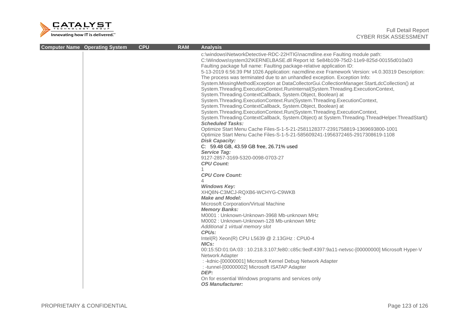

| <b>Computer Name Operating System</b> | <b>CPU</b> | <b>RAM</b> | <b>Analysis</b>                                                                                                                                                                                                                                                                                                                                                                                                                                                                                                                                                                                                                                                                                                                                                                                                                                                                                                                                                                                                                                                                                                                                                                                                                                                                                                                                                                                                                                                                                                                                                                                                                                                                                                                                                                                                                                                                                                                                                                                                                                                                                          |
|---------------------------------------|------------|------------|----------------------------------------------------------------------------------------------------------------------------------------------------------------------------------------------------------------------------------------------------------------------------------------------------------------------------------------------------------------------------------------------------------------------------------------------------------------------------------------------------------------------------------------------------------------------------------------------------------------------------------------------------------------------------------------------------------------------------------------------------------------------------------------------------------------------------------------------------------------------------------------------------------------------------------------------------------------------------------------------------------------------------------------------------------------------------------------------------------------------------------------------------------------------------------------------------------------------------------------------------------------------------------------------------------------------------------------------------------------------------------------------------------------------------------------------------------------------------------------------------------------------------------------------------------------------------------------------------------------------------------------------------------------------------------------------------------------------------------------------------------------------------------------------------------------------------------------------------------------------------------------------------------------------------------------------------------------------------------------------------------------------------------------------------------------------------------------------------------|
|                                       |            |            | c:\windows\NetworkDetective-RDC-22HTIG\nacmdline.exe Faulting module path:<br>C:\Windows\system32\KERNELBASE.dll Report Id: 5e84b109-75d2-11e9-825d-00155d010a03<br>Faulting package full name: Faulting package-relative application ID:<br>5-13-2019 6:56:39 PM 1026 Application: nacmdline.exe Framework Version: v4.0.30319 Description:<br>The process was terminated due to an unhandled exception. Exception Info:<br>System.MissingMethodException at DataCollectorGui.CollectionManager.StartLdcCollection() at<br>System.Threading.ExecutionContext.RunInternal(System.Threading.ExecutionContext,<br>System.Threading.ContextCallback, System.Object, Boolean) at<br>System.Threading.ExecutionContext.Run(System.Threading.ExecutionContext,<br>System.Threading.ContextCallback, System.Object, Boolean) at<br>System.Threading.ExecutionContext.Run(System.Threading.ExecutionContext,<br>System.Threading.ContextCallback, System.Object) at System.Threading.ThreadHelper.ThreadStart()<br><b>Scheduled Tasks:</b><br>Optimize Start Menu Cache Files-S-1-5-21-2581128377-2391758819-1369693800-1001<br>Optimize Start Menu Cache Files-S-1-5-21-585609241-1956372465-2917308619-1108<br><b>Disk Capacity:</b><br>C: 59.48 GB, 43.59 GB free, 26.71% used<br><b>Service Tag:</b><br>9127-2857-3169-5320-0098-0703-27<br><b>CPU Count:</b><br>$\mathbf{1}$<br><b>CPU Core Count:</b><br>4<br><b>Windows Key:</b><br>XHQ8N-C3MCJ-RQXB6-WCHYG-C9WKB<br><b>Make and Model:</b><br>Microsoft Corporation/Virtual Machine<br><b>Memory Banks:</b><br>M0001: Unknown-Unknown-3968 Mb-unknown MHz<br>M0002: Unknown-Unknown-128 Mb-unknown MHz<br>Additional 1 virtual memory slot<br>CPU <sub>s</sub> :<br>Intel(R) Xeon(R) CPU L5639 @ 2.13GHz : CPU0-4<br>NICs:<br>00:15:5D:01:0A:03: 10.218.3.107;fe80::c85c:9edf:4397:9a11-netvsc-[00000000] Microsoft Hyper-V<br>Network Adapter<br>: - kdnic-[00000001] Microsoft Kernel Debug Network Adapter<br>: -tunnel-[00000002] Microsoft ISATAP Adapter<br>DEP:<br>On for essential Windows programs and services only<br><b>OS Manufacturer:</b> |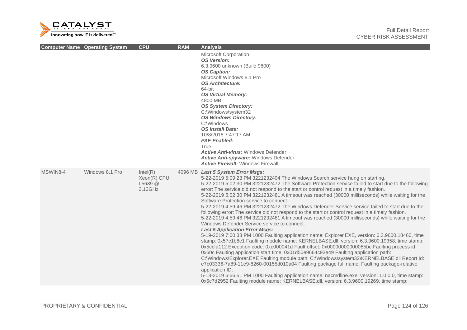

|          | <b>Computer Name Operating System</b> | <b>CPU</b>                                   | <b>RAM</b> | <b>Analysis</b>                                                                                                                                                                                                                                                                                                                                                                                                                                                                                                                                                                                                                                                                                                                                                                                                                                                                                                                                                                                                                                                                                                                                                                                                                                                                                                                                                                                                                                                                                                                                                                                                                                                                   |
|----------|---------------------------------------|----------------------------------------------|------------|-----------------------------------------------------------------------------------------------------------------------------------------------------------------------------------------------------------------------------------------------------------------------------------------------------------------------------------------------------------------------------------------------------------------------------------------------------------------------------------------------------------------------------------------------------------------------------------------------------------------------------------------------------------------------------------------------------------------------------------------------------------------------------------------------------------------------------------------------------------------------------------------------------------------------------------------------------------------------------------------------------------------------------------------------------------------------------------------------------------------------------------------------------------------------------------------------------------------------------------------------------------------------------------------------------------------------------------------------------------------------------------------------------------------------------------------------------------------------------------------------------------------------------------------------------------------------------------------------------------------------------------------------------------------------------------|
|          |                                       |                                              |            | <b>Microsoft Corporation</b><br><b>OS Version:</b><br>6.3.9600 unknown (Build 9600)<br><b>OS Caption:</b><br>Microsoft Windows 8.1 Pro<br><b>OS Architecture:</b><br>64-bit<br><b>OS Virtual Memory:</b><br>4800 MB<br><b>OS System Directory:</b><br>C:\Windows\system32<br><b>OS Windows Directory:</b><br>C:\Windows<br><b>OS Install Date:</b><br>10/8/2018 7:47:17 AM<br><b>PAE Enabled:</b><br>True<br><b>Active Anti-virus: Windows Defender</b><br><b>Active Anti-spyware: Windows Defender</b><br><b>Active Firewall: Windows Firewall</b>                                                                                                                                                                                                                                                                                                                                                                                                                                                                                                                                                                                                                                                                                                                                                                                                                                                                                                                                                                                                                                                                                                                               |
| MSWIN8-4 | Windows 8.1 Pro                       | Intel(R)<br>Xeon(R) CPU<br>L5639@<br>2.13GHz |            | 4096 MB Last 5 System Error Msgs:<br>5-22-2019 5:09:23 PM 3221232494 The Windows Search service hung on starting.<br>5-22-2019 5:02:30 PM 3221232472 The Software Protection service failed to start due to the following<br>error: The service did not respond to the start or control request in a timely fashion.<br>5-22-2019 5:02:30 PM 3221232481 A timeout was reached (30000 milliseconds) while waiting for the<br>Software Protection service to connect.<br>5-22-2019 4:59:46 PM 3221232472 The Windows Defender Service service failed to start due to the<br>following error: The service did not respond to the start or control request in a timely fashion.<br>5-22-2019 4:59:46 PM 3221232481 A timeout was reached (30000 milliseconds) while waiting for the<br>Windows Defender Service service to connect.<br><b>Last 5 Application Error Msgs:</b><br>5-19-2019 7:00:33 PM 1000 Faulting application name: Explorer.EXE, version: 6.3.9600.18460, time<br>stamp: 0x57c1b8c1 Faulting module name: KERNELBASE.dll, version: 6.3.9600.19358, time stamp:<br>0x5ccfa112 Exception code: 0xc000041d Fault offset: 0x00000000000085bc Faulting process id:<br>0x60c Faulting application start time: 0x01d50e9664c93e49 Faulting application path:<br>C:\Windows\Explorer.EXE Faulting module path: C:\Windows\system32\KERNELBASE.dll Report Id:<br>e7c03336-7a89-11e9-8260-00155d010a04 Faulting package full name: Faulting package-relative<br>application ID:<br>5-13-2019 6:56:51 PM 1000 Faulting application name: nacmdline.exe, version: 1.0.0.0, time stamp:<br>0x5c7d2952 Faulting module name: KERNELBASE.dll, version: 6.3.9600.19269, time stamp: |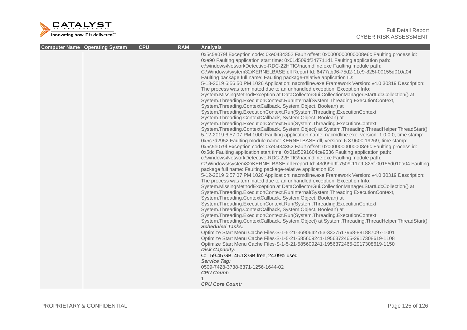

| <b>Computer Name Operating System</b> | <b>CPU</b> | <b>RAM</b> | <b>Analysis</b>                                                                                                                                                                                                                                                                                                                                                                                                                                                                                                                                                                                                                                                                                                                                                                                                                                                                                                                                                                                                                                                                                                                                                                                                                                                                                                                                                                                                                                                                                                                                                                                                                                                                                                                                                                                                                                                                                                                                                                                                                                                                                                                                                                                                                                                                                                                                                                                                                                                                                                                                                                                                                                                                                                                                                                                                                                                                                                                                                                                                                                                         |
|---------------------------------------|------------|------------|-------------------------------------------------------------------------------------------------------------------------------------------------------------------------------------------------------------------------------------------------------------------------------------------------------------------------------------------------------------------------------------------------------------------------------------------------------------------------------------------------------------------------------------------------------------------------------------------------------------------------------------------------------------------------------------------------------------------------------------------------------------------------------------------------------------------------------------------------------------------------------------------------------------------------------------------------------------------------------------------------------------------------------------------------------------------------------------------------------------------------------------------------------------------------------------------------------------------------------------------------------------------------------------------------------------------------------------------------------------------------------------------------------------------------------------------------------------------------------------------------------------------------------------------------------------------------------------------------------------------------------------------------------------------------------------------------------------------------------------------------------------------------------------------------------------------------------------------------------------------------------------------------------------------------------------------------------------------------------------------------------------------------------------------------------------------------------------------------------------------------------------------------------------------------------------------------------------------------------------------------------------------------------------------------------------------------------------------------------------------------------------------------------------------------------------------------------------------------------------------------------------------------------------------------------------------------------------------------------------------------------------------------------------------------------------------------------------------------------------------------------------------------------------------------------------------------------------------------------------------------------------------------------------------------------------------------------------------------------------------------------------------------------------------------------------------------|
|                                       |            |            | 0x5c5e079f Exception code: 0xe0434352 Fault offset: 0x0000000000008e6c Faulting process id:<br>Oxe90 Faulting application start time: 0x01d509df247711d1 Faulting application path:<br>c:\windows\NetworkDetective-RDC-22HTIG\nacmdline.exe Faulting module path:<br>C:\Windows\system32\KERNELBASE.dll Report Id: 6477ab96-75d2-11e9-825f-00155d010a04<br>Faulting package full name: Faulting package-relative application ID:<br>5-13-2019 6:56:50 PM 1026 Application: nacmdline.exe Framework Version: v4.0.30319 Description:<br>The process was terminated due to an unhandled exception. Exception Info:<br>System.MissingMethodException at DataCollectorGui.CollectionManager.StartLdcCollection() at<br>System.Threading.ExecutionContext.RunInternal(System.Threading.ExecutionContext,<br>System.Threading.ContextCallback, System.Object, Boolean) at<br>System.Threading.ExecutionContext.Run(System.Threading.ExecutionContext,<br>System. Threading. Context Callback, System. Object, Boolean) at<br>System.Threading.ExecutionContext.Run(System.Threading.ExecutionContext,<br>System.Threading.ContextCallback, System.Object) at System.Threading.ThreadHelper.ThreadStart()<br>5-12-2019 6:57:07 PM 1000 Faulting application name: nacmdline.exe, version: 1.0.0.0, time stamp:<br>0x5c7d2952 Faulting module name: KERNELBASE.dll, version: 6.3.9600.19269, time stamp:<br>0x5c5e079f Exception code: 0xe0434352 Fault offset: 0x0000000000008e6c Faulting process id:<br>0x5dc Faulting application start time: 0x01d5091604ce9536 Faulting application path:<br>c:\windows\NetworkDetective-RDC-22HTIG\nacmdline.exe Faulting module path:<br>C:\Windows\system32\KERNELBASE.dll Report Id: 43d99b9f-7509-11e9-825f-00155d010a04 Faulting<br>package full name: Faulting package-relative application ID:<br>5-12-2019 6:57:07 PM 1026 Application: nacmdline.exe Framework Version: v4.0.30319 Description:<br>The process was terminated due to an unhandled exception. Exception Info:<br>System.MissingMethodException at DataCollectorGui.CollectionManager.StartLdcCollection() at<br>System.Threading.ExecutionContext.RunInternal(System.Threading.ExecutionContext,<br>System.Threading.ContextCallback, System.Object, Boolean) at<br>System.Threading.ExecutionContext.Run(System.Threading.ExecutionContext,<br>System. Threading. Context Callback, System. Object, Boolean) at<br>System.Threading.ExecutionContext.Run(System.Threading.ExecutionContext,<br>System.Threading.ContextCallback, System.Object) at System.Threading.ThreadHelper.ThreadStart()<br><b>Scheduled Tasks:</b><br>Optimize Start Menu Cache Files-S-1-5-21-3690642753-3337517968-881887097-1001<br>Optimize Start Menu Cache Files-S-1-5-21-585609241-1956372465-2917308619-1108<br>Optimize Start Menu Cache Files-S-1-5-21-585609241-1956372465-2917308619-1150<br><b>Disk Capacity:</b><br>C: 59.45 GB, 45.13 GB free, 24.09% used<br><b>Service Tag:</b><br>0509-7428-3738-6371-1256-1644-02<br><b>CPU Count:</b><br>1<br><b>CPU Core Count:</b> |
|                                       |            |            |                                                                                                                                                                                                                                                                                                                                                                                                                                                                                                                                                                                                                                                                                                                                                                                                                                                                                                                                                                                                                                                                                                                                                                                                                                                                                                                                                                                                                                                                                                                                                                                                                                                                                                                                                                                                                                                                                                                                                                                                                                                                                                                                                                                                                                                                                                                                                                                                                                                                                                                                                                                                                                                                                                                                                                                                                                                                                                                                                                                                                                                                         |